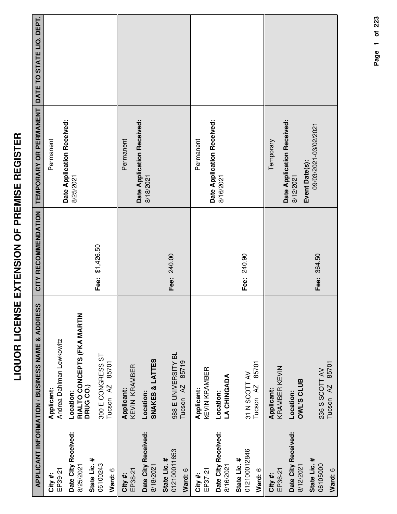|                                                  | APPLICANT INFORMATION / BUSINESS NAME & ADDRESS       | CITY RECOMMENDATION | TEMPORARY OR PERMANENT                  | DATE TO STATE LIQ. DEPT. |
|--------------------------------------------------|-------------------------------------------------------|---------------------|-----------------------------------------|--------------------------|
| EP39-21<br>City#:                                | Andrea Dahlman Lewkowitz<br>Applicant:                |                     | Permanent                               |                          |
| Date City Received:<br>State Lic. #<br>8/25/2021 | RIALTO CONCEPTS (FKA MARTIN<br>DRUG CO.)<br>Location: |                     | Date Application Received:<br>8/25/2021 |                          |
| 06100243<br>Ward: 6                              | 300 E CONGRESS ST<br>85701<br>Tucson <sub>AZ</sub>    | Fee: \$1,426.50     |                                         |                          |
| EP38-21<br>City #:                               | KEVIN KRAMBER<br><b>Applicant:</b>                    |                     | Permanent                               |                          |
| Date City Received:<br>8/18/2021                 | <b>SNAKES &amp; LATTES</b><br>Location:               |                     | Date Application Received:<br>8/18/2021 |                          |
| 012100011653<br>State Lic. #<br>Ward: 6          | 988 E UNIVERSITY BL<br>85719<br>Tucson <sub>AZ</sub>  | Fee: 240.00         |                                         |                          |
| EP37-21<br>City #:                               | <b>KEVIN KRAMBER</b><br>Applicant:                    |                     | Permanent                               |                          |
| Date City Received:<br>8/16/2021                 | <b>LA CHINGADA</b><br>Location:                       |                     | Date Application Received:<br>8/16/2021 |                          |
| 012100012846<br>State Lic. #<br>Ward: 6          | 85701<br>31 N SCOTT AV<br>Tucson <sub>AZ</sub>        | Fee: 240.90         |                                         |                          |
| EP36-21<br>City #:                               | KRAMBER KEVIN<br><b>Applicant:</b>                    |                     | Temporary                               |                          |
| Date City Received:<br>8/12/2021                 | <b>OWL'S CLUB</b><br>Location:                        |                     | Date Application Received:<br>8/12/2021 |                          |
| State Lic. #<br>06105000<br>Ward: 6              | 85701<br>236 S SCOTT AV<br>Tucson AZ                  | Fee: 364.50         | 09/03/2021-03/02/2021<br>Event Date(s): |                          |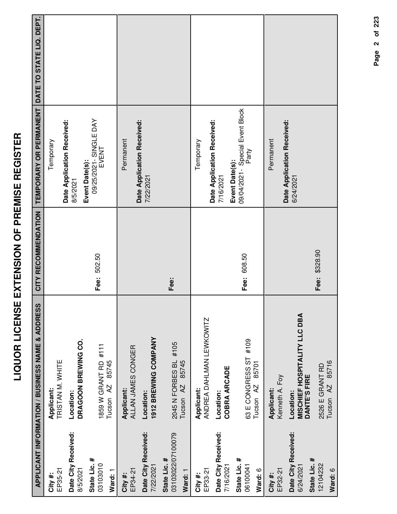| -<br>(         |
|----------------|
| ۱<br>I<br>I    |
|                |
| I<br>ì         |
| :              |
| İ              |
| -<br>-         |
|                |
| <u>์</u><br>-  |
| Í              |
|                |
| י<br>י         |
| l<br>ׇ֠        |
| <br> <br>      |
|                |
| $\frac{1}{2}$  |
|                |
|                |
|                |
| i<br>I         |
|                |
|                |
| $\overline{a}$ |

|                                              | APPLICANT INFORMATION / BUSINESS NAME & ADDRESS           |               | CITY RECOMMENDATION   TEMPORARY OR PERMANENT               | DATE TO STATE LIQ. DEPT. |
|----------------------------------------------|-----------------------------------------------------------|---------------|------------------------------------------------------------|--------------------------|
| EP35-21<br>City #:                           | TRISTAN M. WHITE<br>Applicant:                            |               | Temporary                                                  |                          |
| Date City Received:<br>8/5/2021              | DRAGOON BREWING CO.<br>Location:                          |               | Date Application Received:<br>8/5/2021                     |                          |
| State Lic. #<br>03103010<br>Ward: 1          | 1859 W GRANT RD #111<br>85745<br>Tucson AZ                | Fee: 502.50   | 09/25/2021 - SINGLE DAY<br>EVENT<br>Event Date(s):         |                          |
| EP34-21<br>City#:                            | ALLAN JAMES CONGER<br>Applicant:                          |               | Permanent                                                  |                          |
| Date City Received:<br>7/22/2021             | 1912 BREWING COMPANY<br>Location:                         |               | Date Application Received:<br>7/22/2021                    |                          |
| 03103022/07100079<br>State Lic. #<br>Ward: 1 | 2045 N FORBES BL #105<br>85745<br>Tucson <sub>AZ</sub>    | Fee:          |                                                            |                          |
| EP33-21<br>City #:                           | ANDREA DAHLMAN LEWKOWITZ<br>Applicant:                    |               | Temporary                                                  |                          |
| Date City Received:<br>7/16/2021             | <b>COBRA ARCADE</b><br>Location:                          |               | Date Application Received:<br>7/16/2021                    |                          |
| State Lic. #<br>06100041<br>Ward: 6          | #109<br>63 E CONGRESS ST<br>85701<br>Tucson <sub>AZ</sub> | Fee: 608.50   | 09/04/2021- Special Event Block<br>Party<br>Event Date(s): |                          |
| EP32-21<br>City#:                            | Kenneth A. Foy<br>Applicant:                              |               | Permanent                                                  |                          |
| Date City Received:<br>6/24/2021             | MISCHIEF HOSPITALITY LLC DBA<br>DANTE'S FIRE<br>Location: |               | Date Application Received:<br>6/24/2021                    |                          |
| State Lic. #<br>12104232<br>Ward: 6          | 85716<br>2526 E GRANT RD<br>A2<br>Tucson                  | Fee: \$328.90 |                                                            |                          |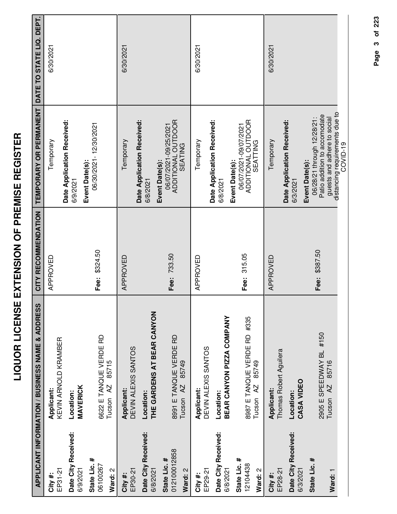|                                         | APPLICANT INFORMATION / BUSINESS NAME & ADDRESS              | CITY RECOMMENDATION | TEMPORARY OR PERMANENT                                                                                                                        | DATE TO STATE LIQ. DEPT. |
|-----------------------------------------|--------------------------------------------------------------|---------------------|-----------------------------------------------------------------------------------------------------------------------------------------------|--------------------------|
| EP31-21<br>City #:                      | KEVIN ARNOLD KRAMBER<br><b>Applicant:</b>                    | APPROVED            | Temporary                                                                                                                                     | 6/30/2021                |
| Date City Received:<br>6/9/2021         | <b>MAVERICK</b><br>Location:                                 |                     | Date Application Received:<br>6/9/2021                                                                                                        |                          |
| State Lic. #<br>06100267<br>Ward: 2     | 6622 E TANQUE VERDE RD<br>85715<br>AZ<br>Tucson              | Fee: \$324.50       | 06/30/2021-12/30/2021<br>Event Date(s):                                                                                                       |                          |
| EP30-21<br>City #:                      | DEVIN ALEXIS SANTOS<br>Applicant:                            | APPROVED            | Temporary                                                                                                                                     | 6/30/2021                |
| Date City Received:<br>6/8/2021         | THE GARDENS AT BEAR CANYON<br>Location:                      |                     | Date Application Received:<br>6/8/2021                                                                                                        |                          |
| 012100012858<br>State Lic. #<br>Ward: 2 | 8991 E TANQUE VERDE RD<br>85749<br>Tucson <sub>AZ</sub>      | Fee: 733.50         | ADDITIONAL OUTDOOR<br>06/07/2021-09/25/2021<br><b>SEATING</b><br>Event Date(s):                                                               |                          |
| EP29-21<br>City#:                       | DEVIN ALEXIS SANTOS<br>Applicant:                            | APPROVED            | Temporary                                                                                                                                     | 6/30/2021                |
| Date City Received:<br>6/8/2021         | BEAR CANYON PIZZA COMPANY<br>Location:                       |                     | Date Application Received:<br>Event Date(s):<br>6/8/2021                                                                                      |                          |
| State Lic. #<br>12104438<br>Ward: 2     | 8987 E TANQUE VERDE RD #335<br>85749<br>Tucson <sub>AZ</sub> | 315.05<br>Fee:      | ADDITIONAL OUTDOOR<br>06/07/2021-09/07/2021<br>SEATTING                                                                                       |                          |
| EP28-21<br>City#:                       | Thomas Robert Aguilera<br>Applicant:                         | APPROVED            | Temporary                                                                                                                                     | 6/30/2021                |
| Date City Received:<br>6/3/2021         | CASA VIDEO<br>Location:                                      |                     | Date Application Received:<br>6/3/2021                                                                                                        |                          |
| State Lic. #<br>Ward: 1                 | 2905 E SPEEDWAY BL #150<br>85716<br>AZ<br>Tucson             | Fee: \$387.50       | distancing requirements due to<br>Patio addition to accomodate<br>guests and adhere to social<br>06/28/21 through 12/28/21:<br>Event Date(s): |                          |
|                                         |                                                              |                     | COVID-19                                                                                                                                      |                          |

Page 3 of 223 **Page of 3 223**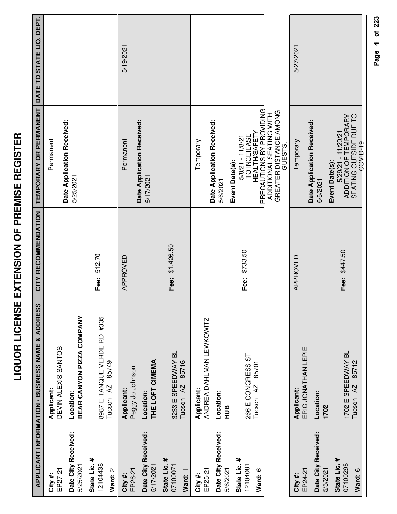|                                                  | <b>APPLICANT INFORMATION / BUSINESS NAME &amp; ADDRESS</b>   | CITY RECOMMENDATION | TEMPORARY OR PERMANENT                                                                                                              | DATE TO STATE LIQ. DEPT. |
|--------------------------------------------------|--------------------------------------------------------------|---------------------|-------------------------------------------------------------------------------------------------------------------------------------|--------------------------|
| EP27-21<br>City#:                                | DEVIN ALEXIS SANTOS<br>Applicant:                            |                     | Permanent                                                                                                                           |                          |
| Date City Received:<br>5/25/2021                 | BEAR CANYON PIZZA COMPANY<br>Location:                       |                     | Date Application Received:<br>5/25/2021                                                                                             |                          |
| State Lic. #<br>12104438<br>Ward: 2              | 8987 E TANQUE VERDE RD #335<br>85749<br>Tucson <sub>AZ</sub> | 512.70<br>Fee:      |                                                                                                                                     |                          |
| EP26-21<br>City#:                                | Peggy Jo Johnson<br>Applicant:                               | APPROVED            | Date Application Received:<br>Permanent                                                                                             | 5/19/2021                |
| Date City Received:<br>State Lic. #<br>5/17/2021 | THE LOFT CIMEMA<br>Location:                                 |                     | 5/17/2021                                                                                                                           |                          |
| 07100071<br>Ward: 1                              | 3233 E SPEEDWAY BL<br>85716<br>Tucson <sub>AZ</sub>          | Fee: \$1,426.50     |                                                                                                                                     |                          |
| EP25-21<br>City #:                               | ANDREA DAHLMAN LEWKOWITZ<br>Applicant:                       |                     | Temporary                                                                                                                           |                          |
| Date City Received:<br>5/6/2021                  | Location:<br>HUB                                             |                     | Date Application Received:<br>5/6/2021                                                                                              |                          |
| State Lic. #<br>12104081<br>Ward: 6              | 266 E CONGRESS ST<br>85701<br>Tucson <sub>AZ</sub>           | \$733.50<br>Fee:    | PRECAUTIONS BY PROVIDING<br>ADDITIONAL SEATING WITH<br><b>HEALTH/SAFETY</b><br>TO INCEIEASE<br>$5/8/21 - 11/8/21$<br>Event Date(s): |                          |
|                                                  |                                                              |                     | GREATER DISTANCE AMONG<br>GUESTS.                                                                                                   |                          |
| EP24-21<br>City #:                               | ERIC JONATHAN LEPIE<br>Applicant:                            | APPROVED            | Temporary                                                                                                                           | 5/27/2021                |
| Date City Received:<br>5/5/2021                  | Location:<br>1702                                            |                     | Date Application Received:<br>5/5/2021                                                                                              |                          |
| State Lic. #<br>07100295<br>Ward: 6              | 1702 E SPEEDWAY BL<br>85712<br>Tucson <sub>AZ</sub>          | Fee: \$447.50       | SEATING OUTSIDE DUE TO<br>ADDITION OF TEMPORARY<br>5/29/21 - 11/29/21<br>COVID-19<br>Event Date(s):                                 |                          |

Page 4 of 223 **Page of 4 223**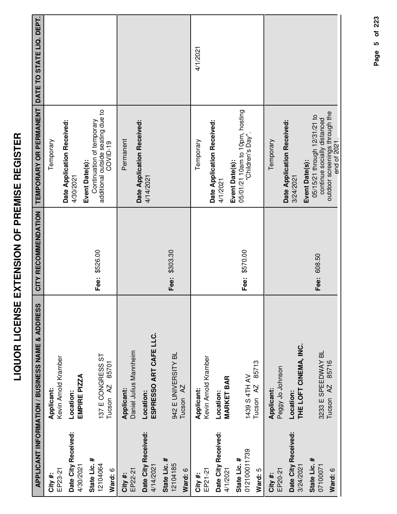|                                         | <b>APPLICANT INFORMATION / BUSINESS NAME &amp; ADDRESS</b> | CITY RECOMMENDATION | TEMPORARY OR PERMANENT                                                                                        | DATE TO STATE LIQ. DEPT. |
|-----------------------------------------|------------------------------------------------------------|---------------------|---------------------------------------------------------------------------------------------------------------|--------------------------|
| EP23-21<br>City#:                       | Kevin Arnold Kramber<br>Applicant:                         |                     | Temporary                                                                                                     |                          |
| Date City Received:<br>4/30/2021        | EMPIRE PIZZA<br>Location:                                  |                     | Date Application Received:<br>4/30/2021                                                                       |                          |
| State Lic. #<br>12104064<br>Ward: 6     | 137 E CONGRESS ST<br>85701<br>Tucson <sub>AZ</sub>         | Fee: \$526.00       | additional outside seating due to<br>Continuation of temporary<br>COVID-19<br>Event Date(s):                  |                          |
| EP22-21<br>City #:                      | Daniel Julius Mannheim<br>Applicant:                       |                     | Date Application Received:<br>Permanent                                                                       |                          |
| Date City Received:<br>4/14/2021        | ESPRESSO ART CAFE LLC.<br>Location:                        |                     | 4/14/2021                                                                                                     |                          |
| State Lic. #<br>12104185<br>Ward: 6     | 942 E UNIVERSITY BL<br>Tucson <sub>AZ</sub>                | Fee: \$303.30       |                                                                                                               |                          |
| EP21-21<br>City #:                      | Kevin Arnold Kramber<br>Applicant:                         |                     | Temporary                                                                                                     | 4/1/2021                 |
| Date City Received:<br>4/1/2021         | <b>MARKET BAR</b><br>Location:                             |                     | Date Application Received:<br>4/1/2021                                                                        |                          |
| 012100011739<br>State Lic. #<br>Ward: 5 | 85713<br>1439 S 4TH AV<br>Tucson AZ                        | Fee: \$570.00       | 05/01/21 10am to 10pm, hosting<br>"Children's Day".<br>Event Date(s):                                         |                          |
| EP20-21<br>City #:                      | Peggy Jo Johnson<br>Applicant:                             |                     | Date Application Received:<br>Temporary                                                                       |                          |
| Date City Received:<br>3/24/2021        | THE LOFT CINEMA, INC.<br>Location:                         |                     | Event Date(s):<br>3/24/2021                                                                                   |                          |
| State Lic. #<br>07100071<br>Ward: 6     | 3233 E SPEEDWAY BL<br>85716<br>Tucson <sub>AZ</sub>        | Fee: 608.50         | outdoor screenings through the<br>05/15/21 through 12/31/21 to<br>continue socially distanced<br>end of 2021. |                          |

end of 2021.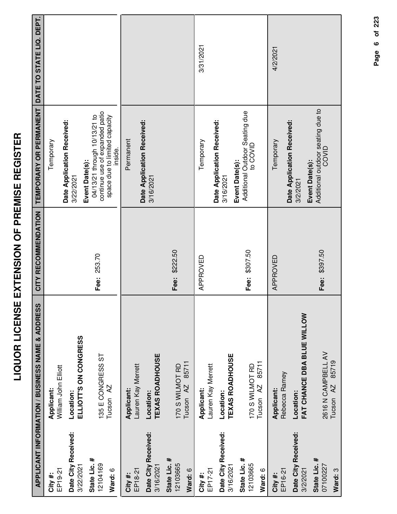|                                                       | <b>APPLICANT INFORMATION / BUSINESS NAME &amp; ADDRESS</b>                     | CITY RECOMMENDATION | TEMPORARY OR PERMANENT                                                                                                       | DATE TO STATE LIQ. DEPT. |
|-------------------------------------------------------|--------------------------------------------------------------------------------|---------------------|------------------------------------------------------------------------------------------------------------------------------|--------------------------|
| EP19-21<br>City#:                                     | William John Elliott<br>Applicant:                                             |                     | Temporary                                                                                                                    |                          |
| Date City Received:<br>3/22/2021                      | ELLIOTT'S ON CONGRESS<br>Location:                                             |                     | Date Application Received:<br>3/22/2021                                                                                      |                          |
| State Lic. #<br>12104169<br>Ward: 6                   | 135 E CONGRESS ST<br>Tucson <sub>AZ</sub>                                      | Fee: 253.70         | continue use of expanded patio<br>04/13/21 through 10/13/21 to<br>space due to limited capacity<br>inside.<br>Event Date(s): |                          |
| Date City Received:<br>3/16/2021<br>EP18-21<br>City#: | <b>TEXAS ROADHOUSE</b><br>Lauren Kay Merrett<br><b>Applicant:</b><br>Location: |                     | Date Application Received:<br>Permanent<br>3/16/2021                                                                         |                          |
| State Lic. #<br>12103665<br>Ward: 6                   | 85711<br>170 S WILMOT RD<br>Tucson <sub>AZ</sub>                               | Fee: \$222.50       |                                                                                                                              |                          |
| EP17-21<br>City#:                                     | Lauren Kay Merrett<br>Applicant:                                               | APPROVED            | Temporary                                                                                                                    | 3/31/2021                |
| Date City Received:<br>3/16/2021                      | <b>TEXAS ROADHOUSE</b><br>Location:                                            |                     | Date Application Received:<br>Event Date(s):<br>3/16/2021                                                                    |                          |
| State Lic. #<br>12103665<br>Ward: 6                   | 85711<br>170 S WILMOT RD<br>Tucson <sub>AZ</sub>                               | Fee: \$307.50       | Additional Outdoor Seating due<br>to COVID                                                                                   |                          |
| EP16-21<br>City#:                                     | Rebecca Ramey<br>Applicant:                                                    | APPROVED            | Temporary                                                                                                                    | 4/2/2021                 |
| Date City Received:<br>3/2/2021                       | FAT CHANCE DBA BLUE WILLOW<br>Location:                                        |                     | Date Application Received:<br>Event Date(s):<br>3/2/2021                                                                     |                          |
| State Lic. #<br>07100227<br>Ward: 3                   | 2616 N CAMPBELL AV<br>85719<br>Tucson <sub>AZ</sub>                            | Fee: \$397.50       | Additional outdoor seating due to<br>COVID                                                                                   |                          |

Page 6 of 223 **Page of 6 223**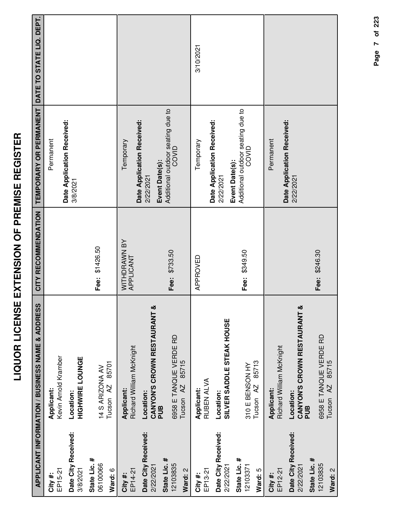| I                                        |
|------------------------------------------|
|                                          |
| I                                        |
|                                          |
| I<br>l                                   |
|                                          |
|                                          |
| $\frac{1}{3}$                            |
|                                          |
| ミニー                                      |
|                                          |
| ī                                        |
| .<br>ו                                   |
| i                                        |
|                                          |
| Í                                        |
| l                                        |
| י<br>ו                                   |
|                                          |
| ļ                                        |
|                                          |
| Ī<br>I                                   |
|                                          |
| ֪֦֝֝֝֝֝֝֝֝֝ <b>֝</b><br>֧֪֧֧֚֩֩֩֩֩֓֬֝֓֝֬ |
|                                          |
| Ċ                                        |
|                                          |
|                                          |
| ĺ                                        |
|                                          |
| í                                        |
|                                          |

|                                     | APPLICANT INFORMATION / BUSINESS NAME & ADDRESS         | CITY RECOMMENDATION       | <b>TEMPORARY OR PERMANENT</b>                                | DATE TO STATE LIQ. DEPT. |
|-------------------------------------|---------------------------------------------------------|---------------------------|--------------------------------------------------------------|--------------------------|
| EP15-21<br>City#:                   | Kevin Arnold Kramber<br>Applicant:                      |                           | Date Application Received:<br>Permanent                      |                          |
| Date City Received:<br>3/8/2021     | <b>HIGHWIRE LOUNGE</b><br>Location:                     |                           | 3/8/2021                                                     |                          |
| State Lic. #<br>06100066<br>Ward: 6 | 85701<br>14 S ARIZONA AV<br>Tucson <sub>AZ</sub>        | Fee: \$1426.50            |                                                              |                          |
| EP14-21<br>City#:                   | Richard William McKnight<br>Applicant:                  | WITHDRAWN BY<br>APPLICANT | Date Application Received:<br>Temporary                      |                          |
| Date City Received:<br>2/22/2021    | CANYON'S CROWN RESTAURANT &<br>Location:<br>PUB         |                           | Event Date(s):<br>2/22/2021                                  |                          |
| State Lic. #<br>12103835<br>Ward: 2 | 6958 E TANQUE VERDE RD<br>85715<br>Tucson <sub>AZ</sub> | Fee: \$733.50             | Additional outdoor seating due to<br>COVID                   |                          |
| EP13-21<br>City #:                  | RUBEN ALVA<br>Applicant:                                | APPROVED                  | Temporary                                                    | 3/10/2021                |
| Date City Received:<br>2/22/2021    | SILVER SADDLE STEAK HOUSE<br>Location:                  |                           | Date Application Received:<br>2/22/2021                      |                          |
| State Lic. #<br>12103371<br>Ward: 5 | 85713<br>310 E BENSON HY<br>Tucson <sub>AZ</sub>        | Fee: \$349.50             | Additional outdoor seating due to<br>COVID<br>Event Date(s): |                          |
| EP12-21<br>City #:                  | Richard William McKnight<br>Applicant:                  |                           | Permanent                                                    |                          |
| Date City Received:<br>2/22/2021    | CANYON'S CROWN RESTAURANT &<br>Location:<br>PUB         |                           | Date Application Received:<br>2/22/2021                      |                          |
| State Lic. #<br>12103835<br>Ward: 2 | 6958 E TANQUE VERDE RD<br>85715<br>AZ<br>Tucson         | Fee: \$246.30             |                                                              |                          |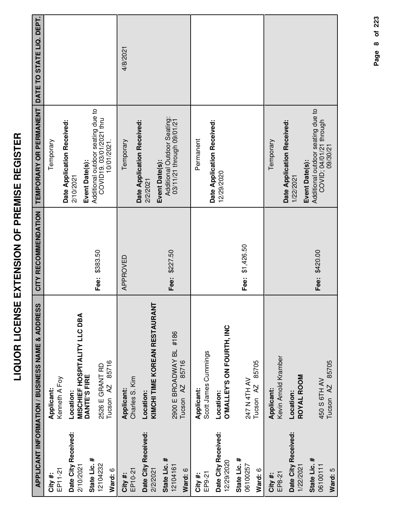|                                     | <b>APPLICANT INFORMATION / BUSINESS NAME &amp; ADDRESS</b> | CITY RECOMMENDATION | TEMPORARY OR PERMANENT                                                                     | DATE TO STATE LIQ. DEPT. |
|-------------------------------------|------------------------------------------------------------|---------------------|--------------------------------------------------------------------------------------------|--------------------------|
| EP11-21<br>City #:                  | Kenneth A Foy<br>Applicant:                                |                     | Temporary                                                                                  |                          |
| Date City Received:<br>2/10/2021    | Location:                                                  |                     | Date Application Received:<br>2/10/2021                                                    |                          |
| State Lic. #                        | <b>MISCHIEF HOSPITALITY LLC DBA</b><br>DANTE'S FIRE        |                     | Event Date(s):                                                                             |                          |
| 12104232                            | 2526 E GRANT RD                                            | Fee: \$383.50       | Additional outdoor seating due to<br>COVID19.03/01/2021 thru                               |                          |
| Ward: 6                             | 85716<br>Tucson <sub>AZ</sub>                              |                     | 10/01/2021.                                                                                |                          |
| EP10-21<br>City #:                  | Charles S. Kim<br>Applicant:                               | APPROVED            | Temporary                                                                                  | 4/8/2021                 |
| Date City Received:<br>2/2/2021     | KIMCHI TIME KOREAN RESTAURANT<br>Location:                 |                     | Date Application Received:<br>2/2/2021                                                     |                          |
| #<br>State Lic.<br>12104161         | 2900 E BROADWAY BL #186                                    | Fee: \$227.50       | Additional Outdoor Seating:<br>03/11/21 through 09/01/21<br>Event Date(s):                 |                          |
| Ward: 6                             | 85716<br>Tucson AZ                                         |                     |                                                                                            |                          |
| EP9-21<br>City #:                   | Scott James Cummings<br><b>Applicant:</b>                  |                     | Permanent                                                                                  |                          |
| Date City Received:<br>12/29/2020   | O'MALLEY'S ON FOURTH, INC<br>Location:                     |                     | Date Application Received:<br>12/29/2020                                                   |                          |
| State Lic. #<br>06100257<br>Ward: 6 | 85705<br>247 N 4TH AV<br>Tucson <sub>AZ</sub>              | Fee: \$1,426.50     |                                                                                            |                          |
| EP8-21<br>City #:                   | Kevin Arnold Kramber<br><b>Applicant:</b>                  |                     | Temporary                                                                                  |                          |
| Date City Received:<br>1/22/2021    | ROYAL ROOM<br>Location:                                    |                     | Date Application Received:<br>1/22/2021                                                    |                          |
| State Lic. #<br>06100111<br>Ward: 5 | Tucson AZ 85705<br>450 S 6TH AV                            | Fee: \$420.00       | Additional outdoor seating due to<br>COVID; 04/01/21 through<br>09/30/21<br>Event Date(s): |                          |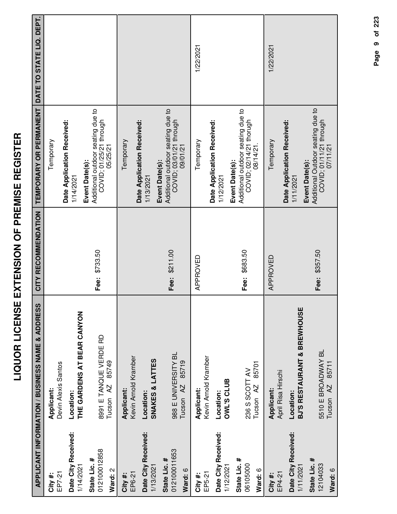|                                         | APPLICANT INFORMATION / BUSINESS NAME & ADDRESS         | CITY RECOMMENDATION | TEMPORARY OR PERMANENT                                                                      | DATE TO STATE LIQ. DEPT. |
|-----------------------------------------|---------------------------------------------------------|---------------------|---------------------------------------------------------------------------------------------|--------------------------|
| EP7-21<br>City #:                       | Devin Alexis Santos<br>Applicant:                       |                     | Temporary                                                                                   |                          |
| Date City Received:<br>1/14/2021        | THE GARDENS AT BEAR CANYON<br>Location:                 |                     | Date Application Received:<br>1/14/2021                                                     |                          |
| 012100012858<br>State Lic. #<br>Ward: 2 | 8991 E TANQUE VERDE RD<br>85749<br>Tucson <sub>AZ</sub> | Fee: \$733.50       | Additional outdoor seating due to<br>COVID; 01/25/21 through<br>05/25/21<br>Event Date(s):  |                          |
| EP6-21<br>City #:                       | Kevin Arnold Kramber<br>Applicant:                      |                     | Date Application Received:<br>Temporary                                                     |                          |
| Date City Received:<br>1/13/2021        | SNAKES & LATTES<br>Location:                            |                     | <b>Event Date(s):</b><br>1/13/2021                                                          |                          |
| 012100011653<br>State Lic. #<br>Ward: 6 | 988 E UNIVERSITY BL<br>85719<br>Tucson <sub>AZ</sub>    | Fee: \$211.00       | Additional outdoor seating due to<br>COVID; 03/01/21 through<br>09/01/21                    |                          |
| EP5-21<br>City #:                       | Kevin Arnold Kramber<br>Applicant:                      | APPROVED            | Temporary                                                                                   | 1/22/2021                |
| Date City Received:<br>1/12/2021        | <b>OWL'S CLUB</b><br>Location:                          |                     | Date Application Received:<br>1/12/2021                                                     |                          |
| State Lic. #<br>06105000<br>Ward: 6     | 85701<br>236 S SCOTT AV<br>Tucson <sub>AZ</sub>         | Fee: \$683.50       | Additional outdoor seating due to<br>COVID; 02/14/21 thorugh<br>08/14/21.<br>Event Date(s): |                          |
| EP4-21<br>City #:                       | April Risa Hirschi<br>Applicant:                        | APPROVED            | Temporary                                                                                   | 1/22/2021                |
| Date City Received:<br>1/11/2021        | BJ'S RESTAURANT & BREWHOUSE<br>Location:                |                     | Date Application Received:<br>1/11/2021                                                     |                          |
| State Lic. #<br>12104033<br>Ward: 6     | 5510 E BROADWAY BL<br>85711<br>Tucson AZ                | Fee: \$357.50       | Additional Outdoor seating due to<br>COVID; 01/11/21 through<br>07/11/21<br>Event Date(s):  |                          |

Page 9 of 223 **Page of 9 223**

**LIQUOR LICENSE EXTENSION OF PREMISE REGISTER**

LIQUOR LICENSE EXTENSION OF PREMISE REGISTER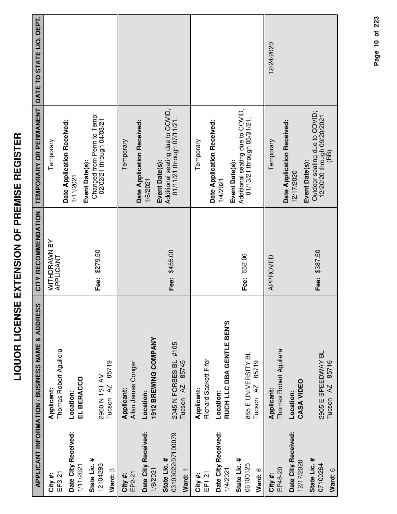| Ì<br>ì<br>i                                                                                                                         |  |
|-------------------------------------------------------------------------------------------------------------------------------------|--|
| ĺ<br>i<br>I<br>-<br>.<br>Ī<br>i<br>I<br>֖֖֖֖֖֪֪ׅ֖֪֪ׅ֖֪֪֪ׅ֖֪֪ׅ֖֪֪ׅ֖֪֪֧֪֪֪֪֪֪֪֪֪֪֪֪֪֚֚֚֚֚֚֚֚֚֚֚֚֚֚֚֚֚֚֚֚֚֚֚֚֚֚֚֡֝֝֝֝֝֝֝֝֝֝֝֝֝֝֝֝<br>Ī |  |
| i<br>l<br>$\frac{1}{100}$                                                                                                           |  |
| l<br> <br> <br> <br>-<br>-<br>I<br>i                                                                                                |  |
| י<br>ו<br>Ì<br>.<br>.<br>I                                                                                                          |  |
| $\zeta$<br>֚֚֚֚֚֚֚֚֚֚֚֚֚֚֚֚֚֬֡֡֡֡֡֡                                                                                                 |  |

|                                              | APPLICANT INFORMATION / BUSINESS NAME & ADDRESS        | CITY RECOMMENDATION       | TEMPORARY OR PERMANENT                                                                 | DATE TO STATE LIQ. DEPT. |
|----------------------------------------------|--------------------------------------------------------|---------------------------|----------------------------------------------------------------------------------------|--------------------------|
| EP3-21<br>City#:                             | Thomas Robert Aguilera<br>Applicant:                   | WITHDRAWN BY<br>APPLICANT | Temporary                                                                              |                          |
| Date City Received:<br>1/11/2021             | EL BERACCO<br>Location:                                |                           | Date Application Received:<br>1/11/2021                                                |                          |
| State Lic. #<br>12104293                     | 2960 N 1ST AV                                          | Fee: \$279.50             | Changed from Perm to Temp:<br>02/02/21 through 04/03/21<br>Event Date(s):              |                          |
| Ward: 3                                      | 85719<br>Tucson AZ                                     |                           |                                                                                        |                          |
| EP2-21<br>City #:                            | Allan James Conger<br>Applicant:                       |                           | Temporary                                                                              |                          |
| Date City Received:<br>1/8/2021              | 1912 BREWING COMPANY<br>Location:                      |                           | Date Application Received:<br>1/8/2021                                                 |                          |
| 03103022/07100079<br>State Lic. #<br>Ward: 1 | 2045 N FORBES BL #105<br>85745<br>Tucson <sub>AZ</sub> | Fee: \$455.00             | Additional seating due to COVID,<br>01/11/21 through 07/11/21.<br>Event Date(s):       |                          |
| EP1-21<br>City#:                             | Richard Sackett Fifer<br>Applicant:                    |                           | Temporary                                                                              |                          |
| Date City Received:<br>1/4/2021              | RUCH LLC DBA GENTLE BEN'S<br>Location:                 |                           | Date Application Received:<br>1/4/2021                                                 |                          |
| State Lic. #<br>06100125<br>Ward: 6          | 865 E UNIVERSITY BL<br>85719<br>Tucson <sub>AZ</sub>   | Fee: 552.06               | Additional seating due to COVID,<br>01/13/21 through 05/31/21.<br>Event Date(s):       |                          |
| EP46-20<br>City #:                           | Thomas Robert Aguilera<br>Applicant:                   | APPROVED                  | Temporary                                                                              | 12/24/2020               |
| Date City Received:<br>12/17/2020            | CASA VIDEO<br>Location:                                |                           | Date Application Received:<br>12/17/2020                                               |                          |
| State Lic. #<br>07100264<br>Ward: 6          | 2905 E SPEEDWAY BL<br>85716<br>AZ<br>Tucson            | Fee: \$387.50             | Outdoor seating due to COVID;<br>12/20/20 through 09/20/2021<br>(BB)<br>Event Date(s): |                          |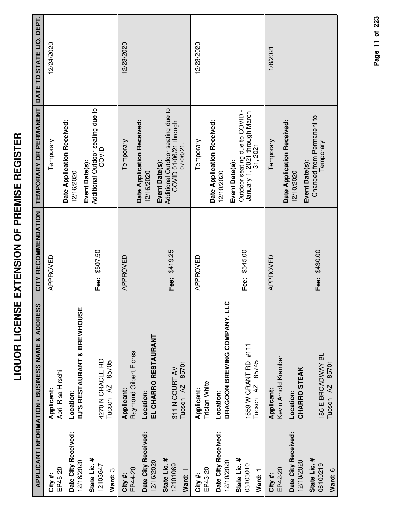|                                     | APPLICANT INFORMATION / BUSINESS NAME & ADDRESS       | CITY RECOMMENDATION | TEMPORARY OR PERMANENT                                                                     | DATE TO STATE LIQ. DEPT. |
|-------------------------------------|-------------------------------------------------------|---------------------|--------------------------------------------------------------------------------------------|--------------------------|
| EP45-20<br>City #:                  | April Risa Hirschi<br>Applicant:                      | APPROVED            | Temporary                                                                                  | 12/24/2020               |
| Date City Received:<br>12/16/2020   | BJ'S RESTAURANT & BREWHOUSE<br>Location:              |                     | Date Application Received:<br>Event Date(s):<br>12/16/2020                                 |                          |
| State Lic. #<br>12103647<br>Ward: 3 | 4270 N ORACLE RD<br>85705<br>Tucson <sub>AZ</sub>     | Fee: \$507.50       | Additional Outdoor seating due to<br>COVID                                                 |                          |
| EP44-20<br>City #:                  | Raymond Gilbert Flores<br>Applicant:                  | APPROVED            | Date Application Received:<br>Temporary                                                    | 12/23/2020               |
| Date City Received:<br>12/16/2020   | EL CHARRO RESTAURANT<br>Location:                     |                     | 12/16/2020                                                                                 |                          |
| State Lic. #<br>12101069<br>Ward: 1 | 85701<br>311 N COURT AV<br>Tucson <sub>AZ</sub>       | Fee: \$419.25       | Additional Outdoor seating due to<br>COVID 01/06/21 through<br>07/06/21.<br>Event Date(s): |                          |
| EP43-20<br>City#:                   | Tristan White<br>Applicant:                           | APPROVED            | Temporary                                                                                  | 12/23/2020               |
| Date City Received:<br>12/10/2020   | DRAGOON BREWING COMPANY, LLC<br>Location:             |                     | Date Application Received:<br>Event Date(s):<br>12/10/2020                                 |                          |
| State Lic. #<br>03103010<br>Ward: 1 | 1859 W GRANT RD #111<br>85745<br>Tucson <sub>AZ</sub> | Fee: \$545.00       | Outdoor seating due to COVID -<br>January 1, 2021 through March<br>31, 2021                |                          |
| EP42-20<br>City#:                   | Kevin Arnold Kramber<br>Applicant:                    | APPROVED            | Temporary                                                                                  | 1/8/2021                 |
| Date City Received:<br>12/10/2020   | CHARRO STEAK<br>Location:                             |                     | Date Application Received:<br>Event Date(s):<br>12/10/2020                                 |                          |
| State Lic. #<br>06100219<br>Ward: 6 | 186 E BROADWAY BL<br>85701<br>Tucson <sub>AZ</sub>    | Fee: \$430.00       | Changed from Permanent to<br>Temporary                                                     |                          |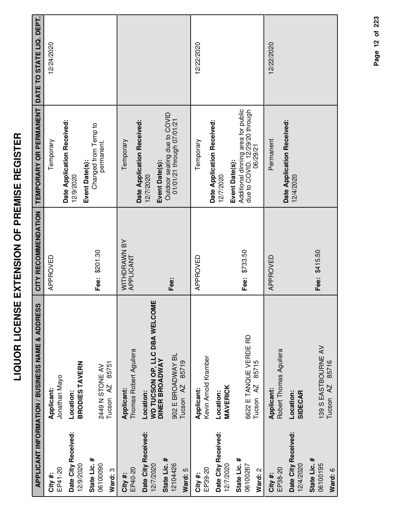| ľ                       |
|-------------------------|
| ׀<br>׀                  |
|                         |
|                         |
| i                       |
| Í<br>I                  |
| $\overline{a}$          |
| <b>-</b><br>-<br>-<br>- |
|                         |
|                         |
| ,                       |
| i                       |
| -<br>-<br>-<br>-<br>-   |
|                         |
|                         |
| Í                       |
| i dibitan               |
|                         |
|                         |
| -<br>-                  |
| $\overline{\mathbf{S}}$ |
|                         |
| į<br>l                  |
|                         |
| r<br>I                  |
| Ī                       |
| .<br>Ö                  |
|                         |
|                         |

|                                                  | <b>APPLICANT INFORMATION / BUSINESS NAME &amp; ADDRESS</b>          | CITY RECOMMENDATION       | TEMPORARY OR PERMANENT                                                                             | DATE TO STATE LIQ. DEPT. |
|--------------------------------------------------|---------------------------------------------------------------------|---------------------------|----------------------------------------------------------------------------------------------------|--------------------------|
| EP41-20<br>City#:                                | Jonathan Mayo<br>Applicant:                                         | APPROVED                  | Temporary                                                                                          | 12/24/2020               |
| Date City Received:<br>12/9/2020                 | <b>BRODIES TAVERN</b><br>Location:                                  |                           | Date Application Received:<br>12/9/2020                                                            |                          |
| State Lic. #<br>06100090<br>Ward: 3              | 85751<br><b>2449 N STONE AV</b><br>Tucson AZ                        | Fee: \$201.30             | Changed from Temp to<br>permanent.<br>Event Date(s):                                               |                          |
| EP40-20<br>City#:                                | Thomas Robert Aguilera<br>Applicant:                                | WITHDRAWN BY<br>APPLICANT | Temporary                                                                                          |                          |
| Date City Received:<br>State Lic. #<br>12/7/2020 | WD TUCSON OP, LLC DBA WELCOME<br><b>DINER BROADWAY</b><br>Location: |                           | Date Application Received:<br>Event Date(s):<br>12/7/2020                                          |                          |
| 12104426<br>Ward: 5                              | 902 E BROADWAY BL<br>85719<br>Tucson <sub>AZ</sub>                  | Fee:                      | Outdoor seating due to COVID<br>01/01/21 through 07/01/21                                          |                          |
| EP39-20<br>City#:                                | Kevin Arnold Kramber<br>Applicant:                                  | APPROVED                  | Temporary                                                                                          | 12/22/2020               |
| Date City Received:<br>12/7/2020                 | <b>MAVERICK</b><br>Location:                                        |                           | Date Application Received:<br>12/7/2020                                                            |                          |
| State Lic. #<br>06100267<br>Ward: 2              | 6622 E TANQUE VERDE RD<br>85715<br>Tucson <sub>AZ</sub>             | Fee: \$733.50             | Additional dinning area for public<br>due to COVID. 12/29/20 through<br>06/29/21<br>Event Date(s): |                          |
| EP38-20<br>City#:                                | Robert Thomas Aguilera<br>Applicant:                                | APPROVED                  | Permanent                                                                                          | 12/22/2020               |
| Date City Received:<br>12/4/2020                 | SIDECAR<br>Location:                                                |                           | Date Application Received:<br>12/4/2020                                                            |                          |
| State Lic. #<br>06100195                         | 139 S EASTBOURNE AV                                                 | Fee: \$415.50             |                                                                                                    |                          |
| Ward: 6                                          | 85716<br>Tucson <sub>AZ</sub>                                       |                           |                                                                                                    |                          |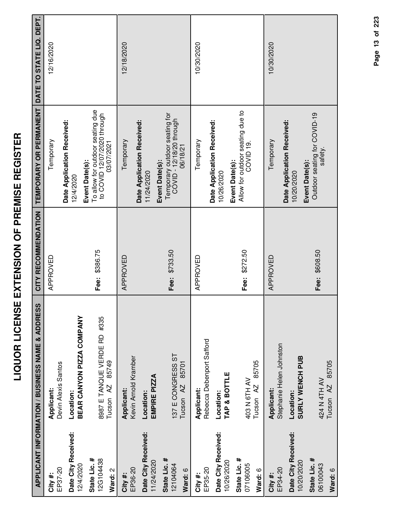| ≃                                            |  |
|----------------------------------------------|--|
|                                              |  |
|                                              |  |
|                                              |  |
|                                              |  |
|                                              |  |
|                                              |  |
| iuhaicua uairiuaa uc irciaiuh>u uairuci i ac |  |
|                                              |  |
|                                              |  |
|                                              |  |

|                                      | <b>APPLICANT INFORMATION / BUSINESS NAME &amp; ADDRESS</b>   | CITY RECOMMENDATION | TEMPORARY OR PERMANENT                                                                          | DATE TO STATE LIQ. DEPT. |
|--------------------------------------|--------------------------------------------------------------|---------------------|-------------------------------------------------------------------------------------------------|--------------------------|
| EP37-20<br># ¥itv                    | Devin Alexis Santos<br>Applicant:                            | APPROVED            | Temporary                                                                                       | 12/16/2020               |
| Date City Received:<br>12/4/2020     | BEAR CANYON PIZZA COMPANY<br>Location:                       |                     | Date Application Received:<br>12/4/2020                                                         |                          |
| 12G104438<br>State Lic. #<br>Ward: 2 | 8987 E TANQUE VERDE RD #335<br>85749<br>Tucson <sub>AZ</sub> | Fee: \$386.75       | To allow for outdoor seating due<br>to COVID 12/07/2020 through<br>03/07/2021<br>Event Date(s): |                          |
| EP36-20<br>City#:                    | Kevin Arnold Kramber<br>Applicant:                           | APPROVED            | Temporary                                                                                       | 12/18/2020               |
| Date City Received:<br>11/24/2020    | EMPIRE PIZZA<br>Location:                                    |                     | Date Application Received:<br>Event Date(s):<br>11/24/2020                                      |                          |
| State Lic. #<br>12104064<br>Ward: 6  | 137 E CONGRESS ST<br>85701<br>Tucson <sub>AZ</sub>           | Fee: \$733.50       | Temporary outdoor seating for<br>COVID - 12/18/20 through<br>06/18/21                           |                          |
| EP35-20<br>City#:                    | Rebecca Debenport Safford<br>Applicant:                      | APPROVED            | Temporary                                                                                       | 10/30/2020               |
| Date City Received:<br>10/26/2020    | TAP & BOTTLE<br>Location:                                    |                     | Date Application Received:<br>Event Date(s):<br>10/26/2020                                      |                          |
| State Lic. #<br>07106005<br>Ward: 6  | 85705<br>403 N 6TH AV<br>Tucson <sub>AZ</sub>                | Fee: \$272.50       | Allow for outdoor seating due to<br>COVID <sub>19</sub>                                         |                          |
| EP34-20<br>City#:                    | Stephanie Helen Johnston<br>Applicant:                       | APPROVED            | Temporary                                                                                       | 10/30/2020               |
| Date City Received:<br>10/20/2020    | <b>SURLY WENCH PUB</b><br>Location:                          |                     | Date Application Received:<br>Event Date(s):<br>10/20/2020                                      |                          |
| State Lic. #<br>06100043<br>Ward: 6  | 85705<br>424 N 4TH AV<br>$\overline{A}$<br>Tucson            | Fee: \$608.50       | Outdoor seating for COVID-19<br>satety.                                                         |                          |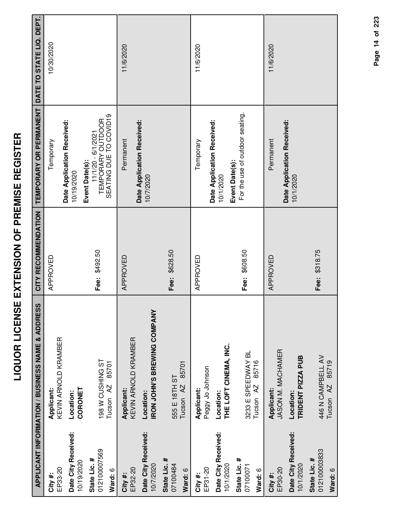|                                  | APPLICANT INFORMATION / BUSINESS NAME & ADDRESS | CITY RECOMMENDATION | TEMPORARY OR PERMANENT DATE TO STATE LIQ. DEPT.                   |            |
|----------------------------------|-------------------------------------------------|---------------------|-------------------------------------------------------------------|------------|
| EP33-20<br>City#:                | KEVIN ARNOLD KRAMBER<br>Applicant:              | APPROVED            | Temporary                                                         | 10/30/2020 |
| Date City Received:              | Location:                                       |                     | Date Application Received:<br>10/19/2020                          |            |
| State Lic. #<br>10/19/2020       | CORONET                                         |                     | Event Date(s):                                                    |            |
| 012100007569                     | T98 W CUSHING ST                                | Fee: \$492.50       | TEMPORARY OUTDOOR<br>SEATING DUE TO COVID19<br>11/1/20 - 6/1/2021 |            |
| Ward: 6                          | 85701<br>Tucson <sub>AZ</sub>                   |                     |                                                                   |            |
| EP32-20<br>City #:               | KEVIN ARNOLD KRAMBER<br>Applicant:              | APPROVED            | Permanent                                                         | 11/6/2020  |
| Date City Received:<br>10/7/2020 | <b>IRON JOHN'S BREWING COMPANY</b><br>Location: |                     | Date Application Received:<br>10/7/2020                           |            |
| State Lic. #<br>07100484         | 555 E 18TH ST                                   | Fee: \$628.50       |                                                                   |            |
| Ward: 6                          | 85701<br>Tucson <sub>AZ</sub>                   |                     |                                                                   |            |
| EP31-20<br>City#:                | Peggy Jo Johnson<br>Applicant:                  | APPROVED            | Temporary                                                         | 11/6/2020  |
| Date City Received:<br>10/1/2020 | THE LOFT CINEMA, INC.<br>Location:              |                     | Date Application Received:<br>Event Date(s):<br>10/1/2020         |            |
| State Lic. #<br>07100071         | 3233 E SPEEDWAY BL                              | Fee: \$608.50       | For the use of outdoor seating.                                   |            |
| Ward: 6                          | 85716<br>Tucson <sub>AZ</sub>                   |                     |                                                                   |            |
| EP30-20<br>City #:               | JASON M. MACHAMER<br><b>Applicant:</b>          | APPROVED            | Permanent                                                         | 11/6/2020  |
| Date City Received:<br>10/1/2020 | TRIDENT PIZZA PUB<br>Location:                  |                     | Date Application Received:<br>10/1/2020                           |            |
| 012100003833<br>State Lic. #     | 446 N CAMPBELL AV                               | \$318.75<br>Fee:    |                                                                   |            |

**Ward:** 6

Tucson AZ 85719

Tucson AZ 85719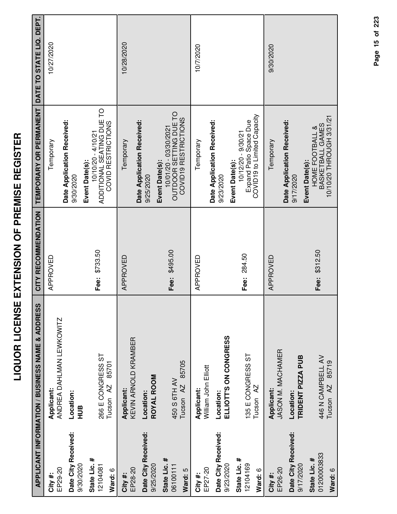|                                        | <b>APPLICANT INFORMATION / BUSINESS NAME &amp; ADDRESS</b> | CITY RECOMMENDATION | TEMPORARY OR PERMANENT                                                                  | DATE TO STATE LIQ. DEPT. |
|----------------------------------------|------------------------------------------------------------|---------------------|-----------------------------------------------------------------------------------------|--------------------------|
| EP29-20<br>City #:                     | ANDREA DAHLMAN LEWKOWITZ<br>Applicant:                     | APPROVED            | Temporary                                                                               | 10/27/2020               |
| Date City Received:<br>9/30/2020       | Location:<br>HUB                                           |                     | Date Application Received:<br>9/30/2020                                                 |                          |
| State Lic. #<br>12104081<br>Ward: 6    | 266 E CONGRESS ST<br>85701<br>Tucson <sub>AZ</sub>         | Fee: \$733.50       | ADDITIONAL SEATING DUE TO<br>COVID RESTRICTIONS<br>10/10/20 - 4/10/21<br>Event Date(s): |                          |
| EP28-20<br>City#:                      | KEVIN ARNOLD KRAMBER<br>Applicant:                         | APPROVED            | Date Application Received:<br>Temporary                                                 | 10/28/2020               |
| Date City Received:<br>9/25/2020       | ROYAL ROOM<br>Location:                                    |                     | Event Date(s):<br>9/25/2020                                                             |                          |
| State Lic. #<br>06100111<br>Ward: 5    | 85705<br>450 S 6TH AV<br>Tucson <sub>AZ</sub>              | Fee: \$495.00       | OUTDOOR SETTING DUE TO<br>COVID19 RESTRICTIONS<br>10/01/20 - 03/30/2021                 |                          |
| EP27-20<br>City #:                     | William John Elliott<br>Applicant:                         | APPROVED            | Temporary                                                                               | 10/7/2020                |
| Date City Received:<br>9/23/2020       | ELLIOTT'S ON CONGRESS<br>Location:                         |                     | Date Application Received:<br>Event Date(s):<br>9/23/2020                               |                          |
| State Lic. #<br>12104169<br>Ward: 6    | 135 E CONGRESS ST<br>Tucson <sub>AZ</sub>                  | Fee: 284.50         | COVID19 to Limited Capacity<br>Expand Patio Space Due<br>10/12/20 - 9/30/21             |                          |
| EP26-20<br>City#:                      | JASON M. MACHAMER<br>Applicant:                            | APPROVED            | Temporary                                                                               | 9/30/2020                |
| Date City Received:<br>9/17/2020       | TRIDENT PIZZA PUB<br>Location:                             |                     | Date Application Received:<br>Event Date(s):<br>9/17/2020                               |                          |
| 01200003833<br>State Lic. #<br>Ward: 6 | 446 N CAMPBELL AV<br>85719<br>Tucson <sub>AZ</sub>         | Fee: \$312.50       | 10/10/20 THROUGH 3/31/21<br>BASKETBALL GAMES<br>HOME FOOTBALL &                         |                          |

Page 15 of 223 **Page of 15 223**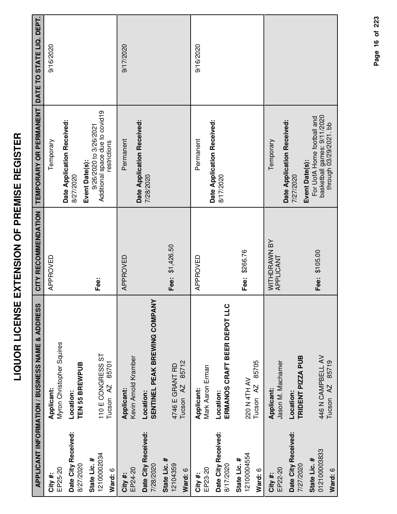| I<br>ſ<br>l<br>l<br>i<br>I<br>I                                                                       |  |
|-------------------------------------------------------------------------------------------------------|--|
| Ι<br>่<br>$\frac{1}{2}$                                                                               |  |
| -<br>-<br>$\mathbf{I}$<br>I                                                                           |  |
| ֖֖֢ׅ֖֖֧֧֧֧֧֪֪֪֪֪֪֪֪֪֪֪֪֪֪֪֪֪֚֚֚֚֚֚֚֚֚֚֚֚֚֚֚֚֚֚֚֚֚֬֓֝֓֡֬֓֓֡֬֓֓֓֓֓֓֓֓֓֬֓֓֡֓֓֓֬֓֓֝֬֝֬֓֓֝֬<br>İ<br>i<br>i |  |
| י<br>ו<br> <br> <br>Ī                                                                                 |  |
| $\frac{1}{2}$<br>Í                                                                                    |  |

|                                  | <b>APPLICANT INFORMATION / BUSINESS NAME &amp; ADDRESS</b> | CITY RECOMMENDATION       | TEMPORARY OR PERMANENT                                    | DATE TO STATE LIQ. DEPT. |
|----------------------------------|------------------------------------------------------------|---------------------------|-----------------------------------------------------------|--------------------------|
| EP25-20<br>City#:                | Myron Christopher Squires<br>Applicant:                    | APPROVED                  | Temporary                                                 | 9/16/2020                |
| Date City Received:<br>8/27/2020 | TEN 55 BREWPUB<br>Location:                                |                           | Date Application Received:<br>8/27/2020                   |                          |
|                                  |                                                            |                           | Event Date(s):                                            |                          |
| 12100002034<br>State Lic. #      | 110 E CONGRESS ST                                          | Fee:                      | Additional space due to covid19<br>9/26/2020 to 3/26/2021 |                          |
| Ward: 6                          | 85701<br>Tucson <sub>AZ</sub>                              |                           | restrictions                                              |                          |
| EP24-20<br>City#:                | Kevin Arnold Kramber<br>Applicant:                         | APPROVED                  | Permanent                                                 | 9/17/2020                |
| Date City Received:<br>7/28/2020 | SENTINEL PEAK BREWING COMPANY<br>Location:                 |                           | Date Application Received:<br>7/28/2020                   |                          |
| State Lic. #                     |                                                            |                           |                                                           |                          |
| 12104359                         | 4746 E GRANT RD                                            | Fee: \$1,426.50           |                                                           |                          |
| Ward: 6                          | 85712<br>Tucson <sub>AZ</sub>                              |                           |                                                           |                          |
| City#:                           | Applicant:                                                 | APPROVED                  | Permanent                                                 | 9/16/2020                |
| EP23-20                          | Mark Aaron Erman                                           |                           | Date Application Received:                                |                          |
| Date City Received:<br>8/17/2020 | ERMANOS CRAFT BEER DEPOT LLC<br>Location:                  |                           | 8/17/2020                                                 |                          |
| 12100004554<br>State Lic. #      | 220 N 4TH AV                                               | Fee: \$266.76             |                                                           |                          |
| Ward: 6                          | 85705<br>Tucson <sub>AZ</sub>                              |                           |                                                           |                          |
| EP22-20<br>City #:               | Jason M. Machamer<br>Applicant:                            | WITHDRAWN BY<br>APPLICANT | Temporary                                                 |                          |
|                                  |                                                            |                           | Date Application Received:                                |                          |
| Date City Received:<br>7/27/2020 | TRIDENT PIZZA PUB<br>Location:                             |                           | 7/27/2020                                                 |                          |
| 012100003833<br>State Lic. #     | 446 N CAMPBELL AV                                          | Fee: \$105.00             | For UofA Home football and<br>Event Date(s):              |                          |
| Ward: 6                          | 85719<br>AZ<br>Tucson                                      |                           | basketball games: 9/11/2020<br>through 03/29/2021. bb     |                          |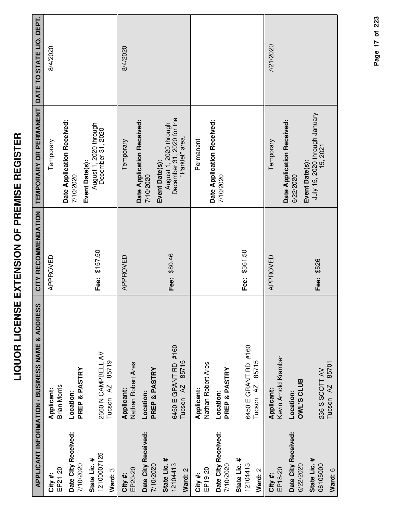| I<br>l<br>i                                               |  |
|-----------------------------------------------------------|--|
| $\overline{\mathbf{S}}$<br>i<br>l<br>í                    |  |
| i<br>ີ້<br>I                                              |  |
| !                                                         |  |
| ة<br>أ<br>֖֖֖֧֧֚֚֚֚֚֚֚֚֚֚֚֚֚֚֚֚֚֚֚֚֚֚֚֚֚֡֝֓֡֟֓֡֓֡֓֡֟֓֡֬֓֓ |  |
| $\overline{\mathbf{S}}$<br>Ć                              |  |

|                                        | APPLICANT INFORMATION / BUSINESS NAME & ADDRESS       | CITY RECOMMENDATION | TEMPORARY OR PERMANENT                                                                   | DATE TO STATE LIQ. DEPT. |
|----------------------------------------|-------------------------------------------------------|---------------------|------------------------------------------------------------------------------------------|--------------------------|
| EP21-20<br>City#:                      | <b>Brian Morris</b><br>Applicant:                     | APPROVED            | Temporary                                                                                | 8/4/2020                 |
| Date City Received:<br>7/10/2020       | PREP & PASTRY<br>Location:                            |                     | Date Application Received:<br>7/10/2020                                                  |                          |
| 12100007125<br>State Lic. #<br>Ward: 3 | 2660 N CAMPBELL AV<br>85719<br>Tucson <sub>AZ</sub>   | Fee: \$157.50       | August 1, 2020 through<br>December 31, 2020<br>Event Date(s):                            |                          |
| EP20-20<br>City#:                      | Nathan Robert Ares<br>Applicant:                      | APPROVED            | Temporary                                                                                | 8/4/2020                 |
| Date City Received:<br>7/10/2020       | PREP & PASTRY<br>Location:                            |                     | Date Application Received:<br>7/10/2020                                                  |                          |
| State Lic. #<br>12104413<br>Ward: 2    | 6450 E GRANT RD #160<br>85715<br>Tucson <sub>AZ</sub> | Fee: \$80.46        | December 31, 2020 for the<br>August 1, 2020 through<br>"Parklet" area.<br>Event Date(s): |                          |
| EP19-20<br>City#:                      | Nathan Robert Ares<br>Applicant:                      |                     | Permanent                                                                                |                          |
| Date City Received:<br>7/10/2020       | PREP & PASTRY<br>Location:                            |                     | Date Application Received:<br>7/10/2020                                                  |                          |
| State Lic. #<br>12104413<br>Ward: 2    | 6450 E GRANT RD #160<br>85715<br>Tucson <sub>AZ</sub> | Fee: \$361.50       |                                                                                          |                          |
| EP18-20<br>City#:                      | Kevin Arnold Kramber<br>Applicant:                    | APPROVED            | Temporary                                                                                | 7/21/2020                |
| Date City Received:<br>6/22/2020       | <b>OWL'S CLUB</b><br>Location:                        |                     | Date Application Received:<br>Event Date(s):<br>6/22/2020                                |                          |
| State Lic. #<br>06105000<br>Ward: 6    | 85701<br>236 S SCOTT AV<br>Tucson <sub>AZ</sub>       | Fee: \$526          | July 15, 2020 through January<br>15, 2021                                                |                          |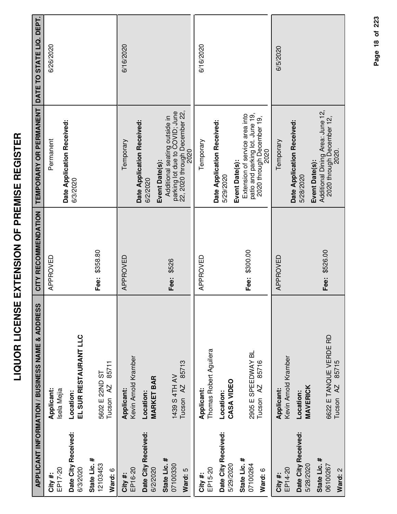|                                             | <b>APPLICANT INFORMATION / BUSINESS NAME &amp; ADDRESS</b> | CITY RECOMMENDATION | TEMPORARY OR PERMANENT                                                                                                     | DATE TO STATE LIQ. DEPT. |
|---------------------------------------------|------------------------------------------------------------|---------------------|----------------------------------------------------------------------------------------------------------------------------|--------------------------|
| EP17-20<br>City #:                          | Applicant:<br>Isela Mejia                                  | APPROVED            | Permanent                                                                                                                  | 6/26/2020                |
| Date City Received:<br>6/3/2020             | EL SUR RESTAURANT LLC<br>Location:                         |                     | Date Application Received:<br>6/3/2020                                                                                     |                          |
| State Lic. #<br>12103453<br>Ward: 6         | 85711<br>5602 E 22ND ST<br>Tucson <sub>AZ</sub>            | Fee: \$358.80       |                                                                                                                            |                          |
| EP16-20<br>City #:                          | Kevin Arnold Kramber<br>Applicant:                         | APPROVED            | Temporary                                                                                                                  | 6/16/2020                |
| Date City Received:<br>6/2/2020             | <b>MARKET BAR</b><br>Location:                             |                     | Date Application Received:<br>6/2/2020                                                                                     |                          |
| State Lic. #<br>07100330<br>Ward: 5         | 85713<br>1439 S 4TH AV<br>Tucson <sub>AZ</sub>             | Fee: \$526          | parking lot due to COVID; June<br>22, 2020 through December 22,<br>Additional seating outside in<br>2020<br>Event Date(s): |                          |
| City#:                                      | Applicant:                                                 | APPROVED            | Temporary                                                                                                                  | 6/16/2020                |
| Date City Received:<br>5/29/2020<br>EP15-20 | Thomas Robert Aguilera<br>CASA VIDEO<br>Location:          |                     | Date Application Received:<br>5/29/2020                                                                                    |                          |
| State Lic. #<br>07100264<br>Ward: 6         | 2905 E SPEEDWAY BL<br>85716<br>Tucson <sub>AZ</sub>        | Fee: \$300.00       | patio and parking lot. June 19,<br>Extension of service area into<br>2020 through December 19,<br>2020<br>Event Date(s):   |                          |
| EP14-20<br>City #:                          | Kevin Arnold Kramber<br>Applicant:                         | APPROVED            | Temporary                                                                                                                  | 6/5/2020                 |
| Date City Received:<br>5/28/2020            | <b>MAVERICK</b><br>Location:                               |                     | Date Application Received:<br>5/28/2020                                                                                    |                          |
| State Lic. #<br>06100267<br>Ward: 2         | 6622 E TANQUE VERDE RD<br>85715<br>Tucson <sub>AZ</sub>    | Fee: \$526.00       | Additional Dining Area: June 12,<br>2020 through December 12,<br>2020.<br>Event Date(s):                                   |                          |

Page 18 of 223 **Page of 18 223**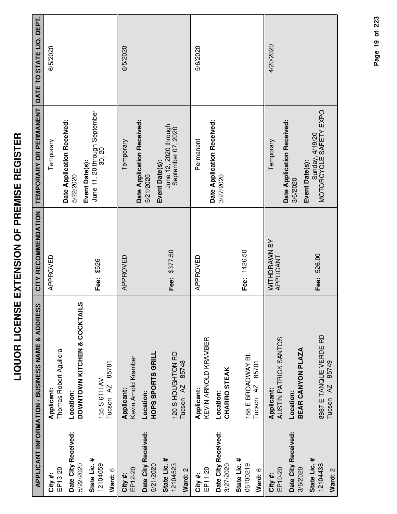|                                     | APPLICANT INFORMATION / BUSINESS NAME & ADDRESS         | CITY RECOMMENDATION       | TEMPORARY OR PERMANENT                                    | DATE TO STATE LIQ. DEPT. |
|-------------------------------------|---------------------------------------------------------|---------------------------|-----------------------------------------------------------|--------------------------|
| EP13-20<br>City #:                  | Thomas Robert Aguilera<br>Applicant:                    | APPROVED                  | Temporary                                                 | 6/5/2020                 |
| Date City Received:<br>5/22/2020    | DOWNTOWN KITCHEN & COCKTAILS<br>Location:               |                           | Date Application Received:<br>Event Date(s):<br>5/22/2020 |                          |
| State Lic. #<br>12104059<br>Ward: 6 | 85701<br>135 S 6TH AV<br>Tucson AZ                      | Fee: \$526                | June 11, 20 through September<br>30, 20                   |                          |
| EP12-20<br>City#:                   | Kevin Arnold Kramber<br>Applicant:                      | APPROVED                  | Temporary                                                 | 6/5/2020                 |
| Date City Received:<br>5/21/2020    | HOPS SPORTS GRILL<br>Location:                          |                           | Date Application Received:<br>Event Date(s):<br>5/21/2020 |                          |
| State Lic. #<br>12104523<br>Ward: 2 | 120 S HOUGHTON RD<br>85748<br>Tucson <sub>AZ</sub>      | Fee: \$377.50             | June 12, 2020 through<br>September 07, 2020               |                          |
| EP11-20<br>City#:                   | KEVIN ARNOLD KRAMBER<br>Applicant:                      | APPROVED                  | Permanent                                                 | 5/6/2020                 |
| Date City Received:<br>3/27/2020    | <b>CHARRO STEAK</b><br>Location:                        |                           | Date Application Received:<br>3/27/2020                   |                          |
| State Lic. #<br>06100219<br>Ward: 6 | 188 E BROADWAY BL<br>85701<br>Tucson <sub>AZ</sub>      | Fee: 1426.50              |                                                           |                          |
| EP10-20<br>City#:                   | AUSTIN PATRICK SANTOS<br>Applicant:                     | WITHDRAWN BY<br>APPLICANT | Temporary                                                 | 4/20/2020                |
| Date City Received:<br>3/6/2020     | BEAR CANYON PLAZA<br>Location:                          |                           | Date Application Received:<br>Event Date(s):<br>3/6/2020  |                          |
| State Lic. #<br>12104438<br>Ward: 2 | 8987 E TANQUE VERDE RD<br>85749<br>Tucson <sub>AZ</sub> | Fee: 526.00               | Sunday, 4/19/20<br>MOTORCYCLE SAFETY EXPO                 |                          |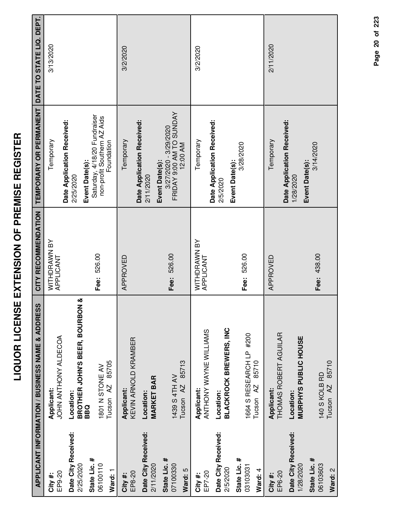| ׇ֠<br>ſ<br>i |
|--------------|
| l            |
| i            |
| I<br>I       |
| Ì            |
| i            |
| i<br>I       |
| I            |
| Í            |
| Í            |
| ;<br>;<br>;  |
| l<br>İ       |
|              |
| Ì            |
| i            |
| Ī            |
| I            |
| i            |
| l            |
|              |
|              |

|                                  | <b>APPLICANT INFORMATION / BUSINESS NAME &amp; ADDRESS</b> | CITY RECOMMENDATION       | TEMPORARY OR PERMANENT                                              | DATE TO STATE LIQ. DEPT. |
|----------------------------------|------------------------------------------------------------|---------------------------|---------------------------------------------------------------------|--------------------------|
| EP9-20<br>City#:                 | JOHN ANTHONY ALDECOA<br>Applicant:                         | WITHDRAWN BY<br>APPLICANT | Temporary                                                           | 3/13/2020                |
| Date City Received:<br>2/25/2020 | જ<br>BROTHER JOHN'S BEER, BOURBON<br>Location:             |                           | Date Application Received:<br>2/25/2020                             |                          |
| State Lic. #                     | <b>BBQ</b>                                                 |                           | Saturday, 4/18/20 Fundraiser<br>Event Date(s):                      |                          |
| 06100110<br>Ward: 1              | 85705<br>1801 N STONE AV<br>Tucson AZ                      | Fee: 526.00               | non-profit Southern AZ Aids<br>Foundation                           |                          |
| City#:                           | Applicant:                                                 | APPROVED                  | Temporary                                                           | 3/2/2020                 |
| Date City Received:<br>EP8-20    | KEVIN ARNOLD KRAMBER<br>Location:                          |                           | Date Application Received:                                          |                          |
| 2/11/2020                        | <b>MARKET BAR</b>                                          |                           | 2/11/2020                                                           |                          |
| State Lic. #<br>07100330         | 1439 S 4TH AV                                              | Fee: 526.00               | FRIDAY 9:00 AM TO SUNDAY<br>3/27/2020 - 3/29/2020<br>Event Date(s): |                          |
| Ward: 5                          | 85713<br>Tucson <sub>AZ</sub>                              |                           | 12:00 AM                                                            |                          |
| EP7-20<br>City#:                 | ANTHONY WAYNE WILLIAMS<br>Applicant:                       | WITHDRAWN BY<br>APPLICANT | Temporary                                                           | 3/2/2020                 |
| Date City Received:              | Location:                                                  |                           | Date Application Received:<br>2/5/2020                              |                          |
| 2/5/2020                         | <b>BLACKROCK BREWERS, INC</b>                              |                           | Event Date(s):                                                      |                          |
| State Lic. #<br>03103031         | 1664 S RESEARCH LP #200                                    | Fee: 526.00               | 3/28/2020                                                           |                          |
| Ward: 4                          | 85710<br>Tucson <sub>AZ</sub>                              |                           |                                                                     |                          |
| EP6-20<br>City #:                | THOMAS ROBERT AGUILAR<br>Applicant:                        | APPROVED                  | Temporary                                                           | 2/11/2020                |
| Date City Received:<br>1/28/2020 | <b>MURPHYS PUBLIC HOUSE</b><br>Location:                   |                           | Date Application Received:<br>Event Date(s):<br>1/28/2020           |                          |
| State Lic. #<br>06103603         | 140 S KOLB RD                                              | Fee: 438.00               | 3/14/2020                                                           |                          |
| Ward: 2                          | 85710<br>Tucson <sub>AZ</sub>                              |                           |                                                                     |                          |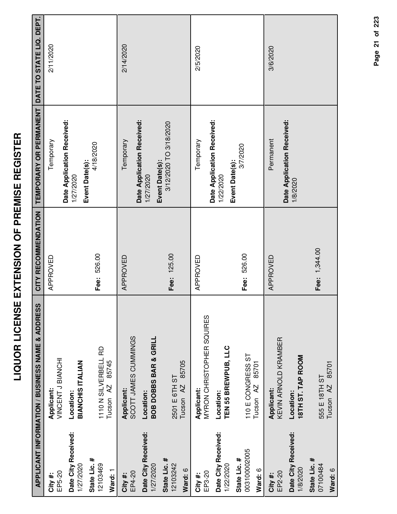| Applicant:<br>Location:<br>Date City Received:<br>State Lic. #<br>1/27/2020<br>EP5-20<br>City #: |                                                                                                                                                                       | CITY RECOMMENDATION | TEMPORARY OR PERMANENT                   | DATE TO STATE LIQ. DEPT. |
|--------------------------------------------------------------------------------------------------|-----------------------------------------------------------------------------------------------------------------------------------------------------------------------|---------------------|------------------------------------------|--------------------------|
|                                                                                                  | VINCENT<br>J<br>BIANC<br>INC<br>INC<br>INC<br>INC<br>INC<br>INC<br>INC<br>INC<br>INC<br>INC<br>INC<br>INC<br>INC<br>INC<br>INC<br>INC<br>INC<br>INC<br>INC<br>INC<br> | APPROVED            | Date Application Received:<br>           | 2/11/2020                |
|                                                                                                  | <b>BIANCHIS ITALIAN</b>                                                                                                                                               |                     | 1/27/2020                                |                          |
| Tucson <sub>AZ</sub><br>12103469<br>Ward: 1                                                      | 110N SILVERBELL RD<br>85745                                                                                                                                           | Fee: 526.00         | 4/18/2020<br>Event Date(s):              |                          |
| Applicant:<br>EP4-20<br>City #:                                                                  | SCOTT JAMES CUMMINGS                                                                                                                                                  | APPROVED            | Temporary                                | 2/14/2020                |
| Location:<br>Date City Received:<br>1/27/2020                                                    | <b>BOB DOBBS BAR &amp; GRILL</b>                                                                                                                                      |                     | Date Application Received:<br>1/27/2020  |                          |
| 2501 E 6TH ST<br>Tucson <sub>AZ</sub><br>State Lic. #<br>12103242<br>Ward: 6                     | 85705                                                                                                                                                                 | Fee: 125.00         | 3/12/2020 TO 3/18/2020<br>Event Date(s): |                          |
| Applicant:<br>EP3-20<br>City #:                                                                  | MYRON CHRISTOPHER SQUIRES                                                                                                                                             | APPROVED            | Temporary                                | 2/5/2020                 |
| Location:<br>Date City Received:<br>1/22/2020                                                    | TEN 55 BREWPUB, LLC                                                                                                                                                   |                     | Date Application Received:<br>1/22/2020  |                          |
| Tucson <sub>AZ</sub><br>003100002005<br>State Lic. #<br>Ward: 6                                  | 110 E CONGRESS ST<br>85701                                                                                                                                            | Fee: 526.00         | 3/7/2020<br>Event Date(s):               |                          |
| <b>Applicant:</b><br>EP2-20<br>City #:                                                           | KEVIN ARNOLD KRAMBER                                                                                                                                                  | APPROVED            | Permanent                                | 3/6/2020                 |
| Location:<br>Date City Received:<br>1/8/2020                                                     | 18TH ST. TAP ROOM                                                                                                                                                     |                     | Date Application Received:<br>1/8/2020   |                          |
| 555 E 18TH ST<br>Tucson <sub>AZ</sub><br>State Lic. #<br>07100484<br>Ward: 6                     | 85701                                                                                                                                                                 | Fee: 1,344.00       |                                          |                          |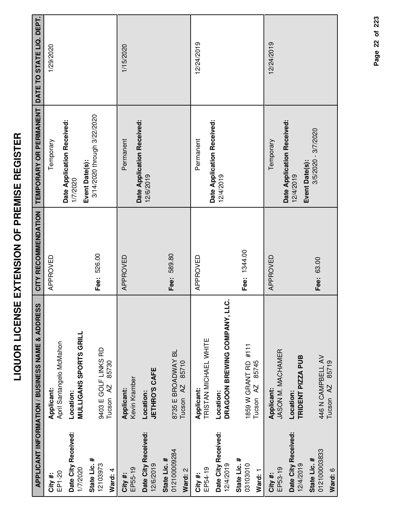| l<br>Í<br>i                                                    |  |
|----------------------------------------------------------------|--|
| Ī<br>$\overline{a}$<br>$\overline{\phantom{a}}$<br>i<br>l<br>ī |  |
| -<br>-<br>-<br>į<br>$\frac{1}{1}$                              |  |
| l<br> <br> <br> <br>ī                                          |  |
| i<br>ī<br>í<br>Ī                                               |  |
|                                                                |  |

|                                         | <b>APPLICANT INFORMATION / BUSINESS NAME &amp; ADDRESS</b> | CITY RECOMMENDATION | TEMPORARY OR PERMANENT                                    | DATE TO STATE LIQ. DEPT. |
|-----------------------------------------|------------------------------------------------------------|---------------------|-----------------------------------------------------------|--------------------------|
| EP1-20<br>City#:                        | April Santangelo McMahon<br>Applicant:                     | APPROVED            | Temporary                                                 | 1/29/2020                |
| Date City Received:<br>1/7/2020         | <b>MULLIGANS SPORTS GRILL</b><br>Location:                 |                     | Date Application Received:<br>1/7/2020                    |                          |
| State Lic. #<br>12103973<br>Ward: 4     | 9403 E GOLF LINKS RD<br>85730<br>Tucson <sub>AZ</sub>      | Fee: 526.00         | 3/14/2020 through 3/22/2020<br>Event Date(s):             |                          |
| EP55-19<br>City #:                      | Kevin Kramber<br>Applicant:                                | APPROVED            | Permanent                                                 | 1/15/2020                |
| Date City Received:<br>12/6/2019        | <b>JETHRO'S CAFE</b><br>Location:                          |                     | Date Application Received:<br>12/6/2019                   |                          |
| 012100009284<br>State Lic. #<br>Ward: 2 | 8735 E BROADWAY BL<br>85710<br>Tucson <sub>AZ</sub>        | Fee: 589.80         |                                                           |                          |
| EP54-19<br>City#:                       | TRISTAN MICHAEL WHITE<br>Applicant:                        | APPROVED            | Permanent                                                 | 12/24/2019               |
| Date City Received:<br>12/4/2019        | ن<br>DRAGOON BREWING COMPANY, LL<br>Location:              |                     | Date Application Received:<br>12/4/2019                   |                          |
| State Lic. #<br>03103010<br>Ward: 1     | 1859 W GRANT RD #111<br>85745<br>Tucson <sub>AZ</sub>      | Fee: 1344.00        |                                                           |                          |
| EP53-19<br>City #:                      | JASON M. MACHAMER<br>Applicant:                            | APPROVED            | Temporary                                                 | 12/24/2019               |
| Date City Received:<br>12/4/2019        | TRIDENT PIZZA PUB<br>Location:                             |                     | Date Application Received:<br>Event Date(s):<br>12/4/2019 |                          |
| 012100003833<br>State Lic. #<br>Ward: 6 | 446 N CAMPBELL AV<br>85719<br>Tucson <sub>AZ</sub>         | Fee: 63.00          | 3/5/2020 - 3/7/2020                                       |                          |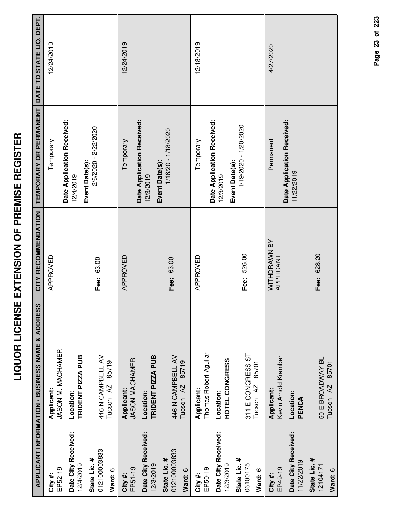|                                             | ທ<br><b>APPLICANT INFORMATION / BUSINESS NAME &amp; ADDRES</b> | CITY RECOMMENDATION       | TEMPORARY OR PERMANENT                   | DATE TO STATE LIQ. DEPT. |
|---------------------------------------------|----------------------------------------------------------------|---------------------------|------------------------------------------|--------------------------|
| City #:                                     | Applicant:                                                     | APPROVED                  | Temporary                                | 12/24/2019               |
| Date City Received:<br>12/4/2019<br>EP52-19 | JASON M. MACHAMER<br>TRIDENT PIZZA PUB<br>Location:            |                           | Date Application Received:<br>12/4/2019  |                          |
| 012100003833<br>State Lic. #<br>Ward: 6     | 446 N CAMPBELL AV<br>85719<br>Tucson AZ                        | Fee: 63.00                | 2/6/2020 - 2/22/2020<br>Event Date(s):   |                          |
| EP51-19<br>City#:                           | <b>JASON MACHAMER</b><br>Applicant:                            | APPROVED                  | Temporary                                | 12/24/2019               |
| Date City Received:<br>12/3/2019            | TRIDENT PIZZA PUB<br>Location:                                 |                           | Date Application Received:<br>12/3/2019  |                          |
| 012100003833<br>State Lic. #<br>Ward: 6     | 446 N CAMPBELL AV<br>85719<br>Tucson <sub>AZ</sub>             | Fee: 63.00                | 1/16/20 - 1/18/2020<br>Event Date(s):    |                          |
| EP50-19<br>City#:                           | Thomas Robert Aguilar<br>Applicant:                            | APPROVED                  | Temporary                                | 12/18/2019               |
| Date City Received:<br>12/3/2019            | HOTEL CONGRESS<br>Location:                                    |                           | Date Application Received:<br>12/3/2019  |                          |
| State Lic. #<br>06100175<br>Ward: 6         | 311 E CONGRESS ST<br>85701<br>Tucson <sub>AZ</sub>             | Fee: 526.00               | 1/19/2020 - 1/20/2020<br>Event Date(s):  |                          |
| EP49-19<br>City #:                          | Kevin Arnold Kramber<br>Applicant:                             | WITHDRAWN BY<br>APPLICANT | Permanent                                | 4/27/2020                |
| Date City Received:<br>11/22/2019           | Location:<br>PENCA                                             |                           | Date Application Received:<br>11/22/2019 |                          |
| State Lic. #<br>12104171                    | 50 E BROADWAY BL                                               | Fee: 628.20               |                                          |                          |

**Ward:** 6

50 E BROADWAY BL Tucson AZ 85701

50 E BROADWAY BL<br>Tucson AZ 85701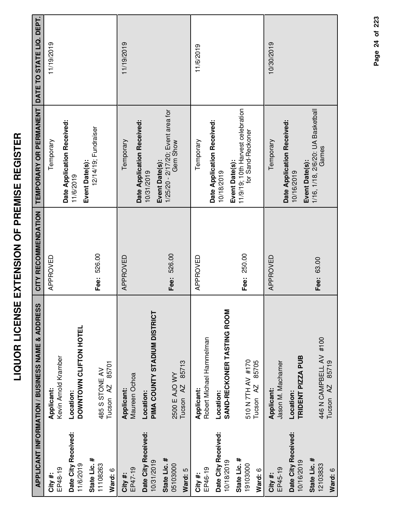| ľ<br>I         |
|----------------|
| ĺ<br>י<br>ו    |
| Ī<br>.<br>.    |
| <br> <br> <br> |
| I              |
| י<br> <br>     |
|                |
| l              |
| ׀<br>;         |
|                |
| $\frac{1}{2}$  |
| l<br> <br>     |
| i<br>l<br>Í    |
| Í              |

|                                     | APPLICANT INFORMATION / BUSINESS NAME & ADDRESS         | CITY RECOMMENDATION | <b>TEMPORARY OR PERMANENT</b>                              | DATE TO STATE LIQ. DEPT. |
|-------------------------------------|---------------------------------------------------------|---------------------|------------------------------------------------------------|--------------------------|
| EP48-19<br>City#:                   | Kevin Arnold Kramber<br>Applicant:                      | APPROVED            | Date Application Received:<br>Temporary                    | 11/19/2019               |
| Date City Received:<br>11/6/2019    | DOWNTOWN CLIFTON HOTEL<br>Location:                     |                     | Event Date(s):<br>11/6/2019                                |                          |
| State Lic. #<br>11108263<br>Ward: 6 | 85701<br>485 S STONE AV<br>Tucson <sub>AZ</sub>         | Fee: 526.00         | 12/14/19; Fundraiser                                       |                          |
| EP47-19<br>City#:                   | Maureen Ochoa<br>Applicant:                             | APPROVED            | Date Application Received:<br>Temporary                    | 11/19/2019               |
| Date City Received:<br>10/31/2019   | <b>PIMA COUNTY STADIUM DISTRICT</b><br>Location:        |                     | Event Date(s):<br>10/31/2019                               |                          |
| State Lic. #<br>05103000<br>Ward: 5 | 85713<br>2500 E AJO WY<br>Tucson <sub>AZ</sub>          | Fee: 526.00         | 1/25/20 - 2/17/20; Event area for<br>Gem Show              |                          |
| EP46-19<br>City #:                  | Robert Michael Hammelman<br>Applicant:                  | APPROVED            | Temporary                                                  | 11/6/2019                |
| Date City Received:<br>10/18/2019   | SAND-RECKONER TASTING ROOM<br>Location:                 |                     | Date Application Received:<br>Event Date(s):<br>10/18/2019 |                          |
| State Lic. #<br>19103000<br>Ward: 6 | 510 N 7TH AV #170<br>85705<br>Tucson AZ                 | Fee: 250.00         | 11/9/19; 10th Harvest celebration<br>for Sand-Reckoner     |                          |
| EP45-19<br>City#:                   | Jason M. Machamer<br>Applicant:                         | APPROVED            | Temporary                                                  | 10/30/2019               |
| Date City Received:<br>10/16/2019   | TRIDENT PIZZA PUB<br>Location:                          |                     | Date Application Received:<br>Event Date(s):<br>10/16/2019 |                          |
| State Lic. #<br>12103833<br>Ward: 6 | 446 N CAMPBELL AV #100<br>85719<br>Tucson <sub>AZ</sub> | Fee: 63.00          | 1/16, 1/18, 2/6/20: UA Basketball<br>Games                 |                          |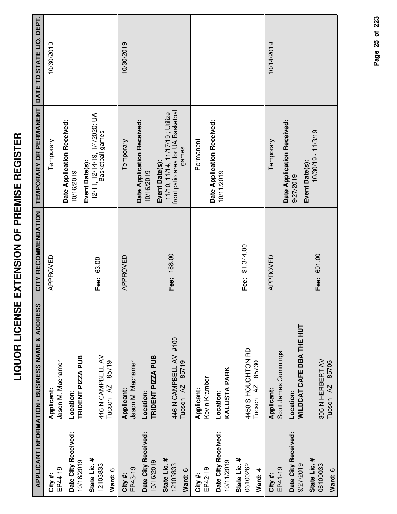| ľ<br>I<br>İ<br>ĺ                |
|---------------------------------|
| י<br>ו<br>ĺ                     |
| l<br>I<br>i<br>i<br>i<br>י<br>י |
| -<br>-<br>$\frac{1}{2}$         |
| ĺ<br>I                          |
| <br> <br>l<br>.<br>ו            |
| .<br>י                          |
|                                 |
|                                 |
| I                               |

|                                   | <b>APPLICANT INFORMATION / BUSINESS NAME &amp; ADDRESS</b> | CITY RECOMMENDATION | TEMPORARY OR PERMANENT                                                | DATE TO STATE LIQ. DEPT. |
|-----------------------------------|------------------------------------------------------------|---------------------|-----------------------------------------------------------------------|--------------------------|
| EP44-19<br>#<br>City#             | Jason M. Machamer<br>Applicant:                            | APPROVED            | Temporary                                                             | 10/30/2019               |
| Date City Received:               | Location:                                                  |                     | Date Application Received:<br>10/16/2019                              |                          |
| 10/16/2019                        | TRIDENT PIZZA PUB                                          |                     | Event Date(s):                                                        |                          |
| State Lic. #<br>12103833          | 446 N CAMPBELL AV                                          | Fee: 63.00          | 12/11, 12/14/19, 1/4/2020: UA<br>Basketball games                     |                          |
| Ward: 6                           | 85719<br>Tucson <sub>AZ</sub>                              |                     |                                                                       |                          |
| EP43-19<br>City#:                 | Jason M. Machamer<br>Applicant:                            | APPROVED            | Temporary                                                             | 10/30/2019               |
| Date City Received:               | Location:                                                  |                     | Date Application Received:<br>10/16/2019                              |                          |
| 10/16/2019                        | TRIDENT PIZZA PUB                                          |                     | Event Date(s):                                                        |                          |
| State Lic. #<br>12103833          | 446 N CAMPBELL AV #100                                     | Fee: 188.00         | front patio area for UA Basketball<br>11/10, 11/14, 11/17/19; Utilize |                          |
| Ward: 6                           | 85719<br>Tucson <sub>AZ</sub>                              |                     | games                                                                 |                          |
| EP42-19<br>City #:                | Kevin Kramber<br>Applicant:                                |                     | Permanent                                                             |                          |
|                                   |                                                            |                     | Date Application Received:                                            |                          |
| Date City Received:<br>10/11/2019 | <b>KALLISTA PARK</b><br>Location:                          |                     | 10/11/2019                                                            |                          |
| State Lic. #<br>06100262          | 4450 S HOUGHTON RD                                         | Fee: \$1,344.00     |                                                                       |                          |
| Ward: 4                           | 85730<br>$\overline{A}$<br>Tucson                          |                     |                                                                       |                          |
| EP41-19<br>City#:                 | Scott James Cummings<br>Applicant:                         | APPROVED            | Temporary                                                             | 10/14/2019               |
| Date City Received:<br>9/27/2019  | <b>WILDCAT CAFE DBA THE HUT</b><br>Location:               |                     | Date Application Received:<br>9/27/2019                               |                          |
| State Lic. #<br>06100033          | 305 N HERBERT AV                                           | Fee: 601.00         | $10/30/19 - 11/3/19$<br>Event Date(s):                                |                          |
| Ward: 6                           | 85705<br>AZ<br>Tucson                                      |                     |                                                                       |                          |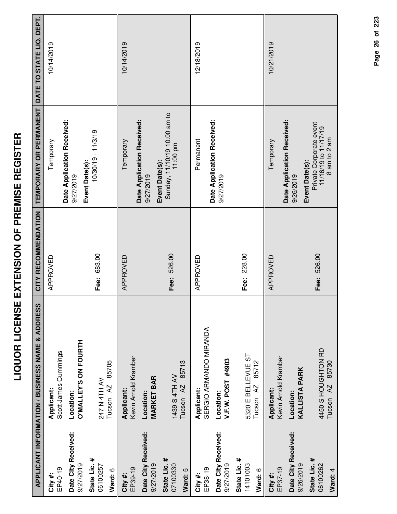| ľ<br>j<br>İ<br>ĺ                |
|---------------------------------|
| י<br>ו<br>ĺ                     |
| l<br>I<br>i<br>i<br>i<br>י<br>י |
| -<br>-<br>$\frac{1}{2}$         |
| ĺ<br>I                          |
| <br> <br>l<br>.<br>ו            |
| .<br>י                          |
|                                 |
|                                 |
| I                               |

|                                     | APPLICANT INFORMATION / BUSINESS NAME & ADDRESS     | CITY RECOMMENDATION | TEMPORARY OR PERMANENT                                          | DATE TO STATE LIQ. DEPT. |
|-------------------------------------|-----------------------------------------------------|---------------------|-----------------------------------------------------------------|--------------------------|
| EP40-19<br>City#:                   | Scott James Cummings<br>Applicant:                  | APPROVED            | Temporary                                                       | 10/14/2019               |
| Date City Received:<br>9/27/2019    | O'MALLEY'S ON FOURTH<br>Location:                   |                     | Date Application Received:<br>9/27/2019                         |                          |
| State Lic. #<br>06100257<br>Ward: 6 | 85705<br>247 N 4TH AV<br>Tucson <sub>AZ</sub>       | Fee: 683.00         | $10/30/19 - 11/3/19$<br>Event Date(s):                          |                          |
| EP39-19<br>City#:                   | Kevin Arnold Kramber<br>Applicant:                  | APPROVED            | Date Application Received:<br>Temporary                         | 10/14/2019               |
| Date City Received:<br>9/27/2019    | <b>MARKET BAR</b><br>Location:                      |                     | Event Date(s):<br>9/27/2019                                     |                          |
| State Lic. #<br>07100330<br>Ward: 5 | 85713<br>1439 S 4TH AV<br>Tucson <sub>AZ</sub>      | Fee: 526.00         | Sunday, 11/10/19 10:00 am to<br>11:00 pm                        |                          |
| EP38-19<br>City #:                  | SERGIO ARMANDO MIRANDA<br>Applicant:                | APPROVED            | Permanent                                                       | 12/18/2019               |
| Date City Received:<br>9/27/2019    | V.F.W. POST #4903<br>Location:                      |                     | Date Application Received:<br>9/27/2019                         |                          |
| State Lic. #<br>14101003<br>Ward: 6 | 5320 E BELLEVUE ST<br>85712<br>Tucson <sub>AZ</sub> | Fee: 228.00         |                                                                 |                          |
| EP37-19<br>City#:                   | Kevin Arnold Kramber<br>Applicant:                  | APPROVED            | Temporary                                                       | 10/21/2019               |
| Date City Received:<br>9/26/2019    | <b>KALLISTA PARK</b><br>Location:                   |                     | Date Application Received:<br>Event Date(s):<br>9/26/2019       |                          |
| State Lic. #<br>06100262<br>Ward: 4 | 4450 S HOUGHTON RD<br>85730<br>Tucson <sub>AZ</sub> | Fee: 526.00         | Private Corporate event<br>11/16/19 to 11/17/19<br>8 am to 2 am |                          |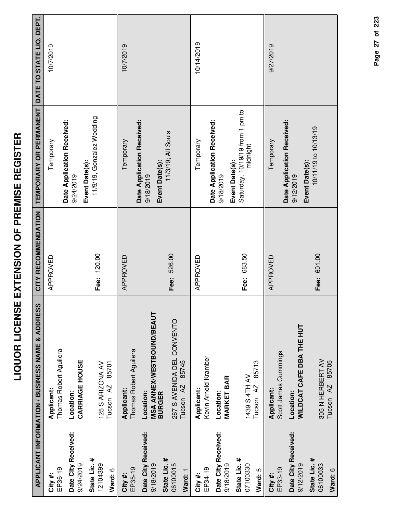| I<br>Ì<br>i<br>I                  |
|-----------------------------------|
| I<br>l<br>1<br>i<br>I             |
| í<br>l<br>;<br>l<br>.<br>-<br>-   |
| ĺ<br>:<br>i<br>İ<br>$\frac{1}{2}$ |
| ٦<br>í<br>:<br>i<br>I             |
| I<br>l<br>Í                       |

|                                                  | <b>APPLICANT INFORMATION / BUSINESS NAME &amp; ADDRESS</b>     | CITY RECOMMENDATION | TEMPORARY OR PERMANENT                                        | DATE TO STATE LIQ. DEPT. |
|--------------------------------------------------|----------------------------------------------------------------|---------------------|---------------------------------------------------------------|--------------------------|
| EP36-19<br>City#:                                | Thomas Robert Aguilera<br>Applicant:                           | APPROVED            | Temporary                                                     | 10/7/2019                |
| Date City Received:<br>9/24/2019                 | <b>CARRIAGE HOUSE</b><br>Location:                             |                     | Date Application Received:<br>9/24/2019                       |                          |
| State Lic. #<br>12104399<br>Ward: 6              | 85701<br>125 S ARIZONA AV<br>Tucson <sub>AZ</sub>              | Fee: 120.00         | 11/9/19, Gonzalez Wedding<br>Event Date(s):                   |                          |
| EP35-19<br>City #:                               | Thomas Robert Aguilera<br>Applicant:                           | APPROVED            | Temporary                                                     | 10/7/2019                |
| Date City Received:<br>State Lic. #<br>9/18/2019 | <b>MSA ANNEX/WESTBOUND/BEAUT</b><br>Location:<br><b>BURGER</b> |                     | Date Application Received:<br>Event Date(s):<br>9/18/2019     |                          |
| 06100015<br>Ward: 1                              | 267 S AVENIDA DEL CONVENTO<br>85745<br>Tucson <sub>AZ</sub>    | Fee: 526.00         | 11/3/19; All Souls                                            |                          |
| EP34-19<br>City#:                                | Kevin Arnold Kramber<br>Applicant:                             | APPROVED            | Temporary                                                     | 10/14/2019               |
| Date City Received:<br>9/18/2019                 | <b>MARKET BAR</b><br>Location:                                 |                     | Date Application Received:<br>9/18/2019                       |                          |
| State Lic. #<br>07100330<br>Ward: 5              | 85713<br>1439 S 4TH AV<br>Tucson <sub>AZ</sub>                 | Fee: 683.50         | Saturday, 10/19/19 from 1 pm to<br>midnight<br>Event Date(s): |                          |
| EP33-19<br>City#:                                | Scott James Cummings<br>Applicant:                             | APPROVED            | Temporary                                                     | 9/27/2019                |
| Date City Received:<br>9/12/2019                 | <b>WILDCAT CAFE DBA THE HUT</b><br>Location:                   |                     | Date Application Received:<br>Event Date(s):<br>9/12/2019     |                          |
| State Lic. #<br>06100033<br>Ward: 6              | 305 N HERBERT AV<br>85705<br>AZ<br>Tucson                      | Fee: 601.00         | 10/11/19 to 10/13/19                                          |                          |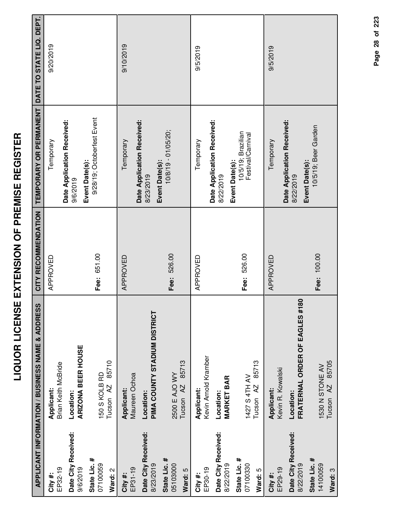|                                     | APPLICANT INFORMATION / BUSINESS NAME & ADDRESS | CITY RECOMMENDATION | TEMPORARY OR PERMANENT                                    | DATE TO STATE LIQ. DEPT. |
|-------------------------------------|-------------------------------------------------|---------------------|-----------------------------------------------------------|--------------------------|
| EP32-19<br>City #:                  | Brian Keith McBride<br>Applicant:               | APPROVED            | Temporary                                                 | 9/20/2019                |
| Date City Received:<br>9/6/2019     | ARIZONA BEER HOUSE<br>Location:                 |                     | Date Application Received:<br>9/6/2019                    |                          |
| State Lic. #<br>07100059<br>Ward: 2 | Tucson AZ 85710<br>150 S KOLB RD                | Fee: 651.00         | 9/28/19; Octoberfest Event<br>Event Date(s):              |                          |
| EP31-19<br>City #:                  | Maureen Ochoa<br>Applicant:                     | APPROVED            | Temporary                                                 | 9/10/2019                |
| Date City Received:<br>8/23/2019    | PIMA COUNTY STADIUM DISTRICT<br>Location:       |                     | Date Application Received:<br>8/23/2019                   |                          |
| State Lic. #<br>05103000<br>Ward: 5 | 85713<br>2500 E AJO WY<br>Tucson <sub>AZ</sub>  | Fee: 526.00         | 10/8/19 - 01/05/20;<br>Event Date(s):                     |                          |
| EP30-19<br>City #:                  | Kevin Arnold Kramber<br>Applicant:              | APPROVED            | Temporary                                                 | 9/5/2019                 |
| Date City Received:<br>8/22/2019    | <b>MARKET BAR</b><br>Location:                  |                     | Date Application Received:<br>8/22/2019                   |                          |
| State Lic. #<br>07100330<br>Ward: 5 | 85713<br>1427 S 4TH AV<br>Tucson <sub>AZ</sub>  | Fee: 526.00         | 10/5/19; Brazilian<br>Festival/Carnival<br>Event Date(s): |                          |
| EP29-19<br>City #:                  | Kevin R. Kowalski<br>Applicant:                 | APPROVED            | Temporary                                                 | 9/5/2019                 |
| Date City Received:<br>8/22/2019    | 80<br>FRATERNAL ORDER OF EAGLES #1<br>Location: |                     | Date Application Received:<br>8/22/2019                   |                          |
| State Lic. #<br>14100059<br>Ward: 3 | Tucson AZ 85705<br>1530 N STONE AV              | Fee: 100.00         | 10/5/19; Beer Garden<br>Event Date(s):                    |                          |

Page 28 of 223 **Page of 28 223**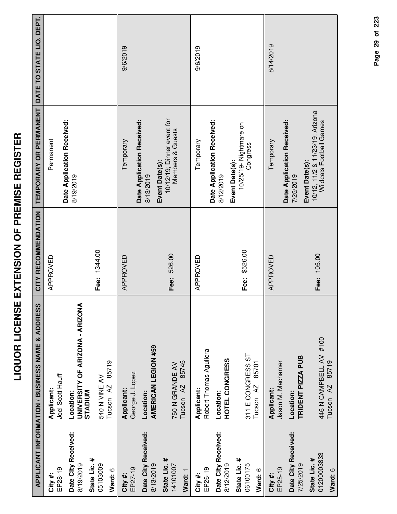|                                        | APPLICANT INFORMATION / BUSINESS NAME & ADDRESS                | CITY RECOMMENDATION | <b>TEMPORARY OR PERMANENT DATE TO STATE LIQ. DEPT.</b>           |           |
|----------------------------------------|----------------------------------------------------------------|---------------------|------------------------------------------------------------------|-----------|
| EP28-19<br>City #:                     | Joel Scott Hauff<br>Applicant:                                 | APPROVED            | Date Application Received:<br>Permanent                          |           |
| Date City Received:<br>8/19/2019       | UNIVERSITY OF ARIZONA - ARIZONA<br><b>STADIUM</b><br>Location: |                     | 8/19/2019                                                        |           |
| State Lic. #<br>05103009<br>Ward: 6    | 85719<br>540 N VINE AV<br>Tucson <sub>AZ</sub>                 | Fee: 1344.00        |                                                                  |           |
| EP27-19<br>City #:                     | George J. Lopez<br>Applicant:                                  | APPROVED            | Date Application Received:<br>Temporary                          | 9/6/2019  |
| Date City Received:<br>8/13/2019       | <b>AMERICAN LEGION #59</b><br>Location:                        |                     | 8/13/2019                                                        |           |
| State Lic. #<br>14101007<br>Ward: 1    | 85745<br>750 N GRANDE AV<br>Tucson <sub>AZ</sub>               | Fee: 526.00         | 10/12/19; Dinner event for<br>Members & Guests<br>Event Date(s): |           |
| EP26-19<br>City#:                      | Robert Thomas Aguilera<br>Applicant:                           | APPROVED            | Temporary                                                        | 9/6/2019  |
| Date City Received:<br>8/12/2019       | HOTEL CONGRESS<br>Location:                                    |                     | Date Application Received:<br>8/12/2019                          |           |
| State Lic. #<br>06100175<br>Ward: 6    | 311 E CONGRESS ST<br>85701<br>Tucson AZ                        | Fee: \$526.00       | 10/25/19- Nightmare on<br>Congress<br>Event Date(s):             |           |
| EP25-19<br>City #:                     | Jason M. Machamer<br>Applicant:                                | APPROVED            | Temporary                                                        | 8/14/2019 |
| Date City Received:<br>7/25/2019       | TRIDENT PIZZA PUB<br>Location:                                 |                     | Date Application Received:<br>Event Date(s):<br>7/25/2019        |           |
| 01200003833<br>State Lic. #<br>Ward: 6 | 446 N CAMPBELL AV #100<br>85719<br>Tucson <sub>AZ</sub>        | Fee: 105.00         | 10/12, 11/2 & 11/23/19; Arizona<br>Wildcats Football Games       |           |

Page 29 of 223 **Page of 29 223**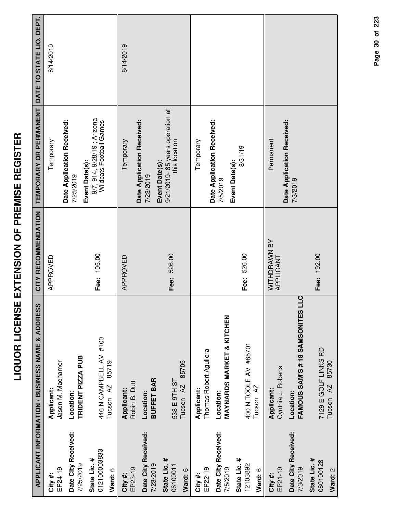| ſ<br>I<br>١<br>I                                                                                                           |
|----------------------------------------------------------------------------------------------------------------------------|
| Í<br>ì                                                                                                                     |
| Ī<br>l<br>İ<br>í<br>I<br>Ī<br>֖֦֦֦֦֖֦֦֧֦֦֦֧֦֦֦֦֦֦֦֚֚֚֚֚֚֚֚֚֚֚֚֚֞֘֘֝֘֘֝֘֡֡֡֡֬֞֡֡֡֡֡֡֬֞֡֡֡֡֬֞֞֞֞֞֞֬֬֞֞֡֬֞֞֞֡֞֬֞֡֞֬֞֞֡֞֞֞֬֞֡֟ |
| Í<br>Ī<br>ĺ<br>Ľ                                                                                                           |
| ĺ<br>l                                                                                                                     |
| i<br>ļ                                                                                                                     |
| $\overline{\mathbf{S}}$                                                                                                    |
|                                                                                                                            |
| Í                                                                                                                          |
| .<br>.                                                                                                                     |

|                                  | <b>APPLICANT INFORMATION / BUSINESS NAME &amp; ADDRESS</b> | CITY RECOMMENDATION       | TEMPORARY OR PERMANENT                                | DATE TO STATE LIQ. DEPT. |
|----------------------------------|------------------------------------------------------------|---------------------------|-------------------------------------------------------|--------------------------|
| EP24-19<br>City#:                | Jason M. Machamer<br>Applicant:                            | APPROVED                  | Temporary                                             | 8/14/2019                |
| Date City Received:              | Location:                                                  |                           | Date Application Received:<br>7/25/2019               |                          |
| 7/25/2019                        | TRIDENT PIZZA PUB                                          |                           | Event Date(s):                                        |                          |
| 012100003833<br>State Lic. #     | 446 N CAMPBELL AV #100                                     | Fee: 105.00               | 9/7, 914, 9/28/19; Arizona<br>Wildcats Football Games |                          |
| Ward: 6                          | 85719<br>Tucson <sub>AZ</sub>                              |                           |                                                       |                          |
| EP23-19<br>City#:                | Robin B. Dutt<br>Applicant:                                | APPROVED                  | Temporary                                             | 8/14/2019                |
| Date City Received:<br>7/23/2019 | <b>BUFFET BAR</b><br>Location:                             |                           | Date Application Received:<br>7/23/2019               |                          |
| State Lic. #                     |                                                            | Fee: 526.00               | 9/21/2019-85 years operation at<br>Event Date(s):     |                          |
| 06100011                         | 85705<br>538 E 9TH ST<br>Tucson <sub>AZ</sub>              |                           | this location                                         |                          |
| Ward: 6                          |                                                            |                           |                                                       |                          |
| EP22-19<br>City #:               | Thomas Robert Aguilera<br>Applicant:                       |                           | Temporary                                             |                          |
| Date City Received:              | Location:                                                  |                           | Date Application Received:<br>7/5/2019                |                          |
| 7/5/2019                         | <b>MAYNARDS MARKET &amp; KITCHEN</b>                       |                           | Event Date(s):                                        |                          |
| State Lic. #<br>12103892         | 400 N TOOLE AV #85701                                      | Fee: 526.00               | 8/31/19                                               |                          |
| Ward: 6                          | Tucson <sub>AZ</sub>                                       |                           |                                                       |                          |
| EP21-19<br>City#:                | Cynthia J. Roberts<br>Applicant:                           | WITHDRAWN BY<br>APPLICANT | Permanent                                             |                          |
| Date City Received:<br>7/3/2019  | FAMOUS SAM'S # 18 SAMSONITES LLC<br>Location:              |                           | Date Application Received:<br>7/3/2019                |                          |
| State Lic. #<br>060100128        | 7129 E GOLF LINKS RD                                       | Fee: 192.00               |                                                       |                          |
| Ward: 2                          | 85730<br>AZ.<br>Tucson                                     |                           |                                                       |                          |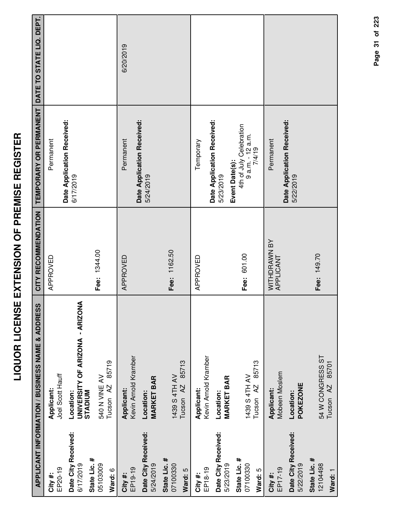|                                     | <b>APPLICANT INFORMATION / BUSINESS NAME &amp; ADDRESS</b> | CITY RECOMMENDATION       | TEMPORARY OR PERMANENT                                                  | DATE TO STATE LIQ. DEPT. |
|-------------------------------------|------------------------------------------------------------|---------------------------|-------------------------------------------------------------------------|--------------------------|
| EP20-19<br>City#:                   | Joel Scott Hauff<br>Applicant:                             | APPROVED                  | Permanent                                                               |                          |
| Date City Received:<br>6/17/2019    | <b>UNIVERSITY OF ARIZONA - ARIZONA</b><br>Location:        |                           | Date Application Received:<br>6/17/2019                                 |                          |
| State Lic. #<br>05103009            | 540 N VINE AV<br><b>STADIUM</b>                            | Fee: 1344.00              |                                                                         |                          |
| Ward: 6                             | 85719<br>Tucson <sub>AZ</sub>                              |                           |                                                                         |                          |
| EP19-19<br>City #:                  | Kevin Arnold Kramber<br>Applicant:                         | APPROVED                  | Permanent                                                               | 6/20/2019                |
| Date City Received:<br>5/24/2019    | <b>MARKET BAR</b><br>Location:                             |                           | Date Application Received:<br>5/24/2019                                 |                          |
| State Lic. #<br>07100330            | 85713<br>1439 S 4TH AV                                     | Fee: 1162.50              |                                                                         |                          |
| Ward: 5                             | Tucson <sub>AZ</sub>                                       |                           |                                                                         |                          |
| EP18-19<br>City #:                  | Kevin Arnold Kramber<br>Applicant:                         | APPROVED                  | Temporary                                                               |                          |
| Date City Received:<br>5/23/2019    | <b>MARKET BAR</b><br>Location:                             |                           | Date Application Received:<br>5/23/2019                                 |                          |
| State Lic. #<br>07100330<br>Ward: 5 | 85713<br>1439 S 4TH AV<br>Tucson <sub>AZ</sub>             | Fee: 601.00               | 4th of July Celebration<br>9 a.m. - 12 a.m.<br>7/4/19<br>Event Date(s): |                          |
| EP17-19<br>City#:                   | Mobeen Moslem<br>Applicant:                                | WITHDRAWN BY<br>APPLICANT | Permanent                                                               |                          |
| Date City Received:<br>5/22/2019    | <b>POKEZONE</b><br>Location:                               |                           | Date Application Received:<br>5/22/2019                                 |                          |
| State Lic. #<br>12104498            | 54 W CONGRESS ST                                           | Fee: 149.70               |                                                                         |                          |

**Ward:** 1

54 W CONGRESS ST Tucson AZ 85701

54 W CONGRESS ST<br>Tucson AZ 85701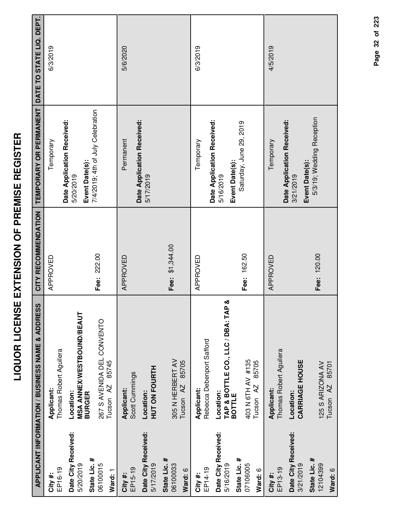|                                  |                                                 | CITY RECOMMENDATION |                                                     |          |
|----------------------------------|-------------------------------------------------|---------------------|-----------------------------------------------------|----------|
|                                  | APPLICANT INFORMATION / BUSINESS NAME & ADDRESS |                     | TEMPORARY OR PERMANENT DATE TO STATE LIQ. DEPT.     |          |
| EP16-19<br>City#:                | Thomas Robert Aguilera<br>Applicant:            | APPROVED            | Temporary                                           | 6/3/2019 |
| Date City Received:<br>5/20/2019 | <b>MSA ANNEX/WESTBOUND/BEAUT</b><br>Location:   |                     | Date Application Received:<br>5/20/2019             |          |
| State Lic. #                     | <b>BURGER</b>                                   |                     | 7/4/2019; 4th of July Celebration<br>Event Date(s): |          |
| 06100015                         | 267 S AVENIDA DEL CONVENTO                      | Fee: 222.00         |                                                     |          |
| Ward: 1                          | 85745<br>Tucson <sub>AZ</sub>                   |                     |                                                     |          |
| EP15-19<br>City#:                | Scott Cummings<br><b>Applicant:</b>             | APPROVED            | Permanent                                           | 5/6/2020 |
| Date City Received:<br>5/17/2019 | <b>HUT ON FOURTH</b><br>Location:               |                     | Date Application Received:<br>5/17/2019             |          |
| State Lic. #<br>06100033         | 305 N HERBERT AV                                | Fee: \$1,344.00     |                                                     |          |
| Ward: 6                          | 85705<br>Tucson <sub>AZ</sub>                   |                     |                                                     |          |
| EP14-19<br>City #:               | Rebecca Debenport Safford<br>Applicant:         | APPROVED            | Temporary                                           | 6/3/2019 |
| Date City Received:              | Location:                                       |                     | Date Application Received:                          |          |
| 5/16/2019                        | න්<br>TAP & BOTTLE CO., LLC / DBA: TAP          |                     | 5/16/2019                                           |          |
| State Lic. #                     | <b>BOTTLE</b>                                   | Fee: 162.50         | Saturday, June 29, 2019<br>Event Date(s):           |          |
| 07106005                         | 403 N 6TH AV #135<br>85705<br>Tucson AZ         |                     |                                                     |          |
| Ward: 6                          |                                                 |                     |                                                     |          |
| EP13-19<br>City#:                | Thomas Robert Aguilera<br>Applicant:            | APPROVED            | Temporary                                           | 4/5/2019 |
| Date City Received:<br>3/21/2019 | <b>CARRIAGE HOUSE</b><br>Location:              |                     | Date Application Received:<br>3/21/2019             |          |
| State Lic. #                     |                                                 |                     | Event Date(s):                                      |          |
| 12104399                         | 125 S ARIZONA AV                                | Fee: 120.00         | 5/3/19; Wedding Reception                           |          |
| Ward: 6                          | Tucson AZ 85701                                 |                     |                                                     |          |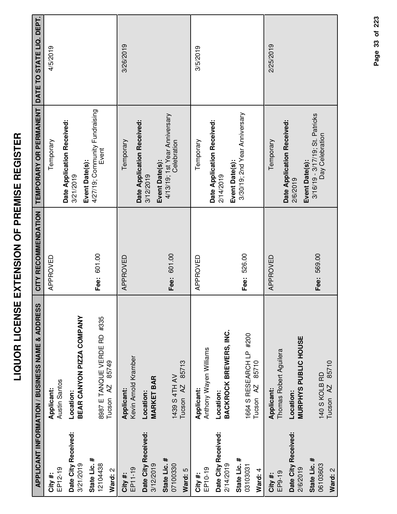|                                     | APPLICANT INFORMATION / BUSINESS NAME & ADDRESS              | CITY RECOMMENDATION | TEMPORARY OR PERMANENT                                               | DATE TO STATE LIQ. DEPT. |
|-------------------------------------|--------------------------------------------------------------|---------------------|----------------------------------------------------------------------|--------------------------|
| $EP12-19$<br>City #:                | Austin Santos<br>Applicant:                                  | APPROVED            | Temporary                                                            | 4/5/2019                 |
| Date City Received:<br>3/21/2019    | BEAR CANYON PIZZA COMPANY<br>Location:                       |                     | Date Application Received:<br>3/21/2019                              |                          |
| State Lic. #<br>12104438<br>Ward: 2 | 8987 E TANQUE VERDE RD #335<br>85749<br>Tucson <sub>AZ</sub> | Fee: 601.00         | 4/27/19; Community Fundraising<br>Event<br>Event Date(s):            |                          |
| EP11-19<br>City #:                  | Kevin Arnold Kramber<br>Applicant:                           | APPROVED            | Temporary                                                            | 3/26/2019                |
| Date City Received:<br>3/12/2019    | <b>MARKET BAR</b><br>Location:                               |                     | Date Application Received:<br>3/12/2019                              |                          |
| State Lic. #<br>07100330<br>Ward: 5 | 85713<br>1439 S 4TH AV<br>Tucson <sub>AZ</sub>               | Fee: 601.00         | 4/13/19; 1st Year Anniversary<br>Celebration<br>Event Date(s):       |                          |
| EP10-19<br>City #:                  | Anthony Wayen Williams<br>Applicant:                         | APPROVED            | Temporary                                                            | 3/5/2019                 |
| Date City Received:<br>2/14/2019    | BACKROCK BREWERS, INC.<br>Location:                          |                     | Date Application Received:<br>2/14/2019                              |                          |
| State Lic. #<br>03103031<br>Ward: 4 | 1664 S RESEARCH LP #200<br>85710<br>Tucson <sub>AZ</sub>     | Fee: 526.00         | 3/30/19; 2nd Year Anniversary<br>Event Date(s):                      |                          |
| EP9-19<br>City #:                   | Thomas Robert Aguilera<br>Applicant:                         | APPROVED            | Temporary                                                            | 2/25/2019                |
| Date City Received:<br>2/6/2019     | <b>MURPHYS PUBLIC HOUSE</b><br>Location:                     |                     | Date Application Received:<br>2/6/2019                               |                          |
| State Lic. #<br>06103603<br>Ward: 2 | Tucson AZ 85710<br>140 S KOLB RD                             | Fee: 569.00         | 3/16/19 - 3/17/19; St. Patricks<br>Day Celebration<br>Event Date(s): |                          |

Page 33 of 223 **Page of 33 223**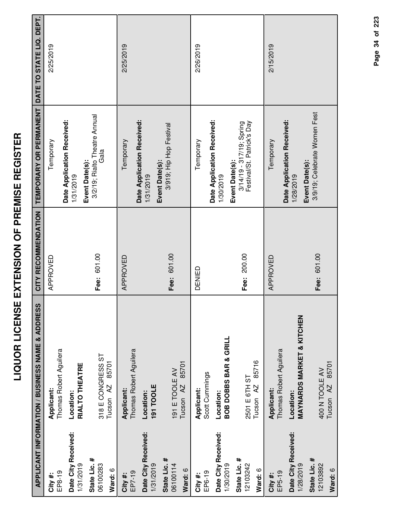|                                     | APPLICANT INFORMATION / BUSINESS NAME & ADDRESS   | CITY RECOMMENDATION | TEMPORARY OR PERMANENT                                                   | DATE TO STATE LIQ. DEPT. |
|-------------------------------------|---------------------------------------------------|---------------------|--------------------------------------------------------------------------|--------------------------|
| EP8-19<br>City #:                   | Thomas Robert Aguilera<br>Applicant:              | APPROVED            | Temporary                                                                | 2/25/2019                |
| Date City Received:<br>1/31/2019    | RIALTO THEATRE<br>Location:                       |                     | Date Application Received:<br>1/31/2019                                  |                          |
| State Lic. #<br>06100283<br>Ward: 6 | 318 E CONGRESS ST<br>85701<br>Tucson AZ           | Fee: 601.00         | 3/2/19; Rialto Theatre Annual<br>Gala<br>Event Date(s):                  |                          |
| EP7-19<br>City #:                   | Thomas Robert Aguilera<br>Applicant:              | APPROVED            | Date Application Received:<br>Temporary                                  | 2/25/2019                |
| Date City Received:<br>1/31/2019    | 191 TOOLE<br>Location:                            |                     | 1/31/2019                                                                |                          |
| State Lic. #<br>06100114<br>Ward: 6 | 85701<br>191 E TOOLE AV<br>Tucson <sub>AZ</sub>   | Fee: 601.00         | 3/919; Hip Hop Festival<br>Event Date(s):                                |                          |
| EP6-19<br>City #:                   | Scott Cummings<br>Applicant:                      | DENIED              | Temporary                                                                | 2/26/2019                |
| Date City Received:<br>1/30/2019    | <b>BOB DOBBS BAR &amp; GRILL</b><br>Location:     |                     | Date Application Received:<br>1/30/2019                                  |                          |
| State Lic. #<br>12103242<br>Ward: 6 | 85716<br>2501 E 6TH ST<br>Tucson <sub>AZ</sub>    | Fee: 200.00         | Festival/St. Patrick's Day<br>3/14/19 - 317/19; Spring<br>Event Date(s): |                          |
| EP5-19<br>City #:                   | Thomas Robert Aguilera<br>Applicant:              | APPROVED            | Temporary                                                                | 2/15/2019                |
| Date City Received:<br>1/28/2019    | <b>MAYNARDS MARKET &amp; KITCHEN</b><br>Location: |                     | Date Application Received:<br>Event Date(s):<br>1/28/2019                |                          |
| State Lic. #<br>12103892<br>Ward: 6 | Tucson AZ 85701<br>400 N TOOLE AV                 | Fee: 601.00         | 3/9/19; Celebrate Women Fest                                             |                          |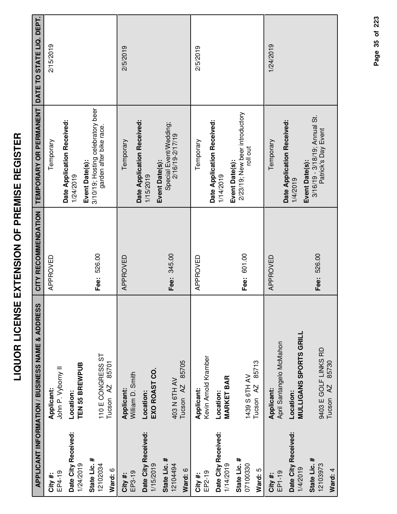|                                     | APPLICANT INFORMATION / BUSINESS NAME & ADDRESS    | CITY RECOMMENDATION | <b>TEMPORARY OR PERMANENT</b>                                                  | DATE TO STATE LIQ. DEPT. |
|-------------------------------------|----------------------------------------------------|---------------------|--------------------------------------------------------------------------------|--------------------------|
| EP4-19<br>City #:                   | John P. Vyborny II<br>Applicant:                   | APPROVED            | Temporary                                                                      | 2/15/2019                |
| Date City Received:<br>1/24/2019    | TEN 55 BREWPUB<br>Location:                        |                     | Date Application Received:<br>1/24/2019                                        |                          |
| State Lic. #<br>12102034<br>Ward: 6 | 110 E CONGRESS ST<br>85701<br>Tucson <sub>AZ</sub> | Fee: 526.00         | 3/10/19; Hosting celebratory beer<br>garden after bike race.<br>Event Date(s): |                          |
| EP3-19<br>City #:                   | William D. Smith<br>Applicant:                     | APPROVED            | Temporary                                                                      | 2/5/2019                 |
| Date City Received:<br>1/15/2019    | EXO ROAST CO.<br>Location:                         |                     | Date Application Received:<br>1/15/2019                                        |                          |
| State Lic. #<br>12104494<br>Ward: 6 | 85705<br>403 N 6TH AV<br>Tucson <sub>AZ</sub>      | Fee: 345.00         | Special Event/Wedding;<br>2/16/19-2/17/19<br>Event Date(s):                    |                          |
| EP2-19<br>City #:                   | Kevin Arnold Kramber<br>Applicant:                 | APPROVED            | Temporary                                                                      | 2/5/2019                 |
| Date City Received:<br>1/14/2019    | <b>MARKET BAR</b><br>Location:                     |                     | Date Application Received:<br>1/14/2019                                        |                          |
| State Lic. #<br>07100330<br>Ward: 5 | 85713<br>1439 S 6TH AV<br>Tucson <sub>AZ</sub>     | Fee: 601.00         | 2/23/19; New beer introductory<br>roll out<br>Event Date(s):                   |                          |
| EP1-19<br>City #:                   | April Santangelo McMahon<br>Applicant:             | APPROVED            | Temporary                                                                      | 1/24/2019                |
| Date City Received:<br>1/4/2019     | <b>MULLIGANS SPORTS GRILL</b><br>Location:         |                     | Date Application Received:<br>1/4/2019                                         |                          |
| State Lic. #<br>12103973<br>Ward: 4 | 9403 E GOLF LINKS RD<br>Tucson AZ 85730            | Fee: 526.00         | 3/16/19 - 3/18/19; Annual St.<br>Patrick's Day Event<br>Event Date(s):         |                          |

Page 35 of 223 **Page of 35 223**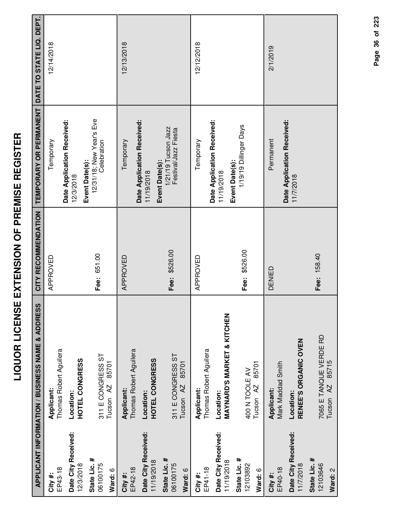| ľ<br>I<br>illi<br>Cicli                |  |
|----------------------------------------|--|
| ו<br>-<br>-<br>ו<br>ו<br>ו             |  |
| ן<br>(<br>]<br>J<br>ĺ<br>$\frac{1}{2}$ |  |
| ;<br>[<br>$\overline{\phantom{a}}$     |  |
| l<br>-<br>-<br>-                       |  |
|                                        |  |

|                                     | <b>APPLICANT INFORMATION / BUSINESS NAME &amp; ADDRESS</b> | CITY RECOMMENDATION | TEMPORARY OR PERMANENT                                        | DATE TO STATE LIQ. DEPT. |
|-------------------------------------|------------------------------------------------------------|---------------------|---------------------------------------------------------------|--------------------------|
| EP43-18<br>City #:                  | Thomas Robert Aguilera<br>Applicant:                       | APPROVED            | Temporary                                                     | 12/14/2018               |
| Date City Received:<br>12/3/2018    | HOTEL CONGRESS<br>Location:                                |                     | Date Application Received:<br>12/3/2018                       |                          |
| State Lic. #<br>06100175<br>Ward: 6 | 311 E CONGRESS ST<br>85701<br>Tucson <sub>AZ</sub>         | Fee: 651.00         | 12/31/18; New Year's Eve<br>Celebration<br>Event Date(s):     |                          |
| EP42-18<br>City#:                   | Thomas Robert Aguilera<br>Applicant:                       | APPROVED            | Temporary                                                     | 12/13/2018               |
| Date City Received:<br>11/19/2018   | HOTEL CONGRESS<br>Location:                                |                     | Date Application Received:<br>11/19/2018                      |                          |
| State Lic. #<br>06100175<br>Ward: 6 | 311 E CONGRESS ST<br>85701<br>Tucson <sub>AZ</sub>         | Fee: \$526.00       | 1/21/19 Tucson Jazz<br>Festival/Jazz Fiesta<br>Event Date(s): |                          |
| EP41-18<br>City#:                   | Thomas Robert Aguilera<br>Applicant:                       | APPROVED            | Temporary                                                     | 12/12/2018               |
| Date City Received:<br>11/19/2018   | <b>MAYNARD'S MARKET &amp; KITCHEN</b><br>Location:         |                     | Date Application Received:<br>11/19/2018                      |                          |
| State Lic. #<br>12103892<br>Ward: 6 | 85701<br>400 N TOOLE AV<br>Tucson <sub>AZ</sub>            | Fee: \$526.00       | 1/19/19<br>Dillinger<br>Days<br>Event Date(s):                |                          |
| EP40-18<br>City#:                   | Mark Maddad Smith<br>Applicant:                            | DENIED              | Permanent                                                     | 2/1/2019                 |
| Date City Received:<br>11/7/2018    | RENEE'S ORGANIC OVEN<br>Location:                          |                     | Date Application Received:<br>11/7/2018                       |                          |
| State Lic. #<br>12103646<br>Ward: 2 | 7065 E TANQUE VERDE RD<br>85715<br>AZ.<br>Tucson           | Fee: 158.40         |                                                               |                          |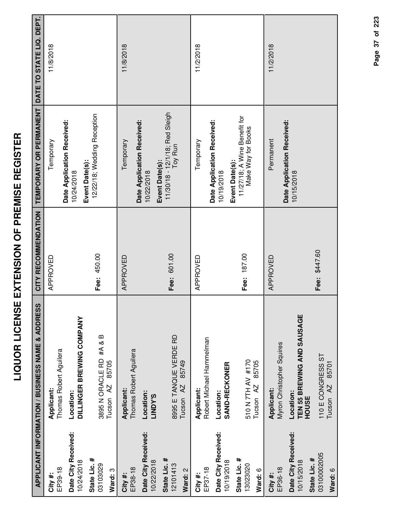| ׇ֠<br>ſ<br>i |
|--------------|
| l            |
| i            |
| I<br>I       |
| Ì            |
| i            |
| i<br>I       |
| I            |
| Í            |
| Í            |
| ;<br>;<br>;  |
| l<br>İ       |
|              |
| Ì            |
| i            |
| Ī            |
| I            |
| i            |
| l            |
|              |
|              |

|                                        | <b>APPLICANT INFORMATION / BUSINESS NAME &amp; ADDRESS</b> | CITY RECOMMENDATION | TEMPORARY OR PERMANENT                                               | DATE TO STATE LIQ. DEPT. |
|----------------------------------------|------------------------------------------------------------|---------------------|----------------------------------------------------------------------|--------------------------|
| EP39-18<br>City#:                      | Thomas Robert Aguilera<br>Applicant:                       | APPROVED            | Temporary                                                            | 11/8/2018                |
| Date City Received:<br>10/24/2018      | DILLINGER BREWING COMPANY<br>Location:                     |                     | Date Application Received:<br>10/24/2018                             |                          |
| State Lic. #<br>03103029<br>Ward: 3    | 3895 N ORACLE RD #A & B<br>85705<br>Tucson AZ              | Fee: 450.00         | 12/22/18; Wedding Reception<br>Event Date(s):                        |                          |
| EP38-18<br>City#:                      | Thomas Robert Aguilera<br>Applicant:                       | APPROVED            | Temporary                                                            | 11/8/2018                |
| Date City Received:<br>10/22/2018      | Location:<br><b>S.AQNIT</b>                                |                     | Date Application Received:<br>10/22/2018                             |                          |
| State Lic. #<br>12101413<br>Ward: 2    | 8995 E TANQUE VERDE RD<br>85749<br>Tucson <sub>AZ</sub>    | Fee: 601.00         | 11/30/18 - 12/1/18; Red Sleigh<br>Toy Run<br>Event Date(s):          |                          |
| EP37-18<br>City#:                      | Robert Michael Hammelman<br>Applicant:                     | APPROVED            | Temporary                                                            | 11/2/2018                |
| Date City Received:<br>10/19/2018      | <b>SAND-RECKONER</b><br>Location:                          |                     | Date Application Received:<br>10/19/2018                             |                          |
| State Lic. #<br>13023020<br>Ward: 6    | 510 N 7TH AV #170<br>85705<br>Tucson <sub>AZ</sub>         | Fee: 187.00         | 11/27/18; A Wine Benefit for<br>Make Way for Books<br>Event Date(s): |                          |
| EP36-18<br>City#:                      | Myron Christopher Squires<br>Applicant:                    | APPROVED            | Permanent                                                            | 11/2/2018                |
| Date City Received:<br>10/15/2018      | TEN 55 BREWING AND SAUSAGE<br>Location:<br><b>HOUSE</b>    |                     | Date Application Received:<br>10/15/2018                             |                          |
| 03100002005<br>State Lic. #<br>Ward: 6 | 110 E CONGRESS ST<br>85701<br>Tucson <sub>AZ</sub>         | Fee: \$447.60       |                                                                      |                          |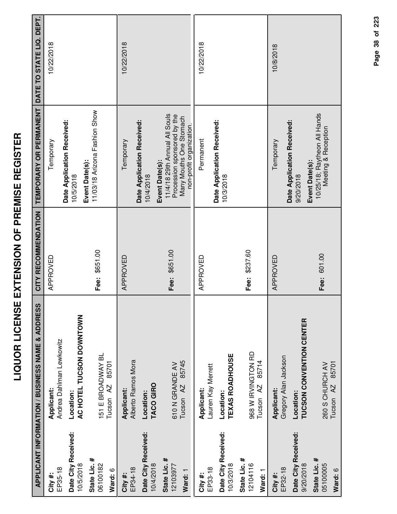| l<br>I<br>i<br> <br> <br> <br> <br>l<br>Í |  |
|-------------------------------------------|--|
| i<br>i<br>l<br>Ī<br>Ī                     |  |
| -<br>-<br>-<br>)<br>ו<br>i<br>ļ           |  |
| į<br>ì<br>$\frac{1}{2}$                   |  |
| Í                                         |  |

|                                     | <b>APPLICANT INFORMATION / BUSINESS NAME &amp; ADDRESS</b> | CITY RECOMMENDATION | TEMPORARY OR PERMANENT                                                                                                               | DATE TO STATE LIQ. DEPT. |
|-------------------------------------|------------------------------------------------------------|---------------------|--------------------------------------------------------------------------------------------------------------------------------------|--------------------------|
| EP35-18<br>City #:                  | Andrea Dahlman Lewkowitz<br>Applicant:                     | APPROVED            | Temporary                                                                                                                            | 10/22/2018               |
| Date City Received:<br>10/5/2018    | AC HOTEL TUCSON DOWNTOWN<br>Location:                      |                     | Date Application Received:<br>10/5/2018                                                                                              |                          |
| State Lic. #<br>06100182<br>Ward: 6 | 151 E BROADWAY BL<br>85701<br>Tucson <sub>AZ</sub>         | \$651.00<br>Fee:    | 11/03/18 Arizona Fashion Show<br>Event Date(s):                                                                                      |                          |
| EP34-18<br>City #:                  | Alberto Ramos Mora<br>Applicant:                           | APPROVED            | Date Application Received:<br>Temporary                                                                                              | 10/22/2018               |
| Date City Received:<br>10/4/2018    | TACO GIRO<br>Location:                                     |                     | 10/4/2018                                                                                                                            |                          |
| State Lic. #<br>12103977<br>Ward: 1 | 85745<br>610 N GRANDE AV<br>Tucson <sub>AZ</sub>           | Fee: \$651.00       | 11/4/18 29th Annual All Souls<br>Procession sponsored by the<br>Many Mouths One Stomach<br>non-profit organization<br>Event Date(s): |                          |
| EP33-18<br>City #:                  | Lauren Kay Merrett<br>Applicant:                           | APPROVED            | Permanent                                                                                                                            | 10/22/2018               |
| Date City Received:<br>10/3/2018    | <b>TEXAS ROADHOUSE</b><br>Location:                        |                     | Date Application Received:<br>10/3/2018                                                                                              |                          |
| State Lic. #<br>12104116<br>Ward: 1 | 968 W IRVINGTON RD<br>85714<br>AZ<br>Tucson                | Fee: \$237.60       |                                                                                                                                      |                          |
| EP32-18<br>City #                   | Gregory Alan Jackson<br><b>Applicant:</b>                  | APPROVED            | Temporary                                                                                                                            | 10/8/2018                |
| Date City Received:<br>9/20/2018    | <b>TUCSON CONVENTION CENTER</b><br>Location:               |                     | Date Application Received:<br>Event Date(s):<br>9/20/2018                                                                            |                          |
| State Lic. #<br>05100005<br>Ward: 6 | 85701<br>260 S CHURCH AV<br>$\overline{A}$<br>Tucson       | Fee: 601.00         | 10/25/18; Raytheon All Hands<br>Meeting & Reception                                                                                  |                          |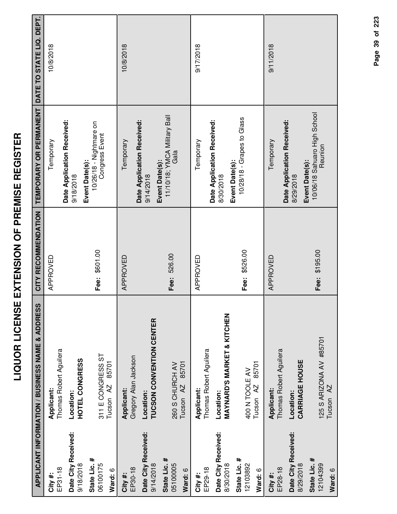| ľ<br>I<br>İ<br>ĺ                |
|---------------------------------|
| י<br>ו<br>ĺ                     |
| l<br>I<br>i<br>i<br>i<br>י<br>י |
| -<br>-<br>$\frac{1}{2}$         |
| ĺ<br>I                          |
| <br> <br>l<br>.<br>ו            |
| .<br>י                          |
|                                 |
|                                 |
| I                               |

|                                     | <b>APPLICANT INFORMATION / BUSINESS NAME &amp; ADDRESS</b> | CITY RECOMMENDATION | TEMPORARY OR PERMANENT                                        | DATE TO STATE LIQ. DEPT. |
|-------------------------------------|------------------------------------------------------------|---------------------|---------------------------------------------------------------|--------------------------|
| EP31-18<br>City#:                   | Thomas Robert Aguilera<br>Applicant:                       | APPROVED            | Temporary                                                     | 10/8/2018                |
| Date City Received:<br>9/18/2018    | HOTEL CONGRESS<br>Location:                                |                     | Date Application Received:<br>9/18/2018                       |                          |
| State Lic. #<br>06100175<br>Ward: 6 | 311 E CONGRESS ST<br>85701<br>Tucson AZ                    | Fee: \$601.00       | $10/26/18$ - Nightmare on<br>Congress Event<br>Event Date(s): |                          |
| EP30-18<br>City #:                  | Gregory Alan Jackson<br>Applicant:                         | APPROVED            | Temporary                                                     | 10/8/2018                |
| Date City Received:<br>9/14/2018    | TUCSON CONVENTION CENTER<br>Location:                      |                     | Date Application Received:<br>Event Date(s):<br>9/14/2018     |                          |
| State Lic. #<br>05100005<br>Ward: 6 | 85701<br>260 S CHURCH AV<br>Tucson <sub>AZ</sub>           | Fee: 526.00         | 11/10/18; YMCA Military Ball<br>Gala                          |                          |
| EP29-18<br>City#:                   | Thomas Robert Aguilera<br>Applicant:                       | APPROVED            | Temporary                                                     | 9/17/2018                |
| Date City Received:<br>8/30/2018    | <b>MAYNARD'S MARKET &amp; KITCHEN</b><br>Location:         |                     | Date Application Received:<br>8/30/2018                       |                          |
| State Lic. #<br>12103892<br>Ward: 6 | 85701<br>400 N TOOLE AV<br>Tucson <sub>AZ</sub>            | Fee: \$526.00       | 10/28/18 - Grapes to Glass<br>Event Date(s):                  |                          |
| EP28-18<br>City#:                   | Thomas Robert Aguilera<br>Applicant:                       | APPROVED            | Date Application Received:<br>Temporary                       | 9/11/2018                |
| Date City Received:<br>8/29/2018    | <b>CARRIAGE HOUSE</b><br>Location:                         |                     | Event Date(s):<br>8/29/2018                                   |                          |
| State Lic. #<br>12104399<br>Ward: 6 | 125 S ARIZONA AV #85701<br>Tucson <sub>AZ</sub>            | Fee: \$195.00       | 10/06/18 Sahuaro High School<br>Reunion                       |                          |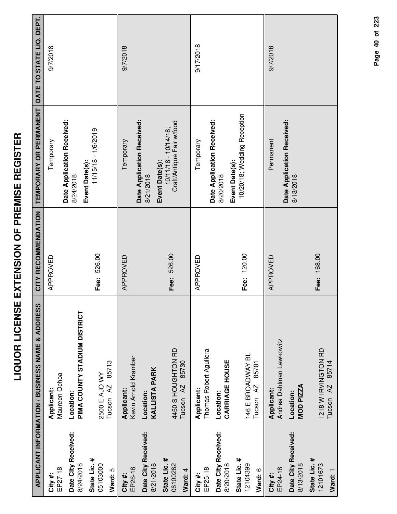|                                     | APPLICANT INFORMATION / BUSINESS NAME & ADDRESS     | CITY RECOMMENDATION | TEMPORARY OR PERMANENT                                                 | DATE TO STATE LIQ. DEPT. |
|-------------------------------------|-----------------------------------------------------|---------------------|------------------------------------------------------------------------|--------------------------|
| EP27-18<br>City #:                  | Maureen Ochoa<br>Applicant:                         | APPROVED            | Temporary                                                              | 9/7/2018                 |
| Date City Received:<br>8/24/2018    | PIMA COUNTY STADIUM DISTRICT<br>Location:           |                     | Date Application Received:<br>Event Date(s):<br>8/24/2018              |                          |
| State Lic. #<br>05103000<br>Ward: 5 | 85713<br>2500 E AJO WY<br>Tucson <sub>AZ</sub>      | Fee: 526.00         | 11/15/18 - 1/6/2019                                                    |                          |
| EP26-18<br>City #:                  | Kevin Arnold Kramber<br>Applicant:                  | APPROVED            | Temporary                                                              | 9/7/2018                 |
| Date City Received:<br>8/21/2018    | <b>KALLISTA PARK</b><br>Location:                   |                     | Date Application Received:<br>8/21/2018                                |                          |
| State Lic. #<br>06100262<br>Ward: 4 | 4450 S HOUGHTON RD<br>85730<br>Tucson <sub>AZ</sub> | Fee: 526.00         | Craft/Antique Fair w/food<br>$10/11/18 - 10/14/18$ ;<br>Event Date(s): |                          |
| EP25-18<br>City #:                  | Thomas Robert Aguilera<br>Applicant:                | APPROVED            | Temporary                                                              | 9/17/2018                |
| Date City Received:<br>8/20/2018    | <b>CARRIAGE HOUSE</b><br>Location:                  |                     | Date Application Received:<br>Event Date(s):<br>8/20/2018              |                          |
| State Lic. #<br>12104399<br>Ward: 6 | 146 E BROADWAY BL<br>85701<br>Tucson <sub>AZ</sub>  | Fee: 120.00         | 10/20/18; Wedding Reception                                            |                          |
| EP24-18<br>City#:                   | Andrea Dahlman Lewkowitz<br>Applicant:              | APPROVED            | Permanent                                                              | 9/7/2018                 |
| Date City Received:<br>8/13/2018    | MOD PIZZA<br>Location:                              |                     | Date Application Received:<br>8/13/2018                                |                          |
| State Lic. #<br>12101673<br>Ward: 1 | 1218 W IRVINGTON RD<br>Tucson AZ 85714              | Fee: 168.00         |                                                                        |                          |

**LIQUOR LICENSE EXTENSION OF PREMISE REGISTER**

LIQUOR LICENSE EXTENSION OF PREMISE REGISTER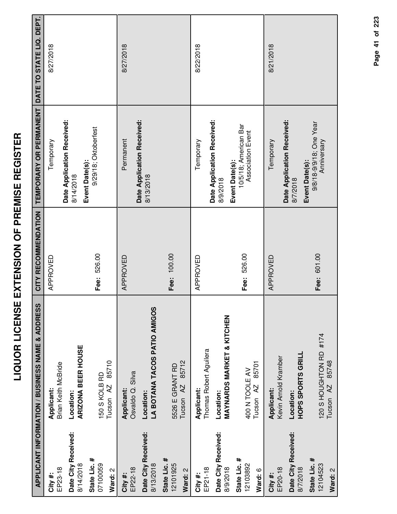|                                     | APPLICANT INFORMATION / BUSINESS NAME & ADDRESS | CITY RECOMMENDATION | TEMPORARY OR PERMANENT                                       | DATE TO STATE LIQ. DEPT. |
|-------------------------------------|-------------------------------------------------|---------------------|--------------------------------------------------------------|--------------------------|
| EP23-18<br>City #:                  | Brian Keith McBride<br>Applicant:               | APPROVED            | Temporary                                                    | 8/27/2018                |
| Date City Received:<br>8/14/2018    | <b>ARIZONA BEER HOUSE</b><br>Location:          |                     | Date Application Received:<br>8/14/2018                      |                          |
| State Lic. #<br>07100059<br>Ward: 2 | Tucson AZ 85710<br>150 S KOLB RD                | Fee: 526.00         | 9/29/18; Oktoberfest<br>Event Date(s):                       |                          |
| EP22-18<br>City #:                  | Osvaldo Q. Silva<br>Applicant:                  | APPROVED            | Date Application Received:<br>Permanent                      | 8/27/2018                |
| Date City Received:<br>8/13/2018    | LA BOTANA TACOS PATIO AMIGOS<br>Location:       |                     | 8/13/2018                                                    |                          |
| State Lic. #<br>12101925<br>Ward: 2 | 85712<br>5526 E GRANT RD<br>Tucson AZ           | Fee: 100.00         |                                                              |                          |
| EP21-18<br>City #:                  | Thomas Robert Aguilera<br>Applicant:            | APPROVED            | Temporary                                                    | 8/22/2018                |
| Date City Received:<br>8/9/2018     | MAYNARDS MARKET & KITCHEN<br>Location:          |                     | Date Application Received:<br>8/9/2018                       |                          |
| State Lic. #<br>12103892<br>Ward: 6 | 85701<br>400 N TOOLE AV<br>Tucson <sub>AZ</sub> | Fee: 526.00         | 10/5/18; American Bar<br>Association Event<br>Event Date(s): |                          |
| EP20-18<br>City #:                  | Kevin Arnold Kramber<br>Applicant:              | APPROVED            | Temporary                                                    | 8/21/2018                |
| Date City Received:<br>8/7/2018     | <b>HOPS SPORTS GRILL</b><br>Location:           |                     | Date Application Received:<br>8/7/2018                       |                          |
| State Lic. #<br>12104523<br>Ward: 2 | 120 S HOUGHTON RD #174<br>Tucson AZ 85748       | Fee: 601.00         | 9/8/18-9/9/18; One Year<br>Anniversary<br>Event Date(s):     |                          |

**LIQUOR LICENSE EXTENSION OF PREMISE REGISTER**

LIQUOR LICENSE EXTENSION OF PREMISE REGISTER

#### Page 41 of 223 **Page of 41 223**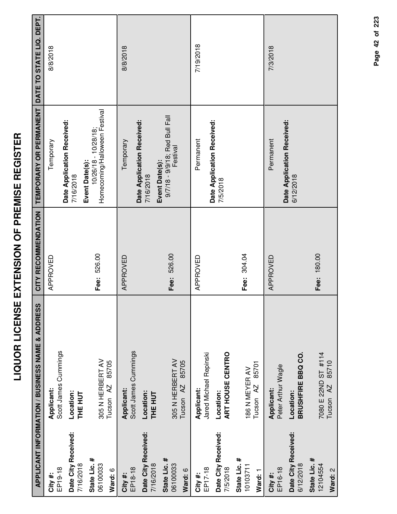|                                     | APPLICANT INFORMATION / BUSINESS NAME & ADDRESS   | CITY RECOMMENDATION | TEMPORARY OR PERMANENT                                                     | DATE TO STATE LIQ. DEPT. |
|-------------------------------------|---------------------------------------------------|---------------------|----------------------------------------------------------------------------|--------------------------|
| EP19-18<br>City #:                  | Scott James Cummings<br>Applicant:                | APPROVED            | Temporary                                                                  | 8/8/2018                 |
| Date City Received:<br>7/16/2018    | Location:<br><b>THE HUT</b>                       |                     | Date Application Received:<br>7/16/2018                                    |                          |
| State Lic. #<br>06100033<br>Ward: 6 | 305 N HERBERT AV<br>85705<br>Tucson <sub>AZ</sub> | Fee: 526.00         | Homecoming/Halloween Festival<br>$10/26/18 - 10/28/18$ ;<br>Event Date(s): |                          |
| EP18-18<br>City #:                  | Scott James Cummings<br>Applicant:                | APPROVED            | Temporary                                                                  | 8/8/2018                 |
| Date City Received:<br>7/16/2018    | Location:<br><b>THE HUT</b>                       |                     | Date Application Received:<br>7/16/2018                                    |                          |
| State Lic. #<br>06100033<br>Ward: 6 | 305 N HERBERT AV<br>85705<br>Tucson <sub>AZ</sub> | Fee: 526.00         | 9/7/18 - 9/9/18; Red Bull Fall<br>Festival<br>Event Date(s):               |                          |
| EP17-18<br>City #:                  | Jared Michael Repinski<br>Applicant:              | APPROVED            | Permanent                                                                  | 7/19/2018                |
| Date City Received:<br>7/5/2018     | ART HOUSE CENTRO<br>Location:                     |                     | Date Application Received:<br>7/5/2018                                     |                          |
| State Lic. #<br>10103711<br>Ward: 1 | 85701<br>186 N MEYER AV<br>Tucson <sub>AZ</sub>   | Fee: 304.04         |                                                                            |                          |
| EP16-18<br>City#:                   | Peter Arthur Wagle<br>Applicant:                  | APPROVED            | Permanent                                                                  | 7/3/2018                 |
| Date City Received:<br>6/12/2018    | BRUSHFIRE BBQ CO.<br>Location:                    |                     | Date Application Received:<br>6/12/2018                                    |                          |
| State Lic. #<br>12104554<br>Ward: 2 | 7080 E 22ND ST #114<br>Tucson AZ 85710            | Fee: 180.00         |                                                                            |                          |

Page 42 of 223 **Page of 42 223**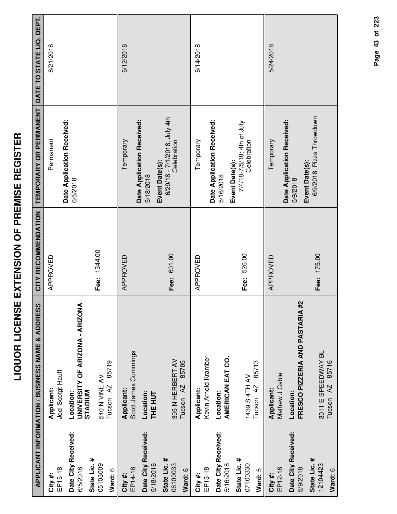|                                                 | APPLICANT INFORMATION / BUSINESS NAME & ADDRESS         | CITY RECOMMENDATION | <b>TEMPORARY OR PERMANENT</b>                                 | DATE TO STATE LIQ. DEPT. |
|-------------------------------------------------|---------------------------------------------------------|---------------------|---------------------------------------------------------------|--------------------------|
| EP15-18<br>City #:                              | Joel Scotgt Hauff<br>Applicant:                         | APPROVED            | Date Application Received:<br>Permanent                       | 6/21/2018                |
| Date City Received:<br>State Lic. #<br>6/5/2018 | UNIVERSITY OF ARIZONA - ARIZONA<br>STADIUM<br>Location: |                     | 6/5/2018                                                      |                          |
| 05103009<br>Ward: 6                             | 85719<br>540 N VINE AV<br>Tucson <sub>AZ</sub>          | Fee: 1344.00        |                                                               |                          |
| EP14-18<br>City #:                              | Scott James Cummings<br>Applicant:                      | APPROVED            | Temporary                                                     | 6/12/2018                |
| Date City Received:<br>5/18/2018                | Location:<br><b>THE HUT</b>                             |                     | Date Application Received:<br>5/18/2018                       |                          |
| State Lic. #<br>06100033<br>Ward: 6             | 305 N HERBERT AV<br>85705<br>Tucson <sub>AZ</sub>       | Fee: 601.00         | 6/29/18 - 7/1/2018; July 4th<br>Celebration<br>Event Date(s): |                          |
| EP13-18<br>City #:                              | Kevin Arnold Kramber<br>Applicant:                      | APPROVED            | Temporary                                                     | 6/14/2018                |
| Date City Received:<br>5/16/2018                | AMERICAN EAT CO.<br>Location:                           |                     | Date Application Received:<br>5/16/2018                       |                          |
| State Lic. #<br>07100330<br>Ward: 5             | 85713<br>1439 S 4TH AV<br>Tucson <sub>AZ</sub>          | Fee: 526.00         | 7/4/18-7/5/18; 4th of July<br>Celebration<br>Event Date(s):   |                          |
| EP12-18<br>City #:                              | Mathew J Cable<br>Applicant:                            | APPROVED            | Temporary                                                     | 5/24/2018                |
| Date City Received:<br>5/9/2018                 | FRESCO PIZZERIA AND PASTARIA #2<br>Location:            |                     | Date Application Received:<br>Event Date(s):<br>5/9/2018      |                          |
| State Lic. #<br>12104423<br>Ward: 6             | 3011 E SPEEDWAY BL<br>85716<br>Tucson <sub>AZ</sub>     | Fee: 175.00         | 6/9/2018; Pizza Throwdown                                     |                          |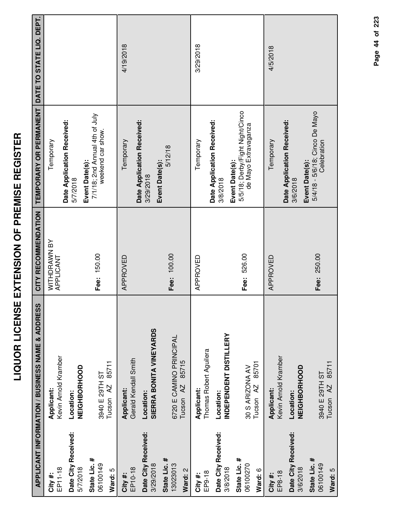|                                     | <b>APPLICANT INFORMATION / BUSINESS NAME &amp; ADDRESS</b> | CITY RECOMMENDATION       | TEMPORARY OR PERMANENT                                                    | DATE TO STATE LIQ. DEPT. |
|-------------------------------------|------------------------------------------------------------|---------------------------|---------------------------------------------------------------------------|--------------------------|
| EP11-18<br>City #:                  | Kevin Arnold Kramber<br>Applicant:                         | WITHDRAWN BY<br>APPLICANT | Temporary                                                                 |                          |
| Date City Received:<br>5/7/2018     | NEIGHBORHOOD<br>Location:                                  |                           | Date Application Received:<br>5/7/2018                                    |                          |
| State Lic. #<br>06100149<br>Ward: 5 | 85711<br>3940 E 29TH ST<br>Tucson <sub>AZ</sub>            | Fee: 150.00               | 7/1/18; 2nd Annual 4th of July<br>weekend car show.<br>Event Date(s):     |                          |
| EP10-18<br>City #:                  | Gerald Kendall Smith<br>Applicant:                         | APPROVED                  | Temporary                                                                 | 4/19/2018                |
| Date City Received:<br>3/29/2018    | SIERRA BONITA VINEYARDS<br>Location:                       |                           | Date Application Received:<br>3/29/2018                                   |                          |
| State Lic. #<br>13023013<br>Ward: 2 | 6720 E CAMINO PRINCIPAL<br>85715<br>Tucson <sub>AZ</sub>   | Fee: 100.00               | 5/12/18<br>Event Date(s):                                                 |                          |
| EP9-18<br>City#:                    | Thomas Robert Aguilera<br>Applicant:                       | APPROVED                  | Temporary                                                                 | 3/29/2018                |
| Date City Received:<br>3/8/2018     | INDEPENDENT DISTILLERY<br>Location:                        |                           | Date Application Received:<br>3/8/2018                                    |                          |
| State Lic. #<br>06100270<br>Ward: 6 | 85701<br>30 S ARIZONA AV<br>Tucson <sub>AZ</sub>           | Fee: 526.00               | 5/5/18; Derby/Fight Night/Cinco<br>de Mayo Extravaganza<br>Event Date(s): |                          |
| EP8-18<br>City#:                    | Kevin Arnold Kramber<br>Applicant:                         | APPROVED                  | Temporary                                                                 | 4/5/2018                 |
| Date City Received:<br>3/6/2018     | NEIGHBORHOOD<br>Location:                                  |                           | Date Application Received:<br>Event Date(s):<br>3/6/2018                  |                          |
| State Lic. #<br>06100149<br>Ward: 5 | 85711<br>3940 E 29TH ST<br>Tucson <sub>AZ</sub>            | Fee: 250.00               | 5/4/18 - 5/6/18; Cinco De Mayo<br>Celebration                             |                          |

**LIQUOR LICENSE EXTENSION OF PREMISE REGISTER**

LIQUOR LICENSE EXTENSION OF PREMISE REGISTER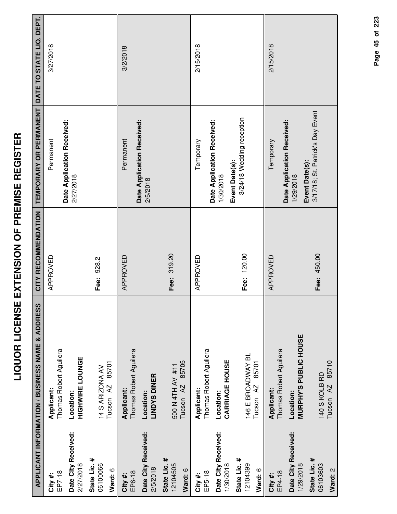|                                                      | APPLICANT INFORMATION / BUSINESS NAME & ADDRESS                                 | CITY RECOMMENDATION | TEMPORARY OR PERMANENT DATE TO STATE LIQ. DEPT.           |           |
|------------------------------------------------------|---------------------------------------------------------------------------------|---------------------|-----------------------------------------------------------|-----------|
| EP7-18<br>City #:                                    | Thomas Robert Aguilera<br>Applicant:                                            | APPROVED            | Permanent                                                 | 3/27/2018 |
| Date City Received:<br>2/27/2018                     | <b>HIGHWIRE LOUNGE</b><br>Location:                                             |                     | Date Application Received:<br>2/27/2018                   |           |
| State Lic. #<br>06100066<br>Ward: 6                  | 85701<br>14 S ARIZONA AV<br>Tucson <sub>AZ</sub>                                | Fee: 928.2          |                                                           |           |
| Date City Received:<br>2/5/2018<br>EP6-18<br>City #: | Thomas Robert Aguilera<br><b>LINDYS DINER</b><br><b>Applicant:</b><br>Location: | APPROVED            | Date Application Received:<br>Permanent<br>2/5/2018       | 3/2/2018  |
| State Lic. #<br>12104505<br>Ward: 6                  | 85705<br>500 N 4TH AV #11<br>Tucson <sub>AZ</sub>                               | Fee: 319.20         |                                                           |           |
| EP5-18<br>City #:                                    | Thomas Robert Aguilera<br>Applicant:                                            | APPROVED            | Temporary                                                 | 2/15/2018 |
| Date City Received:<br>1/30/2018                     | <b>CARRIAGE HOUSE</b><br>Location:                                              |                     | Date Application Received:<br>Event Date(s):<br>1/30/2018 |           |
| State Lic. #<br>12104399<br>Ward: 6                  | 146 E BROADWAY BL<br>85701<br>Tucson <sub>AZ</sub>                              | Fee: 120.00         | 3/24/18 Wedding reception                                 |           |
| EP4-18<br>City #:                                    | Thomas Robert Aguilera<br>Applicant:                                            | APPROVED            | Date Application Received:<br>Temporary                   | 2/15/2018 |
| Date City Received:<br>1/29/2018                     | MURPHY'S PUBLIC HOUSE<br>Location:                                              |                     | Event Date(s):<br>1/29/2018                               |           |
| State Lic. #<br>06103603<br>Ward: 2                  | Tucson AZ 85710<br>140 S KOLB RD                                                | Fee: 450.00         | 3/17/18; St. Patrick's Day Event                          |           |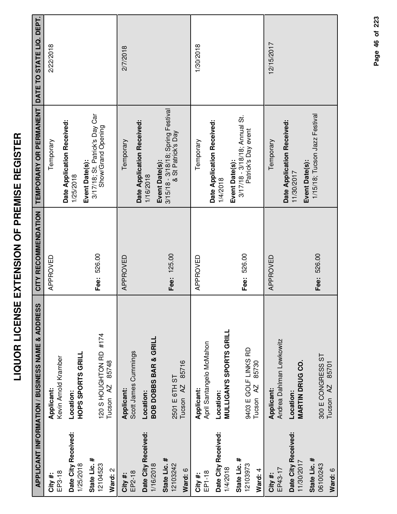| ١                                                                                        |
|------------------------------------------------------------------------------------------|
| :<br>(                                                                                   |
|                                                                                          |
|                                                                                          |
| ٦                                                                                        |
|                                                                                          |
| i                                                                                        |
| Ì<br>I                                                                                   |
| Í<br>١                                                                                   |
| I<br>Ì                                                                                   |
|                                                                                          |
| -<br>-<br>(                                                                              |
| ì<br>Í                                                                                   |
|                                                                                          |
| ````                                                                                     |
| $\frac{1}{2}$                                                                            |
| ٦                                                                                        |
| í                                                                                        |
| í                                                                                        |
| Ì                                                                                        |
|                                                                                          |
| I                                                                                        |
| Ì                                                                                        |
| ֖֖֧֧֧֧֧֧֧֧֪֧֧֖֧֪֧֪֧֧֧֧֪֧֧֪֧֚֚֚֚֚֚֚֚֚֚֚֚֚֚֚֚֚֚֚֚֚֚֚֚֚֬֝֓֝֓֝֓֝֓֝֓֝֓֓֝֬֓֝֓֝֬֝֬֝֬֓֝֬֝֬֝<br>I |
|                                                                                          |
|                                                                                          |

|                                   | APPLICANT INFORMATION / BUSINESS NAME & ADDRESS | CITY RECOMMENDATION | TEMPORARY OR PERMANENT                                    | DATE TO STATE LIQ. DEPT. |
|-----------------------------------|-------------------------------------------------|---------------------|-----------------------------------------------------------|--------------------------|
| EP3-18<br>City#:                  | Kevin Arnold Kramber<br>Applicant:              | APPROVED            | Temporary                                                 | 2/22/2018                |
| Date City Received:               | Location:                                       |                     | Date Application Received:<br>1/25/2018                   |                          |
| 1/25/2018                         | <b>HOPS SPORTS GRILL</b>                        |                     | Event Date(s):                                            |                          |
| State Lic. #<br>12104523          | 120 S HOUGHTON RD #174                          | Fee: 526.00         | 3/17/18; St. Patrick's Day Car<br>Show/Grand Opening      |                          |
| Ward: 2                           | 85748<br>Tucson AZ                              |                     |                                                           |                          |
| EP2-18<br>City #:                 | Scott James Cummings<br>Applicant:              | APPROVED            | Temporary                                                 | 2/7/2018                 |
| Date City Received:<br>1/16/2018  | BOB DOBBS BAR & GRILL<br>Location:              |                     | Date Application Received:<br>Event Date(s):<br>1/16/2018 |                          |
| State Lic. #<br>12103242          | 2501 E 6TH ST                                   | Fee: 125.00         | 3/15/18 - 3/18/18; Spring Festival<br>& St Patrick's Day  |                          |
| Ward: 6                           | 85716<br>Tucson <sub>AZ</sub>                   |                     |                                                           |                          |
| EP1-18<br>City#:                  | April Santangelo McMahon<br>Applicant:          | APPROVED            | Temporary                                                 | 1/30/2018                |
| Date City Received:               | Location:                                       |                     | Date Application Received:<br>1/4/2018                    |                          |
| 1/4/2018                          | <b>MULLIGAN'S SPORTS GRILL</b>                  |                     | Event Date(s):                                            |                          |
| State Lic. #<br>12103973          | 9403 E GOLF LINKS RD                            | Fee: 526.00         | 3/17/18 - 3/18/18; Annual St.<br>Patrick's Day event      |                          |
| Ward: 4                           | 85730<br>Tucson <sub>AZ</sub>                   |                     |                                                           |                          |
| EP43-17<br>City#:                 | Andrea Dahlman Lewkowitz<br>Applicant:          | APPROVED            | Temporary                                                 | 12/15/2017               |
| Date City Received:<br>11/30/2017 | <b>MARTIN DRUG CO.</b><br>Location:             |                     | Date Application Received:<br>11/30/2017                  |                          |
| State Lic. #<br>06100243          | 300 E CONGRESS ST                               | Fee: 526.00         | 1/15/18; Tucson Jazz Festival<br>Event Date(s):           |                          |
| Ward: 6                           | 85701<br>Tucson <sub>AZ</sub>                   |                     |                                                           |                          |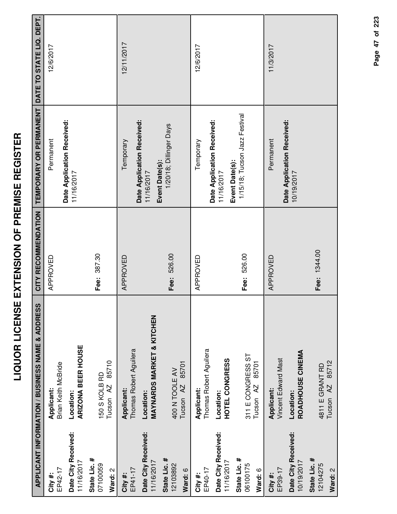|                                                         | <b>APPLICANT INFORMATION / BUSINESS NAME &amp; ADDRESS</b>                                | CITY RECOMMENDATION | TEMPORARY OR PERMANENT DATE TO STATE LIQ. DEPT.            |            |
|---------------------------------------------------------|-------------------------------------------------------------------------------------------|---------------------|------------------------------------------------------------|------------|
| EP42-17<br>City #:                                      | Brian Keith McBride<br>Applicant:                                                         | APPROVED            | Date Application Received:<br>Permanent                    | 12/6/2017  |
| Date City Received:<br>11/16/2017                       | <b>ARIZONA BEER HOUSE</b><br>Location:                                                    |                     | 11/16/2017                                                 |            |
| State Lic. #<br>07100059<br>Ward: 2                     | 85710<br>150 S KOLB RD<br>Tucson <sub>AZ</sub>                                            | Fee: 387.30         |                                                            |            |
| Date City Received:<br>11/16/2017<br>EP41-17<br>City #: | <b>MAYNARDS MARKET &amp; KITCHEN</b><br>Thomas Robert Aguilera<br>Applicant:<br>Location: | APPROVED            | Date Application Received:<br>Temporary<br>11/16/2017      | 12/11/2017 |
| State Lic. #<br>12103892<br>Ward: 6                     | 85701<br>400 N TOOLE AV<br>Tucson <sub>AZ</sub>                                           | Fee: 526.00         | 1/20/18; Dillinger Days<br>Event Date(s):                  |            |
| EP40-17<br>City #:                                      | Thomas Robert Aguilera<br>Applicant:                                                      | APPROVED            | Temporary                                                  | 12/6/2017  |
| Date City Received:<br>11/16/2017                       | HOTEL CONGRESS<br>Location:                                                               |                     | Date Application Received:<br>Event Date(s):<br>11/16/2017 |            |
| State Lic. #<br>06100175<br>Ward: 6                     | 311 E CONGRESS ST<br>85701<br>Tucson <sub>AZ</sub>                                        | Fee: 526.00         | 1/15/18; Tucson Jazz Festival                              |            |
| EP39-17<br>City#:                                       | Vincent Edward Mast<br>Applicant:                                                         | APPROVED            | Permanent                                                  | 11/3/2017  |
| Date City Received:<br>10/19/2017                       | ROADHOUSE CINEMA<br>Location:                                                             |                     | Date Application Received:<br>10/19/2017                   |            |
| State Lic. #<br>12104275<br>Ward: 2                     | Tucson AZ 85712<br>4811 E GRANT RD                                                        | Fee: 1344.00        |                                                            |            |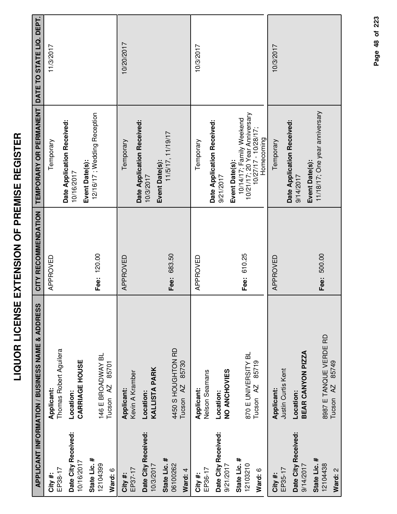|                                     | APPLICANT INFORMATION / BUSINESS NAME & ADDRESS         | CITY RECOMMENDATION | TEMPORARY OR PERMANENT                                                                                               | DATE TO STATE LIQ. DEPT. |
|-------------------------------------|---------------------------------------------------------|---------------------|----------------------------------------------------------------------------------------------------------------------|--------------------------|
| EP38-17<br>City#:                   | Thomas Robert Aguilera<br>Applicant:                    | APPROVED            | Temporary                                                                                                            | 11/3/2017                |
| Date City Received:<br>10/16/2017   | CARRIAGE HOUSE<br>Location:                             |                     | Date Application Received:<br>Event Date(s):<br>10/16/2017                                                           |                          |
| State Lic. #<br>12104399<br>Ward: 6 | 146 E BROADWAY BL<br>85701<br>Tucson <sub>AZ</sub>      | Fee: 120.00         | 12/16/17 ; Wedding Reception                                                                                         |                          |
| EP37-17<br>City#:                   | Kevin A Kramber<br>Applicant:                           | APPROVED            | Date Application Received:<br>Temporary                                                                              | 10/20/2017               |
| Date City Received:<br>10/3/2017    | <b>KALLISTA PARK</b><br>Location:                       |                     | Event Date(s):<br>10/3/2017                                                                                          |                          |
| State Lic. #<br>06100262<br>Ward: 4 | 4450 S HOUGHTON RD<br>85730<br>AZ<br>Tucson             | Fee: 683.50         | 11/5/17, 11/19/17                                                                                                    |                          |
| EP36-17<br>City #:                  | Nelson Seamans<br>Applicant:                            | APPROVED            | Temporary                                                                                                            | 10/3/2017                |
| Date City Received:<br>9/21/2017    | NO ANCHOVIES<br>Location:                               |                     | Date Application Received:<br>9/21/2017                                                                              |                          |
| State Lic. #<br>12103210<br>Ward: 6 | 870 E UNIVERSITY BL<br>85719<br>Tucson <sub>AZ</sub>    | 610.25<br>Fee:      | 10/21/17; 20 Year Anniversary<br>10/14/17; Family Weekend<br>$10/27/17 - 10/28/17$ ;<br>Homecoming<br>Event Date(s): |                          |
| EP35-17<br>City #:                  | Justin Curtis Kent<br>Applicant:                        | APPROVED            | Temporary                                                                                                            | 10/3/2017                |
| Date City Received:<br>9/14/2017    | BEAR CANYON PIZZA<br>Location:                          |                     | Date Application Received:<br>Event Date(s):<br>9/14/2017                                                            |                          |
| State Lic. #<br>12104438<br>Ward: 2 | 8987 E TANQUE VERDE RD<br>85749<br>Tucson <sub>AZ</sub> | Fee: 500.00         | 11/18/17; One year anniversary                                                                                       |                          |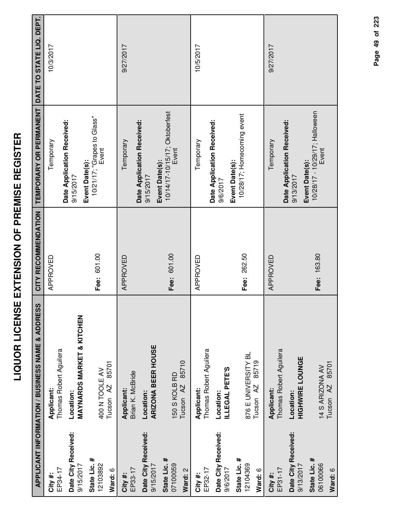| I<br>I<br>l                                                                        |
|------------------------------------------------------------------------------------|
|                                                                                    |
| j                                                                                  |
| i                                                                                  |
| l                                                                                  |
|                                                                                    |
|                                                                                    |
| -<br>-<br>-<br>-<br>-<br>-<br>-<br>-<br>-<br><br>-<br><br><br><br><br><br><br><br> |
| I                                                                                  |
|                                                                                    |
|                                                                                    |
| l                                                                                  |
| Ź                                                                                  |
|                                                                                    |
| i                                                                                  |
|                                                                                    |
| <br> <br>!                                                                         |
| l                                                                                  |
|                                                                                    |
|                                                                                    |
|                                                                                    |
| l                                                                                  |
|                                                                                    |
|                                                                                    |
| $\mathbf{\dot{}}$                                                                  |
| i                                                                                  |
|                                                                                    |
|                                                                                    |

œ

|                                     | APPLICANT INFORMATION / BUSINESS NAME & ADDRESS      | CITY RECOMMENDATION | TEMPORARY OR PERMANENT                                    | DATE TO STATE LIQ. DEPT. |
|-------------------------------------|------------------------------------------------------|---------------------|-----------------------------------------------------------|--------------------------|
| EP34-17<br>City#:                   | Thomas Robert Aguilera<br>Applicant:                 | APPROVED            | Temporary                                                 | 10/3/2017                |
| Date City Received:<br>9/15/2017    | <b>MAYNARDS MARKET &amp; KITCHEN</b><br>Location:    |                     | Date Application Received:<br>9/15/2017                   |                          |
| State Lic. #<br>12103892<br>Ward: 6 | 85701<br>400 N TOOLE AV<br>Tucson <sub>AZ</sub>      | Fee: 601.00         | 10/21/17; "Grapes to Glass"<br>Event<br>Event Date(s):    |                          |
| EP33-17<br>City#:                   | Brian K. McBride<br>Applicant:                       | APPROVED            | Temporary                                                 | 9/27/2017                |
| Date City Received:<br>9/15/2017    | <b>ARIZONA BEER HOUSE</b><br>Location:               |                     | Date Application Received:<br>9/15/2017                   |                          |
| State Lic. #<br>07100059<br>Ward: 2 | 85710<br>150 S KOLB RD<br>Tucson <sub>AZ</sub>       | Fee: 601.00         | 10/14/17-10/15/17; Oktoberfest<br>Event<br>Event Date(s): |                          |
| EP32-17<br>City#:                   | Thomas Robert Aguilera<br>Applicant:                 | APPROVED            | Temporary                                                 | 10/5/2017                |
| Date City Received:<br>9/6/2017     | ILLEGAL PETE'S<br>Location:                          |                     | Date Application Received:<br>9/6/2017                    |                          |
| State Lic. #<br>12104369<br>Ward: 6 | 876 E UNIVERSITY BL<br>85719<br>Tucson <sub>AZ</sub> | 262.50<br>Fee:      | 10/28/17; Homecoming event<br>Event Date(s):              |                          |
| EP31-17<br>City #:                  | Thomas Robert Aguilera<br>Applicant:                 | APPROVED            | Temporary                                                 | 9/27/2017                |
| Date City Received:<br>9/13/2017    | <b>HIGHWIRE LOUNGE</b><br>Location:                  |                     | Date Application Received:<br>Event Date(s):<br>9/13/2017 |                          |
| State Lic. #<br>06100066<br>Ward: 6 | 85701<br>14 S ARIZONA AV<br>Tucson <sub>AZ</sub>     | Fee: 163.80         | 10/28/17 - 10/29/17; Halloween<br>Event                   |                          |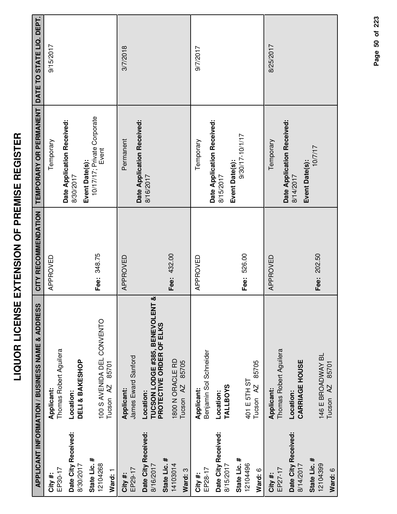| $\frac{1}{3}$<br>ì               |  |
|----------------------------------|--|
| i<br>i<br>์<br>เ<br>I            |  |
| ;<br>;<br>;                      |  |
| l<br>֚֘֝<br>;<br>i<br> <br> <br> |  |
| I<br>Ī                           |  |

|                                                  | <b>APPLICANT INFORMATION / BUSINESS NAME &amp; ADDRESS</b>                         | CITY RECOMMENDATION | TEMPORARY OR PERMANENT                                    | DATE TO STATE LIQ. DEPT. |
|--------------------------------------------------|------------------------------------------------------------------------------------|---------------------|-----------------------------------------------------------|--------------------------|
| EP30-17<br>City #:                               | Thomas Robert Aguilera<br>Applicant:                                               | APPROVED            | Temporary                                                 | 9/15/2017                |
| Date City Received:<br>8/30/2017                 | DELI & BAKESHOP<br>Location:                                                       |                     | Date Application Received:<br>8/30/2017                   |                          |
| State Lic. #<br>12104268<br>Ward: 1              | 100 S AVENIDA DEL CONVENTO<br>85701<br>Tucson <sub>AZ</sub>                        | Fee: 348.75         | 10/17/17; Private Corporate<br>Event<br>Event Date(s):    |                          |
| EP29-17<br>City#:                                | James Eward Sanford<br>Applicant:                                                  | APPROVED            | Permanent                                                 | 3/7/2018                 |
| Date City Received:<br>State Lic. #<br>8/16/2017 | ळ<br><b>TUCSON LODGE #385, BENEVOLENT</b><br>PROTECTIVE ORDER OF ELKS<br>Location: |                     | Date Application Received:<br>8/16/2017                   |                          |
| 14103014<br>Ward: 3                              | 1800 N ORACLE RD<br>85705<br>Tucson <sub>AZ</sub>                                  | Fee: 432.00         |                                                           |                          |
| EP28-17<br>City #:                               | Benjamin Sol Schneider<br>Applicant:                                               | APPROVED            | Temporary                                                 | 9/7/2017                 |
| Date City Received:<br>8/15/2017                 | <b>TALLBOYS</b><br>Location:                                                       |                     | Date Application Received:<br>Event Date(s):<br>8/15/2017 |                          |
| State Lic. #<br>12104496<br>Ward: 6              | 85705<br>401 E 5TH ST<br>Tucson <sub>AZ</sub>                                      | Fee: 526.00         | 9/30/17-10/1/17                                           |                          |
| EP27-17<br>City#:                                | Thomas Robert Aguilera<br>Applicant:                                               | APPROVED            | Temporary                                                 | 8/25/2017                |
| Date City Received:<br>8/14/2017                 | <b>CARRIAGE HOUSE</b><br>Location:                                                 |                     | Date Application Received:<br>Event Date(s):<br>8/14/2017 |                          |
| State Lic. #<br>12104399<br>Ward: 6              | 146 E BROADWAY BL<br>85701<br>Tucson <sub>AZ</sub>                                 | Fee: 202.50         | 10/7/17                                                   |                          |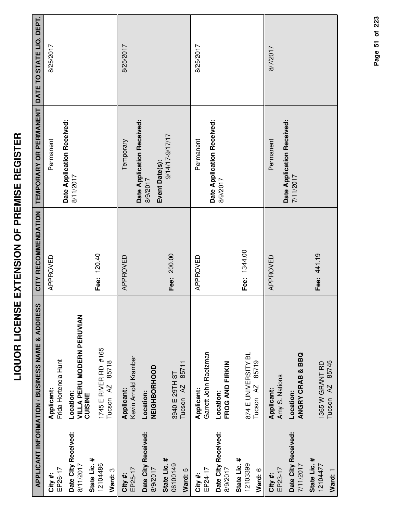|                                                  | <b>APPLICANT INFORMATION / BUSINESS NAME &amp; ADDRESS</b> | CITY RECOMMENDATION | TEMPORARY OR PERMANENT                  | DATE TO STATE LIQ. DEPT. |
|--------------------------------------------------|------------------------------------------------------------|---------------------|-----------------------------------------|--------------------------|
| EP26-17<br>City #:                               | Frida Hortencia Hunt<br>Applicant:                         | APPROVED            | Permanent                               | 8/25/2017                |
| Date City Received:<br>State Lic. #<br>8/11/2017 | VILLA PERU MODERN PERUVIAN<br>Location:<br>CUISINE         |                     | Date Application Received:<br>8/11/2017 |                          |
| 12104486<br>Ward: 3                              | 1745 E RIVER RD #165<br>85718<br>Tucson <sub>AZ</sub>      | Fee: 120.40         |                                         |                          |
| EP25-17<br>City #:                               | Kevin Arnold Kramber<br>Applicant:                         | APPROVED            | Date Application Received:<br>Temporary | 8/25/2017                |
| Date City Received:<br>8/9/2017                  | NEIGHBORHOOD<br>Location:                                  |                     | 8/9/2017                                |                          |
| State Lic. #<br>06100149<br>Ward: 5              | 85711<br>3940 E 29TH ST<br>Tucson <sub>AZ</sub>            | Fee: 200.00         | 9/14/17-9/17/17<br>Event Date(s):       |                          |
| EP24-17<br>City#:                                | Garrett John Raetzman<br>Applicant:                        | APPROVED            | Permanent                               | 8/25/2017                |
| Date City Received:<br>8/9/2017                  | FROG AND FIRKIN<br>Location:                               |                     | Date Application Received:<br>8/9/2017  |                          |
| State Lic. #<br>12103399<br>Ward: 6              | 874 E UNIVERSITY BL<br>85719<br>Tucson AZ                  | Fee: 1344.00        |                                         |                          |
| EP23-17<br>City #:                               | Amy S. Nations<br><b>Applicant:</b>                        | APPROVED            | Permanent                               | 8/7/2017                 |
| Date City Received:<br>7/11/2017                 | <b>ANGRY CRAB &amp; BBQ</b><br>Location:                   |                     | Date Application Received:<br>7/11/2017 |                          |
| State Lic. #<br>12104477<br>Ward: 1              | 85745<br>1365 W GRANT RD<br>$\overline{A}$<br>Tucson       | Fee: 441.19         |                                         |                          |

Page 51 of 223

**Page of 51 223**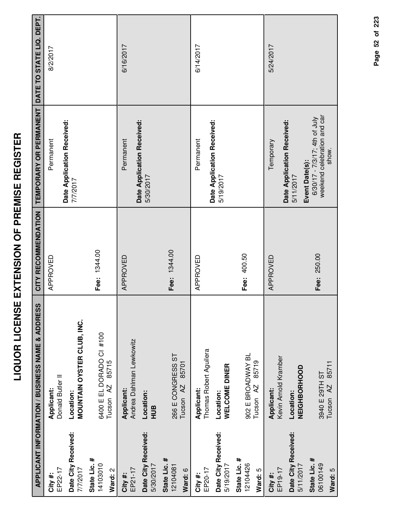|                                                        | <b>APPLICANT INFORMATION / BUSINESS NAME &amp; ADDRESS</b> | CITY RECOMMENDATION | TEMPORARY OR PERMANENT                                                | DATE TO STATE LIQ. DEPT. |
|--------------------------------------------------------|------------------------------------------------------------|---------------------|-----------------------------------------------------------------------|--------------------------|
| EP22-17<br>City#:                                      | Donald Butler II<br>Applicant:                             | APPROVED            | Permanent                                                             | 8/2/2017                 |
| Date City Received:<br>7/7/2017                        | MOUNTAIN OYSTER CLUB, INC.<br>Location:                    |                     | Date Application Received:<br>7/7/2017                                |                          |
| State Lic. #<br>14103010<br>Ward: 2                    | 6400 E EL DORADO CI #100<br>85715<br>Tucson <sub>AZ</sub>  | Fee: 1344.00        |                                                                       |                          |
| Date City Received:<br>5/30/2017<br>EP21-17<br>City #: | Andrea Dahlman Lewkowitz<br>Applicant:<br>Location:<br>HUB | APPROVED            | Date Application Received:<br>Permanent<br>5/30/2017                  | 6/16/2017                |
| State Lic. #<br>12104081<br>Ward: 6                    | 266 E CONGRESS ST<br>85701<br>Tucson <sub>AZ</sub>         | Fee: 1344.00        |                                                                       |                          |
| EP20-17<br>City #:                                     | Thomas Robert Aguilera<br>Applicant:                       | APPROVED            | Permanent                                                             | 6/14/2017                |
| Date City Received:<br>5/19/2017                       | WELCOME DINER<br>Location:                                 |                     | Date Application Received:<br>5/19/2017                               |                          |
| State Lic. #<br>12104426<br>Ward: 5                    | 902 E BROADWAY BL<br>85719<br>Tucson <sub>AZ</sub>         | Fee: 400.50         |                                                                       |                          |
| EP19-17<br>City#:                                      | Kevin Arnold Kramber<br>Applicant:                         | APPROVED            | Temporary                                                             | 5/24/2017                |
| Date City Received:<br>5/11/2017                       | NEIGHBORHOOD<br>Location:                                  |                     | Date Application Received:<br>Event Date(s):<br>5/11/2017             |                          |
| State Lic. #<br>06100149<br>Ward: 5                    | 85711<br>3940 E 29TH ST<br>Tucson <sub>AZ</sub>            | Fee: 250.00         | weekend celebration and car<br>6/30/17 - 7/3/17; 4th of July<br>show. |                          |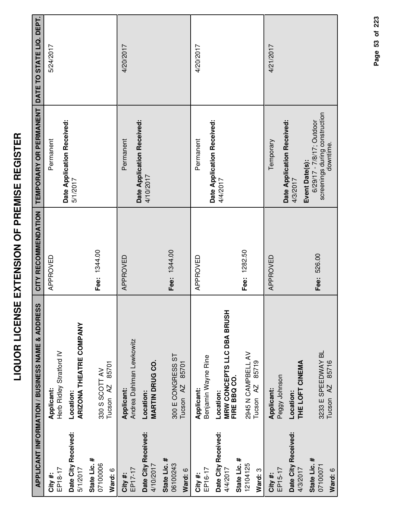|                                                 | APPLICANT INFORMATION / BUSINESS NAME & ADDRESS         | CITY RECOMMENDATION | TEMPORARY OR PERMANENT                                                   | DATE TO STATE LIQ. DEPT. |
|-------------------------------------------------|---------------------------------------------------------|---------------------|--------------------------------------------------------------------------|--------------------------|
|                                                 |                                                         |                     |                                                                          |                          |
| EP18-17<br>City#:                               | Herb Ridley Stratford IV<br>Applicant:                  | APPROVED            | Permanent                                                                | 5/24/2017                |
| Date City Received:<br>5/1/2017                 | ARIZONA THEATRE COMPANY<br>Location:                    |                     | Date Application Received:<br>5/1/2017                                   |                          |
| State Lic. #<br>07100006<br>Ward: 6             | 85701<br>330 S SCOTT AV<br>Tucson <sub>AZ</sub>         | Fee: 1344.00        |                                                                          |                          |
| EP17-17<br>City#:                               | Andrea Dahlman Lewkowitz<br>Applicant:                  | APPROVED            | Date Application Received:<br>Permanent                                  | 4/20/2017                |
| Date City Received:<br>4/10/2017                | <b>MARTIN DRUG CO.</b><br>Location:                     |                     | 4/10/2017                                                                |                          |
| State Lic. #<br>06100243<br>Ward: 6             | 300 E CONGRESS ST<br>85701<br>Tucson <sub>AZ</sub>      | Fee: 1344.00        |                                                                          |                          |
| EP16-17<br>City #:                              | Benjamin Wayne Rine<br>Applicant:                       | APPROVED            | Date Application Received:<br>Permanent                                  | 4/20/2017                |
| Date City Received:<br>State Lic. #<br>4/4/2017 | MRW CONCEPTS LLC DBA BRUSH<br>FIRE BBQ CO.<br>Location: |                     | 4/4/2017                                                                 |                          |
| 12104125<br>Ward: 3                             | 2945 N CAMPBELL AV<br>85719<br>Tucson <sub>AZ</sub>     | Fee: 1282.50        |                                                                          |                          |
| EP15-17<br>City #:                              | Peggy Johnson<br>Applicant:                             | APPROVED            | Temporary                                                                | 4/21/2017                |
| Date City Received:<br>4/3/2017                 | THE LOFT CINEMA<br>Location:                            |                     | Date Application Received:<br>Event Date(s):<br>4/3/2017                 |                          |
| State Lic. #<br>07100071<br>Ward: 6             | 3233 E SPEEDWAY BL<br>85716<br>Tucson <sub>AZ</sub>     | Fee: 526.00         | screenings during construction<br>6/29/17 - 7/8/17; Outdoor<br>downtime. |                          |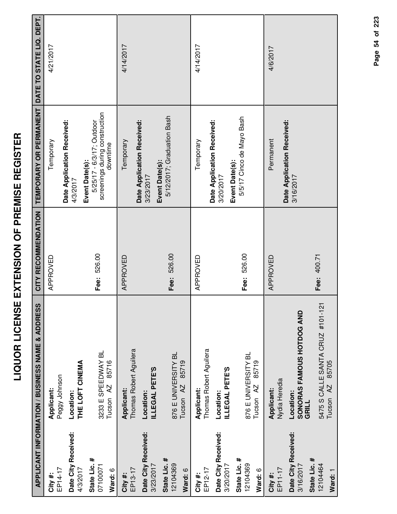|                                     | APPLICANT INFORMATION / BUSINESS NAME & ADDRESS         | CITY RECOMMENDATION | TEMPORARY OR PERMANENT DATE TO STATE LIQ. DEPT.                                           |           |
|-------------------------------------|---------------------------------------------------------|---------------------|-------------------------------------------------------------------------------------------|-----------|
| EP14-17<br>City #:                  | Peggy Johnson<br>Applicant:                             | APPROVED            | Temporary                                                                                 | 4/21/2017 |
| Date City Received:<br>4/3/2017     | THE LOFT CINEMA<br>Location:                            |                     | Date Application Received:<br>4/3/2017                                                    |           |
| State Lic. #<br>07100071<br>Ward: 6 | 3233 E SPEEDWAY BL<br>85716<br>Tucson <sub>AZ</sub>     | Fee: 526.00         | screenings during construction<br>5/25/17 - 6/3/17; Outdoor<br>downtime<br>Event Date(s): |           |
| EP13-17<br>City #:                  | Thomas Robert Aguilera<br>Applicant:                    | APPROVED            | Temporary                                                                                 | 4/14/2017 |
| Date City Received:<br>3/23/2017    | ILLEGAL PETE'S<br>Location:                             |                     | Date Application Received:<br>3/23/2017                                                   |           |
| State Lic. #<br>12104369<br>Ward: 6 | 876 E UNIVERSITY BL<br>85719<br>Tucson <sub>AZ</sub>    | Fee: 526.00         | 5/12/2017; Graduation Bash<br>Event Date(s):                                              |           |
| EP12-17<br>City #:                  | Thomas Robert Aguilera<br>Applicant:                    | APPROVED            | Temporary                                                                                 | 4/14/2017 |
| Date City Received:<br>3/20/2017    | ILLEGAL PETE'S<br>Location:                             |                     | Date Application Received:<br>3/20/2017                                                   |           |
| State Lic. #<br>12104369<br>Ward: 6 | 876 E UNIVERSITY BL<br>85719<br>Tucson <sub>AZ</sub>    | Fee: 526.00         | 5/5/17 Cinco de Mayo Bash<br>Event Date(s):                                               |           |
| EP11-17<br>City #:                  | Nydia Heredia<br>Applicant:                             | APPROVED            | Permanent                                                                                 | 4/6/2017  |
| Date City Received:<br>3/16/2017    | <b>SONORAS FAMOUS HOTDOG AND<br/>GRILL</b><br>Location: |                     | Date Application Received:<br>3/16/2017                                                   |           |
| State Lic. #<br>12104464<br>Ward: 1 | 5475 S CALLE SANTA CRUZ #101-121<br>Tucson AZ 85705     | Fee: 400.71         |                                                                                           |           |

Page 54 of 223 **Page of 54 223**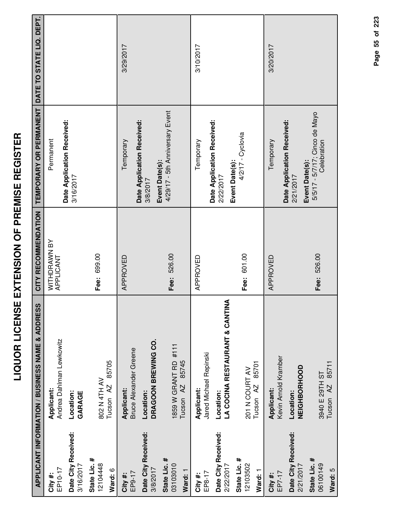|                                     | APPLICANT INFORMATION / BUSINESS NAME & ADDRESS       | CITY RECOMMENDATION       | TEMPORARY OR PERMANENT DATE TO STATE LIQ. DEPT.           |           |
|-------------------------------------|-------------------------------------------------------|---------------------------|-----------------------------------------------------------|-----------|
| EP10-17<br>City #:                  | Andrea Dahlman Lewkowitz<br>Applicant:                | WITHDRAWN BY<br>APPLICANT | Date Application Received:<br>Permanent                   |           |
| Date City Received:<br>3/16/2017    | Location:<br>GARAGE                                   |                           | 3/16/2017                                                 |           |
| State Lic. #<br>12104448<br>Ward: 6 | 85705<br>802 N 4TH AV<br>Tucson <sub>AZ</sub>         | Fee: 699.00               |                                                           |           |
| EP9-17<br>City #:                   | <b>Bruce Alexander Greene</b><br>Applicant:           | APPROVED                  | Date Application Received:<br>Temporary                   | 3/29/2017 |
| Date City Received:<br>3/8/2017     | DRAGOON BREWING CO.<br>Location:                      |                           | Event Date(s):<br>3/8/2017                                |           |
| State Lic. #<br>03103010<br>Ward: 1 | 1859 W GRANT RD #111<br>85745<br>Tucson <sub>AZ</sub> | Fee: 526.00               | 4/29/17 - 5th Anniversary Event                           |           |
| EP8-17<br>City#:                    | Jared Michael Repinski<br>Applicant:                  | APPROVED                  | Temporary                                                 | 3/10/2017 |
| Date City Received:<br>2/22/2017    | LA COCINA RESTAURANT & CANTINA<br>Location:           |                           | Date Application Received:<br>Event Date(s):<br>2/22/2017 |           |
| State Lic. #<br>12103502<br>Ward: 1 | 85701<br>201 N COURT AV<br>Tucson <sub>AZ</sub>       | Fee: 601.00               | $4/2/17 - Cyclovia$                                       |           |
| EP7-17<br>City #:                   | Kevin Arnold Kramber<br>Applicant:                    | APPROVED                  | Temporary                                                 | 3/20/2017 |
| Date City Received:<br>2/21/2017    | NEIGHBORHOOD<br>Location:                             |                           | Date Application Received:<br>Event Date(s):<br>2/21/2017 |           |
| State Lic. #<br>06100149<br>Ward: 5 | Tucson AZ 85711<br>3940 E 29TH ST                     | Fee: 526.00               | 5/5/17 - 5/7/17; Cinco de Mayo<br>Celebration             |           |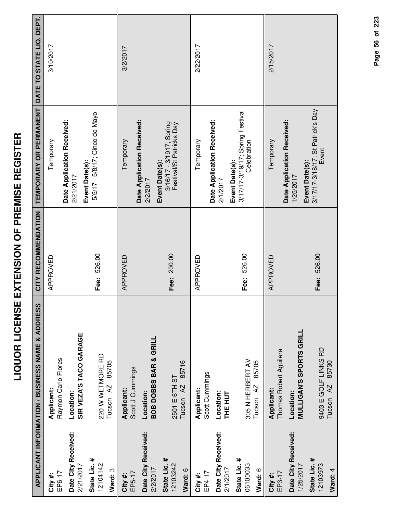|                                                 | APPLICANT INFORMATION / BUSINESS NAME & ADDRESS                                    | CITY RECOMMENDATION | TEMPORARY OR PERMANENT DATE TO STATE LIQ. DEPT.                        |           |
|-------------------------------------------------|------------------------------------------------------------------------------------|---------------------|------------------------------------------------------------------------|-----------|
| EP6-17<br>City #:                               | Raymon Carlo Flores<br>Applicant:                                                  | APPROVED            | Temporary                                                              | 3/10/2017 |
| Date City Received:<br>2/21/2017                | SIR VEZA'S TACO GARAGE<br>Location:                                                |                     | Date Application Received:<br>2/21/2017                                |           |
| State Lic. #<br>12104142<br>Ward: 3             | 220 W WETMORE RD<br>85705<br>Tucson <sub>AZ</sub>                                  | Fee: 526.00         | 5/5/17 - 5/8/17; Cinco de Mayo<br>Event Date(s):                       |           |
| Date City Received:<br>EP5-17<br>City#:         | Scott J Cummings<br>Applicant:<br>Location:                                        | APPROVED            | Date Application Received:<br>Temporary<br>2/2/2017                    | 3/2/2017  |
| State Lic. #<br>12103242<br>2/2/2017<br>Ward: 6 | <b>BOB DOBBS BAR &amp; GRILL</b><br>85716<br>2501 E 6TH ST<br>Tucson <sub>AZ</sub> | Fee: 200.00         | 3/16/17 - 3/1917; Spring<br>Festival/St Patricks Day<br>Event Date(s): |           |
| EP4-17<br>City #:                               | Scott Cummings<br>Applicant:                                                       | APPROVED            | Date Application Received:<br>Temporary                                | 2/22/2017 |
| Date City Received:<br>2/1/2017                 | Location:<br><b>THE HUT</b>                                                        |                     | Event Date(s):<br>2/1/2017                                             |           |
| State Lic. #<br>06100033<br>Ward: 6             | 305 N HERBERT AV<br>85705<br>Tucson <sub>AZ</sub>                                  | Fee: 526.00         | 3/17/17-3/19/17; Spring Festival<br>Celebration                        |           |
| EP3-17<br>City #:                               | Thomas Robert Aguilera<br>Applicant:                                               | APPROVED            | Temporary                                                              | 2/15/2017 |
| Date City Received:<br>1/25/2017                | <b>MULLIGAN'S SPORTS GRILL</b><br>Location:                                        |                     | Date Application Received:<br>Event Date(s):<br>1/25/2017              |           |
| State Lic. #<br>12103973<br>Ward: 4             | 9403 E GOLF LINKS RD<br>Tucson AZ 85730                                            | Fee: 526.00         | 3/17/17-3/18/17; St Patrick's Day<br>Event                             |           |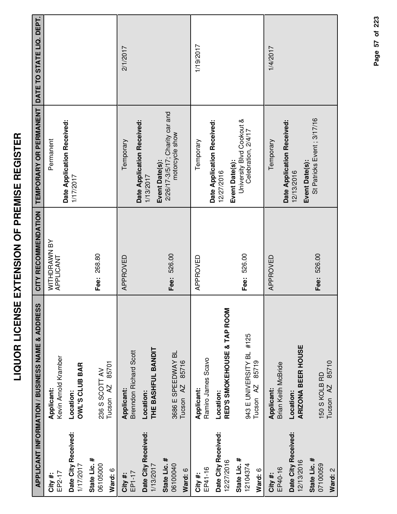|                                     | APPLICANT INFORMATION / BUSINESS NAME & ADDRESS           | CITY RECOMMENDATION       | TEMPORARY OR PERMANENT DATE TO STATE LIQ. DEPT.                      |           |
|-------------------------------------|-----------------------------------------------------------|---------------------------|----------------------------------------------------------------------|-----------|
| EP2-17<br>City#:                    | Kevin Arnold Kramber<br>Applicant:                        | WITHDRAWN BY<br>APPLICANT | Permanent                                                            |           |
| Date City Received:<br>1/17/2017    | OWL'S CLUB BAR<br>Location:                               |                           | Date Application Received:<br>1/17/2017                              |           |
| State Lic. #<br>06105000<br>Ward: 6 | 85701<br>236 S SCOTT AV<br>Tucson <sub>AZ</sub>           | Fee: 268.80               |                                                                      |           |
| EP1-17<br>City#:                    | <b>Brenndon Richard Scott</b><br>Applicant:               | APPROVED                  | Temporary                                                            | 2/1/2017  |
| Date City Received:<br>1/13/2017    | THE BASHFUL BANDIT<br>Location:                           |                           | Date Application Received:<br>1/13/2017                              |           |
| State Lic. #<br>06100040<br>Ward: 6 | 3686 E SPEEDWAY BL<br>85716<br>Tucson <sub>AZ</sub>       | Fee: 526.00               | 2/26/17-3/5/17; Charity car and<br>motorcycle show<br>Event Date(s): |           |
| EP41-16<br>City #:                  | Ramiro James Scavo<br>Applicant:                          | APPROVED                  | Temporary                                                            | 1/19/2017 |
| Date City Received:<br>12/27/2016   | RED'S SMOKEHOUSE & TAP ROOM<br>Location:                  |                           | Date Application Received:<br>Event Date(s):<br>12/27/2016           |           |
| State Lic. #<br>12104374<br>Ward: 6 | 943 E UNIVERSITY BL #125<br>85719<br>Tucson <sub>AZ</sub> | Fee: 526.00               | University Blvd Cookout &<br>Celebration, 2/4/17                     |           |
| EP40-16<br>City #:                  | Brian Keith McBride<br>Applicant:                         | APPROVED                  | Temporary                                                            | 1/4/2017  |
| Date City Received:<br>12/13/2016   | <b>ARIZONA BEER HOUSE</b><br>Location:                    |                           | Date Application Received:<br>Event Date(s):<br>12/13/2016           |           |
| State Lic. #<br>07100059<br>Ward: 2 | Tucson AZ 85710<br>150 S KOLB RD                          | Fee: 526.00               | St Patricks Event; 3/17/16                                           |           |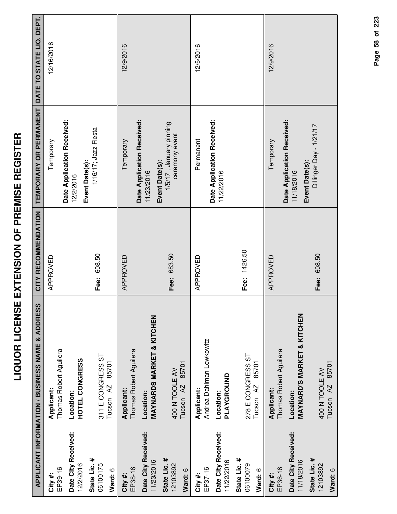|                                     | APPLICANT INFORMATION / BUSINESS NAME & ADDRESS    | CITY RECOMMENDATION | TEMPORARY OR PERMANENT                                       | DATE TO STATE LIQ. DEPT. |
|-------------------------------------|----------------------------------------------------|---------------------|--------------------------------------------------------------|--------------------------|
| EP39-16<br>City #:                  | Thomas Robert Aguilera<br>Applicant:               | APPROVED            | Date Application Received:<br>Temporary                      | 12/16/2016               |
| Date City Received:<br>12/2/2016    | HOTEL CONGRESS<br>Location:                        |                     | Event Date(s):<br>12/2/2016                                  |                          |
| State Lic. #<br>06100175<br>Ward: 6 | 311 E CONGRESS ST<br>85701<br>Tucson AZ            | Fee: 608.50         | 1/16/17; Jazz Fiesta                                         |                          |
| EP38-16<br>City #:                  | Thomas Robert Aguilera<br>Applicant:               | APPROVED            | Temporary                                                    | 12/9/2016                |
| Date City Received:<br>11/23/2016   | <b>MAYNARDS MARKET &amp; KITCHEN</b><br>Location:  |                     | Date Application Received:<br>11/23/2016                     |                          |
| State Lic. #<br>12103892<br>Ward: 6 | 85701<br>400 N TOOLE AV<br>Tucson <sub>AZ</sub>    | Fee: 683.50         | 1/5/17 ; January pinning<br>ceremony event<br>Event Date(s): |                          |
| EP37-16<br>City #:                  | Andrea Dahlman Lewkowitz<br>Applicant:             | APPROVED            | Permanent                                                    | 12/5/2016                |
| Date City Received:<br>11/22/2016   | PLAYGROUND<br>Location:                            |                     | Date Application Received:<br>11/22/2016                     |                          |
| State Lic. #<br>06100079<br>Ward: 6 | 278 E CONGRESS ST<br>85701<br>Tucson <sub>AZ</sub> | Fee: 1426.50        |                                                              |                          |
| EP36-16<br>City #:                  | Thomas Robert Aguilera<br>Applicant:               | APPROVED            | Temporary                                                    | 12/9/2016                |
| Date City Received:<br>11/18/2016   | <b>MAYNARD'S MARKET &amp; KITCHEN</b><br>Location: |                     | Date Application Received:<br>11/18/2016                     |                          |
| State Lic. #<br>12103892<br>Ward: 6 | Tucson AZ 85701<br>400 N TOOLE AV                  | Fee: 608.50         | Dillinger Day - 1/21/17<br>Event Date(s):                    |                          |

Page 58 of 223 **Page of 58 223**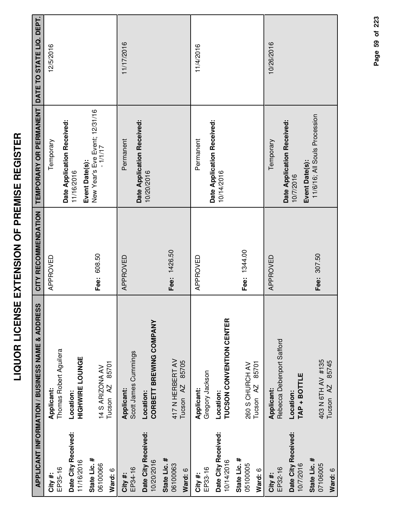| ľ<br>I         |
|----------------|
| ĺ<br>י<br>ו    |
| Ī<br>.<br>.    |
| <br> <br> <br> |
| I              |
| י<br> <br>     |
|                |
| l              |
| ׀<br>;         |
|                |
| $\frac{1}{2}$  |
| l              |
| i<br>l<br>Í    |
| Í              |

|                                     | <b>APPLICANT INFORMATION / BUSINESS NAME &amp; ADDRESS</b> | CITY RECOMMENDATION | TEMPORARY OR PERMANENT                                       | DATE TO STATE LIQ. DEPT. |
|-------------------------------------|------------------------------------------------------------|---------------------|--------------------------------------------------------------|--------------------------|
| EP35-16<br>City#:                   | Thomas Robert Aguilera<br>Applicant:                       | APPROVED            | Temporary                                                    | 12/5/2016                |
| Date City Received:<br>11/16/2016   | <b>HIGHWIRE LOUNGE</b><br>Location:                        |                     | Date Application Received:<br>11/16/2016                     |                          |
| State Lic. #<br>06100066<br>Ward: 6 | 85701<br>14 S ARIZONA AV<br>Tucson <sub>AZ</sub>           | Fee: 608.50         | New Year's Eve Event; 12/31/16<br>- 1/1/17<br>Event Date(s): |                          |
| EP34-16<br>City #:                  | Scott James Cummings<br>Applicant:                         | APPROVED            | Date Application Received:<br>Permanent                      | 11/17/2016               |
| Date City Received:<br>10/20/2016   | CORBETT BREWING COMPANY<br>Location:                       |                     | 10/20/2016                                                   |                          |
| State Lic. #<br>06100063<br>Ward: 6 | 417 N HERBERT AV<br>85705<br>Tucson <sub>AZ</sub>          | Fee: 1426.50        |                                                              |                          |
| EP33-16<br>City#:                   | Gregory Jackson<br>Applicant:                              | APPROVED            | Permanent                                                    | 11/4/2016                |
| Date City Received:<br>10/14/2016   | TUCSON CONVENTION CENTER<br>Location:                      |                     | Date Application Received:<br>10/14/2016                     |                          |
| State Lic. #<br>05100005<br>Ward: 6 | 85701<br>260 S CHURCH AV<br>Tucson <sub>AZ</sub>           | Fee: 1344.00        |                                                              |                          |
| EP32-16<br>City #:                  | Rebecca Debenport Safford<br>Applicant:                    | APPROVED            | Temporary                                                    | 10/26/2016               |
| Date City Received:<br>10/7/2016    | TAP + BOTTLE<br>Location:                                  |                     | Date Application Received:<br>Event Date(s):<br>10/7/2016    |                          |
| State Lic. #<br>07106005<br>Ward: 6 | 403 N 6TH AV #135<br>85745<br>AZ<br>Tucson                 | Fee: 307.50         | 11/6/16; All Souls Procession                                |                          |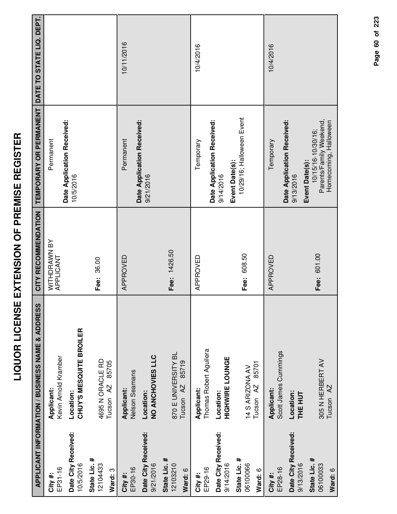|                                     | <b>APPLICANT INFORMATION / BUSINESS NAME &amp; ADDRESS</b> | CITY RECOMMENDATION       | TEMPORARY OR PERMANENT                                                                   | DATE TO STATE LIQ. DEPT. |
|-------------------------------------|------------------------------------------------------------|---------------------------|------------------------------------------------------------------------------------------|--------------------------|
| EP31-16<br>City#:                   | Kevin Arnold Kramber<br>Applicant:                         | WITHDRAWN BY<br>APPLICANT | Permanent                                                                                |                          |
| Date City Received:<br>10/5/2016    | <b>CHUY'S MESQUITE BROILER</b><br>Location:                |                           | Date Application Received:<br>10/5/2016                                                  |                          |
| State Lic. #<br>12104433<br>Ward: 3 | 4695 N ORACLE RD<br>85705<br>Tucson <sub>AZ</sub>          | Fee: 36.00                |                                                                                          |                          |
| EP30-16<br>City #:                  | Nelson Seamans<br>Applicant:                               | APPROVED                  | Permanent                                                                                | 10/11/2016               |
| Date City Received:<br>9/21/2016    | NO ANCHOVIES LLC<br>Location:                              |                           | Date Application Received:<br>9/21/2016                                                  |                          |
| State Lic. #<br>12103210<br>Ward: 6 | 870 E UNIVERSITY BL<br>85719<br>Tucson <sub>AZ</sub>       | Fee: 1426.50              |                                                                                          |                          |
| EP29-16<br>City #:                  | Thomas Robert Aguilera<br>Applicant:                       | APPROVED                  | Temporary                                                                                | 10/4/2016                |
| Date City Received:<br>9/14/2016    | <b>HIGHWIRE LOUNGE</b><br>Location:                        |                           | Date Application Received:<br>9/14/2016                                                  |                          |
| State Lic. #<br>06100066<br>Ward: 6 | 85701<br>14 S ARIZONA AV<br>Tucson AZ                      | Fee: 608.50               | 10/29/16; Halloween Event<br>Event Date(s):                                              |                          |
| EP28-16<br>City #:                  | Scott James Cummings<br>Applicant:                         | APPROVED                  | Temporary                                                                                | 10/4/2016                |
| Date City Received:<br>9/13/2016    | Location:<br><b>THE HUT</b>                                |                           | Date Application Received:<br>9/13/2016                                                  |                          |
| State Lic. #<br>06100033<br>Ward: 6 | 305 N HERBERT AV<br>Tucson <sub>AZ</sub>                   | Fee: 601.00               | Parents/Family Weekend,<br>Homecoming, Halloween<br>10/15/16-10/30/16;<br>Event Date(s): |                          |

Page 60 of 223 **Page of 60 223**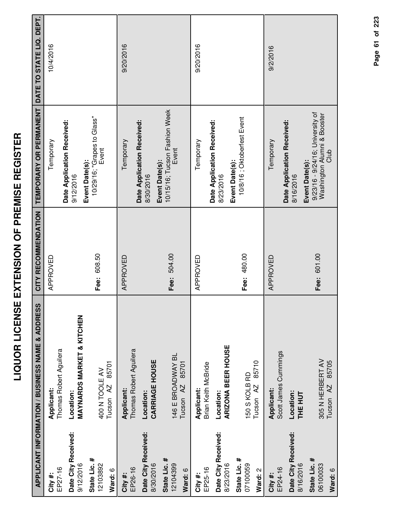| ׇ֠<br>ſ<br>i |
|--------------|
| l            |
| i            |
| I<br>I       |
| Ì            |
| i            |
| i<br>I       |
| I            |
| Í            |
| Í            |
| ;<br>;<br>;  |
| l<br>İ       |
|              |
| Ì            |
| i            |
| Ī            |
| I            |
| i            |
| l            |
|              |
|              |

|                                     | <b>APPLICANT INFORMATION / BUSINESS NAME &amp; ADDRESS</b> | CITY RECOMMENDATION | TEMPORARY OR PERMANENT                                                  | DATE TO STATE LIQ. DEPT. |
|-------------------------------------|------------------------------------------------------------|---------------------|-------------------------------------------------------------------------|--------------------------|
| EP27-16<br>City#:                   | Thomas Robert Aguilera<br>Applicant:                       | APPROVED            | Temporary                                                               | 10/4/2016                |
| Date City Received:<br>9/12/2016    | <b>MAYNARDS MARKET &amp; KITCHEN</b><br>Location:          |                     | Date Application Received:<br>9/12/2016                                 |                          |
| State Lic. #<br>12103892<br>Ward: 6 | 85701<br>400 N TOOLE AV<br>Tucson <sub>AZ</sub>            | Fee: 608.50         | 10/29/16; "Grapes to Glass"<br>Event<br>Event Date(s):                  |                          |
| EP26-16<br>City#:                   | Thomas Robert Aguilera<br>Applicant:                       | APPROVED            | Temporary                                                               | 9/20/2016                |
| Date City Received:<br>8/30/2016    | <b>CARRIAGE HOUSE</b><br>Location:                         |                     | Date Application Received:<br>Event Date(s):<br>8/30/2016               |                          |
| State Lic. #<br>12104399<br>Ward: 6 | 146 E BROADWAY BL<br>85701<br>Tucson <sub>AZ</sub>         | Fee: 504.00         | 10/15/16; Tucson Fashion Week<br>Event                                  |                          |
| EP25-16<br>City #:                  | Brian Keith McBride<br>Applicant:                          | APPROVED            | Temporary                                                               | 9/20/2016                |
| Date City Received:<br>8/23/2016    | ARIZONA BEER HOUSE<br>Location:                            |                     | Date Application Received:<br>8/23/2016                                 |                          |
| State Lic. #<br>07100059<br>Ward: 2 | 85710<br>150 S KOLB RD<br>Tucson <sub>AZ</sub>             | Fee: 480.00         | 10/8/16; Oktoberfest Event<br>Event Date(s):                            |                          |
| EP24-16<br>City#:                   | Scott James Cummings<br>Applicant:                         | APPROVED            | Temporary                                                               | 9/2/2016                 |
| Date City Received:<br>8/16/2016    | Location:<br>THE HUT                                       |                     | Date Application Received:<br>Event Date(s):<br>8/16/2016               |                          |
| State Lic. #<br>06100033<br>Ward: 6 | 305 N HERBERT AV<br>85705<br>Tucson <sub>AZ</sub>          | Fee: 601.00         | 9/23/16 - 9/24/16; University of<br>Washington Alumni & Booster<br>Club |                          |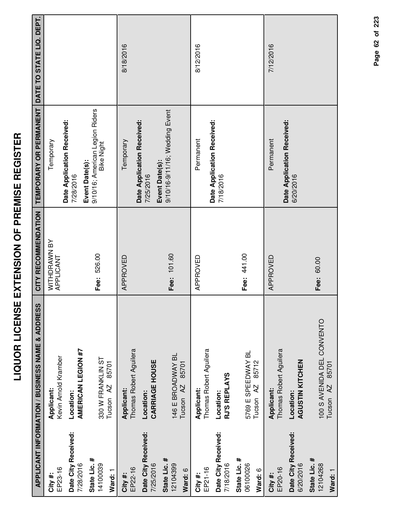|                                     | APPLICANT INFORMATION / BUSINESS NAME & ADDRESS             | CITY RECOMMENDATION       | TEMPORARY OR PERMANENT DATE TO STATE LIQ. DEPT.                        |           |
|-------------------------------------|-------------------------------------------------------------|---------------------------|------------------------------------------------------------------------|-----------|
| EP23-16<br>City #:                  | Kevin Arnold Kramber<br>Applicant:                          | WITHDRAWN BY<br>APPLICANT | Temporary                                                              |           |
| Date City Received:<br>7/28/2016    | AMERICAN LEGION #7<br>Location:                             |                           | Date Application Received:<br>7/28/2016                                |           |
| State Lic. #<br>14100039<br>Ward: 1 | 330 W FRANKLIN ST<br>85701<br>Tucson <sub>AZ</sub>          | Fee: 526.00               | 9/10/16; American Legion Riders<br><b>Bike Night</b><br>Event Date(s): |           |
| EP22-16<br>City #:                  | Thomas Robert Aguilera<br>Applicant:                        | APPROVED                  | Date Application Received:<br>Temporary                                | 8/18/2016 |
| Date City Received:<br>7/25/2016    | <b>CARRIAGE HOUSE</b><br>Location:                          |                           | Event Date(s):<br>7/25/2016                                            |           |
| State Lic. #<br>12104399<br>Ward: 6 | 146 E BROADWAY BL<br>85701<br>Tucson <sub>AZ</sub>          | Fee: 101.60               | 9/10/16-9/11/16; Wedding Event                                         |           |
| EP21-16<br>City#:                   | Thomas Robert Aguilera<br>Applicant:                        | APPROVED                  | Permanent                                                              | 8/12/2016 |
| Date City Received:<br>7/18/2016    | RJ'S REPLAYS<br>Location:                                   |                           | Date Application Received:<br>7/18/2016                                |           |
| State Lic. #<br>06100026<br>Ward: 6 | 5769 E SPEEDWAY BL<br>85712<br>Tucson AZ                    | Fee: 441.00               |                                                                        |           |
| EP20-16<br>City #:                  | Thomas Robert Aguilera<br>Applicant:                        | APPROVED                  | Date Application Received:<br>Permanent                                | 7/12/2016 |
| Date City Received:<br>6/20/2016    | AGUSTIN KITCHEN<br>Location:                                |                           | 6/20/2016                                                              |           |
| State Lic. #<br>12104268<br>Ward: 1 | 100 S AVENIDA DEL CONVENTO<br>85701<br>Tucson <sub>AZ</sub> | Fee: 60.00                |                                                                        |           |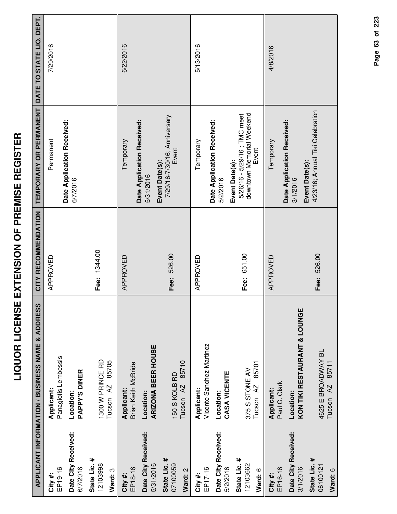|                                     | <b>APPLICANT INFORMATION / BUSINESS NAME &amp; ADDRESS</b> | CITY RECOMMENDATION | TEMPORARY OR PERMANENT                                                              | DATE TO STATE LIQ. DEPT. |
|-------------------------------------|------------------------------------------------------------|---------------------|-------------------------------------------------------------------------------------|--------------------------|
| EP19-16<br>City #:                  | Panagiotis Lembessis<br>Applicant:                         | APPROVED            | Date Application Received:<br>Permanent                                             | 7/29/2016                |
| Date City Received:<br>6/7/2016     | <b>PAPPY'S DINER</b><br>Location:                          |                     | 6/7/2016                                                                            |                          |
| State Lic. #<br>12103998<br>Ward: 3 | 1300 W PRINCE RD<br>85705<br>Tucson <sub>AZ</sub>          | Fee: 1344.00        |                                                                                     |                          |
| EP18-16<br>City #:                  | Brian Keith McBride<br>Applicant:                          | APPROVED            | Date Application Received:<br>Temporary                                             | 6/22/2016                |
| Date City Received:<br>5/31/2016    | <b>ARIZONA BEER HOUSE</b><br>Location:                     |                     | 5/31/2016                                                                           |                          |
| State Lic. #<br>07100059<br>Ward: 2 | 85710<br>150 S KOLB RD<br>Tucson <sub>AZ</sub>             | Fee: 526.00         | 7/29/16-7/30/16; Anniversary<br>Event<br>Event Date(s):                             |                          |
| EP17-16<br>City #:                  | Vicente Sanchez-Martinez<br>Applicant:                     | APPROVED            | Temporary                                                                           | 5/13/2016                |
| Date City Received:<br>5/2/2016     | CASA VICENTE<br>Location:                                  |                     | Date Application Received:<br>5/2/2016                                              |                          |
| State Lic. #<br>12103662<br>Ward: 6 | 85701<br>375 S STONE AV<br>Tucson <sub>AZ</sub>            | Fee: 651.00         | downtown Memorial Weekend<br>5/26/16 - 5/29/16; TMC meet<br>Event<br>Event Date(s): |                          |
| EP16-16<br>City#:                   | Paul C. Clark<br>Applicant:                                | APPROVED            | Temporary                                                                           | 4/8/2016                 |
| Date City Received:<br>3/1/2016     | KON TIKI RESTAURANT & LOUNGE<br>Location:                  |                     | Date Application Received:<br>Event Date(s):<br>3/1/2016                            |                          |
| State Lic. #<br>06100121<br>Ward: 6 | 4625 E BROADWAY BL<br>85711<br>Tucson <sub>AZ</sub>        | Fee: 526.00         | 4/23/16; Annual Tiki Celebration                                                    |                          |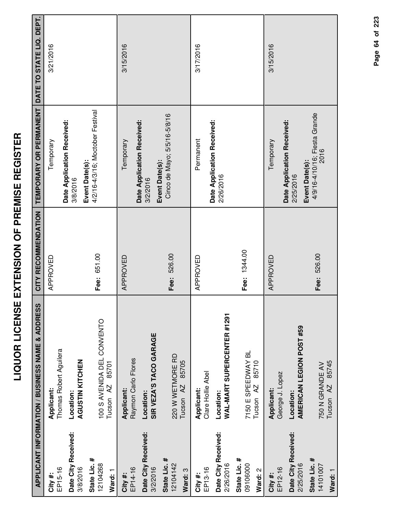|                                     | APPLICANT INFORMATION / BUSINESS NAME & ADDRESS             | CITY RECOMMENDATION | TEMPORARY OR PERMANENT DATE TO STATE LIQ. DEPT.          |           |
|-------------------------------------|-------------------------------------------------------------|---------------------|----------------------------------------------------------|-----------|
| EP15-16<br>City #:                  | Thomas Robert Aguilera<br>Applicant:                        | APPROVED            | Temporary                                                | 3/21/2016 |
| Date City Received:<br>3/8/2016     | AGUSTIN KITCHEN<br>Location:                                |                     | Date Application Received:<br>3/8/2016                   |           |
| State Lic. #<br>12104268<br>Ward: 1 | 100 S AVENIDA DEL CONVENTO<br>85701<br>Tucson <sub>AZ</sub> | Fee: 651.00         | 4/2/16-4/3/16; Moctober Festival<br>Event Date(s):       |           |
| EP14-16<br>City #:                  | Raymon Carlo Flores<br>Applicant:                           | APPROVED            | Temporary                                                | 3/15/2016 |
| Date City Received:<br>3/2/2016     | SIR VEZA'S TACO GARAGE<br>Location:                         |                     | Date Application Received:<br>Event Date(s):<br>3/2/2016 |           |
| State Lic. #<br>12104142<br>Ward: 3 | 220 W WETMORE RD<br>85705<br>Tucson AZ                      | Fee: 526.00         | Cinco de Mayo; 5/5/16-5/8/16                             |           |
| EP13-16<br>City #:                  | Clare Hollie Abel<br>Applicant:                             | APPROVED            | Permanent                                                | 3/17/2016 |
| Date City Received:<br>2/26/2016    | WAL-MART SUPERCENTER #1291<br>Location:                     |                     | Date Application Received:<br>2/26/2016                  |           |
| State Lic. #<br>09106000<br>Ward: 2 | 7150 E SPEEDWAY BL<br>85710<br>Tucson <sub>AZ</sub>         | Fee: 1344.00        |                                                          |           |
| EP12-16<br>City #:                  | George J. Lopez<br>Applicant:                               | APPROVED            | Temporary                                                | 3/15/2016 |
| Date City Received:<br>2/25/2016    | AMERICAN LEGION POST #59<br>Location:                       |                     | Date Application Received:<br>2/25/2016                  |           |
| State Lic. #<br>14101007<br>Ward: 1 | Tucson AZ 85745<br>750 N GRANDE AV                          | Fee: 526.00         | 4/9/16-4/10/16; Fiesta Grande<br>2016<br>Event Date(s):  |           |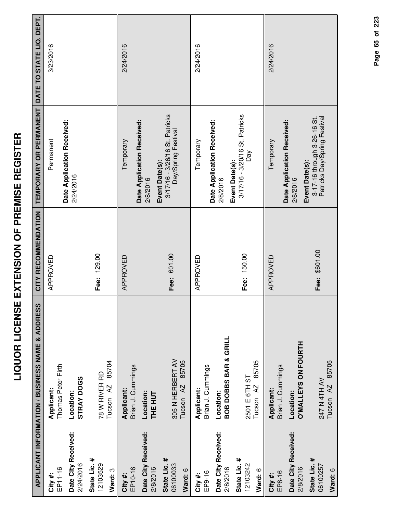|                                     | APPLICANT INFORMATION / BUSINESS NAME & ADDRESS   | CITY RECOMMENDATION | TEMPORARY OR PERMANENT                                      | DATE TO STATE LIQ. DEPT. |
|-------------------------------------|---------------------------------------------------|---------------------|-------------------------------------------------------------|--------------------------|
| EP11-16<br>City #:                  | Thomas Peter Firth<br>Applicant:                  | APPROVED            | Permanent                                                   | 3/23/2016                |
| Date City Received:<br>2/24/2016    | STRAY DOGS<br>Location:                           |                     | Date Application Received:<br>2/24/2016                     |                          |
| State Lic. #<br>12103529<br>Ward: 3 | 85704<br>78 W RIVER RD<br>Tucson <sub>AZ</sub>    | Fee: 129.00         |                                                             |                          |
| EP10-16<br>City #:                  | Brian J. Cummings<br>Applicant:                   | APPROVED            | Date Application Received:<br>Temporary                     | 2/24/2016                |
| Date City Received:<br>2/8/2016     | Location:<br>THE HUT                              |                     | Event Date(s):<br>2/8/2016                                  |                          |
| State Lic. #<br>06100033<br>Ward: 6 | 305 N HERBERT AV<br>85705<br>Tucson <sub>AZ</sub> | Fee: 601.00         | 3/17/16 - 3/26/16 St. Patricks<br>Day/Spring Festival       |                          |
| EP9-16<br>City #:                   | Brian J. Cummings<br>Applicant:                   | APPROVED            | Temporary                                                   | 2/24/2016                |
| Date City Received:<br>2/8/2016     | <b>BOB DOBBS BAR &amp; GRILL</b><br>Location:     |                     | Date Application Received:<br>Event Date(s):<br>2/8/2016    |                          |
| State Lic. #<br>12103242<br>Ward: 6 | 85705<br>2501 E 6TH ST<br>Tucson <sub>AZ</sub>    | Fee: 150.00         | 3/17/16 - 3/20/16 St. Patricks<br>Day                       |                          |
| EP8-16<br>City #:                   | Brian J. Cummings<br>Applicant:                   | APPROVED            | Temporary                                                   | 2/24/2016                |
| Date City Received:<br>2/8/2016     | <b>O'MALLEYS ON FOURTH</b><br>Location:           |                     | Date Application Received:<br>Event Date(s):<br>2/8/2016    |                          |
| State Lic. #<br>06100257<br>Ward: 6 | 85705<br>247 N 4TH AV<br>Tucson <sub>AZ</sub>     | Fee: \$601.00       | 3-17-16 through 3-26-16 St.<br>Patricks Day/Spring Festival |                          |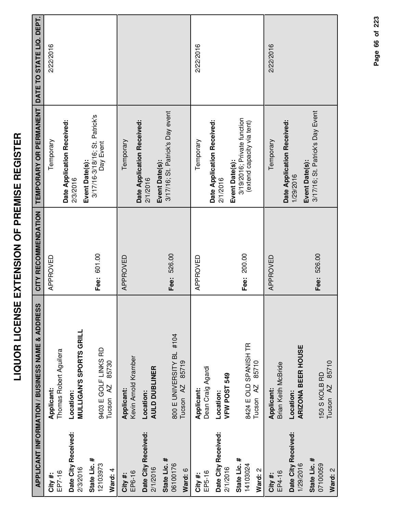| I<br>i              |
|---------------------|
|                     |
|                     |
|                     |
|                     |
| NCLC LCIMLCC LC IN  |
|                     |
|                     |
|                     |
|                     |
|                     |
| icidalityL Licalic  |
|                     |
| <u> </u><br> <br> - |
| i                   |
|                     |

|                                     | APPLICANT INFORMATION / BUSINESS NAME & ADDRESS           | CITY RECOMMENDATION | <b>TEMPORARY OR PERMANENT</b>                                 | DATE TO STATE LIQ. DEPT. |
|-------------------------------------|-----------------------------------------------------------|---------------------|---------------------------------------------------------------|--------------------------|
| EP7-16<br>City#:                    | Thomas Robert Aguilera<br>Applicant:                      | APPROVED            | Temporary                                                     | 2/22/2016                |
| Date City Received:<br>2/3/2016     | <b>MULLIGAN'S SPORTS GRILL</b><br>Location:               |                     | Date Application Received:<br>2/3/2016                        |                          |
| State Lic. #<br>12103973<br>Ward: 4 | 9403 E GOLF LINKS RD<br>85730<br>Tucson <sub>AZ</sub>     | Fee: 601.00         | 3/17/16-3/18/16; St. Patrick's<br>Day Event<br>Event Date(s): |                          |
| EP6-16<br>City#:                    | Kevin Arnold Kramber<br><b>Applicant:</b>                 | APPROVED            | Temporary                                                     |                          |
| Date City Received:<br>2/1/2016     | <b>AULD DUBLINER</b><br>Location:                         |                     | Date Application Received:<br>Event Date(s):<br>2/1/2016      |                          |
| State Lic. #<br>06100176<br>Ward: 6 | 800 E UNIVERSITY BL #104<br>85719<br>Tucson <sub>AZ</sub> | Fee: 526.00         | 3/17/16; St. Patrick's Day event                              |                          |
| EP5-16<br>City#:                    | Dean Craig Agardi<br>Applicant:                           | APPROVED            | Temporary                                                     | 2/22/2016                |
| Date City Received:<br>2/1/2016     | VFW POST 549<br>Location:                                 |                     | Date Application Received:<br>Event Date(s):<br>2/1/2016      |                          |
| State Lic. #<br>14103024<br>Ward: 2 | 8424 E OLD SPANISH TR<br>85710<br>Tucson AZ               | Fee: 200.00         | 3/19/2016; Private function<br>(extend capacity via tent)     |                          |
| EP4-16<br>City#:                    | Brian Keith McBride<br>Applicant:                         | APPROVED            | Temporary                                                     | 2/22/2016                |
| Date City Received:<br>1/29/2016    | <b>ARIZONA BEER HOUSE</b><br>Location:                    |                     | Date Application Received:<br>Event Date(s):<br>1/29/2016     |                          |
| State Lic. #<br>07100059<br>Ward: 2 | 85710<br>150 S KOLB RD<br>Tucson <sub>AZ</sub>            | Fee: 526.00         | 3/17/16; St. Patrick's Day Event                              |                          |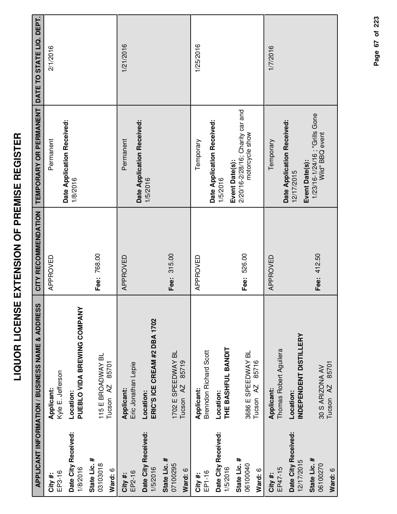|                                     | APPLICANT INFORMATION / BUSINESS NAME & ADDRESS     | CITY RECOMMENDATION | TEMPORARY OR PERMANENT DATE TO STATE LIQ. DEPT.                       |           |
|-------------------------------------|-----------------------------------------------------|---------------------|-----------------------------------------------------------------------|-----------|
| EP3-16<br>City #:                   | Kyle E. Jefferson<br>Applicant:                     | APPROVED            | Permanent                                                             | 2/1/2016  |
| Date City Received:<br>1/8/2016     | PUEBLO VIDA BREWING COMPANY<br>Location:            |                     | Date Application Received:<br>1/8/2016                                |           |
| State Lic. #<br>03103018<br>Ward: 6 | 115 E BROADWAY BL<br>85701<br>Tucson <sub>AZ</sub>  | Fee: 768.00         |                                                                       |           |
| EP2-16<br>City #:                   | Eric Jonathan Lepie<br><b>Applicant:</b>            | APPROVED            | Date Application Received:<br>Permanent                               | 1/21/2016 |
| Date City Received:<br>1/5/2016     | ERIC'S ICE CREAM #2 DBA 1702<br>Location:           |                     | 1/5/2016                                                              |           |
| State Lic. #<br>07100295<br>Ward: 6 | 1702 E SPEEDWAY BL<br>85719<br>Tucson <sub>AZ</sub> | Fee: 315.00         |                                                                       |           |
| EP1-16<br>City #:                   | Brenndon Richard Scott<br>Applicant:                | APPROVED            | Temporary                                                             | 1/25/2016 |
| Date City Received:<br>1/5/2016     | THE BASHFUL BANDIT<br>Location:                     |                     | Date Application Received:<br>1/5/2016                                |           |
| State Lic. #<br>06100040<br>Ward: 6 | 3686 E SPEEDWAY BL<br>85716<br>Tucson <sub>AZ</sub> | Fee: 526.00         | 2/20/16-2/28/16; Charity car and<br>motorcycle show<br>Event Date(s): |           |
| EP47-15<br>City #:                  | Thomas Robert Aguilera<br>Applicant:                | APPROVED            | Temporary                                                             | 1/7/2016  |
| Date City Received:<br>12/17/2015   | INDEPENDENT DISTILLERY<br>Location:                 |                     | Date Application Received:<br>Event Date(s):<br>12/17/2015            |           |
| State Lic. #<br>06100270<br>Ward: 6 | Tucson AZ 85701<br>30 S ARIZONA AV                  | Fee: 412.50         | 1/23/16-1/24/16; "Grills Gone<br>Wild" BBQ event                      |           |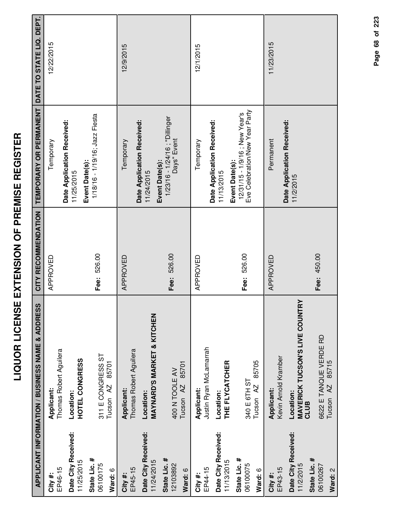| ロロトセニヘー<br>֖֖֖֖֖֖֖֧֪֪֪֪֪ׅ֚֚֚֚֚֚֚֚֚֚֡֝֝֝ <b>֓</b> |  |
|--------------------------------------------------|--|
| i<br>1<br>i<br>i<br>ì                            |  |
|                                                  |  |
|                                                  |  |

|                                                  | <b>APPLICANT INFORMATION / BUSINESS NAME &amp; ADDRESS</b> | CITY RECOMMENDATION | TEMPORARY OR PERMANENT                                                             | DATE TO STATE LIQ. DEPT. |
|--------------------------------------------------|------------------------------------------------------------|---------------------|------------------------------------------------------------------------------------|--------------------------|
| EP46-15<br>City #:                               | Thomas Robert Aguilera<br>Applicant:                       | APPROVED            | Temporary                                                                          | 12/22/2015               |
| Date City Received:<br>11/25/2015                | <b>HOTEL CONGRESS</b><br>Location:                         |                     | Date Application Received:<br>11/25/2015                                           |                          |
| State Lic. #<br>06100175<br>Ward: 6              | 311 E CONGRESS ST<br>85701<br>Tucson <sub>AZ</sub>         | Fee: 526.00         | 1/18/16 - 1/19/16; Jazz Fiesta<br>Event Date(s):                                   |                          |
| EP45-15<br>City #:                               | Thomas Robert Aguilera<br>Applicant:                       | APPROVED            | Temporary                                                                          | 12/9/2015                |
| Date City Received:<br>11/24/2015                | <b>MAYNARD'S MARKET &amp; KITCHEN</b><br>Location:         |                     | Date Application Received:<br>Event Date(s):<br>11/24/2015                         |                          |
| State Lic. #<br>12103892<br>Ward: 6              | 85701<br>400 N TOOLE AV<br>Tucson <sub>AZ</sub>            | Fee: 526.00         | 1/23/16 - 1/24/16 ; "Dillinger<br>Days" Event                                      |                          |
| EP44-15<br>City#:                                | Justin Ryan McLamarrah<br>Applicant:                       | APPROVED            | Temporary                                                                          | 12/1/2015                |
| Date City Received:<br>11/13/2015                | THE FLYCATCHER<br>Location:                                |                     | Date Application Received:<br>11/13/2015                                           |                          |
| State Lic. #<br>06100075<br>Ward: 6              | 85705<br>340 E 6TH ST<br>Tucson <sub>AZ</sub>              | Fee: 526.00         | Eve Celebration/New Year Party<br>12/31/15 - 1/9/16 ; New Year's<br>Event Date(s): |                          |
| EP43-15<br>City#:                                | Kevin Arnold Kramber<br>Applicant:                         | APPROVED            | Permanent                                                                          | 11/23/2015               |
| Date City Received:<br>State Lic. #<br>11/2/2015 | <b>MAVERICK TUCSON'S LIVE COUNTRY</b><br>Location:<br>CLUB |                     | Date Application Received:<br>11/2/2015                                            |                          |
| 06100267<br>Ward: 2                              | 6622 E TANQUE VERDE RD<br>85715<br>AZ.<br>Tucson           | Fee: 450.00         |                                                                                    |                          |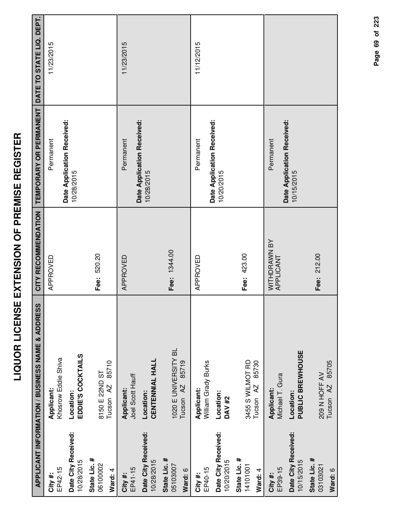|                                              | <b>APPLICANT INFORMATION / BUSINESS NAME &amp; ADDRESS</b> | CITY RECOMMENDATION       | TEMPORARY OR PERMANENT DATE TO STATE LIQ. DEPT. |            |
|----------------------------------------------|------------------------------------------------------------|---------------------------|-------------------------------------------------|------------|
| EP42-15<br>City#:                            | Khosrow Eddie Shiva<br>Applicant:                          | APPROVED                  | Permanent                                       | 11/23/2015 |
| Date City Received:<br>10/28/2015            | EDDIE'S COCKTAILS<br>Location:                             |                           | Date Application Received:<br>10/28/2015        |            |
| State Lic. #<br>06100002<br>Ward: 4          | 85710<br>8150 E 22ND ST<br>Tucson <sub>AZ</sub>            | Fee: 520.20               |                                                 |            |
| EP41-15<br>City #:                           | Joel Scott Hauff<br>Applicant:                             | APPROVED                  | Permanent                                       | 11/23/2015 |
| Date City Received:<br>10/28/2015            | <b>CENTENNIAL HALL</b><br>Location:                        |                           | Date Application Received:<br>10/28/2015        |            |
| State Lic. #<br>05103007<br>Ward: 6          | 1020 E UNIVERSITY BL<br>85719<br>Tucson <sub>AZ</sub>      | Fee: 1344.00              |                                                 |            |
| EP40-15<br>City #:                           | William Grady Burks<br>Applicant:                          | APPROVED                  | Permanent                                       | 11/12/2015 |
| Date City Received:<br>10/20/2015            | Location:<br><b>DAV#2</b>                                  |                           | Date Application Received:<br>10/20/2015        |            |
| State Lic. #<br>14101001<br>Ward: 4          | 3455 S WILMOT RD<br>85730<br>Tucson <sub>AZ</sub>          | Fee: 423.00               |                                                 |            |
| EP39-15<br>City#:                            | Michael T. Gura<br>Applicant:                              | WITHDRAWN BY<br>APPLICANT | Permanent                                       |            |
| Date City Received:<br>10/15/2015            | PUBLIC BREWHOUSE<br>Location:                              |                           | Date Application Received:<br>10/15/2015        |            |
| State Lic. #<br>03103021<br><b>S</b> · PACIN | 209 N HOFF AV<br>Tucson AZ 85705                           | 212.00<br>Fee:            |                                                 |            |

**Ward:** 6

Tucson AZ 85705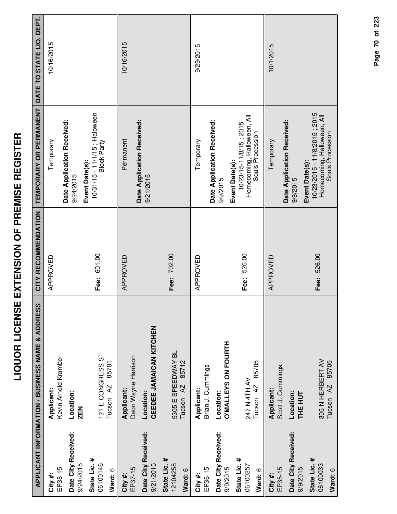| $\mathbf{r}$<br>ו<br> <br> <br>ו<br>$\frac{1}{1}$<br>L L CIRELLE L C<br><b>CALLAND LC</b> |  |
|-------------------------------------------------------------------------------------------|--|
| ``<br>'<br>$\mathbf{r}$                                                                   |  |

|                                     | <b>APPLICANT INFORMATION / BUSINESS NAME &amp; ADDRESS</b> | CITY RECOMMENDATION | TEMPORARY OR PERMANENT                                                                     | DATE TO STATE LIQ. DEPT. |
|-------------------------------------|------------------------------------------------------------|---------------------|--------------------------------------------------------------------------------------------|--------------------------|
| EP38-15<br>City#:                   | Kevin Arnold Kramber<br>Applicant:                         | APPROVED            | Temporary                                                                                  | 10/16/2015               |
| Date City Received:<br>9/24/2015    | Location:<br>ZEN                                           |                     | Date Application Received:<br>9/24/2015                                                    |                          |
| State Lic. #<br>06100146            | 121 E CONGRESS ST                                          | Fee: 601.00         | 10/31/15 - 11/1/15; Haloween<br><b>Block Party</b><br>Event Date(s):                       |                          |
| Ward: 6                             | 85701<br>Tucson <sub>AZ</sub>                              |                     |                                                                                            |                          |
| EP37-15<br>City #:                  | Deon Wayne Harrison<br><b>Applicant:</b>                   | APPROVED            | Permanent                                                                                  | 10/16/2015               |
| Date City Received:<br>9/21/2015    | CEEDEE JAMAICAN KITCHEN<br>Location:                       |                     | Date Application Received:<br>9/21/2015                                                    |                          |
| State Lic. #<br>12104258<br>Ward: 6 | 5305 E SPEEDWAY BL<br>85712<br>Tucson <sub>AZ</sub>        | Fee: 702.00         |                                                                                            |                          |
| City #:                             | Applicant:                                                 | APPROVED            | Temporary                                                                                  | 9/29/2015                |
| EP36-15                             | Brian J. Cummings                                          |                     | Date Application Received:                                                                 |                          |
| Date City Received:<br>9/9/2015     | <b>O'MALLEYS ON FOURTH</b><br>Location:                    |                     | 9/9/2015                                                                                   |                          |
| State Lic. #<br>06100257            | 247 N 4TH AV                                               | Fee: 526.00         | Homecoming, Halloween, All<br>Souls Procession<br>10/23/15-11/8/15; 2015<br>Event Date(s): |                          |
| Ward: 6                             | 85705<br>Tucson AZ                                         |                     |                                                                                            |                          |
| EP35-15<br>City#:                   | Scott J. Cummings<br>Applicant:                            | APPROVED            | Temporary                                                                                  | 10/1/2015                |
| Date City Received:<br>9/9/2015     | Location:<br>THE HUT                                       |                     | Date Application Received:<br>Event Date(s):<br>9/9/2015                                   |                          |
| State Lic. #<br>06100033            | 305 N HERBERT AV                                           | Fee: 526.00         | 10/23/2015 - 11/8/2015 ; 2015<br>Homecoming, Halloween, All<br>Souls Procession            |                          |
| Ward: 6                             | 85705<br>Tucson <sub>AZ</sub>                              |                     |                                                                                            |                          |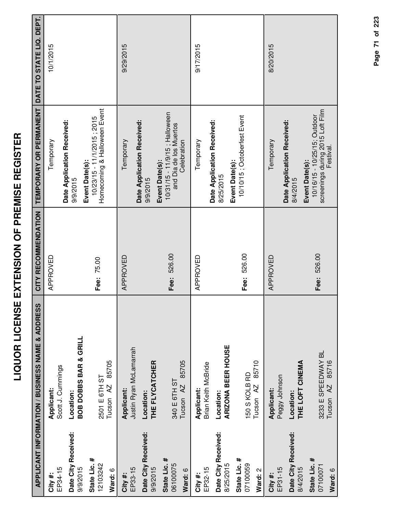| I<br>Ī<br>١<br>İ<br>í                                  |
|--------------------------------------------------------|
| l<br>I                                                 |
| i<br>i<br>i<br>$\overline{\phantom{a}}$<br>I<br>-<br>- |
| <br>(<br>,                                             |
| İ<br>$\frac{1}{2}$                                     |
| l<br>I<br>į                                            |
|                                                        |
| i                                                      |
| I<br>j                                                 |

|                                     | <b>APPLICANT INFORMATION / BUSINESS NAME &amp; ADDRESS</b> | CITY RECOMMENDATION | TEMPORARY OR PERMANENT                                                                   | DATE TO STATE LIQ. DEPT. |
|-------------------------------------|------------------------------------------------------------|---------------------|------------------------------------------------------------------------------------------|--------------------------|
| EP34-15<br>City#:                   | Scott J. Cummings<br>Applicant:                            | APPROVED            | Temporary                                                                                | 10/1/2015                |
| Date City Received:<br>9/9/2015     | <b>BOB DOBBS BAR &amp; GRILL</b><br>Location:              |                     | Date Application Received:<br>9/9/2015                                                   |                          |
| State Lic. #<br>12103242<br>Ward: 6 | 85705<br>2501 E 6TH ST<br>Tucson <sub>AZ</sub>             | Fee: 75.00          | Homecoming & Halloween Event<br>$10/23/15 - 11/1/2015$ ; 2015<br>Event Date(s):          |                          |
| EP33-15<br>City #:                  | Justin Ryan McLamarrah<br>Applicant:                       | APPROVED            | Temporary                                                                                | 9/29/2015                |
| Date City Received:<br>9/9/2015     | THE FLYCATCHER<br>Location:                                |                     | Date Application Received:<br>9/9/2015                                                   |                          |
| State Lic. #<br>06100075<br>Ward: 6 | 85705<br>340 E 6TH ST<br>Tucson <sub>AZ</sub>              | Fee: 526.00         | 10/31/15 - 11/9/15; Halloween<br>and Dia de los Muertos<br>Celebration<br>Event Date(s): |                          |
| EP32-15<br>City#:                   | Brian Keith McBride<br>Applicant:                          | APPROVED            | Temporary                                                                                | 9/17/2015                |
| Date City Received:<br>8/25/2015    | ARIZONA BEER HOUSE<br>Location:                            |                     | Date Application Received:<br>8/25/2015                                                  |                          |
| State Lic. #<br>07100059<br>Ward: 2 | 85710<br>150 S KOLB RD<br>Tucson <sub>AZ</sub>             | Fee: 526.00         | 10/10/15; Octoberfest Event<br>Event Date(s):                                            |                          |
| EP31-15<br>City#:                   | Peggy Johnson<br>Applicant:                                | APPROVED            | Date Application Received:<br>Temporary                                                  | 8/20/2015                |
| Date City Received:<br>8/4/2015     | THE LOFT CINEMA<br>Location:                               |                     | Event Date(s):<br>8/4/2015                                                               |                          |
| State Lic. #<br>07100071<br>Ward: 6 | 3233 E SPEEDWAY BL<br>85716<br>Tucson <sub>AZ</sub>        | Fee: 526.00         | screenings during 2015 Loft Film<br>10/16/15 - 10/25/15; Outdoor<br>Festival.            |                          |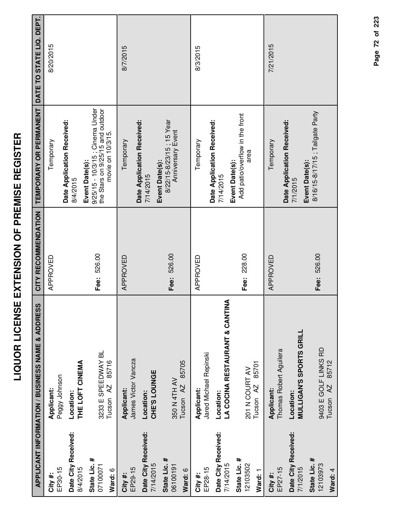|                                      | APPLICANT INFORMATION / BUSINESS NAME & ADDRESS                        | CITY RECOMMENDATION | TEMPORARY OR PERMANENT                                                                 | DATE TO STATE LIQ. DEPT. |
|--------------------------------------|------------------------------------------------------------------------|---------------------|----------------------------------------------------------------------------------------|--------------------------|
| EP30-15<br>City #:                   | Peggy Johnson<br>Applicant:                                            | APPROVED            | Temporary                                                                              | 8/20/2015                |
| Date City Received:                  | Location:                                                              |                     | Date Application Received:<br>8/4/2015                                                 |                          |
| State Lic. #<br>07100071<br>8/4/2015 | 3233 E SPEEDWAY BL<br>85716<br>THE LOFT CINEMA<br>Tucson <sub>AZ</sub> | Fee: 526.00         | 9/25/15 - 10/3/15 ; Cinema Under<br>the Stars on 9/25/15 and outdoor<br>Event Date(s): |                          |
| EP29-15<br>Ward: 6<br>City #:        | James Victor Vancza<br>Applicant:                                      | APPROVED            | Temporary                                                                              | 8/7/2015                 |
| Date City Received:<br>7/14/2015     | CHE'S LOUNGE<br>Location:                                              |                     | Date Application Received:<br>7/14/2015                                                |                          |
| State Lic. #<br>06100191<br>Ward: 6  | 85705<br>350 N 4TH AV<br>Tucson <sub>AZ</sub>                          | Fee: 526.00         | 8/22/15-8/23/15; 15 Year<br>Anniversary Event<br>Event Date(s):                        |                          |
| EP28-15<br>City #:                   | Jared Michael Repinski<br>Applicant:                                   | APPROVED            | Temporary                                                                              | 8/3/2015                 |
| Date City Received:<br>7/14/2015     | LA COCINA RESTAURANT & CANTINA<br>Location:                            |                     | Date Application Received:<br>7/14/2015                                                |                          |
| State Lic. #<br>12103502<br>Ward: 1  | 85701<br>201 N COURT AV<br>Tucson <sub>AZ</sub>                        | Fee: 228.00         | Add patio/overflow in the front<br>area<br>Event Date(s):                              |                          |
| EP27-15<br>City #:                   | Thomas Robert Aguilera<br>Applicant:                                   | APPROVED            | Temporary                                                                              | 7/21/2015                |
| Date City Received:<br>7/1/2015      | <b>MULLIGAN'S SPORTS GRILL</b><br>Location:                            |                     | Date Application Received:<br>7/1/2015                                                 |                          |
| State Lic. #<br>12103973<br>Ward: 4  | 9403 E GOLF LINKS RD<br>Tucson AZ 85712                                | Fee: 526.00         | 8/16/15-8/17/15; Tailgate Party<br>Event Date(s):                                      |                          |

Page 72 of 223 **Page of 72 223**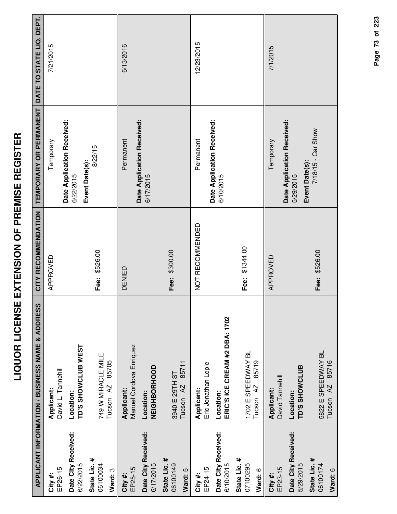|                                     | APPLICANT INFORMATION / BUSINESS NAME & ADDRESS     | CITY RECOMMENDATION | TEMPORARY OR PERMANENT DATE TO STATE LIQ. DEPT. |            |
|-------------------------------------|-----------------------------------------------------|---------------------|-------------------------------------------------|------------|
| EP26-15<br>City#:                   | David L. Tannehill<br>Applicant:                    | APPROVED            | Temporary                                       | 7/21/2015  |
| Date City Received:<br>6/22/2015    | TD'S SHOWCLUB WEST<br>Location:                     |                     | Date Application Received:<br>6/22/2015         |            |
| State Lic. #<br>06100034<br>Ward: 3 | 749 W MIRACLE MILE<br>85705<br>Tucson AZ            | Fee: \$526.00       | 8/22/15<br>Event Date(s):                       |            |
| EP25-15<br>City#:                   | Manuel Cordova Enriquez<br>Applicant:               | DENIED              | Permanent                                       | 6/13/2016  |
| Date City Received:<br>6/17/2015    | NEIGHBORHOOD<br>Location:                           |                     | Date Application Received:<br>6/17/2015         |            |
| State Lic. #<br>06100149            | 85711<br>3940 E 29TH ST<br>Tucson <sub>AZ</sub>     | Fee: \$300.00       |                                                 |            |
| Ward: 5                             |                                                     |                     |                                                 |            |
| EP24-15<br>City #:                  | Eric Jonathan Lepie<br>Applicant:                   | NOT RECOMMENDED     | Permanent                                       | 12/23/2015 |
| Date City Received:<br>6/10/2015    | ERIC'S ICE CREAM #2 DBA: 1702<br>Location:          |                     | Date Application Received:<br>6/10/2015         |            |
| State Lic. #<br>07100295<br>Ward: 6 | 1702 E SPEEDWAY BL<br>85719<br>Tucson <sub>AZ</sub> | Fee: \$1344.00      |                                                 |            |
| EP23-15<br>City #:                  | David Tannehill<br>Applicant:                       | APPROVED            | Temporary                                       | 7/1/2015   |
| Date City Received:<br>5/29/2015    | TD'S SHOWCLUB<br>Location:                          |                     | Date Application Received:<br>5/29/2015         |            |
| State Lic. #<br>06100174<br>Ward: 6 | 5822 E SPEEDWAY BL<br>Tucson AZ 85716               | Fee: \$526.00       | 7/18/15 - Car Show<br>Event Date(s):            |            |
|                                     |                                                     |                     |                                                 |            |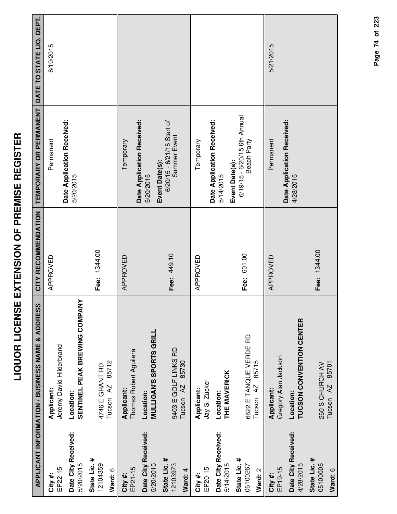|                                     | <b>APPLICANT INFORMATION / BUSINESS NAME &amp; ADDRESS</b> | CITY RECOMMENDATION | TEMPORARY OR PERMANENT                                        | DATE TO STATE LIQ. DEPT. |
|-------------------------------------|------------------------------------------------------------|---------------------|---------------------------------------------------------------|--------------------------|
| EP22-15<br>City #:                  | Jeremy David Hilderbrand<br>Applicant:                     | APPROVED            | Date Application Received:<br>Permanent                       | 6/10/2015                |
| Date City Received:<br>5/20/2015    | SENTINEL PEAK BREWING COMPANY<br>Location:                 |                     | 5/20/2015                                                     |                          |
| State Lic. #<br>12104359<br>Ward: 6 | 85712<br>4746 E GRANT RD<br>Tucson <sub>AZ</sub>           | Fee: 1344.00        |                                                               |                          |
| EP21-15<br>City #:                  | Thomas Robert Aguilera<br>Applicant:                       | APPROVED            | Temporary                                                     |                          |
| Date City Received:<br>5/20/2015    | <b>MULLIGAN'S SPORTS GRILL</b><br>Location:                |                     | Date Application Received:<br>5/20/2015                       |                          |
| State Lic. #<br>12103973<br>Ward: 4 | 9403 E GOLF LINKS RD<br>85730<br>Tucson <sub>AZ</sub>      | Fee: 449.10         | 6/20/15 - 6/21/15 Start of<br>Summer Event<br>Event Date(s):  |                          |
| EP20-15<br>City #:                  | Jay S. Zucker<br>Applicant:                                | APPROVED            | Temporary                                                     |                          |
| Date City Received:<br>5/14/2015    | THE MAVERICK<br>Location:                                  |                     | Date Application Received:<br>5/14/2015                       |                          |
| State Lic. #<br>06100267<br>Ward: 2 | 6622 E TANQUE VERDE RD<br>85715<br>Tucson <sub>AZ</sub>    | Fee: 601.00         | 6/19/15 - 6/20/15 6th Annual<br>Beach Party<br>Event Date(s): |                          |
| EP19-15<br>City#:                   | Gregory Alan Jackson<br>Applicant:                         | APPROVED            | Permanent                                                     | 5/21/2015                |
| Date City Received:<br>4/28/2015    | <b>TUCSON CONVENTION CENTER</b><br>Location:               |                     | Date Application Received:<br>4/28/2015                       |                          |
| State Lic. #<br>05100005<br>Ward: 6 | 85701<br>260 S CHURCH AV<br>Tucson <sub>AZ</sub>           | Fee: 1344.00        |                                                               |                          |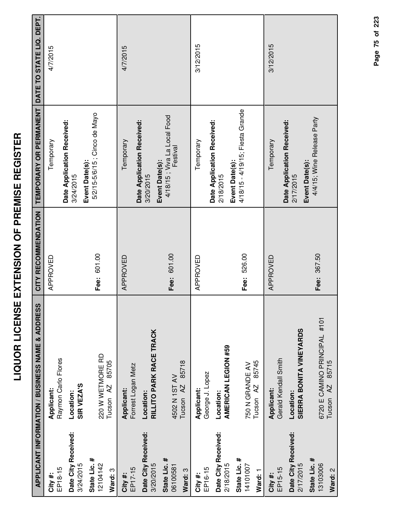| Í<br>ı<br>i                                             |  |
|---------------------------------------------------------|--|
| 1<br> <br> <br> <br> <br> <br>$\frac{1}{\sqrt{2}}$<br>I |  |
| י<br> <br>י<br>I<br>l<br>j                              |  |
| l<br>;<br>{<br>.<br>I                                   |  |
| i<br>Ī<br>È<br>í                                        |  |

|                                     | <b>APPLICANT INFORMATION / BUSINESS NAME &amp; ADDRESS</b>    | CITY RECOMMENDATION | TEMPORARY OR PERMANENT                                    | DATE TO STATE LIQ. DEPT. |
|-------------------------------------|---------------------------------------------------------------|---------------------|-----------------------------------------------------------|--------------------------|
| EP18-15<br>City #:                  | Raymon Carlo Flores<br>Applicant:                             | APPROVED            | Temporary                                                 | 4/7/2015                 |
| Date City Received:<br>3/24/2015    | SIR VEZA'S<br>Location:                                       |                     | Date Application Received:<br>3/24/2015                   |                          |
| State Lic. #<br>12104142<br>Ward: 3 | 220 W WETMORE RD<br>85705<br>Tucson <sub>AZ</sub>             | Fee: 601.00         | 5/2/15-5/6/15 ; Cinco de Mayo<br>Event Date(s):           |                          |
| EP17-15<br>City #:                  | Forrest Logan Metz<br>Applicant:                              | APPROVED            | Date Application Received:<br>Temporary                   | 4/7/2015                 |
| Date City Received:<br>3/20/2015    | RILLITO PARK RACE TRACK<br>Location:                          |                     | Event Date(s):<br>3/20/2015                               |                          |
| State Lic. #<br>06100581<br>Ward: 3 | 85718<br>4502 N 1ST AV<br>Tucson <sub>AZ</sub>                | Fee: 601.00         | 4/18/15 ; Viva La Local Food<br>Festival                  |                          |
| EP16-15<br>City#:                   | George J. Lopez<br>Applicant:                                 | APPROVED            | Temporary                                                 | 3/12/2015                |
| Date City Received:<br>2/18/2015    | AMERICAN LEGION #59<br>Location:                              |                     | Date Application Received:<br>2/18/2015                   |                          |
| State Lic. #<br>14101007<br>Ward: 1 | 85745<br>750 N GRANDE AV<br>Tucson <sub>AZ</sub>              | Fee: 526.00         | 4/18/15 - 4/19/15; Fiesta Grande<br>Event Date(s):        |                          |
| EP15-15<br>City #:                  | Gerald Kendall Smith<br>Applicant:                            | APPROVED            | Temporary                                                 | 3/12/2015                |
| Date City Received:<br>2/17/2015    | SIERRA BONITA VINEYARDS<br>Location:                          |                     | Date Application Received:<br>Event Date(s):<br>2/17/2015 |                          |
| State Lic. #<br>13103006<br>Ward: 2 | 6720 E CAMINO PRINCIPAL #101<br>85715<br>Tucson <sub>AZ</sub> | Fee: 367.50         | 4/4/15; Wine Release Party                                |                          |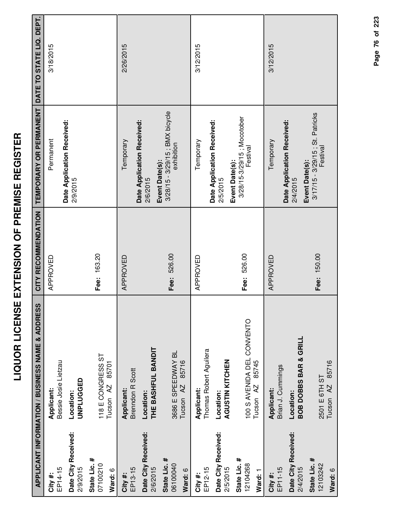|                                     | APPLICANT INFORMATION / BUSINESS NAME & ADDRESS             | CITY RECOMMENDATION | TEMPORARY OR PERMANENT DATE TO STATE LIQ. DEPT.                 |           |
|-------------------------------------|-------------------------------------------------------------|---------------------|-----------------------------------------------------------------|-----------|
| EP14-15<br>City#:                   | Bessie Josie Lietzau<br>Applicant:                          | APPROVED            | Permanent                                                       | 3/18/2015 |
| Date City Received:<br>2/9/2015     | UNPLUGGED<br>Location:                                      |                     | Date Application Received:<br>2/9/2015                          |           |
| State Lic. #<br>07100210<br>Ward: 6 | 118 E CONGRESS ST<br>85701<br>Tucson <sub>AZ</sub>          | Fee: 163.20         |                                                                 |           |
| EP13-15<br>City #:                  | <b>Brenndon R Scott</b><br>Applicant:                       | APPROVED            | Temporary                                                       | 2/26/2015 |
| Date City Received:<br>2/6/2015     | THE BASHFUL BANDIT<br>Location:                             |                     | Date Application Received:<br>2/6/2015                          |           |
| State Lic. #<br>06100040<br>Ward: 6 | 3686 E SPEEDWAY BL<br>85716<br>Tucson <sub>AZ</sub>         | Fee: 526.00         | 3/28/15 - 3/29/15 ; BMX bicycle<br>exhibition<br>Event Date(s): |           |
| EP12-15<br>City #:                  | Thomas Robert Aguilera<br>Applicant:                        | APPROVED            | Temporary                                                       | 3/12/2015 |
| Date City Received:<br>2/5/2015     | AGUSTIN KITCHEN<br>Location:                                |                     | Date Application Received:<br>2/5/2015                          |           |
| State Lic. #<br>12104268<br>Ward: 1 | 100 S AVENIDA DEL CONVENTO<br>85745<br>Tucson <sub>AZ</sub> | Fee: 526.00         | 3/28/15-3/29/15; Mocotober<br>Festival<br>Event Date(s):        |           |
| EP11-15<br>City #:                  | Brian J. Cummings<br>Applicant:                             | APPROVED            | Temporary                                                       | 3/12/2015 |
| Date City Received:<br>2/4/2015     | BOB DOBBS BAR & GRILL<br>Location:                          |                     | Date Application Received:<br>Event Date(s):<br>2/4/2015        |           |
| State Lic. #<br>12103242<br>Ward: 6 | Tucson AZ 85716<br>2501 E 6TH ST                            | Fee: 150.00         | 3/17/15 - 3/29/15 ; St. Patricks<br>Festival                    |           |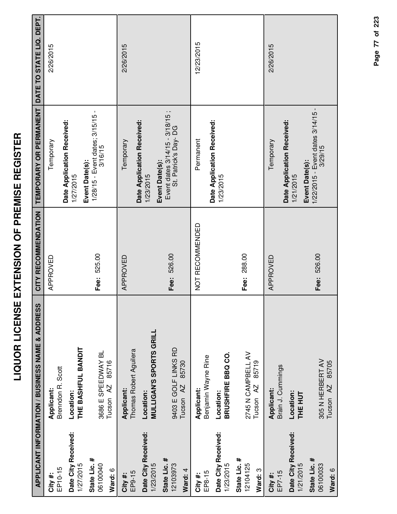| l<br>j<br>i                                                |
|------------------------------------------------------------|
| ו<br>ו<br>ا<br>ا                                           |
|                                                            |
| <br> <br> <br> <br> <br> <br>i                             |
| ີ                                                          |
| i<br>i                                                     |
| l<br>j                                                     |
| i                                                          |
| -<br>-<br>-<br>-<br>-<br>-<br><br><br><br><br><br><br><br> |
| ≃<br>r<br>i<br>∶                                           |
|                                                            |

|                                  | <b>APPLICANT INFORMATION / BUSINESS NAME &amp; ADDRESS</b> | CITY RECOMMENDATION | TEMPORARY OR PERMANENT                                        | DATE TO STATE LIQ. DEPT. |
|----------------------------------|------------------------------------------------------------|---------------------|---------------------------------------------------------------|--------------------------|
| EP10-15<br>City #:               | Brenndon R. Scott<br>Applicant:                            | APPROVED            | Temporary                                                     | 2/26/2015                |
| Date City Received:<br>1/27/2015 | THE BASHFUL BANDIT<br>Location:                            |                     | Date Application Received:<br>1/27/2015                       |                          |
| State Lic. #<br>06100040         | 3686 E SPEEDWAY BL                                         | Fee: 525.00         | 1/28/15 - Event dates; 3/15/15 -<br>3/16/15<br>Event Date(s): |                          |
| Ward: 6                          | 85716<br>Tucson <sub>AZ</sub>                              |                     |                                                               |                          |
| EP9-15<br>City#:                 | Thomas Robert Aguilera<br>Applicant:                       | APPROVED            | Temporary                                                     | 2/26/2015                |
| Date City Received:<br>1/23/2015 | <b>MULLIGAN'S SPORTS GRILL</b><br>Location:                |                     | Date Application Received:<br>Event Date(s):<br>1/23/2015     |                          |
| State Lic. #<br>12103973         | 9403 E GOLF LINKS RD                                       | Fee: 526.00         | Event dates $3/14/15 - 3/18/15$ ;<br>St. Patrick's Day-DG     |                          |
| Ward: 4                          | 85730<br>Tucson <sub>AZ</sub>                              |                     |                                                               |                          |
| EP8-15<br>City #:                | Benjamin Wayne Rine<br>Applicant:                          | NOT RECOMMENDED     | Permanent                                                     | 12/23/2015               |
| Date City Received:<br>1/23/2015 | BRUSHFIRE BBQ CO.<br>Location:                             |                     | Date Application Received:<br>1/23/2015                       |                          |
| State Lic. #<br>12104125         | 2745 N CAMPBELL AV                                         | 288.00<br>Fee:      |                                                               |                          |
| Ward: 3                          | 85719<br>Tucson <sub>AZ</sub>                              |                     |                                                               |                          |
| EP7-15<br>City #:                | Brain J. Cummings<br>Applicant:                            | APPROVED            | Temporary                                                     | 2/26/2015                |
| Date City Received:<br>1/21/2015 | Location:<br>THE HUT                                       |                     | Date Application Received:<br>Event Date(s):<br>1/21/2015     |                          |
| State Lic. #<br>06100033         | 305 N HERBERT AV                                           | Fee: 526.00         | 1/22/2015 - Event dates 3/14/15 -<br>3/29/15                  |                          |
| Ward: 6                          | 85705<br>AZ<br>Tucson                                      |                     |                                                               |                          |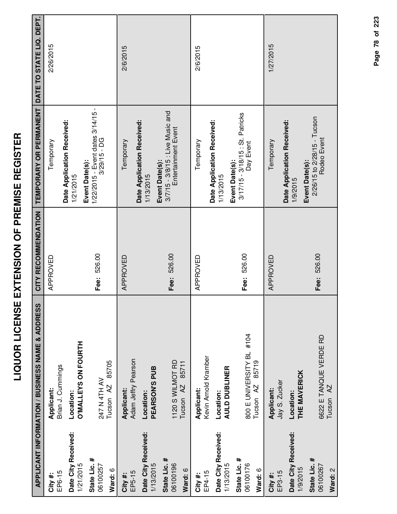|                                     | APPLICANT INFORMATION / BUSINESS NAME & ADDRESS           | CITY RECOMMENDATION | TEMPORARY OR PERMANENT                                                    | DATE TO STATE LIQ. DEPT. |
|-------------------------------------|-----------------------------------------------------------|---------------------|---------------------------------------------------------------------------|--------------------------|
| EP6-15<br>City #:                   | Brian J. Cummings<br>Applicant:                           | APPROVED            | Temporary                                                                 | 2/26/2015                |
| Date City Received:<br>1/21/2015    | <b>O'MALLEYS ON FOURTH</b><br>Location:                   |                     | Date Application Received:<br>1/21/2015                                   |                          |
| State Lic. #<br>06100257<br>Ward: 6 | 85705<br>247 N 4TH AV<br>Tucson <sub>AZ</sub>             | Fee: 526.00         | 1/22/2015 - Event dates 3/14/15 -<br>$3/29/15 - DG$<br>Event Date(s):     |                          |
| EP5-15<br>City #:                   | Adam Jeffry Pearson<br>Applicant:                         | APPROVED            | Temporary                                                                 | 2/6/2015                 |
| Date City Received:<br>1/13/2015    | PEARSON'S PUB<br>Location:                                |                     | Date Application Received:<br>1/13/2015                                   |                          |
| State Lic. #<br>06100196<br>Ward: 6 | 1120 S WILMOT RD<br>85711<br>Tucson <sub>AZ</sub>         | Fee: 526.00         | 3/7/15 - 3/8/15 : Live Music and<br>Entertainment Event<br>Event Date(s): |                          |
| EP4-15<br>City #:                   | Kevin Arnold Kramber<br>Applicant:                        | APPROVED            | Temporary                                                                 | 2/6/2015                 |
| Date City Received:<br>1/13/2015    | <b>AULD DUBLINER</b><br>Location:                         |                     | Date Application Received:<br>1/13/2015                                   |                          |
| State Lic. #<br>06100176<br>Ward: 6 | 800 E UNIVERSITY BL #104<br>85719<br>Tucson <sub>AZ</sub> | Fee: 526.00         | 3/17/15 - 3/18/15 : St. Patricks<br>Day Event<br>Event Date(s):           |                          |
| EP3-15<br>City #:                   | Jay S. Zucker<br>Applicant:                               | APPROVED            | Temporary                                                                 | 1/27/2015                |
| Date City Received:<br>1/9/2015     | THE MAVERICK<br>Location:                                 |                     | Date Application Received:<br>1/9/2015                                    |                          |
| State Lic. #<br>06100267<br>Ward: 2 | 6622 E TANQUE VERDE RD<br>Tucson AZ                       | Fee: 526.00         | 2/26/15 to 2/28/15 - Tucson<br>Rodeo Event<br>Event Date(s):              |                          |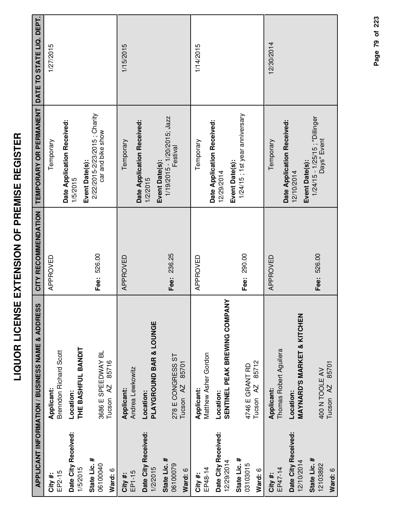| ľ<br>ׇ֧֦֧ׅ֧ׅ֧ׅ֧֧֧֧ׅ֧֧֛֧֚֚֚֚֚֚֚֚֚֚֚֚֚֚֡֘֜֜֓֝֬֝֓֝֬֜֓<br>֧֧֧֧֧ׅ֧֧֧֪ׅ֧֪֧֧֧ׅ֧֛֪֪֪֪֪֪֪֪֪֪֪֪֪֪֪֪֪֪֪֪֪֪֪֪֪֪֪֪ׅ֛֪֪ׅ֩֩֩֩֩֩֩֓֜֓֩֩֩֓֓֓֩֓֜֓<br>i<br>.<br>( |
|-----------------------------------------------------------------------------------------------------------------------------------------------|
| ĺ<br>l<br>$\frac{1}{2}$<br>i<br>l                                                                                                             |
| i<br>ī<br>$\zeta$<br>i                                                                                                                        |
| I<br>l<br>ī                                                                                                                                   |
| <br> <br> <br>ì<br>ì                                                                                                                          |
| I<br>i                                                                                                                                        |

|                                     | <b>APPLICANT INFORMATION / BUSINESS NAME &amp; ADDRESS</b> | CITY RECOMMENDATION | TEMPORARY OR PERMANENT                                              | DATE TO STATE LIQ. DEPT. |
|-------------------------------------|------------------------------------------------------------|---------------------|---------------------------------------------------------------------|--------------------------|
| EP2-15<br>City#:                    | <b>Brenndon Richard Scott</b><br>Applicant:                | APPROVED            | Temporary                                                           | 1/27/2015                |
| Date City Received:<br>1/5/2015     | THE BASHFUL BANDIT<br>Location:                            |                     | Date Application Received:<br>1/5/2015                              |                          |
| State Lic. #<br>06100040<br>Ward: 6 | 3686 E SPEEDWAY BL<br>85716<br>Tucson AZ                   | Fee: 526.00         | 2/22/2015-2/23/2015; Charity<br>car and bike show<br>Event Date(s): |                          |
| EP1-15<br>City#:                    | Andrea Lewkowitz<br>Applicant:                             | APPROVED            | Temporary                                                           | 1/15/2015                |
| Date City Received:<br>1/2/2015     | PLAYGROUND BAR & LOUNGE<br>Location:                       |                     | Date Application Received:<br>1/2/2015                              |                          |
| State Lic. #<br>06100079<br>Ward: 6 | 278 E CONGRESS ST<br>85701<br>Tucson <sub>AZ</sub>         | Fee: 236.25         | 1/19/2015 - 1/20/2015; Jazz<br>Festival<br>Event Date(s):           |                          |
| EP48-14<br>City #:                  | Matthew Asher Gordon<br>Applicant:                         | APPROVED            | Temporary                                                           | 1/14/2015                |
| Date City Received:<br>12/29/2014   | SENTINEL PEAK BREWING COMPANY<br>Location:                 |                     | Date Application Received:<br>Event Date(s):<br>12/29/2014          |                          |
| State Lic. #<br>03103015<br>Ward: 6 | 85712<br>4746 E GRANT RD<br>Tucson <sub>AZ</sub>           | Fee: 290.00         | 1/24/15 ; 1st year anniversary                                      |                          |
| EP47-14<br>City#:                   | Thomas Robert Aguilera<br>Applicant:                       | APPROVED            | Temporary                                                           | 12/30/2014               |
| Date City Received:<br>12/10/2014   | <b>MAYNARD'S MARKET &amp; KITCHEN</b><br>Location:         |                     | Date Application Received:<br>Event Date(s):<br>12/10/2014          |                          |
| State Lic. #<br>12103892<br>Ward: 6 | 85701<br>400 N TOOLE AV<br>Tucson <sub>AZ</sub>            | Fee: 526.00         | 1/24/15 - 1/25/15; "Dillinger<br>Days" Event                        |                          |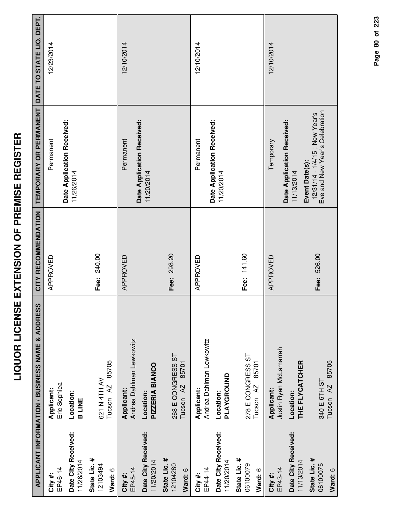| $\frac{1}{1}$<br>Ιİ<br>I<br>i                     |
|---------------------------------------------------|
| Í<br>l                                            |
| i                                                 |
| $\frac{1}{2}$ is a linear direct of $\frac{1}{2}$ |
|                                                   |
| I<br>i                                            |
| <br> <br>                                         |
| - 1<br>- 1<br>- 1                                 |
| ī                                                 |
| ֚֚֡֞<br>l<br>$\overline{\mathbf{C}}$              |
| I                                                 |

|                                     | <b>APPLICANT INFORMATION / BUSINESS NAME &amp; ADDRESS</b> | CITY RECOMMENDATION | TEMPORARY OR PERMANENT                                          | DATE TO STATE LIQ. DEPT. |
|-------------------------------------|------------------------------------------------------------|---------------------|-----------------------------------------------------------------|--------------------------|
| EP46-14<br>City #:                  | Eric Sophiea<br>Applicant:                                 | APPROVED            | Date Application Received:<br>Permanent                         | 12/23/2014               |
| Date City Received:<br>11/26/2014   | Location:<br><b>B LINE</b>                                 |                     | 11/26/2014                                                      |                          |
| State Lic. #<br>12103494<br>Ward: 6 | 85705<br>621 N 4TH AV<br>Tucson <sub>AZ</sub>              | Fee: 240.00         |                                                                 |                          |
| EP45-14<br>City #:                  | Andrea Dahlman Lewkowitz<br>Applicant:                     | APPROVED            | Date Application Received:<br>Permanent                         | 12/10/2014               |
| Date City Received:<br>11/20/2014   | PIZZERIA BIANCO<br>Location:                               |                     | 11/20/2014                                                      |                          |
| State Lic. #<br>12104280<br>Ward: 6 | 268 E CONGRESS ST<br>85701<br>Tucson AZ                    | Fee: 298.20         |                                                                 |                          |
| EP44-14<br>City #:                  | Andrea Dahlman Lewkowitz<br>Applicant:                     | APPROVED            | Permanent                                                       | 12/10/2014               |
| Date City Received:<br>11/20/2014   | PLAYGROUND<br>Location:                                    |                     | Date Application Received:<br>11/20/2014                        |                          |
| State Lic. #<br>06100079<br>Ward: 6 | 278 E CONGRESS ST<br>85701<br>Tucson <sub>AZ</sub>         | Fee: 141.60         |                                                                 |                          |
| EP43-14<br>City#:                   | Justin Ryan McLamarrah<br>Applicant:                       | APPROVED            | Temporary                                                       | 12/10/2014               |
| Date City Received:<br>11/13/2014   | THE FLYCATCHER<br>Location:                                |                     | Date Application Received:<br>Event Date(s):<br>11/13/2014      |                          |
| State Lic. #<br>06100075<br>Ward: 6 | 85705<br>340 E 6TH ST<br>Tucson <sub>AZ</sub>              | Fee: 526.00         | Eve and New Year's Celebration<br>12/31/14 - 1/4/15; New Year's |                          |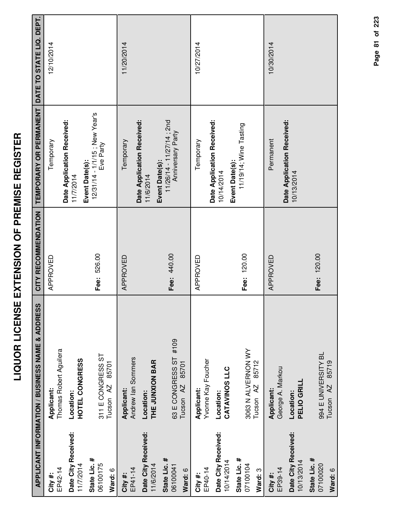| ĭ<br>I<br>i<br>ו<br>ו<br>-<br>(<br> <br>Ĺ<br>l                     |
|--------------------------------------------------------------------|
| ا<br>ا<br>$\frac{1}{2}$<br>$\overline{\phantom{a}}$<br>l<br>ï<br>i |
| i<br>—<br> <br> <br>i                                              |
| I<br>$\frac{1}{2}$<br>l<br>l                                       |
| י<br>ו<br>ī                                                        |

|                                     | APPLICANT INFORMATION / BUSINESS NAME & ADDRESS        | CITY RECOMMENDATION | TEMPORARY OR PERMANENT                                       | DATE TO STATE LIQ. DEPT. |
|-------------------------------------|--------------------------------------------------------|---------------------|--------------------------------------------------------------|--------------------------|
| EP42-14<br>City #:                  | Thomas Robert Aguilera<br>Applicant:                   | APPROVED            | Temporary                                                    | 12/10/2014               |
| Date City Received:<br>11/7/2014    | HOTEL CONGRESS<br>Location:                            |                     | Date Application Received:<br>11/7/2014                      |                          |
| State Lic. #<br>06100175<br>Ward: 6 | 311 E CONGRESS ST<br>85701<br>Tucson <sub>AZ</sub>     | Fee: 526.00         | 12/31/14 - 1/1/15; New Year's<br>Eve Party<br>Event Date(s): |                          |
| EP41-14<br>City#:                   | Andrew lan Sommers<br>Applicant:                       | APPROVED            | Temporary                                                    | 11/20/2014               |
| Date City Received:<br>11/6/2014    | THE JUNXION BAR<br>Location:                           |                     | Date Application Received:<br>Event Date(s):<br>11/6/2014    |                          |
| State Lic. #<br>06100041<br>Ward: 6 | 63 E CONGRESS ST #109<br>85701<br>Tucson <sub>AZ</sub> | Fee: 440.00         | 11/26/14 - 11/27/14; 2nd<br>Anniversary Party                |                          |
| EP40-14<br>City#:                   | Yvonne Kay Foucher<br>Applicant:                       | APPROVED            | Temporary                                                    | 10/27/2014               |
| Date City Received:<br>10/14/2014   | CATAVINOS LLC<br>Location:                             |                     | Date Application Received:<br>10/14/2014                     |                          |
| State Lic. #<br>07100104<br>Ward: 3 | 3063 N ALVERNON WY<br>85712<br>Tucson AZ               | Fee: 120.00         | 11/19/14; Wine Tasting<br>Event Date(s):                     |                          |
| EP39-14<br>City #:                  | George A. Markou<br>Applicant:                         | APPROVED            | Permanent                                                    | 10/30/2014               |
| Date City Received:<br>10/13/2014   | PELIO GRILL<br>Location:                               |                     | Date Application Received:<br>10/13/2014                     |                          |
| State Lic. #<br>07100020<br>Ward: 6 | 994 E UNIVERSITY BL<br>85719<br>Tucson <sub>AZ</sub>   | Fee: 120.00         |                                                              |                          |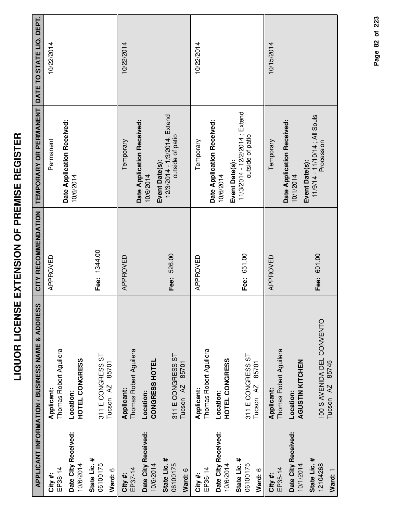|                                     | APPLICANT INFORMATION / BUSINESS NAME & ADDRESS             | CITY RECOMMENDATION | TEMPORARY OR PERMANENT DATE TO STATE LIQ. DEPT.                     |            |
|-------------------------------------|-------------------------------------------------------------|---------------------|---------------------------------------------------------------------|------------|
| EP38-14<br>City#:                   | Thomas Robert Aguilera<br>Applicant:                        | APPROVED            | Permanent                                                           | 10/22/2014 |
| Date City Received:<br>10/6/2014    | HOTEL CONGRESS<br>Location:                                 |                     | Date Application Received:<br>10/6/2014                             |            |
| State Lic. #<br>06100175<br>Ward: 6 | 311 E CONGRESS ST<br>85701<br>Tucson <sub>AZ</sub>          | Fee: 1344.00        |                                                                     |            |
| EP37-14<br>City #:                  | Thomas Robert Aguilera<br>Applicant:                        | APPROVED            | Temporary                                                           | 10/22/2014 |
| Date City Received:<br>10/6/2014    | CONGRESS HOTEL<br>Location:                                 |                     | Date Application Received:<br>10/6/2014                             |            |
| State Lic. #<br>06100175<br>Ward: 6 | 311 E CONGRESS ST<br>85701<br>Tucson <sub>AZ</sub>          | Fee: 526.00         | 12/3/2014 - 1/3/2014; Extend<br>outside of patio<br>Event Date(s):  |            |
| EP36-14<br>City#:                   | Thomas Robert Aguilera<br>Applicant:                        | APPROVED            | Temporary                                                           | 10/22/2014 |
| Date City Received:<br>10/6/2014    | <b>HOTEL CONGRESS</b><br>Location:                          |                     | Date Application Received:<br>10/6/2014                             |            |
| State Lic. #<br>06100175<br>Ward: 6 | 311 E CONGRESS ST<br>85701<br>Tucson <sub>AZ</sub>          | Fee: 651.00         | 11/3/2014 - 12/2/2014; Extend<br>outside of patio<br>Event Date(s): |            |
| EP35-14<br>City #:                  | Thomas Robert Aguilera<br>Applicant:                        | APPROVED            | Temporary                                                           | 10/15/2014 |
| Date City Received:<br>10/1/2014    | AGUSTIN KITCHEN<br>Location:                                |                     | Date Application Received:<br>10/1/2014                             |            |
| State Lic. #<br>12104268<br>Ward: 1 | 100 S AVENIDA DEL CONVENTO<br>85745<br>Tucson <sub>AZ</sub> | Fee: 601.00         | 11/9/14 - 11/10/14 ; All Souls<br>Procession<br>Event Date(s):      |            |

Page 82 of 223 **Page of 82 223**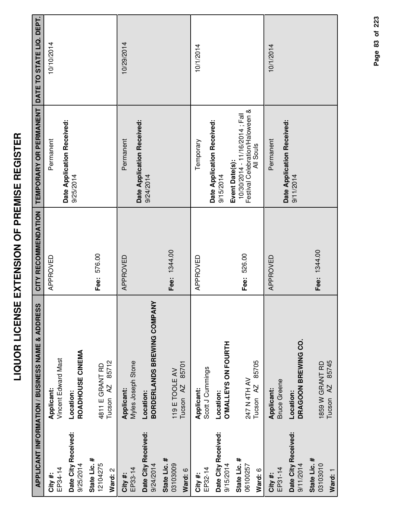| $\frac{1}{2}$                    |  |
|----------------------------------|--|
| I<br>i<br>I<br>J<br>i<br>(       |  |
| -<br>-<br>Ī<br>ì<br>I            |  |
| !<br>ļ<br><b>Service Service</b> |  |
| Ī<br>i<br>i                      |  |
| l                                |  |

|                                     | <b>APPLICANT INFORMATION / BUSINESS NAME &amp; ADDRESS</b> | CITY RECOMMENDATION | TEMPORARY OR PERMANENT                                                                           | DATE TO STATE LIQ. DEPT. |
|-------------------------------------|------------------------------------------------------------|---------------------|--------------------------------------------------------------------------------------------------|--------------------------|
| EP34-14<br>City#:                   | Vincent Edward Mast<br>Applicant:                          | APPROVED            | Permanent                                                                                        | 10/10/2014               |
| Date City Received:<br>9/25/2014    | ROADHOUSE CINEMA<br>Location:                              |                     | Date Application Received:<br>9/25/2014                                                          |                          |
| State Lic. #<br>12104275<br>Ward: 2 | 85712<br>4811 E GRANT RD<br>Tucson <sub>AZ</sub>           | Fee: 576.00         |                                                                                                  |                          |
| EP33-14<br>City#:                   | Myles Joseph Stone<br>Applicant:                           | APPROVED            | Date Application Received:<br>Permanent                                                          | 10/29/2014               |
| Date City Received:<br>9/24/2014    | BORDERLANDS BREWING COMPANY<br>Location:                   |                     | 9/24/2014                                                                                        |                          |
| State Lic. #<br>03103009<br>Ward: 6 | 85701<br>119 E TOOLE AV<br>Tucson <sub>AZ</sub>            | Fee: 1344.00        |                                                                                                  |                          |
| EP32-14<br>City #:                  | Scott J Cummings<br>Applicant:                             | APPROVED            | Temporary                                                                                        | 10/1/2014                |
| Date City Received:<br>9/15/2014    | <b>D'MALLEYS ON FOURTH</b><br>Location:                    |                     | Date Application Received:<br>9/15/2014                                                          |                          |
| State Lic. #<br>06100257<br>Ward: 6 | 85705<br>247 N 4TH AV<br>Tucson AZ                         | Fee: 526.00         | Festival Celebration/Haloween &<br>10/30/2014 - 11/16/2014 ; Fall<br>All Souls<br>Event Date(s): |                          |
| EP31-14<br>City#:                   | <b>Bruce Greene</b><br>Applicant:                          | APPROVED            | Permanent                                                                                        | 10/1/2014                |
| Date City Received:<br>9/11/2014    | DRAGOON BREWING CO.<br>Location:                           |                     | Date Application Received:<br>9/11/2014                                                          |                          |
| State Lic. #<br>03103010<br>Ward: 1 | 85745<br>1859 W GRANT RD<br>Tucson <sub>AZ</sub>           | Fee: 1344.00        |                                                                                                  |                          |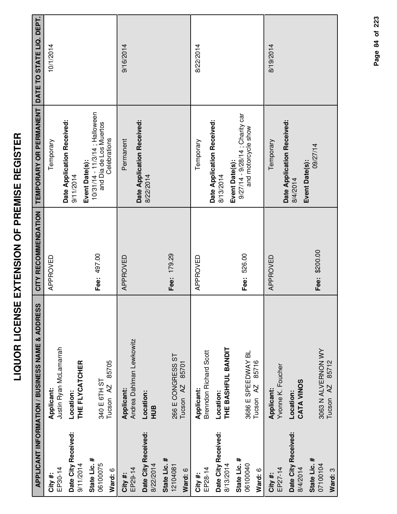|                                                  | S NAME & ADDRESS   CITY RECOMMENDATION   TEMPORARY OR PERMANENT   DATE TO |
|--------------------------------------------------|---------------------------------------------------------------------------|
| <b>UOR LICENSE EXTENSION OF PREMISE REGISTER</b> |                                                                           |
|                                                  | <b>ATION / RIISINESS</b>                                                  |

|                                                                         | <b>APPLICANT INFORMATION / BUSINESS NAME &amp; ADDRESS</b>                             | CITY RECOMMENDATION | TEMPORARY OR PERMANENT                                                                                              | DATE TO STATE LIQ. DEPT. |
|-------------------------------------------------------------------------|----------------------------------------------------------------------------------------|---------------------|---------------------------------------------------------------------------------------------------------------------|--------------------------|
| EP30-14<br>City #:                                                      | Justin Ryan McLamarrah<br>Applicant:                                                   | APPROVED            | Temporary                                                                                                           | 10/1/2014                |
| Date City Received:<br>9/11/2014                                        | THE FLYCATCHER<br>Location:                                                            |                     | Date Application Received:<br>9/11/2014                                                                             |                          |
| State Lic. #<br>06100075<br>Ward: 6                                     | 85705<br>340 E 6TH ST<br>Tucson <sub>AZ</sub>                                          | Fee: 497.00         | 10/31/14 - 11/3/14 ; Halloween<br>and Dia de Los Muertos<br>Celebrations<br>Event Date(s):                          |                          |
| Date City Received:<br>8/22/2014<br>EP29-14<br>City #:                  | Andrea Dahlman Lewkowitz<br>Applicant:<br>Location:<br>HUB                             | APPROVED            | Date Application Received:<br>Permanent<br>8/22/2014                                                                | 9/16/2014                |
| State Lic. #<br>12104081<br>Ward: 6                                     | 266 E CONGRESS ST<br>85701<br>Tucson <sub>AZ</sub>                                     | Fee: 179.29         |                                                                                                                     |                          |
| EP28-14<br>City #:                                                      | <b>Brenndon Richard Scott</b><br>Applicant:                                            | APPROVED            | Temporary                                                                                                           | 8/22/2014                |
| Date City Received:<br>State Lic. #<br>06100040<br>8/13/2014<br>Ward: 6 | THE BASHFUL BANDIT<br>3686 E SPEEDWAY BL<br>85716<br>Tucson <sub>AZ</sub><br>Location: | Fee: 526.00         | 9/27/14 - 9/28/14 ; Charity car<br>Date Application Received:<br>and motorcycle show<br>Event Date(s):<br>8/13/2014 |                          |
| Date City Received:<br>EP27-14<br>8/4/2014<br>City#:                    | Yvonne K. Foucher<br>CATA VINOS<br>Applicant:<br>Location:                             | APPROVED            | Date Application Received:<br>Temporary<br>8/4/2014                                                                 | 8/19/2014                |
| State Lic. #<br>07100104<br>Ward: 3                                     | 3063 N ALVERNON WY<br>85712<br>Tucson <sub>AZ</sub>                                    | Fee: \$200.00       | 09/27/14<br>Event Date(s):                                                                                          |                          |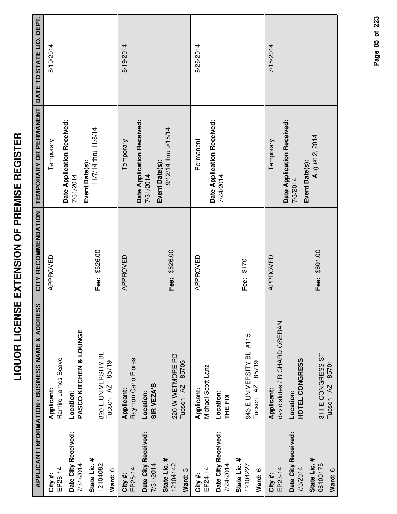|                                     | APPLICANT INFORMATION / BUSINESS NAME & ADDRESS           | CITY RECOMMENDATION | TEMPORARY OR PERMANENT DATE TO STATE LIQ. DEPT. |           |
|-------------------------------------|-----------------------------------------------------------|---------------------|-------------------------------------------------|-----------|
| EP26-14<br>City #:                  | Ramiro James Scavo<br>Applicant:                          | APPROVED            | Temporary                                       | 8/19/2014 |
| Date City Received:<br>7/31/2014    | PASCO KITCHEN & LOUNGE<br>Location:                       |                     | Date Application Received:<br>7/31/2014         |           |
| State Lic. #<br>12104082<br>Ward: 6 | 820 E UNIVERSITY BL<br>85719<br>Tucson <sub>AZ</sub>      | Fee: \$526.00       | 11/7/14 thru 11/8/14<br>Event Date(s):          |           |
| EP25-14<br>City #:                  | Raymon Carlo Flores<br>Applicant:                         | APPROVED            | Temporary                                       | 8/19/2014 |
| Date City Received:<br>7/31/2014    | SIR VEZA'S<br>Location:                                   |                     | Date Application Received:<br>7/31/2014         |           |
| State Lic. #<br>12104142<br>Ward: 3 | 220 W WETMORE RD<br>85705<br>Tucson <sub>AZ</sub>         | Fee: \$526.00       | 9/12/14 thru 9/15/14<br>Event Date(s):          |           |
| EP24-14<br>City #:                  | Michael Scott Lanz<br>Applicant:                          | APPROVED            | Permanent                                       | 8/26/2014 |
| Date City Received:<br>7/24/2014    | Location:<br>THE FIX                                      |                     | Date Application Received:<br>7/24/2014         |           |
| State Lic. #<br>12104227<br>Ward: 6 | 943 E UNIVERSITY BL #115<br>85719<br>Tucson <sub>AZ</sub> | Fee: \$170          |                                                 |           |
| EP23-14<br>City #:                  | david slutes / RICHARD OSERAN<br>Applicant:               | APPROVED            | Temporary                                       | 7/15/2014 |
| Date City Received:<br>7/3/2014     | HOTEL CONGRESS<br>Location:                               |                     | Date Application Received:<br>7/3/2014          |           |
| State Lic. #<br>06100175<br>Ward: 6 | 311 E CONGRESS ST<br>Tucson AZ 85701                      | Fee: \$601.00       | August 2, 2014<br>Event Date(s):                |           |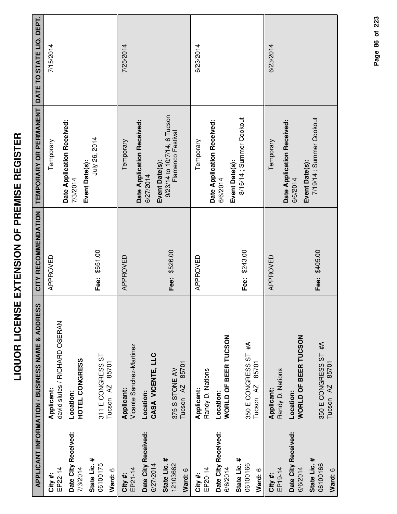|                                     | APPLICANT INFORMATION / BUSINESS NAME & ADDRESS    | CITY RECOMMENDATION | TEMPORARY OR PERMANENT DATE TO STATE LIQ. DEPT.           |           |
|-------------------------------------|----------------------------------------------------|---------------------|-----------------------------------------------------------|-----------|
| EP22-14<br>City#:                   | david slutes / RICHARD OSERAN<br>Applicant:        | APPROVED            | Temporary                                                 | 7/15/2014 |
| Date City Received:<br>7/3/2014     | HOTEL CONGRESS<br>Location:                        |                     | Date Application Received:<br>7/3/2014                    |           |
| State Lic. #<br>06100175<br>Ward: 6 | 311 E CONGRESS ST<br>85701<br>Tucson <sub>AZ</sub> | Fee: \$651.00       | July 26, 2014<br>Event Date(s):                           |           |
| EP21-14<br>City#:                   | Vicente Sanchez-Martinez<br>Applicant:             | APPROVED            | Temporary                                                 | 7/25/2014 |
| Date City Received:<br>6/27/2014    | CASA VICENTE, LLC<br>Location:                     |                     | Date Application Received:<br>Event Date(s):<br>6/27/2014 |           |
| State Lic. #<br>12103662<br>Ward: 6 | 85701<br>375 S STONE AV<br>Tucson <sub>AZ</sub>    | Fee: \$526.00       | 9/23/14 to 10/7/14; 6 Tucson<br>Flamenco Festival         |           |
| EP20-14<br>City #:                  | Randy D. Nations<br>Applicant:                     | APPROVED            | Temporary                                                 | 6/23/2014 |
| Date City Received:<br>6/6/2014     | WORLD OF BEER TUCSON<br>Location:                  |                     | Date Application Received:<br>6/6/2014                    |           |
| State Lic. #<br>06100166<br>Ward: 6 | 350 E CONGRESS ST #A<br>85701<br>Tucson AZ         | Fee: \$243.00       | 8/16/14; Summer Cookout<br>Event Date(s):                 |           |
| EP19-14<br>City #:                  | Randy D. Nations<br>Applicant:                     | APPROVED            | Temporary                                                 | 6/23/2014 |
| Date City Received:<br>6/6/2014     | <b>WORLD OF BEER TUCSON</b><br>Location:           |                     | Date Application Received:<br>6/6/2014                    |           |
| State Lic. #<br>06100166<br>Ward: 6 | 350 E CONGRESS ST #A<br>Tucson AZ 85701            | Fee: \$405.00       | 7/19/14 ; Summer Cookout<br>Event Date(s):                |           |

Page 86 of 223 **Page of 86 223**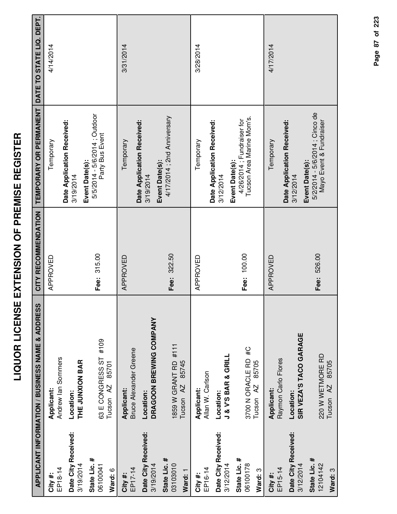|                                | ONDIT                                                                                                         | IR LICENSE EXTENSION OF PREMISE REGISTER |                                                  |               |
|--------------------------------|---------------------------------------------------------------------------------------------------------------|------------------------------------------|--------------------------------------------------|---------------|
|                                | PLICANT INFORMATION / BUSINESS NAME & ADDRESS      CITY RECOMMENDATION   TEMPORARY OR PERMANENT   DATE TO STA |                                          |                                                  |               |
|                                | Applicant:                                                                                                    | APPROVED                                 | Temporary                                        | $\frac{4}{4}$ |
| $\frac{4}{6}$                  | Andrew lan Sommers                                                                                            |                                          | Date Application Received:                       |               |
| <b>City Received:</b><br>/2014 | THE JUNXION BAR<br>Location:                                                                                  |                                          | 3/19/2014                                        |               |
| e Lic. #                       |                                                                                                               |                                          | Event Date(s):                                   |               |
| 10041                          | #109<br>63 E CONGRESS ST                                                                                      | Fee: 315.00                              | 5/5/2014 - 5/6/2014 : Outdoor<br>Party Bus Event |               |
| ں<br>ح                         | Tucson AZ 85701                                                                                               |                                          |                                                  |               |

|                                  | APPLICANT INFORMATION / BUSINESS NAME & ADDRESS |             | CITY RECOMMENDATION   TEMPORARY OR PERMANENT   DATE TO STATE LIQ. DEPT. |           |
|----------------------------------|-------------------------------------------------|-------------|-------------------------------------------------------------------------|-----------|
| EP18-14<br>City#:                | Andrew lan Sommers<br>Applicant:                | APPROVED    | Temporary                                                               | 4/14/2014 |
|                                  |                                                 |             | Date Application Received:                                              |           |
| Date City Received:<br>3/19/2014 | THE JUNXION BAR<br>Location:                    |             | 3/19/2014                                                               |           |
|                                  |                                                 |             | Event Date(s):                                                          |           |
| State Lic. #<br>06100041         | #109<br>63 E CONGRESS ST                        | Fee: 315.00 | 5/5/2014 - 5/6/2014 ; Outdoor<br>Party Bus Event                        |           |
| Ward: 6                          | 85701<br>Tucson <sub>AZ</sub>                   |             |                                                                         |           |
| City #:                          | Applicant:                                      | APPROVED    | Temporary                                                               | 3/31/2014 |
| EP17-14                          | <b>Bruce Alexander Greene</b>                   |             | Date Application Received:                                              |           |
| Date City Received:<br>3/19/2014 | DRAGOON BREWING COMPANY<br>Location:            |             | 3/19/2014                                                               |           |
| State Lic. #<br>03103010         | 1859 W GRANT RD #111                            | Fee: 322.50 | 4/17/2014 ; 2nd Anniversary<br>Event Date(s):                           |           |
| Ward: 1                          | 85745<br>$\overline{A}$<br>Tucson               |             |                                                                         |           |
| EP16-14<br>City #:               | Allan W. Carlson<br>Applicant:                  | APPROVED    | Temporary                                                               | 3/28/2014 |
|                                  |                                                 |             | Date Application Received:                                              |           |
| Date City Received:<br>3/12/2014 | <b>J &amp; V'S BAR &amp; GRILL</b><br>Location: |             | 3/12/2014                                                               |           |
| State Lic. #                     |                                                 | Fee: 100.00 | 4/26/2014; Fundraiser for<br>Event Date(s):                             |           |
| 06100178                         | 3700 N ORACLE RD #C                             |             | Tucson Area Marine Mom's.                                               |           |
| Ward: 3                          | 85705<br>$\overline{A}$<br>Tucson               |             |                                                                         |           |
| City#:                           | Applicant:                                      | APPROVED    | Temporary                                                               | 4/17/2014 |
| EP15-14                          | Raymon Carlo Flores                             |             |                                                                         |           |
| Date City Received:              | Location:                                       |             | Date Application Received:<br>3/12/2014                                 |           |
| 3/12/2014                        | SIR VEZA'S TACO GARAGE                          |             | Event Date(s):                                                          |           |
| State Lic. #                     |                                                 | Fee: 526.00 | 5/2/2014 - 5/6/2014 ; Cinco de                                          |           |
| 12104142                         | 220 W WETMORE RD                                |             | Mayo Event & Fundraiser                                                 |           |
| Ward: 3                          | 85705<br>$\overline{A}$<br>Tucson               |             |                                                                         |           |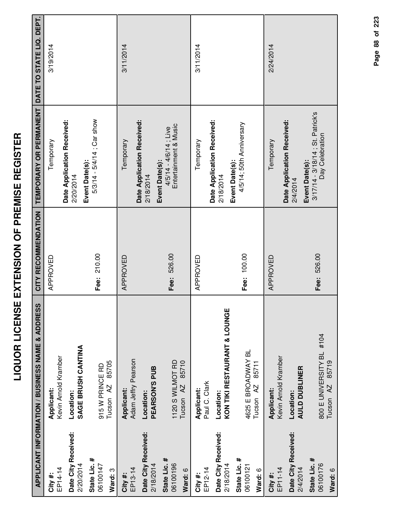| Ì                      |
|------------------------|
| i<br>i                 |
| I<br>ľ                 |
| <b>Service Service</b> |
| í                      |
| Ì<br>7<br>ı            |
| Ī                      |
| Ī                      |
|                        |
|                        |
| Ì                      |
| $\frac{1}{2}$          |
|                        |
| $\frac{1}{2}$          |
| 7                      |
|                        |
|                        |
| l                      |
|                        |

|                                     | APPLICANT INFORMATION / BUSINESS NAME & ADDRESS           | CITY RECOMMENDATION | TEMPORARY OR PERMANENT                                    | DATE TO STATE LIQ. DEPT. |
|-------------------------------------|-----------------------------------------------------------|---------------------|-----------------------------------------------------------|--------------------------|
| EP14-14<br>City #:                  | Kevin Arnold Kramber<br>Applicant:                        | APPROVED            | Temporary                                                 | 3/19/2014                |
| Date City Received:<br>2/20/2014    | SAGE BRUSH CANTINA<br>Location:                           |                     | Date Application Received:<br>2/20/2014                   |                          |
| State Lic. #<br>06100147<br>Ward: 3 | 85705<br>915 W PRINCE RD<br>Tucson <sub>AZ</sub>          | Fee: 210.00         | 5/3/14 - 5/4/14 ; Car show<br>Event Date(s):              |                          |
| EP13-14<br>City#:                   | Adam Jeffry Pearson<br>Applicant:                         | APPROVED            | Temporary                                                 | 3/11/2014                |
| Date City Received:<br>2/18/2014    | PEARSON'S PUB<br>Location:                                |                     | Date Application Received:<br>Event Date(s):<br>2/18/2014 |                          |
| State Lic. #<br>06100196<br>Ward: 6 | 1120 S WILMOT RD<br>85710<br>Tucson <sub>AZ</sub>         | Fee: 526.00         | Entertainment & Music<br>$4/5/14 - 4/6/14$ ; Live         |                          |
| EP12-14<br>City#:                   | Paul C. Clark<br>Applicant:                               | APPROVED            | Temporary                                                 | 3/11/2014                |
| Date City Received:<br>2/18/2014    | KON TIKI RESTAURANT & LOUNGE<br>Location:                 |                     | Date Application Received:<br>Event Date(s):<br>2/18/2014 |                          |
| State Lic. #<br>06100121<br>Ward: 6 | 4625 E BROADWAY BL<br>85711<br>Tucson <sub>AZ</sub>       | Fee: 100.00         | 4/5/14; 50th Anniversary                                  |                          |
| EP11-14<br>City#:                   | Kevin Arnold Kramber<br>Applicant:                        | APPROVED            | Temporary                                                 | 2/24/2014                |
| Date City Received:<br>2/4/2014     | <b>AULD DUBLINER</b><br>Location:                         |                     | Date Application Received:<br>Event Date(s):<br>2/4/2014  |                          |
| State Lic. #<br>06100176<br>Ward: 6 | 800 E UNIVERSITY BL #104<br>85719<br>Tucson <sub>AZ</sub> | Fee: 526.00         | 3/17/14 - 3/18/14; St. Patrick's<br>Day Celebration       |                          |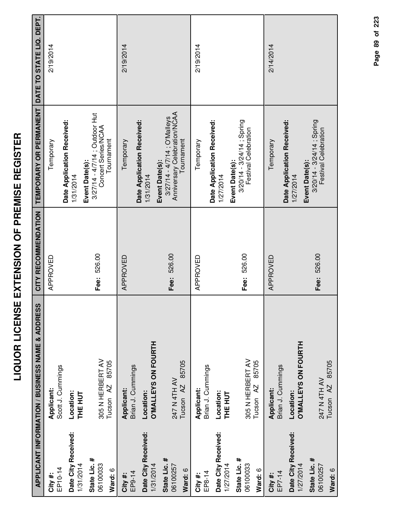| I<br>I<br>İ<br>l<br>i<br>I                             |
|--------------------------------------------------------|
| Ī<br>i<br>I                                            |
| l<br>i<br>$\frac{1}{2}$<br>l                           |
| i dilinera<br><b>Service Service</b><br>$\overline{a}$ |
| į<br>I                                                 |
| d<br>-<br>(<br><u>:</u>                                |

|                                  | <b>APPLICANT INFORMATION / BUSINESS NAME &amp; ADDRESS</b> | CITY RECOMMENDATION | TEMPORARY OR PERMANENT                                                  | DATE TO STATE LIQ. DEPT. |
|----------------------------------|------------------------------------------------------------|---------------------|-------------------------------------------------------------------------|--------------------------|
| EP10-14<br>City #:               | Scott J. Cummings<br>Applicant:                            | APPROVED            | Temporary                                                               | 2/19/2014                |
| Date City Received:              | Location:                                                  |                     | Date Application Received:<br>1/31/2014                                 |                          |
| 1/31/2014                        | <b>THE HUT</b>                                             |                     |                                                                         |                          |
| State Lic. #<br>06100033         | 305 N HERBERT AV                                           | Fee: 526.00         | 3/27/14 - 4/7/14 ; Outdoor Hut<br>Concert Series/NCAA<br>Event Date(s): |                          |
| Ward: 6                          | 85705<br>Tucson <sub>AZ</sub>                              |                     | Tournament                                                              |                          |
| EP9-14<br>City#:                 | Applicant:                                                 | APPROVED            | Temporary                                                               | 2/19/2014                |
|                                  | Brian J. Cummings                                          |                     | Date Application Received:                                              |                          |
| Date City Received:<br>1/31/2014 | <b>O'MALLEYS ON FOURTH</b><br>Location:                    |                     | 1/31/2014                                                               |                          |
| State Lic. #                     |                                                            |                     | 3/27/14 - 4/7/14; O'Malleys<br>Event Date(s):                           |                          |
| 06100257                         | 247 N 4TH AV                                               | Fee: 526.00         | Anniversary Celebration/NCAA                                            |                          |
| Ward: 6                          | 85705<br>Tucson <sub>AZ</sub>                              |                     | Tournament                                                              |                          |
| City #:                          | Applicant:                                                 | APPROVED            | Temporary                                                               | 2/19/2014                |
| EP8-14                           | Brian J. Cummings                                          |                     | Date Application Received:                                              |                          |
| Date City Received:<br>1/27/2014 | Location:<br>THE HUT                                       |                     | 1/27/2014                                                               |                          |
| State Lic. #                     |                                                            |                     | Event Date(s):                                                          |                          |
| 06100033                         | 305 N HERBERT AV                                           | Fee: 526.00         | $3/20/14 - 3/24/14$ ; Spring<br>Festival Celebration                    |                          |
| Ward: 6                          | 85705<br>Tucson <sub>AZ</sub>                              |                     |                                                                         |                          |
| EP7-14<br>City#:                 | Brian J. Cummings<br>Applicant:                            | APPROVED            | Temporary                                                               | 2/14/2014                |
|                                  |                                                            |                     | Date Application Received:                                              |                          |
| Date City Received:<br>1/27/2014 | <b>D'MALLEYS ON FOURTH</b><br>Location:                    |                     | 1/27/2014                                                               |                          |
| State Lic. #                     |                                                            |                     | $3/20/14 - 3/24/14$ ; Spring<br>Event Date(s):                          |                          |
| 06100257                         | 247 N 4TH AV                                               | Fee: 526.00         | Festival Celebration                                                    |                          |
| Ward: 6                          | 85705<br>Tucson <sub>AZ</sub>                              |                     |                                                                         |                          |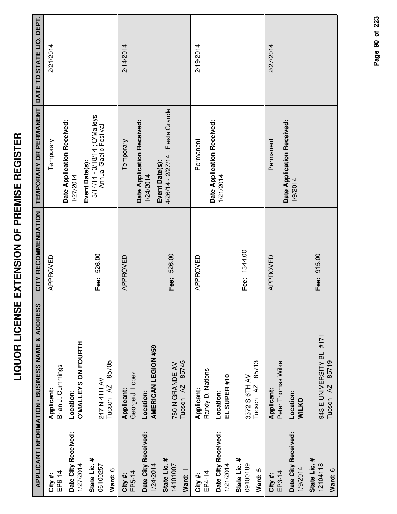| I<br>Ī<br>١<br>İ<br>í                                  |
|--------------------------------------------------------|
| l<br>I                                                 |
| i<br>i<br>i<br>$\overline{\phantom{a}}$<br>I<br>-<br>- |
| <br>(<br>,                                             |
| İ<br>$\frac{1}{2}$                                     |
| l<br>I<br>į                                            |
|                                                        |
| i                                                      |
| I<br>j                                                 |

|                                     | APPLICANT INFORMATION / BUSINESS NAME & ADDRESS           | CITY RECOMMENDATION | TEMPORARY OR PERMANENT                                                    | DATE TO STATE LIQ. DEPT. |
|-------------------------------------|-----------------------------------------------------------|---------------------|---------------------------------------------------------------------------|--------------------------|
| EP6-14<br>City#:                    | Brian J. Cummings<br>Applicant:                           | APPROVED            | Temporary                                                                 | 2/21/2014                |
| Date City Received:<br>1/27/2014    | <b>O'MALLEYS ON FOURTH</b><br>Location:                   |                     | Date Application Received:<br>1/27/2014                                   |                          |
| State Lic. #<br>06100257<br>Ward: 6 | 85705<br>247 N 4TH AV<br>Tucson <sub>AZ</sub>             | Fee: 526.00         | 3/14/14 - 3/18/14 ; O'Malleys<br>Annual Gaelic Festival<br>Event Date(s): |                          |
| EP5-14<br>City#:                    | George J. Lopez<br>Applicant:                             | APPROVED            | Temporary                                                                 | 2/14/2014                |
| Date City Received:<br>1/24/2014    | AMERICAN LEGION #59<br>Location:                          |                     | Date Application Received:<br>Event Date(s):<br>1/24/2014                 |                          |
| State Lic. #<br>14101007<br>Ward: 1 | 85745<br>750 N GRANDE AV<br>Tucson <sub>AZ</sub>          | Fee: 526.00         | 4/26/14 - 2/27/14 ; Fiesta Grande                                         |                          |
| EP4-14<br>City#:                    | Randy D. Nations<br>Applicant:                            | APPROVED            | Permanent                                                                 | 2/19/2014                |
| Date City Received:<br>1/21/2014    | EL SUPER #10<br>Location:                                 |                     | Date Application Received:<br>1/21/2014                                   |                          |
| State Lic. #<br>09100189<br>Ward: 5 | 85713<br>3372 S 6TH AV<br>Tucson AZ                       | Fee: 1344.00        |                                                                           |                          |
| EP3-14<br>City#:                    | Peter Thomas Wilke<br>Applicant:                          | APPROVED            | Permanent                                                                 | 2/27/2014                |
| Date City Received:<br>1/9/2014     | Location:<br><b>WILKO</b>                                 |                     | Date Application Received:<br>1/9/2014                                    |                          |
| State Lic. #<br>12104118<br>Ward: 6 | 943 E UNIVERSITY BL #171<br>85719<br>Tucson <sub>AZ</sub> | Fee: 915.00         |                                                                           |                          |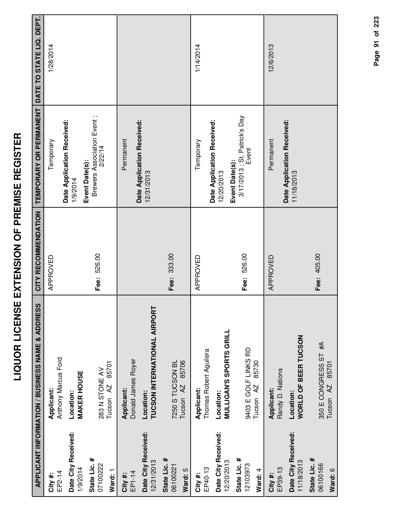| ľ<br>ľ<br>İ<br>I                  |
|-----------------------------------|
| j<br>Í<br>ׇ֠                      |
| i<br>i<br>I<br>i<br>I<br>,<br>I   |
| ī<br>ີ້                           |
| ĺ<br>$\frac{1}{2}$                |
| ון<br>י                           |
| -<br>-<br>$\overline{\mathbf{S}}$ |
| I                                 |
|                                   |

|                                     | APPLICANT INFORMATION / BUSINESS NAME & ADDRESS       | CITY RECOMMENDATION | TEMPORARY OR PERMANENT                                  | DATE TO STATE LIQ. DEPT. |
|-------------------------------------|-------------------------------------------------------|---------------------|---------------------------------------------------------|--------------------------|
| EP2-14<br>City #:                   | Anthony Marcus Ford<br>Applicant:                     | APPROVED            | Temporary                                               | 1/28/2014                |
| Date City Received:<br>1/9/2014     | <b>MAKER HOUSE</b><br>Location:                       |                     | Date Application Received:<br>1/9/2014                  |                          |
| State Lic. #<br>07100222<br>Ward: 1 | 85701<br>283 N STONE AV<br>Tucson <sub>AZ</sub>       | Fee: 526.00         | Brewers Association Event;<br>2/22/14<br>Event Date(s): |                          |
| EP1-14<br>City#:                    | Donald James Royer<br>Applicant:                      |                     | Permanent                                               |                          |
| Date City Received:<br>12/31/2013   | TUCSON INTERNATIONAL AIRPORT<br>Location:             |                     | Date Application Received:<br>12/31/2013                |                          |
| State Lic. #<br>06100221<br>Ward: 5 | 85706<br>7250 S TUCSON BL<br>Tucson <sub>AZ</sub>     | Fee: 333.00         |                                                         |                          |
| EP40-13<br>City#:                   | Thomas Robert Aguilera<br>Applicant:                  | APPROVED            | Temporary                                               | 1/14/2014                |
| Date City Received:<br>12/20/2013   | <b>MULLIGAN'S SPORTS GRILL</b><br>Location:           |                     | Date Application Received:<br>12/20/2013                |                          |
| State Lic. #<br>12103973<br>Ward: 4 | 9403 E GOLF LINKS RD<br>85730<br>Tucson <sub>AZ</sub> | Fee: 526.00         | 3/17/2013; St. Patrick's Day<br>Event<br>Event Date(s): |                          |
| EP39-13<br>City#:                   | Randy D. Nations<br>Applicant:                        | APPROVED            | Permanent                                               | 12/6/2013                |
| Date City Received:<br>11/18/2013   | <b>WORLD OF BEER TUCSON</b><br>Location:              |                     | Date Application Received:<br>11/18/2013                |                          |
| State Lic. #<br>06100166<br>Ward: 6 | 350 E CONGRESS ST #A<br>85701<br>AZ<br>Tucson         | Fee: 405.00         |                                                         |                          |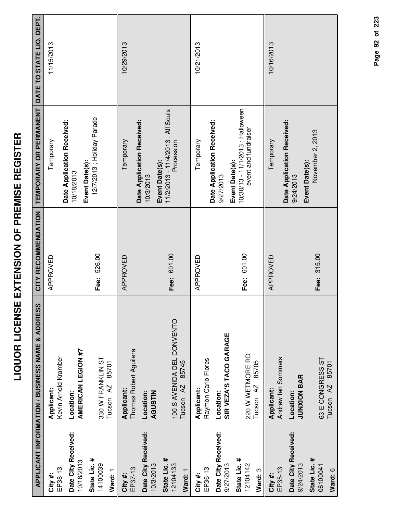| I<br>I<br>İ<br>l<br>i<br>I                             |
|--------------------------------------------------------|
| Ī<br>i<br>I                                            |
| l<br>i<br>$\frac{1}{2}$<br>l                           |
| i dilinera<br><b>Service Service</b><br>$\overline{a}$ |
| į<br>I                                                 |
| d<br>-<br>(<br><u>:</u>                                |

|                                     | APPLICANT INFORMATION / BUSINESS NAME & ADDRESS             | CITY RECOMMENDATION | TEMPORARY OR PERMANENT                                                    | DATE TO STATE LIQ. DEPT. |
|-------------------------------------|-------------------------------------------------------------|---------------------|---------------------------------------------------------------------------|--------------------------|
| EP38-13<br>City#:                   | Kevin Arnold Kramber<br>Applicant:                          | APPROVED            | Temporary                                                                 | 11/15/2013               |
| Date City Received:<br>10/18/2013   | <b>AMERICAN LEGION #7</b><br>Location:                      |                     | Date Application Received:<br>10/18/2013                                  |                          |
| State Lic. #<br>14100039<br>Ward: 1 | 330 W FRANKLIN ST<br>85701<br>Tucson <sub>AZ</sub>          | Fee: 526.00         | 12/7/2013; Holiday Parade<br>Event Date(s):                               |                          |
| EP37-13<br>City #:                  | Thomas Robert Aguilera<br>Applicant:                        | APPROVED            | Temporary                                                                 | 10/29/2013               |
| Date City Received:<br>10/3/2013    | Location:<br><b>AGUSTIN</b>                                 |                     | Date Application Received:<br>10/3/2013                                   |                          |
| State Lic. #<br>12104133<br>Ward: 1 | 100 S AVENIDA DEL CONVENTO<br>85745<br>Tucson <sub>AZ</sub> | Fee: 601.00         | 11/2/2013 - 11/4/2013 ; All Souls<br>Procession<br>Event Date(s):         |                          |
| EP36-13<br>City#:                   | Raymon Carlo Flores<br>Applicant:                           | APPROVED            | Temporary                                                                 | 10/21/2013               |
| Date City Received:<br>9/27/2013    | SIR VEZA'S TACO GARAGE<br>Location:                         |                     | Date Application Received:<br>9/27/2013                                   |                          |
| State Lic. #<br>12104142<br>Ward: 3 | 220 W WETMORE RD<br>85705<br>Tucson <sub>AZ</sub>           | Fee: 601.00         | 10/30/13 - 11/1/2013; Halloween<br>event and fundraiser<br>Event Date(s): |                          |
| EP35-13<br>City#:                   | Andrew lan Sommers<br>Applicant:                            | APPROVED            | Temporary                                                                 | 10/16/2013               |
| Date City Received:<br>9/24/2013    | <b>JUNXION BAR</b><br>Location:                             |                     | Date Application Received:<br>Event Date(s):<br>9/24/2013                 |                          |
| State Lic. #<br>06100041<br>Ward: 6 | 63 E CONGRESS ST<br>85701<br>Tucson <sub>AZ</sub>           | Fee: 315.00         | November 2, 2013                                                          |                          |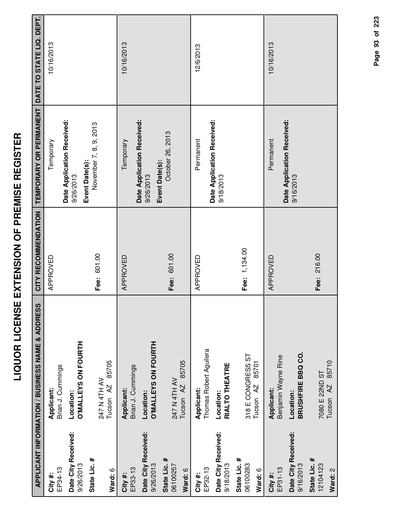| I<br>I                 |
|------------------------|
| Ì                      |
| .<br>(<br>             |
|                        |
| 7<br>I                 |
| i                      |
|                        |
| <b>ACIDELL</b><br>I    |
|                        |
| ī                      |
|                        |
| -<br>-<br>-<br>-<br>-  |
|                        |
| <b>Service Service</b> |
|                        |
|                        |
|                        |
|                        |
| $\frac{1}{1}$<br>י     |
|                        |
| . L C = < .            |
|                        |
|                        |
|                        |
|                        |

œ

|                                     | <b>APPLICANT INFORMATION / BUSINESS NAME &amp; ADDRESS</b> | CITY RECOMMENDATION | TEMPORARY OR PERMANENT                   | DATE TO STATE LIQ. DEPT. |
|-------------------------------------|------------------------------------------------------------|---------------------|------------------------------------------|--------------------------|
| EP34-13<br>City#:                   | Brian J. Cummings<br>Applicant:                            | APPROVED            | Temporary                                | 10/16/2013               |
| Date City Received:<br>9/26/2013    | <b>O'MALLEYS ON FOURTH</b><br>Location:                    |                     | Date Application Received:<br>9/26/2013  |                          |
| State Lic. #<br>Ward: 6             | 85705<br>247 N 4TH AV<br>Tucson <sub>AZ</sub>              | Fee: 601.00         | November 7, 8, 9, 2013<br>Event Date(s): |                          |
| EP33-13<br>City #:                  | Brian J. Cummings<br>Applicant:                            | APPROVED            | Date Application Received:<br>Temporary  | 10/16/2013               |
| Date City Received:<br>9/26/2013    | <b>O'MALLEYS ON FOURTH</b><br>Location:                    |                     | Event Date(s):<br>9/26/2013              |                          |
| State Lic. #<br>06100257<br>Ward: 6 | 85705<br>247 N 4TH AV<br>Tucson AZ                         | Fee: 601.00         | October 26, 2013                         |                          |
| EP32-13<br>City#:                   | Thomas Robert Aguilera<br>Applicant:                       | APPROVED            | Permanent                                | 12/6/2013                |
| Date City Received:<br>9/18/2013    | RIALTO THEATRE<br>Location:                                |                     | Date Application Received:<br>9/18/2013  |                          |
| State Lic. #<br>06100283<br>Ward: 6 | 318 E CONGRESS ST<br>85701<br>Tucson <sub>AZ</sub>         | Fee: 1,134.00       |                                          |                          |
| EP31-13<br>City#:                   | Benjamin Wayne Rine<br>Applicant:                          | APPROVED            | Date Application Received:<br>Permanent  | 10/16/2013               |
| Date City Received:<br>9/16/2013    | BRUSHFIRE BBQ CO.<br>Location:                             |                     | 9/16/2013                                |                          |
| State Lic. #<br>12104123<br>Ward: 2 | 85710<br>7080 E 22ND ST<br>Tucson <sub>AZ</sub>            | Fee: 216.00         |                                          |                          |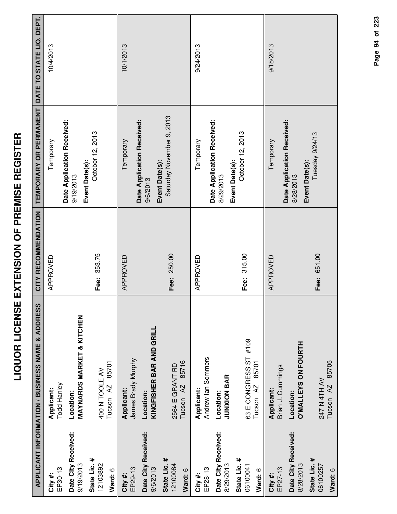|                                     | APPLICANT INFORMATION / BUSINESS NAME & ADDRESS           | CITY RECOMMENDATION | <b>TEMPORARY OR PERMANENT</b>                             | DATE TO STATE LIQ. DEPT. |
|-------------------------------------|-----------------------------------------------------------|---------------------|-----------------------------------------------------------|--------------------------|
| EP30-13<br>City #:                  | Todd Hanley<br>Applicant:                                 | APPROVED            | Temporary                                                 | 10/4/2013                |
| Date City Received:<br>9/19/2013    | <b>MAYNARDS MARKET &amp; KITCHEN</b><br>Location:         |                     | Date Application Received:<br>Event Date(s):<br>9/19/2013 |                          |
| State Lic. #<br>12103892<br>Ward: 6 | 85701<br>400 N TOOLE AV<br>Tucson <sub>AZ</sub>           | Fee: 353.75         | October 12, 2013                                          |                          |
| EP29-13<br>City #:                  | James Brady Murphy<br>Applicant:                          | APPROVED            | Date Application Received:<br>Temporary                   | 10/1/2013                |
| Date City Received:<br>9/6/2013     | KINGFISHER BAR AND GRILL<br>Location:                     |                     | Event Date(s):<br>9/6/2013                                |                          |
| State Lic. #<br>12100084<br>Ward: 6 | 85716<br>2564 E GRANT RD<br>Tucson <sub>AZ</sub>          | Fee: 250.00         | Saturday November 9, 2013                                 |                          |
| EP28-13<br>City #:                  | Andrew lan Sommers<br>Applicant:                          | APPROVED            | Temporary                                                 | 9/24/2013                |
| Date City Received:<br>8/29/2013    | <b>JUNXION BAR</b><br>Location:                           |                     | Date Application Received:<br>Event Date(s):<br>8/29/2013 |                          |
| State Lic. #<br>06100041<br>Ward: 6 | #109<br>63 E CONGRESS ST<br>85701<br>Tucson <sub>AZ</sub> | Fee: 315.00         | October 12, 2013                                          |                          |
| EP27-13<br>City #:                  | Brian J. Cummings<br>Applicant:                           | APPROVED            | Temporary                                                 | 9/18/2013                |
| Date City Received:<br>8/28/2013    | <b>O'MALLEYS ON FOURTH</b><br>Location:                   |                     | Date Application Received:<br>8/28/2013                   |                          |
| State Lic. #<br>06100257<br>Ward: 6 | Tucson AZ 85705<br>247 N 4TH AV                           | Fee: 651.00         | Tuesday 9/24/13<br>Event Date(s):                         |                          |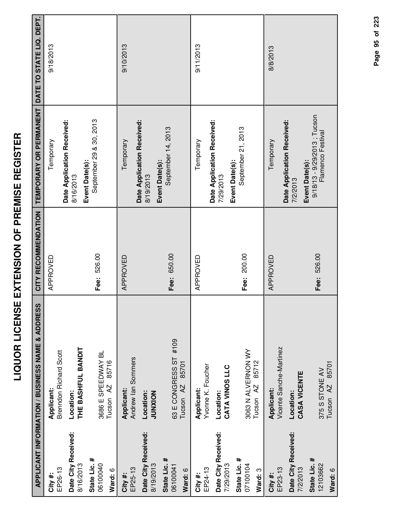|                                     | <b>APPLICANT INFORMATION / BUSINESS NAME &amp; ADDRESS</b> | CITY RECOMMENDATION | TEMPORARY OR PERMANENT                                             | DATE TO STATE LIQ. DEPT. |
|-------------------------------------|------------------------------------------------------------|---------------------|--------------------------------------------------------------------|--------------------------|
| EP26-13<br>City#:                   | <b>Brenndon Richard Scott</b><br>Applicant:                | APPROVED            | Temporary                                                          | 9/18/2013                |
| Date City Received:<br>8/16/2013    | THE BASHFUL BANDIT<br>Location:                            |                     | Date Application Received:<br>8/16/2013                            |                          |
| State Lic. #<br>06100040<br>Ward: 6 | 3686 E SPEEDWAY BL<br>85716<br>Tucson <sub>AZ</sub>        | Fee: 526.00         | September 29 & 30, 2013<br>Event Date(s):                          |                          |
| EP25-13<br>City #:                  | Andrew Ian Sommers<br>Applicant:                           | APPROVED            | Temporary                                                          | 9/10/2013                |
| Date City Received:<br>8/19/2013    | Location:<br>JUNXION                                       |                     | Date Application Received:<br>8/19/2013                            |                          |
| State Lic. #<br>06100041<br>Ward: 6 | 63 E CONGRESS ST #109<br>85701<br>Tucson <sub>AZ</sub>     | Fee: 650.00         | September 14, 2013<br>Event Date(s):                               |                          |
| EP24-13<br>City #:                  | Yvonne K. Foucher<br>Applicant:                            | APPROVED            | Temporary                                                          | 9/11/2013                |
| Date City Received:<br>7/29/2013    | CATA VINOS LLC<br>Location:                                |                     | Date Application Received:<br>Event Date(s):<br>7/29/2013          |                          |
| State Lic. #<br>07100104<br>Ward: 3 | 3063 N ALVERNON WY<br>85712<br>Tucson <sub>AZ</sub>        | Fee: 200.00         | September 21, 2013                                                 |                          |
| EP23-13<br>City#:                   | Vicente Sanche-Martinez<br>Applicant:                      | APPROVED            | Temporary                                                          | 8/8/2013                 |
| Date City Received:<br>7/2/2013     | CASA VICENTE<br>Location:                                  |                     | Date Application Received:<br>7/2/2013                             |                          |
| State Lic. #<br>12103662            | 375 S STONE AV                                             | Fee: 526.00         | 9/18/13 - 9/29/2013; Tucson<br>Flamenco Festival<br>Event Date(s): |                          |

Page 95 of 223 **Page of 95 223**

**Ward:** 6

375 S STONE AV Tucson AZ 85701

375 S STONE AV<br>Tucson AZ 85701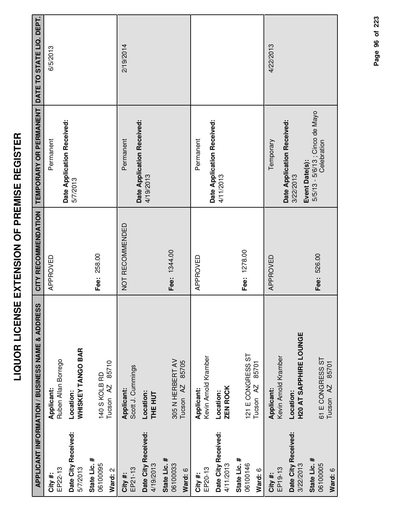| ľ                                                                                                              |
|----------------------------------------------------------------------------------------------------------------|
| ׀<br>׀                                                                                                         |
|                                                                                                                |
| i                                                                                                              |
| Ī<br>I                                                                                                         |
| $\overline{a}$<br>Ī                                                                                            |
|                                                                                                                |
| -<br>-<br>-<br>-<br>-                                                                                          |
|                                                                                                                |
| Ī                                                                                                              |
|                                                                                                                |
| <br> <br> <br>                                                                                                 |
| l                                                                                                              |
|                                                                                                                |
| i diamatana di kacamatan di kacamatan di kacamatan di kacamatan di kacamatan di kacamatan di kacamatan di kaca |
|                                                                                                                |
| -<br>-                                                                                                         |
| $\frac{1}{2}$                                                                                                  |
|                                                                                                                |
|                                                                                                                |
|                                                                                                                |
| I<br>i                                                                                                         |
|                                                                                                                |
|                                                                                                                |
|                                                                                                                |

|                                     | <b>APPLICANT INFORMATION / BUSINESS NAME &amp; ADDRESS</b> | CITY RECOMMENDATION | TEMPORARY OR PERMANENT                                    | DATE TO STATE LIQ. DEPT. |
|-------------------------------------|------------------------------------------------------------|---------------------|-----------------------------------------------------------|--------------------------|
| EP22-13<br>City#:                   | Ruben Allan Borrego<br>Applicant:                          | APPROVED            | Date Application Received:<br>Permanent                   | 6/5/2013                 |
| Date City Received:<br>5/7/2013     | WHISKEY TANGO BAR<br>Location:                             |                     | 5/7/2013                                                  |                          |
| State Lic. #<br>06100095<br>Ward: 2 | 85710<br>140 S KOLB RD<br>Tucson <sub>AZ</sub>             | Fee: 258.00         |                                                           |                          |
| EP21-13<br>City#:                   | Scott J. Cummings<br>Applicant:                            | NOT RECOMMENDED     | Date Application Received:<br>Permanent                   | 2/19/2014                |
| Date City Received:<br>4/19/2013    | Location:<br><b>THE HUT</b>                                |                     | 4/19/2013                                                 |                          |
| State Lic. #<br>06100033<br>Ward: 6 | 305 N HERBERT AV<br>85705<br>Tucson <sub>AZ</sub>          | Fee: 1344.00        |                                                           |                          |
| EP20-13<br>City#:                   | Kevin Arnold Kramber<br>Applicant:                         | APPROVED            | Permanent                                                 |                          |
| Date City Received:<br>4/11/2013    | <b>ZEN ROCK</b><br>Location:                               |                     | Date Application Received:<br>4/11/2013                   |                          |
| State Lic. #<br>06100146<br>Ward: 6 | 121 E CONGRESS ST<br>85701<br>Tucson AZ                    | Fee: 1278.00        |                                                           |                          |
| EP19-13<br>City#:                   | Kevin Arnold Kramber<br>Applicant:                         | APPROVED            | Temporary                                                 | 4/22/2013                |
| Date City Received:<br>3/22/2013    | <b>H20 AT SAPPHIRE LOUNGE</b><br>Location:                 |                     | Date Application Received:<br>Event Date(s):<br>3/22/2013 |                          |
| State Lic. #<br>06100005<br>Ward: 6 | 61 E CONGRESS ST<br>85701<br>Tucson <sub>AZ</sub>          | Fee: 526.00         | 5/5/13 - 5/6/13 ; Cinco de Mayo<br>Celebration            |                          |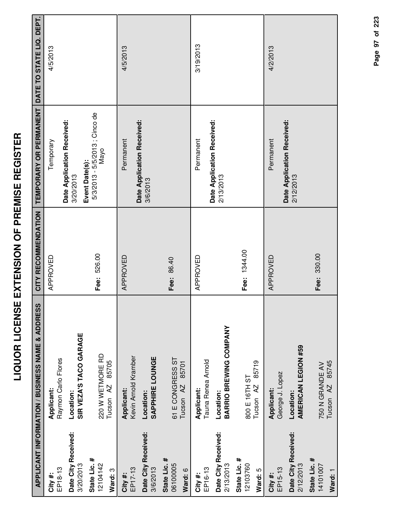|                                  |                                                                | <b>LIQUOR LICENSE EXTENSION OF PREMISE REGISTER</b> |                                                          |                          |
|----------------------------------|----------------------------------------------------------------|-----------------------------------------------------|----------------------------------------------------------|--------------------------|
|                                  | ທ<br><b>APPLICANT INFORMATION / BUSINESS NAME &amp; ADDRES</b> | CITY RECOMMENDATION                                 | TEMPORARY OR PERMANENT                                   | DATE TO STATE LIQ. DEPT. |
| EP18-13<br>City#:                | Raymon Carlo Flores<br>Applicant:                              | APPROVED                                            | Temporary                                                | 4/5/2013                 |
| Date City Received:<br>3/20/2013 | SIR VEZA'S TACO GARAGE<br>Location:                            |                                                     | Date Application Received:<br>3/20/2013                  |                          |
| State Lic. #<br>12104142         | 220 W WETMORE RD<br>85705<br>Tucson AZ                         | Fee: 526.00                                         | 5/3/2013 - 5/5/2013 ; Cinco de<br>Nayo<br>Event Date(s): |                          |
| Ward: 3                          |                                                                |                                                     |                                                          |                          |
| EP17-13<br>City #:               | Kevin Arnold Kramber<br>Applicant:                             | APPROVED                                            | Permanent                                                | 4/5/2013                 |
| Date City Received:<br>3/6/2013  | SAPPHIRE LOUNGE<br>Location:                                   |                                                     | Date Application Received:<br>3/6/2013                   |                          |
| State Lic. #<br>06100005         | 61 E CONGRESS ST                                               | Fee: 86.40                                          |                                                          |                          |
| Ward: 6                          | 85701<br>Tucson <sub>AZ</sub>                                  |                                                     |                                                          |                          |
| EP16-13<br>City#:                | Tauna Renea Arnold<br>Applicant:                               | APPROVED                                            | Permanent                                                | 3/19/2013                |
| Date City Received:<br>2/13/2013 | BARRIO BREWING COMPANY<br>Location:                            |                                                     | Date Application Received:<br>2/13/2013                  |                          |
| State Lic. #<br>12103760         | 800 E 16TH ST                                                  | Fee: 1344.00                                        |                                                          |                          |

**Ward:** 5

**City #:** EP15-13

**Applicant:** George J. Lopez

Date City Received:<br>2/12/2013

Location:<br>AMERICAN LEGION #59 **AMERICAN LEGION #59**

**Date City Received:**

**State Lic. #** 14101007

750 N GRANDE AV Tucson AZ 85745

750 N GRANDE AV<br>Tucson AZ 85745

330.00

**Fee:**

**Ward:** 1

800 E 16TH ST Tucson AZ 85719

800 E 16TH ST<br>Tucson AZ 85719

4/2/2013

APPROVED Permanent

APPROVED

Permanent

**Date Application Received:** Date Application Received:<br>2/12/2013

| ֚֚֚֚                                                                                              |  |
|---------------------------------------------------------------------------------------------------|--|
|                                                                                                   |  |
| l                                                                                                 |  |
|                                                                                                   |  |
|                                                                                                   |  |
|                                                                                                   |  |
| ֖֖֦֦֧֦֧֦֧֧֦֧֚֚֚֚֚֚֚֚֚֚֚֚֚֚֚֚֬֡֡֡֡֡֡֬֘֡֡֡֡֬֡֡֡֡֡֬֡֓֞֟֓֡֬֞֡֡֬֓֞֬֞֞֡֬֞֬֞֞֬֞֡֬֞֬֞֬֞֡֡֬֞֬֞֬֞֞֡֬֞֬֝֞֞֝֬ |  |
|                                                                                                   |  |
|                                                                                                   |  |
|                                                                                                   |  |
|                                                                                                   |  |
| $\overline{1}$                                                                                    |  |
|                                                                                                   |  |
|                                                                                                   |  |
| I                                                                                                 |  |
|                                                                                                   |  |
|                                                                                                   |  |
|                                                                                                   |  |
|                                                                                                   |  |
|                                                                                                   |  |
|                                                                                                   |  |
|                                                                                                   |  |
|                                                                                                   |  |
|                                                                                                   |  |
| ľ                                                                                                 |  |
|                                                                                                   |  |
|                                                                                                   |  |

Page 97 of 223 **Page of 97 223**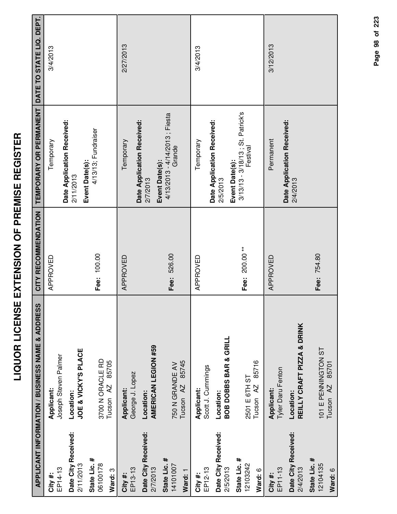|                                     | APPLICANT INFORMATION / BUSINESS NAME & ADDRESS   | CITY RECOMMENDATION | TEMPORARY OR PERMANENT DATE TO STATE LIQ. DEPT.                 |           |
|-------------------------------------|---------------------------------------------------|---------------------|-----------------------------------------------------------------|-----------|
| EP14-13<br>City #:                  | Joseph Steven Palmer<br>Applicant:                | APPROVED            | Temporary                                                       | 3/4/2013  |
| Date City Received:<br>2/11/2013    | JOE & VICKY'S PLACE<br>Location:                  |                     | Date Application Received:<br>2/11/2013                         |           |
| State Lic. #<br>06100178<br>Ward: 3 | 3700 N ORACLE RD<br>85705<br>Tucson <sub>AZ</sub> | Fee: 100.00         | 4/13/13; Fundraiser<br>Event Date(s):                           |           |
| EP13-13<br>City #:                  | George J. Lopez<br>Applicant:                     | APPROVED            | Temporary                                                       | 2/27/2013 |
| Date City Received:<br>2/7/2013     | AMERICAN LEGION #59<br>Location:                  |                     | Date Application Received:<br>2/7/2013                          |           |
| State Lic. #<br>14101007<br>Ward: 1 | 85745<br>750 N GRANDE AV<br>Tucson <sub>AZ</sub>  | Fee: 526.00         | 4/13/2013 - 4/14/2013 ; Fiesta<br>Grande<br>Event Date(s):      |           |
| EP12-13<br>City #:                  | Scott J. Cummings<br>Applicant:                   | APPROVED            | Temporary                                                       | 3/4/2013  |
| Date City Received:<br>2/5/2013     | <b>BOB DOBBS BAR &amp; GRILL</b><br>Location:     |                     | Date Application Received:<br>2/5/2013                          |           |
| State Lic. #<br>12103242<br>Ward: 6 | 85716<br>2501 E 6TH ST<br>Tucson <sub>AZ</sub>    | Fee: 200.00**       | 3/13/13 - 3/18/13 ; St. Patrick's<br>Festival<br>Event Date(s): |           |
| EP11-13<br>City #:                  | Tyler Daru Fenton<br>Applicant:                   | APPROVED            | Permanent                                                       | 3/12/2013 |
| Date City Received:<br>2/4/2013     | REILLY CRAFT PIZZA & DRINK<br>Location:           |                     | Date Application Received:<br>2/4/2013                          |           |
| State Lic. #<br>12104135<br>Ward: 6 | 101 E PENNINGTON ST<br>Tucson AZ 85701            | Fee: 754.80         |                                                                 |           |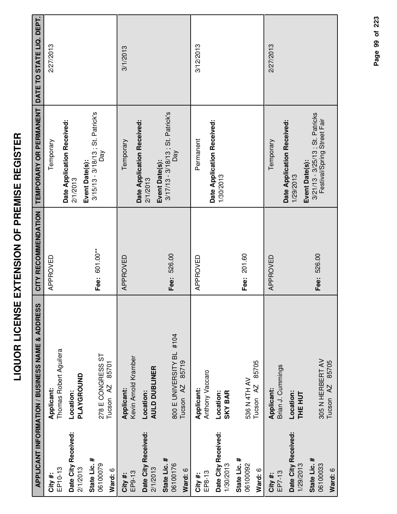|                                  | <b>APPLICANT INFORMATION / BUSINESS NAME &amp; ADDRESS</b> | CITY RECOMMENDATION | TEMPORARY OR PERMANENT                                     | DATE TO STATE LIQ. DEPT. |
|----------------------------------|------------------------------------------------------------|---------------------|------------------------------------------------------------|--------------------------|
| EP10-13<br>City#:                | Thomas Robert Aguilera<br>Applicant:                       | APPROVED            | Temporary                                                  | 2/27/2013                |
| Date City Received:<br>2/1/2013  | PLAYGROUND<br>Location:                                    |                     | Date Application Received:<br>2/1/2013                     |                          |
| State Lic. #<br>06100079         | 278 E CONGRESS ST                                          | Fee: 601.00**       | 3/15/13 - 3/18/13 ; St. Patrick's<br>Day<br>Event Date(s): |                          |
| Ward: 6                          | 85701<br>Tucson <sub>AZ</sub>                              |                     |                                                            |                          |
| EP9-13<br>City #:                | Kevin Arnold Kramber<br>Applicant:                         | APPROVED            | Temporary                                                  | 3/1/2013                 |
| Date City Received:<br>2/1/2013  | <b>AULD DUBLINER</b><br>Location:                          |                     | Date Application Received:<br>2/1/2013                     |                          |
| State Lic. #<br>06100176         | 800 E UNIVERSITY BL #104                                   | Fee: 526.00         | 3/17/13 - 3/18/13 ; St. Patrick's<br>Day<br>Event Date(s): |                          |
| Ward: 6                          | 85719<br>Tucson <sub>AZ</sub>                              |                     |                                                            |                          |
| EP8-13<br>City#:                 | Anthony Vaccaro<br>Applicant:                              | APPROVED            | Permanent                                                  | 3/12/2013                |
| Date City Received:<br>1/30/2013 | <b>SKY BAR</b><br>Location:                                |                     | Date Application Received:<br>1/30/2013                    |                          |
| State Lic. #<br>06100092         | 536 N 4TH AV                                               | Fee: 201.60         |                                                            |                          |
| Ward: 6                          | 85705<br>Tucson AZ                                         |                     |                                                            |                          |
| EP7-13<br>City #:                | Brian J. Cummings<br>Applicant:                            | APPROVED            | Temporary                                                  | 2/27/2013                |
| Date City Received:<br>1/29/2013 | Location:<br><b>THE HUT</b>                                |                     | Date Application Received:<br>Evar<br>1/29/2013            |                          |

Page 99 of 223 **Page of 99 223**

3/21/13 - 3/25/13 ; St. Patricks Festival/Spring Street Fair

Event Date(s):<br>3/21/13 - 3/25/13 ; St. Patricks<br>Festival/Spring Street Fair

526.00

**Fee:**

**Event Date(s):**

**State Lic. #** 06100033

305 N HERBERT AV Tucson AZ 85705

305 N HERBERT AV<br>Tucson AZ 85705

**Ward:** 6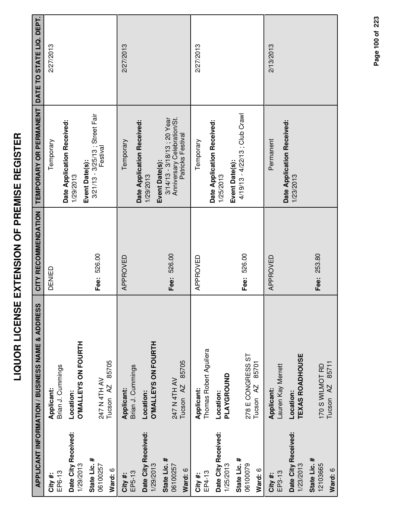|                                     | APPLICANT INFORMATION / BUSINESS NAME & ADDRESS    | CITY RECOMMENDATION | TEMPORARY OR PERMANENT                                                                            | DATE TO STATE LIQ. DEPT. |
|-------------------------------------|----------------------------------------------------|---------------------|---------------------------------------------------------------------------------------------------|--------------------------|
| EP6-13<br>City #:                   | Brian J. Cummings<br>Applicant:                    | DENIED              | Temporary                                                                                         | 2/27/2013                |
| Date City Received:<br>1/29/2013    | <b>O'MALLEYS ON FOURTH</b><br>Location:            |                     | Date Application Received:<br>1/29/2013                                                           |                          |
| State Lic. #<br>06100257<br>Ward: 6 | 85705<br>247 N 4TH AV<br>Tucson <sub>AZ</sub>      | Fee: 526.00         | 3/21/13 - 3/25/13 ; Street Fair<br>Festival<br>Event Date(s):                                     |                          |
| EP5-13<br>City#:                    | Brian J. Cummings<br>Applicant:                    | APPROVED            | Temporary                                                                                         | 2/27/2013                |
| Date City Received:<br>1/29/2013    | <b>O'MALLEYS ON FOURTH</b><br>Location:            |                     | Date Application Received:<br>1/29/2013                                                           |                          |
| State Lic. #<br>06100257<br>Ward: 6 | 85705<br>247 N 4TH AV<br>Tucson <sub>AZ</sub>      | Fee: 526.00         | Anniversary Celebration/St.<br>3/14/13 - 3/18/13 ; 20 Year<br>Patricks Festival<br>Event Date(s): |                          |
| EP4-13<br>City #:                   | Thomas Robert Aguilera<br>Applicant:               | APPROVED            | Temporary                                                                                         | 2/27/2013                |
| Date City Received:<br>1/25/2013    | PLAYGROUND<br>Location:                            |                     | Date Application Received:<br>Event Date(s):<br>1/25/2013                                         |                          |
| State Lic. #<br>06100079<br>Ward: 6 | 278 E CONGRESS ST<br>85701<br>Tucson <sub>AZ</sub> | Fee: 526.00         | 4/19/13 - 4/22/13 ; Club Crawl                                                                    |                          |
| EP3-13<br>City #:                   | Lauren Kay Merrett<br>Applicant:                   | APPROVED            | Permanent                                                                                         | 2/13/2013                |
| Date City Received:<br>1/23/2013    | <b>TEXAS ROADHOUSE</b><br>Location:                |                     | Date Application Received:<br>1/23/2013                                                           |                          |
| State Lic. #<br>12103665<br>Ward: 6 | Tucson AZ 85711<br>170 S WILMOT RD                 | Fee: 253.80         |                                                                                                   |                          |

Page 100 of 223 **Page of 100 223**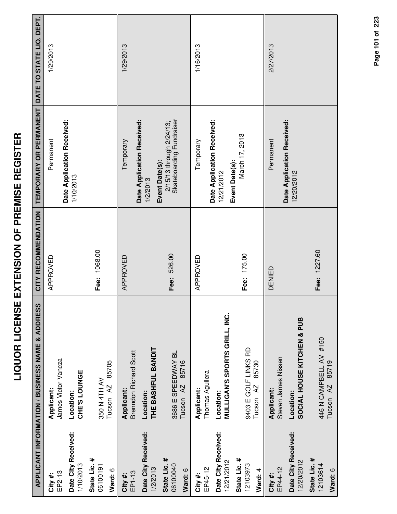|                                                         | APPLICANT INFORMATION / BUSINESS NAME & ADDRESS                                               | CITY RECOMMENDATION | TEMPORARY OR PERMANENT DATE TO STATE LIQ. DEPT.                        |           |
|---------------------------------------------------------|-----------------------------------------------------------------------------------------------|---------------------|------------------------------------------------------------------------|-----------|
| Date City Received:<br>1/10/2013<br>EP2-13<br>City#:    | James Victor Vancza<br>CHE'S LOUNGE<br>Applicant:<br>Location:                                | APPROVED            | Date Application Received:<br>Permanent<br>1/10/2013                   | 1/29/2013 |
| State Lic. #<br>06100191<br>Ward: 6                     | 85705<br>350 N 4TH AV<br>Tucson <sub>AZ</sub>                                                 | Fee: 1068.00        |                                                                        |           |
| Date City Received:<br>1/2/2013<br>EP1-13<br>City #:    | THE BASHFUL BANDIT<br><b>Brenndon Richard Scott</b><br>Applicant:<br>Location:                | APPROVED            | Date Application Received:<br>Temporary<br>1/2/2013                    | 1/29/2013 |
| State Lic. #<br>06100040<br>Ward: 6                     | 3686 E SPEEDWAY BL<br>85716<br>Tucson <sub>AZ</sub>                                           | Fee: 526.00         | Skateboarding Fundraiser<br>2/15/13 through 2/24/13;<br>Event Date(s): |           |
| Date City Received:<br>EP45-12<br>City #:               | Thomas Aguilera<br>Applicant:<br>Location:                                                    | APPROVED            | Date Application Received:<br>Temporary<br>12/21/2012                  | 1/16/2013 |
| State Lic. #<br>12/21/2012<br>12103973<br>Ward: 4       | <b>MULLIGAN'S SPORTS GRILL, INC.</b><br>9403 E GOLF LINKS RD<br>85730<br>Tucson <sub>AZ</sub> | Fee: 175.00         | March 17, 2013<br>Event Date(s):                                       |           |
| Date City Received:<br>12/20/2012<br>EP44-12<br>City #: | SOCIAL HOUSE KITCHEN & PUB<br>Steven James Nissen<br><b>Applicant:</b><br>Location:           | DENIED              | Date Application Received:<br>Permanent<br>12/20/2012                  | 2/27/2013 |
| State Lic. #<br>12103614<br>Ward: 6                     | 446 N CAMPBELL AV #150<br>Tucson AZ 85719                                                     | Fee: 1227.60        |                                                                        |           |

Page 101 of 223 **Page of 101 223**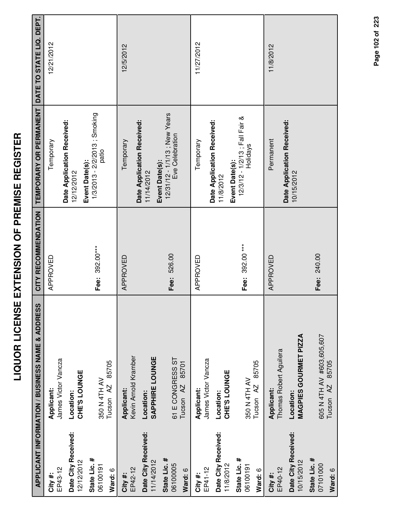|                                     | APPLICANT INFORMATION / BUSINESS NAME & ADDRESS   | CITY RECOMMENDATION | TEMPORARY OR PERMANENT DATE TO STATE LIQ. DEPT.                     |            |
|-------------------------------------|---------------------------------------------------|---------------------|---------------------------------------------------------------------|------------|
| EP43-12<br>City #:                  | James Victor Vancza<br>Applicant:                 | APPROVED            | Temporary                                                           | 12/21/2012 |
| Date City Received:<br>12/12/2012   | CHE'S LOUNGE<br>Location:                         |                     | Date Application Received:<br>12/12/2012                            |            |
| State Lic. #<br>06100191<br>Ward: 6 | 85705<br>350 N 4TH AV<br>Tucson AZ                | Fee: 392.00***      | 1/3/2013 - 2/2/2013 ; Smoking<br>patio<br>Event Date(s):            |            |
| EP42-12<br>City #:                  | Kevin Arnold Kramber<br>Applicant:                | APPROVED            | Temporary                                                           | 12/5/2012  |
| Date City Received:<br>11/14/2012   | SAPPHIRE LOUNGE<br>Location:                      |                     | Date Application Received:<br>11/14/2012                            |            |
| State Lic. #<br>06100005<br>Ward: 6 | 61 E CONGRESS ST<br>85701<br>Tucson <sub>AZ</sub> | Fee: 526.00         | 12/31/12 - 1/1/13 ; New Years<br>Eve Celebration<br>Event Date(s):  |            |
| EP41-12<br>City #:                  | James Victor Vancza<br>Applicant:                 | APPROVED            | Temporary                                                           | 11/27/2012 |
| Date City Received:<br>11/8/2012    | CHE'S LOUNGE<br>Location:                         |                     | Date Application Received:<br>11/8/2012                             |            |
| State Lic. #<br>06100191<br>Ward: 6 | 85705<br>350 N 4TH AV<br>Tucson <sub>AZ</sub>     | Fee: 392.00***      | 12/3/12 - 1/2/13 ; Fall Fair &<br><b>Holidays</b><br>Event Date(s): |            |
| EP40-12<br>City #:                  | Thomas Robert Aguilera<br>Applicant:              | APPROVED            | Permanent                                                           | 11/8/2012  |
| Date City Received:<br>10/15/2012   | <b>MAGPIES GOURMET PIZZA</b><br>Location:         |                     | Date Application Received:<br>10/15/2012                            |            |
| State Lic. #<br>07101000<br>Ward: 6 | 605 N 4TH AV #603,605,607<br>Tucson AZ 85705      | Fee: 240.00         |                                                                     |            |
|                                     |                                                   |                     |                                                                     |            |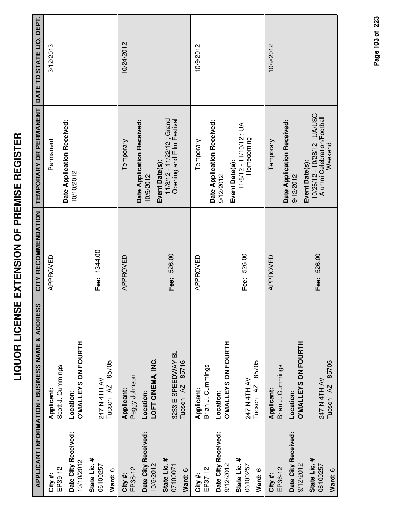|                                     | APPLICANT INFORMATION / BUSINESS NAME & ADDRESS     | CITY RECOMMENDATION | TEMPORARY OR PERMANENT                                                | DATE TO STATE LIQ. DEPT. |
|-------------------------------------|-----------------------------------------------------|---------------------|-----------------------------------------------------------------------|--------------------------|
| EP39-12<br>City #:                  | Scott J. Cummings<br>Applicant:                     | APPROVED            | Permanent                                                             | 3/12/2013                |
| Date City Received:<br>10/10/2012   | <b>O'MALLEYS ON FOURTH</b><br>Location:             |                     | Date Application Received:<br>10/10/2012                              |                          |
| State Lic. #<br>06100257<br>Ward: 6 | 85705<br>247 N 4TH AV<br>Tucson <sub>AZ</sub>       | Fee: 1344.00        |                                                                       |                          |
| EP38-12<br>City #:                  | Peggy Johnson<br>Applicant:                         | APPROVED            | Date Application Received:<br>Temporary                               | 10/24/2012               |
| Date City Received:<br>10/5/2012    | LOFT CINEMA, INC.<br>Location:                      |                     | Event Date(s):<br>10/5/2012                                           |                          |
| State Lic. #<br>07100071<br>Ward: 6 | 3233 E SPEEDWAY BL<br>85716<br>Tucson <sub>AZ</sub> | Fee: 526.00         | 11/8/12 - 11/22/12; Grand<br>Opening and Film Festival                |                          |
| EP37-12<br>City #:                  | Brian J. Cummings<br>Applicant:                     | APPROVED            | Temporary                                                             | 10/9/2012                |
| Date City Received:<br>9/12/2012    | <b>O'MALLEYS ON FOURTH</b><br>Location:             |                     | Date Application Received:<br>Event Date(s):<br>9/12/2012             |                          |
| State Lic. #<br>06100257<br>Ward: 6 | 85705<br>247 N 4TH AV<br>Tucson AZ                  | Fee: 526.00         | 11/8/12 - 11/10/12; UA<br>Homecoming                                  |                          |
| EP36-12<br>City #:                  | Brian J. Cummings<br>Applicant:                     | APPROVED            | Temporary                                                             | 10/9/2012                |
| Date City Received:<br>9/12/2012    | <b>O'MALLEYS ON FOURTH</b><br>Location:             |                     | Date Application Received:<br>Event Date(s):<br>9/12/2012             |                          |
| State Lic. #<br>06100257<br>Ward: 6 | Tucson AZ 85705<br>247 N 4TH AV                     | Fee: 526.00         | 10/26/12 - 10/28/12; UA/USC<br>Alumni Celebration/Football<br>Weekend |                          |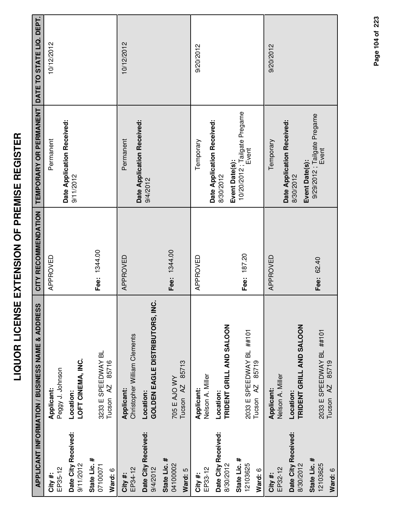|                                     | APPLICANT INFORMATION / BUSINESS NAME & ADDRESS           | CITY RECOMMENDATION | TEMPORARY OR PERMANENT DATE TO STATE LIQ. DEPT.           |            |
|-------------------------------------|-----------------------------------------------------------|---------------------|-----------------------------------------------------------|------------|
|                                     |                                                           |                     |                                                           |            |
| EP35-12<br>City #:                  | Peggy J. Johnson<br>Applicant:                            | APPROVED            | Permanent                                                 | 10/12/2012 |
| Date City Received:<br>9/11/2012    | LOFT CINEMA, INC.<br>Location:                            |                     | Date Application Received:<br>9/11/2012                   |            |
| State Lic. #<br>07100071<br>Ward: 6 | 3233 E SPEEDWAY BL<br>85716<br>Tucson <sub>AZ</sub>       | Fee: 1344.00        |                                                           |            |
| EP34-12<br>City #:                  | Christopher William Clements<br>Applicant:                | APPROVED            | Date Application Received:<br>Permanent                   | 10/12/2012 |
| Date City Received:<br>9/4/2012     | <b>GOLDEN EAGLE DISTRIBUTORS, INC.</b><br>Location:       |                     | 9/4/2012                                                  |            |
| State Lic. #<br>04100002<br>Ward: 5 | 85713<br>705 E AJO WY<br>Tucson <sub>AZ</sub>             | Fee: 1344.00        |                                                           |            |
| EP33-12<br>City #:                  | Nelson A. Miller<br>Applicant:                            | APPROVED            | Temporary                                                 | 9/20/2012  |
| Date City Received:<br>8/30/2012    | TRIDENT GRILL AND SALOON<br>Location:                     |                     | Date Application Received:<br>Event Date(s):<br>8/30/2012 |            |
| State Lic. #<br>12103625<br>Ward: 6 | 2033 E SPEEDWAY BL ##101<br>85719<br>Tucson <sub>AZ</sub> | Fee: 187.20         | 10/20/2012; Tailgate Pregame<br>Event                     |            |
| EP32-12<br>City #:                  | Nelson A. Miller<br>Applicant:                            | APPROVED            | Temporary                                                 | 9/20/2012  |
| Date City Received:<br>8/30/2012    | TRIDENT GRILL AND SALOON<br>Location:                     |                     | Date Application Received:<br>8/30/2012                   |            |
| State Lic. #<br>12103625<br>Ward: 6 | 2033 E SPEEDWAY BL ##101<br>Tucson AZ 85719               | Fee: 62.40          | 9/29/2012 ; Tailgate Pregame<br>Event<br>Event Date(s):   |            |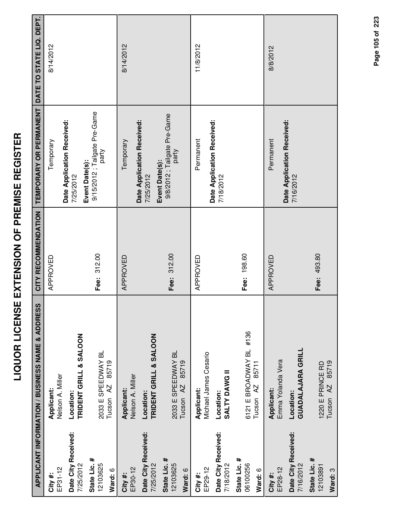|                                     | APPLICANT INFORMATION / BUSINESS NAME & ADDRESS             | CITY RECOMMENDATION | TEMPORARY OR PERMANENT                                    | DATE TO STATE LIQ. DEPT. |
|-------------------------------------|-------------------------------------------------------------|---------------------|-----------------------------------------------------------|--------------------------|
| EP31-12<br>City #:                  | Nelson A. Miller<br>Applicant:                              | APPROVED            | Temporary                                                 | 8/14/2012                |
| Date City Received:<br>7/25/2012    | TRIDENT GRILL & SALOON<br>Location:                         |                     | Date Application Received:<br>7/25/2012                   |                          |
| State Lic. #<br>12103625<br>Ward: 6 | 2033 E SPEEDWAY BL<br>85719<br>Tucson <sub>AZ</sub>         | Fee: 312.00         | 9/15/2012 ; Tailgate Pre-Game<br>party<br>Event Date(s):  |                          |
| EP30-12<br>City #:                  | Nelson A. Miller<br>Applicant:                              | APPROVED            | Temporary                                                 | 8/14/2012                |
| Date City Received:<br>7/25/2012    | TRIDENT GRILL & SALOON<br>Location:                         |                     | Date Application Received:<br>Event Date(s):<br>7/25/2012 |                          |
| State Lic. #<br>12103625<br>Ward: 6 | 2033 E SPEEDWAY BL<br>85719<br>Tucson <sub>AZ</sub>         | Fee: 312.00         | 9/8/2012 ; Tailgate Pre-Game<br>party                     |                          |
| EP29-12<br>City #:                  | Michael James Cesario<br>Applicant:                         | APPROVED            | Permanent                                                 | 11/8/2012                |
| Date City Received:<br>7/18/2012    | SALTY DAWG II<br>Location:                                  |                     | Date Application Received:<br>7/18/2012                   |                          |
| State Lic. #<br>06100256<br>Ward: 6 | #136<br>6121 E BROADWAY BL<br>85711<br>Tucson <sub>AZ</sub> | Fee: 198.60         |                                                           |                          |
| EP28-12<br>City #:                  | Emma Yolanda Vera<br>Applicant:                             | APPROVED            | Permanent                                                 | 8/8/2012                 |
| Date City Received:<br>7/16/2012    | <b>GUADALAJARA GRILL</b><br>Location:                       |                     | Date Application Received:<br>7/16/2012                   |                          |
| State Lic. #<br>12103891<br>Ward: 3 | Tucson AZ 85719<br>1220 E PRINCE RD                         | Fee: 493.80         |                                                           |                          |

Page 105 of 223 **Page of 105 223**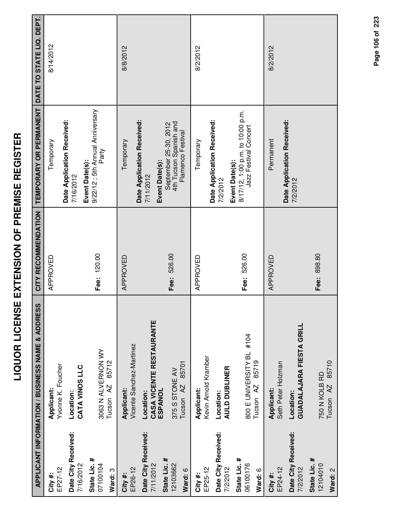|                                     | APPLICANT INFORMATION / BUSINESS NAME & ADDRESS           | CITY RECOMMENDATION | TEMPORARY OR PERMANENT                                                      | DATE TO STATE LIQ. DEPT. |
|-------------------------------------|-----------------------------------------------------------|---------------------|-----------------------------------------------------------------------------|--------------------------|
| EP27-12<br>City #:                  | Yvonne K. Foucher<br>Applicant:                           | APPROVED            | Temporary                                                                   | 8/14/2012                |
| Date City Received:<br>7/16/2012    | CATA VINOS LLC<br>Location:                               |                     | Date Application Received:<br>7/16/2012                                     |                          |
| State Lic. #<br>07100104<br>Ward: 3 | 3063 N ALVERNON WY<br>85712<br>Tucson <sub>AZ</sub>       | Fee: 120.00         | 9/22/12 ; 5th Annual Anniversary<br>Party<br>Event Date(s):                 |                          |
| EP26-12<br>City #:                  | Vicente Sanchez-Martinez<br>Applicant:                    | APPROVED            | Date Application Received:<br>Temporary                                     | 8/8/2012                 |
| Date City Received:<br>7/11/2012    | CASA VICENTE RESTAURANTE<br>ESPANOL<br>Location:          |                     | Event Date(s):<br>7/11/2012                                                 |                          |
| State Lic. #<br>12103662<br>Ward: 6 | 85701<br>375 S STONE AV<br>Tucson <sub>AZ</sub>           | Fee: 526.00         | 4th Tucson Spanish and<br>September 25-30, 2012<br>Flamenco Festival        |                          |
| EP25-12<br>City #:                  | Kevin Arnold Kramber<br>Applicant:                        | APPROVED            | Temporary                                                                   | 8/2/2012                 |
| Date City Received:<br>7/2/2012     | <b>AULD DUBLINER</b><br>Location:                         |                     | Date Application Received:<br>7/2/2012                                      |                          |
| State Lic. #<br>06100176<br>Ward: 6 | 800 E UNIVERSITY BL #104<br>85719<br>Tucson <sub>AZ</sub> | Fee: 526.00         | 8/17/12, 1:00 p.m. to 10:00 p.m.<br>Jazz Festival Concert<br>Event Date(s): |                          |
| EP24-12<br>City #:                  | Seth Peter Holzman<br>Applicant:                          | APPROVED            | Permanent                                                                   | 8/2/2012                 |
| Date City Received:<br>7/2/2012     | GUADALAJARA FIESTA GRILL<br>Location:                     |                     | Date Application Received:<br>7/2/2012                                      |                          |
| State Lic. #<br>12104010<br>Ward: 2 | Tucson AZ 85710<br>750 N KOLB RD                          | Fee: 898.80         |                                                                             |                          |

Page 106 of 223 **Page of 106 223**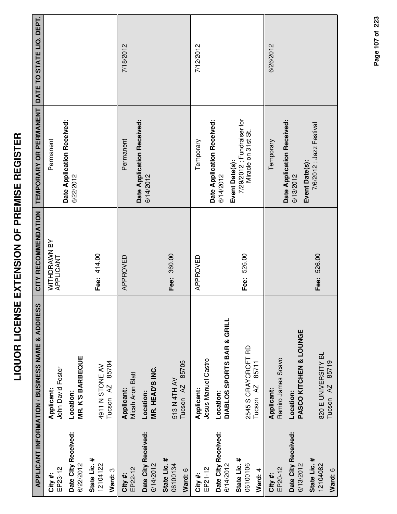|                                                                         | <b>APPLICANT INFORMATION / BUSINESS NAME &amp; ADDRESS</b>                                      | CITY RECOMMENDATION       | TEMPORARY OR PERMANENT DATE TO STATE LIQ. DEPT.                                                               |           |
|-------------------------------------------------------------------------|-------------------------------------------------------------------------------------------------|---------------------------|---------------------------------------------------------------------------------------------------------------|-----------|
| EP23-12<br>City#:                                                       | John David Foster<br>Applicant:                                                                 | WITHDRAWN BY<br>APPLICANT | Permanent                                                                                                     |           |
| Date City Received:<br>6/22/2012                                        | <b>MR. K'S BARBEQUE</b><br>Location:                                                            |                           | Date Application Received:<br>6/22/2012                                                                       |           |
| State Lic. #<br>12104122<br>Ward: 3                                     | 85704<br>4911 N STONE AV<br>Tucson <sub>AZ</sub>                                                | Fee: 414.00               |                                                                                                               |           |
| Date City Received:<br>EP22-12<br>City #:                               | <b>Micah Aron Blatt</b><br>Applicant:<br>Location:                                              | APPROVED                  | Date Application Received:<br>Permanent<br>6/14/2012                                                          | 7/18/2012 |
| State Lic. #<br>06100134<br>6/14/2012<br>Ward: 6                        | 85705<br>MR. HEAD'S INC.<br>513 N 4TH AV<br>Tucson <sub>AZ</sub>                                | Fee: 360.00               |                                                                                                               |           |
| EP21-12<br>City#:                                                       | Jesus Manuel Castro<br>Applicant:                                                               | APPROVED                  | Temporary                                                                                                     | 7/12/2012 |
| Date City Received:<br>State Lic. #<br>06100106<br>6/14/2012<br>Ward: 4 | DIABLOS SPORTS BAR & GRILL<br>2545 S CRAYCROFT RD<br>85711<br>Tucson <sub>AZ</sub><br>Location: | Fee: 526.00               | 7/29/2012; Fundraiser for<br>Date Application Received:<br>Miracle on 31st St.<br>Event Date(s):<br>6/14/2012 |           |
| Date City Received:<br>6/13/2012<br>EP20-12<br>City#:                   | PASCO KITCHEN & LOUNGE<br>Ramiro James Scavo<br>Applicant:<br>Location:                         |                           | Date Application Received:<br>Temporary<br>6/13/2012                                                          | 6/26/2012 |
| State Lic. #<br>12104082<br>Ward: 6                                     | 820 E UNIVERSITY BL<br>85719<br>Tucson <sub>AZ</sub>                                            | Fee: 526.00               | 7/6/2012 ; Jazz Festival<br>Event Date(s):                                                                    |           |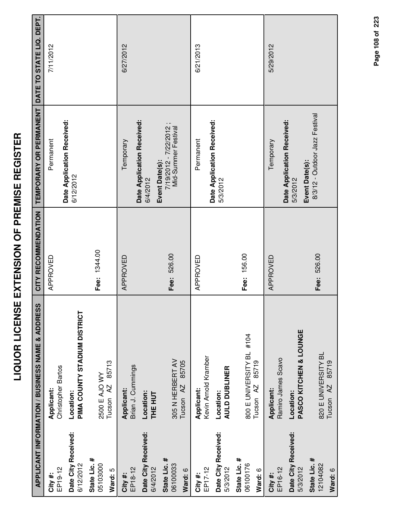|                                     | APPLICANT INFORMATION / BUSINESS NAME & ADDRESS           | CITY RECOMMENDATION | TEMPORARY OR PERMANENT                                          | DATE TO STATE LIQ. DEPT. |
|-------------------------------------|-----------------------------------------------------------|---------------------|-----------------------------------------------------------------|--------------------------|
| EP19-12<br>City#:                   | Christopher Bartos<br>Applicant:                          | APPROVED            | Permanent                                                       | 7/11/2012                |
| Date City Received:<br>6/12/2012    | PIMA COUNTY STADIUM DISTRICT<br>Location:                 |                     | Date Application Received:<br>6/12/2012                         |                          |
| State Lic. #<br>05103000<br>Ward: 5 | 85713<br>2500 E AJO WY<br>Tucson AZ                       | Fee: 1344.00        |                                                                 |                          |
| EP18-12<br>City#:                   | Brian J. Cummings<br>Applicant:                           | APPROVED            | Date Application Received:<br>Temporary                         | 6/27/2012                |
| Date City Received:<br>6/4/2012     | Location:<br><b>THE HUT</b>                               |                     | 6/4/2012                                                        |                          |
| State Lic. #<br>06100033<br>Ward: 6 | 305 N HERBERT AV<br>85705<br>Tucson <sub>AZ</sub>         | Fee: 526.00         | 7/19/2012 - 7/22/2012;<br>Mid-Summer Festival<br>Event Date(s): |                          |
| EP17-12<br>City #:                  | Kevin Arnold Kramber<br>Applicant:                        | APPROVED            | Permanent                                                       | 6/21/2013                |
| Date City Received:<br>5/3/2012     | AULD DUBLINER<br>Location:                                |                     | Date Application Received:<br>5/3/2012                          |                          |
| State Lic. #<br>06100176<br>Ward: 6 | 800 E UNIVERSITY BL #104<br>85719<br>Tucson <sub>AZ</sub> | Fee: 156.00         |                                                                 |                          |
| EP16-12<br>City #:                  | Ramiro James Scavo<br>Applicant:                          | APPROVED            | Temporary                                                       | 5/29/2012                |
| Date City Received:<br>5/3/2012     | PASCO KITCHEN & LOUNGE<br>Location:                       |                     | Date Application Received:<br>Event Date(s):<br>5/3/2012        |                          |
| State Lic. #<br>12104082<br>Ward: 6 | 820 E UNIVERSITY BL<br>Tucson AZ 85719                    | Fee: 526.00         | 8/3/12 - Outdoor Jazz Festival                                  |                          |

Page 108 of 223 **Page of 108 223**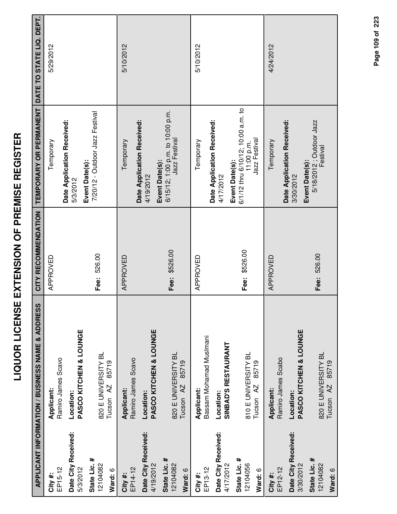|                                     | APPLICANT INFORMATION / BUSINESS NAME & ADDRESS      | CITY RECOMMENDATION | TEMPORARY OR PERMANENT DATE TO STATE LIQ. DEPT.                                     |           |
|-------------------------------------|------------------------------------------------------|---------------------|-------------------------------------------------------------------------------------|-----------|
| EP15-12<br>City #:                  | Ramiro James Scavo<br>Applicant:                     | APPROVED            | Temporary                                                                           | 5/29/2012 |
| Date City Received:<br>5/3/2012     | PASCO KITCHEN & LOUNGE<br>Location:                  |                     | Date Application Received:<br>5/3/2012                                              |           |
| State Lic. #<br>12104082<br>Ward: 6 | 820 E UNIVERSITY BL<br>85719<br>Tucson <sub>AZ</sub> | Fee: 526.00         | 7/20/12 - Outdoor Jazz Festival<br>Event Date(s):                                   |           |
| EP14-12<br>City #:                  | Ramiro James Scavo<br><b>Applicant:</b>              | APPROVED            | Temporary                                                                           | 5/10/2012 |
| Date City Received:<br>4/19/2012    | PASCO KITCHEN & LOUNGE<br>Location:                  |                     | Date Application Received:<br>4/19/2012                                             |           |
| State Lic. #<br>12104082<br>Ward: 6 | 820 E UNIVERSITY BL<br>85719<br>Tucson <sub>AZ</sub> | Fee: \$526.00       | 6/15/12; 1:00 p.m. to 10:00 p.m.<br>Jazz Festival<br>Event Date(s):                 |           |
| EP13-12<br>City #:                  | Bassam Mohamad Muslmani<br>Applicant:                | APPROVED            | Temporary                                                                           | 5/10/2012 |
| Date City Received:<br>4/17/2012    | <b>SINBAD'S RESTAURANT</b><br>Location:              |                     | Date Application Received:<br>4/17/2012                                             |           |
| State Lic. #<br>12104056<br>Ward: 6 | 810 E UNIVERSITY BL<br>85719<br>Tucson <sub>AZ</sub> | Fee: \$526.00       | 6/1/12 thru 6/10/12; 10:00 a.m. to<br>Jazz Festival<br>11:00 p.m.<br>Event Date(s): |           |
| EP12-12<br>City #:                  | Ramiro James Scabo<br>Applicant:                     | APPROVED            | Temporary                                                                           | 4/24/2012 |
| Date City Received:<br>3/30/2012    | PASCO KITCHEN & LOUNGE<br>Location:                  |                     | Date Application Received:<br>3/30/2012                                             |           |
| State Lic. #<br>12104082<br>Ward: 6 | 820 E UNIVERSITY BL<br>Tucson AZ 85719               | Fee: 526.00         | 5/18/2012 ; Outdoor Jazz<br>Festival<br>Event Date(s):                              |           |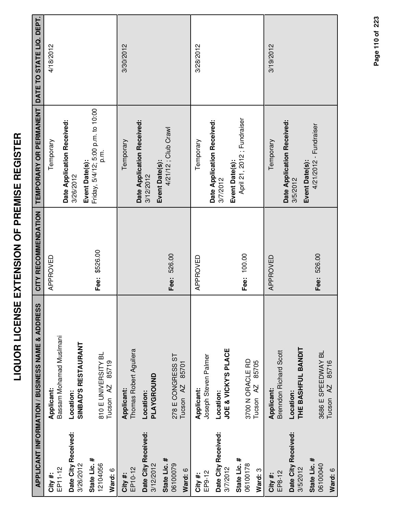|                                     | APPLICANT INFORMATION / BUSINESS NAME & ADDRESS      | CITY RECOMMENDATION | TEMPORARY OR PERMANENT                                       | DATE TO STATE LIQ. DEPT. |
|-------------------------------------|------------------------------------------------------|---------------------|--------------------------------------------------------------|--------------------------|
| EP11-12<br>City #:                  | Bassam Mohamad Muslmani<br>Applicant:                | APPROVED            | Temporary                                                    | 4/18/2012                |
| Date City Received:<br>3/26/2012    | SINBAD'S RESTAURANT<br>Location:                     |                     | Date Application Received:<br>3/26/2012                      |                          |
| State Lic. #<br>12104056<br>Ward: 6 | 810 E UNIVERSITY BL<br>85719<br>Tucson <sub>AZ</sub> | Fee: \$526.00       | Friday, 5/4/12; 5:00 p.m. to 10:00<br>p.m.<br>Event Date(s): |                          |
| EP10-12<br>City #:                  | Thomas Robert Aguilera<br>Applicant:                 |                     | Date Application Received:<br>Temporary                      | 3/30/2012                |
| Date City Received:<br>3/12/2012    | PLAYGROUND<br>Location:                              |                     | Event Date(s):<br>3/12/2012                                  |                          |
| State Lic. #<br>06100079<br>Ward: 6 | 278 E CONGRESS ST<br>85701<br>Tucson <sub>AZ</sub>   | Fee: 526.00         | 4/21/12; Club Crawl                                          |                          |
| EP9-12<br>City #:                   | Joseph Steven Palmer<br>Applicant:                   | APPROVED            | Temporary                                                    | 3/28/2012                |
| Date City Received:<br>3/7/2012     | JOE & VICKY'S PLACE<br>Location:                     |                     | Date Application Received:<br>Event Date(s):<br>3/7/2012     |                          |
| State Lic. #<br>06100178<br>Ward: 3 | 3700 N ORACLE RD<br>85705<br>Tucson <sub>AZ</sub>    | Fee: 100.00         | April 21, 2012; Fundraiser                                   |                          |
| EP8-12<br>City#:                    | <b>Brenndon Richard Scott</b><br>Applicant:          | APPROVED            | Temporary                                                    | 3/19/2012                |
| Date City Received:<br>3/5/2012     | THE BASHFUL BANDIT<br>Location:                      |                     | Date Application Received:<br>Event Date(s):<br>3/5/2012     |                          |
| State Lic. #<br>06100040<br>Ward: 6 | 3686 E SPEEDWAY BL<br>Tucson AZ 85716                | Fee: 526.00         | 4/21/2012 - Fundraiser                                       |                          |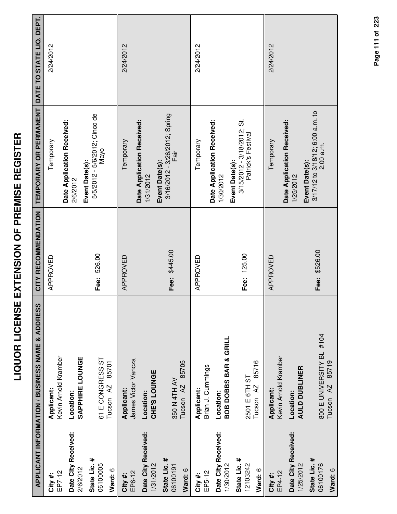| ׆<br>׀<br>ĭ<br>İ<br>Ì                 |  |
|---------------------------------------|--|
| $\sum_{i=1}^{n}$<br><b>NENSIO</b>     |  |
| $\frac{1}{1}$ L C I L C $\frac{1}{1}$ |  |
|                                       |  |

|                                     | <b>APPLICANT INFORMATION / BUSINESS NAME &amp; ADDRESS</b> | CITY RECOMMENDATION | TEMPORARY OR PERMANENT                                                | DATE TO STATE LIQ. DEPT. |
|-------------------------------------|------------------------------------------------------------|---------------------|-----------------------------------------------------------------------|--------------------------|
| EP7-12<br>City #:                   | Kevin Arnold Kramber<br>Applicant:                         | APPROVED            | Temporary                                                             | 2/24/2012                |
| Date City Received:<br>2/6/2012     | SAPPHIRE LOUNGE<br>Location:                               |                     | Date Application Received:<br>Event Date(s):<br>2/6/2012              |                          |
| State Lic. #<br>06100005<br>Ward: 6 | 61 E CONGRESS ST<br>85701<br>Tucson <sub>AZ</sub>          | Fee: 526.00         | 5/5/2012 - 5/6/2012; Cinco de<br>Nayo                                 |                          |
| EP6-12<br>City #:                   | James Victor Vancza<br>Applicant:                          | APPROVED            | Date Application Received:<br>Temporary                               | 2/24/2012                |
| Date City Received:<br>1/31/2012    | CHE'S LOUNGE<br>Location:                                  |                     | 1/31/2012                                                             |                          |
| State Lic. #<br>06100191<br>Ward: 6 | 85705<br>350 N 4TH AV<br>Tucson <sub>AZ</sub>              | Fee: \$445.00       | 3/16/2012 - 3/26/2012; Spring<br>Fair<br>Event Date(s):               |                          |
| EP5-12<br>City #:                   | Brian J. Cummings<br>Applicant:                            | APPROVED            | Temporary                                                             | 2/24/2012                |
| Date City Received:<br>1/30/2012    | <b>BOB DOBBS BAR &amp; GRILL</b><br>Location:              |                     | Date Application Received:<br>1/30/2012                               |                          |
| State Lic. #<br>12103242<br>Ward: 6 | 85716<br>2501 E 6TH ST<br>Tucson <sub>AZ</sub>             | Fee: 125.00         | $3/15/2012 - 3/18/2012$ ; St.<br>Patrick's Festival<br>Event Date(s): |                          |
| EP4-12<br>City #:                   | Kevin Arnold Kramber<br>Applicant:                         | APPROVED            | Temporary                                                             | 2/24/2012                |
| Date City Received:<br>1/25/2012    | <b>AULD DUBLINER</b><br>Location:                          |                     | Date Application Received:<br>Event Date(s):<br>1/25/2012             |                          |
| State Lic. #<br>06100176<br>Ward: 6 | 800 E UNIVERSITY BL #104<br>85719<br>Tucson <sub>AZ</sub>  | Fee: \$526.00       | $3/17/12$ to $3/18/12$ ; 6:00 a.m. to<br>2:00 a.m.                    |                          |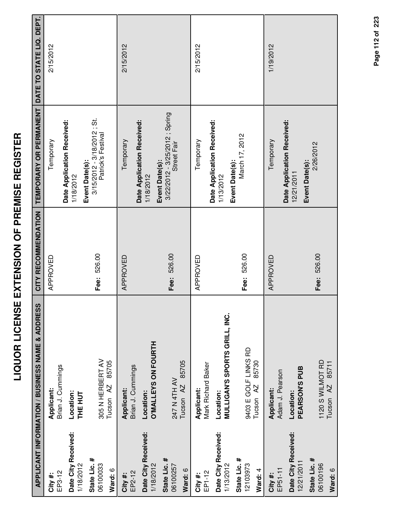| I<br>l<br>İ<br>İ<br>l<br>ì             |
|----------------------------------------|
| Ī<br>Ī<br><b>.</b><br>.<br>.<br>;<br>l |
| I<br>i<br>Ī<br>i<br>l                  |
| ļ                                      |
| <br> <br> <br> <br>Ì<br>I              |
| .<br>(                                 |

|                                       | APPLICANT INFORMATION / BUSINESS NAME & ADDRESS              | CITY RECOMMENDATION | TEMPORARY OR PERMANENT                                              | DATE TO STATE LIQ. DEPT. |
|---------------------------------------|--------------------------------------------------------------|---------------------|---------------------------------------------------------------------|--------------------------|
| EP3-12<br>City#:                      | Brian J. Cummings<br>Applicant:                              | APPROVED            | Temporary                                                           | 2/15/2012                |
| Date City Received:                   | Location:                                                    |                     | Date Application Received:<br>1/18/2012                             |                          |
| State Lic. #<br>06100033<br>1/18/2012 | 305 N HERBERT AV<br>85705<br>Tucson <sub>AZ</sub><br>THE HUT | Fee: 526.00         | 3/15/2012 - 3/18/2012 ; St.<br>Patrick's Festival<br>Event Date(s): |                          |
| Ward: 6<br>EP2-12<br>City#:           | Brian J. Cummings<br>Applicant:                              | APPROVED            | Temporary                                                           | 2/15/2012                |
| Date City Received:<br>1/18/2012      | <b>D'MALLEYS ON FOURTH</b><br>Location:                      |                     | Date Application Received:<br>1/18/2012                             |                          |
| State Lic. #<br>06100257<br>Ward: 6   | 85705<br>247 N 4TH AV<br>Tucson <sub>AZ</sub>                | Fee: 526.00         | 3/22/2012 - 3/25/2012 ; Spring<br>Street Fair<br>Event Date(s):     |                          |
| EP1-12<br>City#:                      | Mark Richard Baker<br>Applicant:                             | APPROVED            | Temporary                                                           | 2/15/2012                |
| Date City Received:<br>1/13/2012      | <b>MULLIGAN'S SPORTS GRILL, INC.</b><br>Location:            |                     | Date Application Received:<br>1/13/2012                             |                          |
| State Lic. #<br>12103973<br>Ward: 4   | 9403 E GOLF LINKS RD<br>85730<br>Tucson <sub>AZ</sub>        | Fee: 526.00         | March 17, 2012<br>Event Date(s):                                    |                          |
| EP51-11<br>City #:                    | Adam J. Pearson<br>Applicant:                                | APPROVED            | Temporary                                                           | 1/19/2012                |
| Date City Received:<br>12/21/2011     | PEARSON'S PUB<br>Location:                                   |                     | Date Application Received:<br>Event Date(s):<br>12/21/2011          |                          |
| State Lic. #<br>06100196<br>Ward: 6   | 1120 S WILMOT RD<br>85711<br>Tucson <sub>AZ</sub>            | Fee: 526.00         | 2/26/2012                                                           |                          |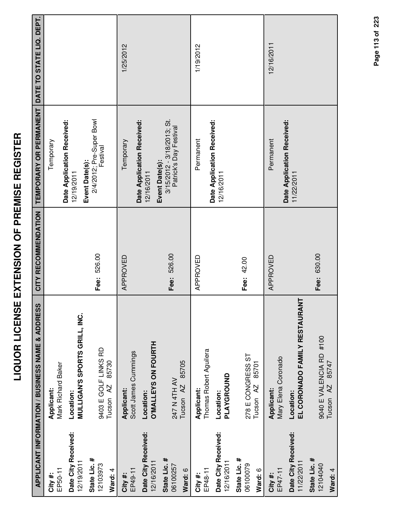|                                     | APPLICANT INFORMATION / BUSINESS NAME & ADDRESS          | CITY RECOMMENDATION | TEMPORARY OR PERMANENT DATE TO STATE LIQ. DEPT.         |            |
|-------------------------------------|----------------------------------------------------------|---------------------|---------------------------------------------------------|------------|
| EP50-11<br>City #:                  | Mark Richard Baker<br>Applicant:                         |                     | Temporary                                               |            |
| Date City Received:<br>12/19/2011   | MULLIGAN'S SPORTS GRILL, INC.<br>Location:               |                     | Date Application Received:<br>12/19/2011                |            |
| State Lic. #<br>12103973<br>Ward: 4 | 9403 E GOLF LINKS RD<br>85730<br>Tucson <sub>AZ</sub>    | Fee: 526.00         | 2/4/2012; Pre-Super Bowl<br>Festival<br>Event Date(s):  |            |
| EP49-11<br>City #:                  | Scott James Cummings<br>Applicant:                       | APPROVED            | Date Application Received:<br>Temporary                 | 1/25/2012  |
| Date City Received:<br>12/16/2011   | O'MALLEYS ON FOURTH<br>Location:                         |                     | Event Date(s):<br>12/16/2011                            |            |
| State Lic. #<br>06100257<br>Ward: 6 | 85705<br>247 N 4TH AV<br>Tucson <sub>AZ</sub>            | Fee: 526.00         | $3/15/2012 - 3/18/2013$ ; St.<br>Patrick's Day Festival |            |
| EP48-11<br>City #:                  | Thomas Robert Aguilera<br>Applicant:                     | APPROVED            | Permanent                                               | 1/19/2012  |
| Date City Received:<br>12/16/2011   | PLAYGROUND<br>Location:                                  |                     | Date Application Received:<br>12/16/2011                |            |
| State Lic. #<br>06100079<br>Ward: 6 | 278 E CONGRESS ST<br>85701<br>Tucson <sub>AZ</sub>       | Fee: 42.00          |                                                         |            |
| EP47-11<br>City#:                   | Mary Elena Coronado<br>Applicant:                        | APPROVED            | Permanent                                               | 12/16/2011 |
| Date City Received:<br>11/22/2011   | EL CORONADO FAMILY RESTAURANT<br>Location:               |                     | Date Application Received:<br>11/22/2011                |            |
| State Lic. #<br>12104040<br>Ward: 4 | 9040 E VALENCIA RD #100<br>85747<br>Tucson <sub>AZ</sub> | Fee: 630.00         |                                                         |            |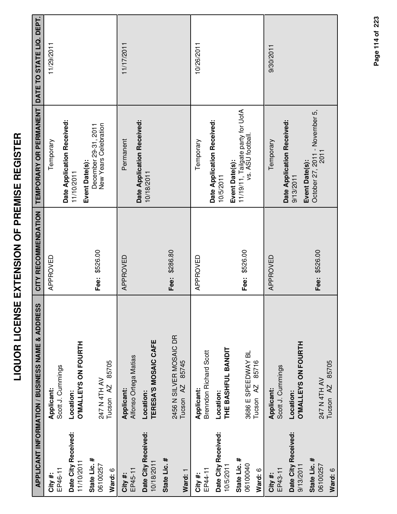| ľ                                                                                                              |
|----------------------------------------------------------------------------------------------------------------|
| ׀<br>׀                                                                                                         |
|                                                                                                                |
| i                                                                                                              |
| Ī<br>I                                                                                                         |
| $\overline{a}$<br>Ī                                                                                            |
|                                                                                                                |
| -<br>-<br>-<br>-<br>-                                                                                          |
|                                                                                                                |
| Ī                                                                                                              |
|                                                                                                                |
| <br> <br> <br>                                                                                                 |
| l                                                                                                              |
|                                                                                                                |
| i diamatana di kacamatan di kacamatan di kacamatan di kacamatan di kacamatan di kacamatan di kacamatan di kaca |
|                                                                                                                |
| -<br>-                                                                                                         |
| $\frac{1}{2}$                                                                                                  |
|                                                                                                                |
|                                                                                                                |
|                                                                                                                |
| I<br>i                                                                                                         |
|                                                                                                                |
|                                                                                                                |
|                                                                                                                |

|                                     | <b>APPLICANT INFORMATION / BUSINESS NAME &amp; ADDRESS</b> | CITY RECOMMENDATION | TEMPORARY OR PERMANENT                                                   | DATE TO STATE LIQ. DEPT. |
|-------------------------------------|------------------------------------------------------------|---------------------|--------------------------------------------------------------------------|--------------------------|
| EP46-11<br>City#:                   | Scott J. Cummings<br>Applicant:                            | APPROVED            | Temporary                                                                | 11/29/2011               |
| Date City Received:<br>11/10/2011   | <b>O'MALLEYS ON FOURTH</b><br>Location:                    |                     | Date Application Received:<br>11/10/2011                                 |                          |
| State Lic. #<br>06100257<br>Ward: 6 | 85705<br>247 N 4TH AV<br>Tucson AZ                         | Fee: \$526.00       | New Years Celebration<br>December 29-31, 2011<br>Event Date(s):          |                          |
| EP45-11<br>City#:                   | Alfonso Ortega Matias<br>Applicant:                        | APPROVED            | Permanent                                                                | 11/17/2011               |
| Date City Received:<br>10/18/2011   | TERESA'S MOSAIC CAFE<br>Location:                          |                     | Date Application Received:<br>10/18/2011                                 |                          |
| State Lic. #<br>Ward: 1             | 2456 N SILVER MOSAIC DR<br>85745<br>Tucson <sub>AZ</sub>   | Fee: \$286.80       |                                                                          |                          |
| EP44-11<br>City#:                   | Brenndon Richard Scott<br>Applicant:                       | APPROVED            | Temporary                                                                | 10/26/2011               |
| Date City Received:<br>10/5/2011    | THE BASHFUL BANDIT<br>Location:                            |                     | Date Application Received:<br>10/5/2011                                  |                          |
| State Lic. #<br>06100040<br>Ward: 6 | 3686 E SPEEDWAY BL<br>85716<br>Tucson <sub>AZ</sub>        | Fee: \$526.00       | 11/19/11, Tailgate party for UofA<br>vs. ASU football.<br>Event Date(s): |                          |
| EP43-11<br>City#:                   | Scott J. Cummings<br>Applicant:                            | APPROVED            | Temporary                                                                | 9/30/2011                |
| Date City Received:<br>9/13/2011    | <b>D'MALLEYS ON FOURTH</b><br>Location:                    |                     | Date Application Received:<br>Event Date(s):<br>9/13/2011                |                          |
| State Lic. #<br>06100257<br>Ward: 6 | 85705<br>247 N 4TH AV<br>Tucson <sub>AZ</sub>              | Fee: \$526.00       | October 27, 2011 - November 5,<br>2011                                   |                          |
|                                     |                                                            |                     |                                                                          |                          |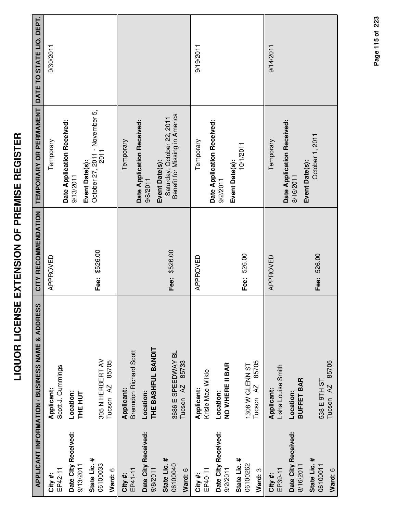|                     | APPLICANT INFORMATION / BUSINESS NAME & ADDRESS | CITY RECOMMENDATION | TEMPORARY OR PERMANENT DATE TO STATE LIQ. DEPT.              |           |
|---------------------|-------------------------------------------------|---------------------|--------------------------------------------------------------|-----------|
|                     |                                                 |                     |                                                              |           |
| EP42-11<br>City#:   | Scott J. Cummings<br>Applicant:                 | APPROVED            | Temporary                                                    | 9/30/2011 |
| Date City Received: | Location:                                       |                     | Date Application Received:<br>9/13/2011                      |           |
| 9/13/2011           | THE HUT                                         |                     | Event Date(s):                                               |           |
| State Lic. #        |                                                 | Fee: \$526.00       | October 27, 2011 - November 5,<br>2011                       |           |
| 06100033            | 305 N HERBERT AV                                |                     |                                                              |           |
| Ward: 6             | 85705<br>Tucson <sub>AZ</sub>                   |                     |                                                              |           |
| City#:              | Applicant:                                      |                     | Temporary                                                    |           |
| EP41-11             | <b>Brenndon Richard Scott</b>                   |                     | Date Application Received:                                   |           |
| Date City Received: | Location:                                       |                     | 9/8/2011                                                     |           |
| 9/8/2011            | THE BASHFUL BANDIT                              |                     | Event Date(s):                                               |           |
| State Lic. #        |                                                 |                     |                                                              |           |
| 06100040            | 3686 E SPEEDWAY BL                              | Fee: \$526.00       | Saturday, October 22, 2011<br>Benefit for Missing in America |           |
| Ward: 6             | 85733<br>Tucson <sub>AZ</sub>                   |                     |                                                              |           |
| City #:             | Applicant:                                      | APPROVED            | Temporary                                                    | 9/19/2011 |
| EP40-11             | Krisie Mae Wilkie                               |                     | Date Application Received:                                   |           |
| Date City Received: | Location:                                       |                     | 9/2/2011                                                     |           |
| 9/2/2011            | NO WHERE II BAR                                 |                     | Event Date(s):                                               |           |
| State Lic. #        |                                                 |                     | 10/1/2011                                                    |           |
| 06100262            | 1308 W GLENN ST                                 | Fee: 526.00         |                                                              |           |
| Ward: 3             | 85705<br>Tucson AZ                              |                     |                                                              |           |
| City #:             | Applicant:                                      | APPROVED            | Temporary                                                    | 9/14/2011 |
| EP39-11             | Lisha Louise Smith                              |                     |                                                              |           |
| Date City Received: | Location:                                       |                     | Date Application Received:<br>8/16/2011                      |           |
| 8/16/2011           | <b>BUFFET BAR</b>                               |                     | Event Date(s):                                               |           |
| State Lic. #        |                                                 |                     | October 1, 2011                                              |           |
| 06100011            | 538 E 9TH ST                                    | Fee: 526.00         |                                                              |           |
| Ward: 6             | Tucson AZ 85705                                 |                     |                                                              |           |

Page 115 of 223 **Page of 115 223**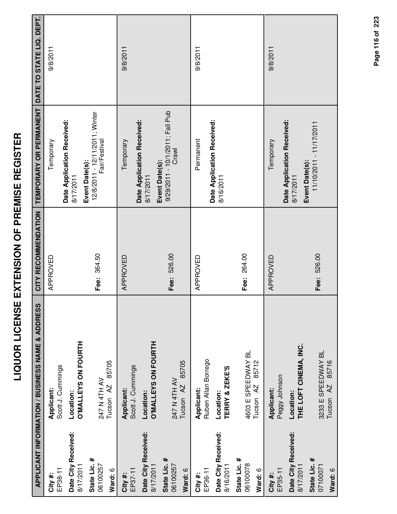|                                     | APPLICANT INFORMATION / BUSINESS NAME & ADDRESS     | CITY RECOMMENDATION | TEMPORARY OR PERMANENT DATE TO STATE LIQ. DEPT.                   |          |
|-------------------------------------|-----------------------------------------------------|---------------------|-------------------------------------------------------------------|----------|
| EP38-11<br>City #:                  | Scott J. Cummings<br>Applicant:                     | APPROVED            | Temporary                                                         | 9/8/2011 |
| Date City Received:<br>8/17/2011    | O'MALLEYS ON FOURTH<br>Location:                    |                     | Date Application Received:<br>8/17/2011                           |          |
| State Lic. #<br>06100257<br>Ward: 6 | 85705<br>247 N 4TH AV<br>Tucson <sub>AZ</sub>       | Fee: 364.50         | 12/8/2011 - 12/11/2011; Winter<br>Fair/Festival<br>Event Date(s): |          |
| EP37-11<br>City #:                  | Scott J. Cummings<br>Applicant:                     | APPROVED            | Temporary                                                         | 9/8/2011 |
| Date City Received:<br>8/17/2011    | <b>O'MALLEYS ON FOURTH</b><br>Location:             |                     | Date Application Received:<br>8/17/2011                           |          |
| State Lic. #<br>06100257<br>Ward: 6 | 85705<br>247 N 4TH AV<br>Tucson <sub>AZ</sub>       | Fee: 526.00         | 9/29/2011 - 10/1/2011; Fall Pub<br>Crawl<br>Event Date(s):        |          |
| EP36-11<br>City #:                  | Ruben Allan Borrego<br>Applicant:                   | APPROVED            | Permanent                                                         | 9/8/2011 |
| Date City Received:<br>8/16/2011    | TERRY & ZEKE'S<br>Location:                         |                     | Date Application Received:<br>8/16/2011                           |          |
| State Lic. #<br>06100078<br>Ward: 6 | 4603 E SPEEDWAY BL<br>85712<br>Tucson <sub>AZ</sub> | Fee: 264.00         |                                                                   |          |
| EP35-11<br>City #:                  | Peggy Johnson<br>Applicant:                         | APPROVED            | Temporary                                                         | 9/8/2011 |
| Date City Received:<br>8/17/2011    | THE LOFT CINEMA, INC.<br>Location:                  |                     | Date Application Received:<br>8/17/2011                           |          |
| State Lic. #<br>07100071<br>Ward: 6 | 3233 E SPEEDWAY BL<br>Tucson AZ 85716               | Fee: 526.00         | 11/10/2011 - 11/17/2011<br>Event Date(s):                         |          |

Page 116 of 223 **Page of 116 223**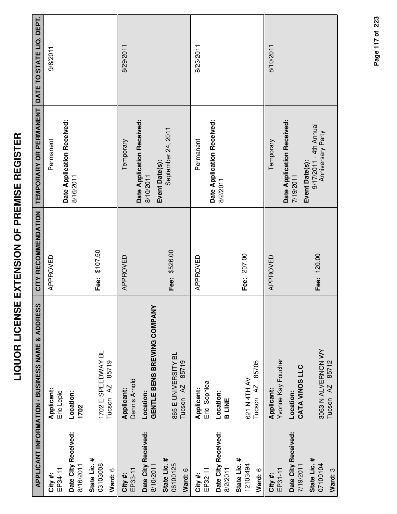|                                     | <b>APPLICANT INFORMATION / BUSINESS NAME &amp; ADDRESS</b> | CITY RECOMMENDATION | TEMPORARY OR PERMANENT                                    | DATE TO STATE LIQ. DEPT. |
|-------------------------------------|------------------------------------------------------------|---------------------|-----------------------------------------------------------|--------------------------|
| EP34-11<br>City #:                  | Applicant:<br>Eric Lepie                                   | APPROVED            | Permanent                                                 | 9/8/2011                 |
| Date City Received:<br>8/16/2011    | Location:<br>1702                                          |                     | Date Application Received:<br>8/16/2011                   |                          |
| State Lic. #<br>03103008<br>Ward: 6 | 1702 E SPEEDWAY BL<br>85719<br>Tucson <sub>AZ</sub>        | Fee: \$107.50       |                                                           |                          |
| EP33-11<br>City #:                  | Dennis Arnold<br>Applicant:                                | APPROVED            | Temporary                                                 | 8/29/2011                |
| Date City Received:<br>8/10/2011    | GENTLE BENS BREWING COMPANY<br>Location:                   |                     | Date Application Received:<br>8/10/2011                   |                          |
| State Lic. #<br>06100125<br>Ward: 6 | 865 E UNIVERSITY BL<br>85719<br>Tucson <sub>AZ</sub>       | Fee: \$526.00       | September 24, 2011<br>Event Date(s):                      |                          |
| EP32-11<br>City #:                  | Eric Sophiea<br>Applicant:                                 | APPROVED            | Permanent                                                 | 8/23/2011                |
| Date City Received:<br>8/2/2011     | Location:<br><b>B LINE</b>                                 |                     | Date Application Received:<br>8/2/2011                    |                          |
| State Lic. #<br>12103494<br>Ward: 6 | 85705<br>621 N 4TH AV<br>Tucson AZ                         | Fee: 207.00         |                                                           |                          |
| EP31-11<br>City#:                   | Yvonne Kay Foucher<br>Applicant:                           | APPROVED            | Temporary                                                 | 8/10/2011                |
| Date City Received:<br>7/19/2011    | CATA VINOS LLC<br>Location:                                |                     | Date Application Received:<br>Event Date(s):<br>7/19/2011 |                          |
| State Lic. #<br>07100104<br>Ward: 3 | 3063 N ALVERNON WY<br>85712<br>AZ.<br>Tucson               | Fee: 120.00         | 9/17/2011 - 4th Annual<br>Anniversary Party               |                          |

Page 117 of 223 **Page of 117 223**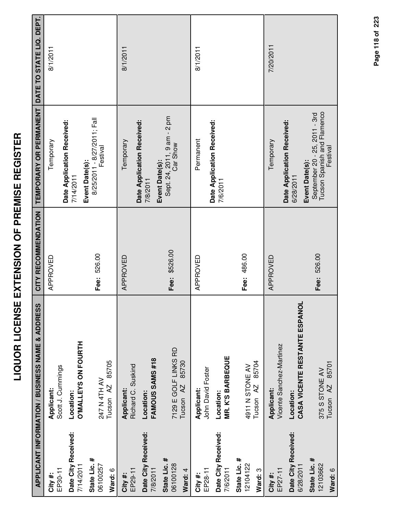|                                     | APPLICANT INFORMATION / BUSINESS NAME & ADDRESS  | CITY RECOMMENDATION | TEMPORARY OR PERMANENT                                                                     | DATE TO STATE LIQ. DEPT. |
|-------------------------------------|--------------------------------------------------|---------------------|--------------------------------------------------------------------------------------------|--------------------------|
| EP30-11<br>City #:                  | Scott J. Cummings<br>Applicant:                  | APPROVED            | Temporary                                                                                  | 8/1/2011                 |
| Date City Received:<br>7/14/2011    | <b>O'MALLEYS ON FOURTH</b><br>Location:          |                     | Date Application Received:<br>Event Date(s):<br>7/14/2011                                  |                          |
| State Lic. #<br>06100257<br>Ward: 6 | 85705<br>247 N 4TH AV<br>Tucson <sub>AZ</sub>    | Fee: 526.00         | 8/25/2011 - 8/27/2011; Fall<br>Festival                                                    |                          |
| EP29-11<br>City #:                  | Richard C. Suskind<br>Applicant:                 | APPROVED            | Date Application Received:<br>Temporary                                                    | 8/1/2011                 |
| Date City Received:<br>7/8/2011     | FAMOUS SAMS #18<br>Location:                     |                     | 7/8/2011                                                                                   |                          |
| State Lic. #<br>06100128<br>Ward: 4 | 7129 E GOLF LINKS RD<br>85730<br>Tucson AZ       | Fee: \$526.00       | Sept. 24, 2011, 9 am - 2 pm<br>Event Date(s):                                              |                          |
| EP28-11<br>City #:                  | John David Foster<br>Applicant:                  | APPROVED            | Permanent                                                                                  | 8/1/2011                 |
| Date City Received:<br>7/6/2011     | <b>MR. K'S BARBEQUE</b><br>Location:             |                     | Date Application Received:<br>7/6/2011                                                     |                          |
| State Lic. #<br>12104122<br>Ward: 3 | 85704<br>4911 N STONE AV<br>Tucson <sub>AZ</sub> | Fee: 486.00         |                                                                                            |                          |
| EP27-11<br>City #:                  | Vicente Sanchez-Martinez<br><b>Applicant:</b>    | APPROVED            | Temporary                                                                                  | 7/20/2011                |
| Date City Received:<br>6/28/2011    | CASA VICENTE RESTANTE ESPANOL<br>Location:       |                     | Date Application Received:<br>6/28/2011                                                    |                          |
| State Lic. #<br>12103662<br>Ward: 6 | Tucson AZ 85701<br>375 S STONE AV                | Fee: 526.00         | Tucson Spanish and Flamenco<br>September 20 - 25, 2011 - 3rd<br>Festival<br>Event Date(s): |                          |

Page 118 of 223 **Page of 118 223**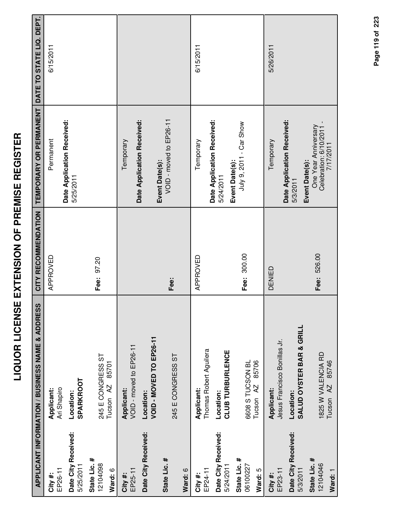|                                     | <b>APPLICANT INFORMATION / BUSINESS NAME &amp; ADDRESS</b> | CITY RECOMMENDATION | TEMPORARY OR PERMANENT                                        | DATE TO STATE LIQ. DEPT. |
|-------------------------------------|------------------------------------------------------------|---------------------|---------------------------------------------------------------|--------------------------|
| EP26-11<br>City #:                  | Ari Shapiro<br>Applicant:                                  | APPROVED            | Permanent                                                     | 6/15/2011                |
| Date City Received:<br>5/25/2011    | SPARKROOT<br>Location:                                     |                     | Date Application Received:<br>5/25/2011                       |                          |
| State Lic. #<br>12104098<br>Ward: 6 | 245 E CONGRESS ST<br>85701<br>Tucson <sub>AZ</sub>         | Fee: 97.20          |                                                               |                          |
| EP25-11<br>City#:                   | VOID - moved to EP26-11<br>Applicant:                      |                     | Date Application Received:<br>Temporary                       |                          |
| Date City Received:                 | VOID - MOVED TO EP26-11<br>Location:                       |                     | Event Date(s):                                                |                          |
| State Lic. #                        | 245 E CONGRESS ST                                          | Fee:                | VOID - moved to EP26-11                                       |                          |
| Ward: 6                             |                                                            |                     |                                                               |                          |
| EP24-11<br>City#:                   | Thomas Robert Aguilera<br>Applicant:                       | APPROVED            | Date Application Received:<br>Temporary                       | 6/15/2011                |
| Date City Received:<br>5/24/2011    | CLUB TURBURLENCE<br>Location:                              |                     | 5/24/2011                                                     |                          |
| State Lic. #<br>06100227<br>Ward: 5 | 6608 S TUCSON BL<br>85706<br>Tucson <sub>AZ</sub>          | Fee: 300.00         | July 9, 2011 - Car Show<br>Event Date(s):                     |                          |
| EP23-11<br>City #:                  | Jesus Francisco Bonillas Jr.<br>Applicant:                 | DENIED              | Temporary                                                     | 5/26/2011                |
| Date City Received:<br>5/3/2011     | SALUD OYSTER BAR & GRILL<br>Location:                      |                     | Date Application Received:<br>Event Date(s):<br>5/3/2011      |                          |
| State Lic. #<br>12104046<br>Ward: 1 | 1825 W VALENCIA RD<br>85746<br>AZ<br>Tucson                | Fee: 526.00         | One Year Anniversary<br>Celebration: 6/10/2011 -<br>7/17/2011 |                          |

Page 119 of 223 **Page of 119 223**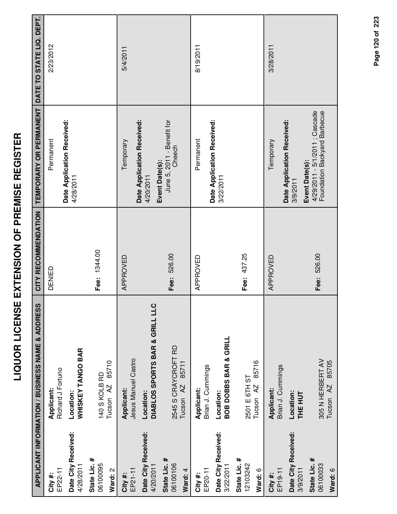|                                     | APPLICANT INFORMATION / BUSINESS NAME & ADDRESS      | CITY RECOMMENDATION | TEMPORARY OR PERMANENT                                         | DATE TO STATE LIQ. DEPT. |
|-------------------------------------|------------------------------------------------------|---------------------|----------------------------------------------------------------|--------------------------|
| EP22-11<br>City #:                  | Richard J Fortuno<br>Applicant:                      | DENIED              | Date Application Received:<br>Permanent                        | 2/23/2012                |
| Date City Received:<br>4/28/2011    | WHISKEY TANGO BAR<br>Location:                       |                     | 4/28/2011                                                      |                          |
| State Lic. #<br>06100095<br>Ward: 2 | 85710<br>140 S KOLB RD<br>Tucson <sub>AZ</sub>       | Fee: 1344.00        |                                                                |                          |
| EP21-11<br>City #:                  | Jesus Manuel Castro<br>Applicant:                    | APPROVED            | Date Application Received:<br>Temporary                        | 5/4/2011                 |
| Date City Received:<br>4/20/2011    | DIABLOS SPORTS BAR & GRILL LLC<br>Location:          |                     | Event Date(s):<br>4/20/2011                                    |                          |
| State Lic. #<br>06100106<br>Ward: 4 | 2545 S CRAYCROFT RD<br>85711<br>Tucson <sub>AZ</sub> | Fee: 526.00         | June 5, 2011 - Benefit for<br>Cheech                           |                          |
| EP20-11<br>City #:                  | Brian J. Cummings<br>Applicant:                      | APPROVED            | Permanent                                                      | 8/19/2011                |
| Date City Received:<br>3/22/2011    | <b>BOB DOBBS BAR &amp; GRILL</b><br>Location:        |                     | Date Application Received:<br>3/22/2011                        |                          |
| State Lic. #<br>12103242<br>Ward: 6 | 85716<br>2501 E 6TH ST<br>Tucson <sub>AZ</sub>       | Fee: 437.25         |                                                                |                          |
| EP19-11<br>City#:                   | Brian J. Cummings<br>Applicant:                      | APPROVED            | Temporary                                                      | 3/28/2011                |
| Date City Received:<br>3/9/2011     | Location:<br><b>THE HUT</b>                          |                     | Date Application Received:<br>Event Date(s):<br>3/9/2011       |                          |
| State Lic. #<br>06100033<br>Ward: 6 | 305 N HERBERT AV<br>85705<br>Tucson <sub>AZ</sub>    | Fee: 526.00         | 4/29/2011 - 5/1/2011 ; Cascade<br>Foundation Backyard Barbecue |                          |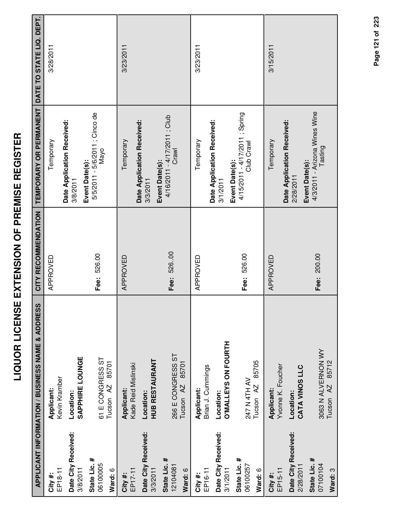|                                     | APPLICANT INFORMATION / BUSINESS NAME & ADDRESS    | CITY RECOMMENDATION | TEMPORARY OR PERMANENT                                         | DATE TO STATE LIQ. DEPT. |
|-------------------------------------|----------------------------------------------------|---------------------|----------------------------------------------------------------|--------------------------|
| EP18-11<br>City #:                  | Kevin Kramber<br>Applicant:                        | APPROVED            | Temporary                                                      | 3/28/2011                |
| Date City Received:<br>3/8/2011     | <b>SAPPHIRE LOUNGE</b><br>Location:                |                     | Date Application Received:<br>3/8/2011                         |                          |
| State Lic. #<br>06100005<br>Ward: 6 | 61 E CONGRESS ST<br>85701<br>Tucson <sub>AZ</sub>  | Fee: 526.00         | 5/5/2011 - 5/6/2011 ; Cinco de<br>Mayo<br>Event Date(s):       |                          |
| EP17-11<br>City #:                  | Kade Reid Mislinski<br>Applicant:                  | APPROVED            | Temporary                                                      | 3/23/2011                |
| Date City Received:<br>3/3/2011     | <b>HUB RESTAURANT</b><br>Location:                 |                     | Date Application Received:<br>3/3/2011                         |                          |
| State Lic. #<br>12104081<br>Ward: 6 | 266 E CONGRESS ST<br>85701<br>Tucson <sub>AZ</sub> | Fee: 526.00         | 4/16/2011 - 4/17/2011 ; Club<br>Crawl<br>Event Date(s):        |                          |
| EP16-11<br>City #:                  | Brian J. Cummings<br>Applicant:                    | APPROVED            | Temporary                                                      | 3/23/2011                |
| Date City Received:<br>3/1/2011     | O'MALLEYS ON FOURTH<br>Location:                   |                     | Date Application Received:<br>3/1/2011                         |                          |
| State Lic. #<br>06100257<br>Ward: 6 | 85705<br>247 N 4TH AV<br>Tucson AZ                 | Fee: 526.00         | 4/15/2011 - 4/17/2011 ; Spring<br>Club Crawl<br>Event Date(s): |                          |
| EP15-11<br>City #:                  | Yvonne K. Foucher<br>Applicant:                    | APPROVED            | Temporary                                                      | 3/15/2011                |
| Date City Received:<br>2/28/2011    | CATA VINOS LLC<br>Location:                        |                     | Date Application Received:<br>Event Date(s):<br>2/28/2011      |                          |
| State Lic. #<br>07100104<br>Ward: 3 | 3063 N ALVERNON WY<br>Tucson AZ 85712              | Fee: 200.00         | 4/3/2011 - Arizona Wines Wine<br>Tasting                       |                          |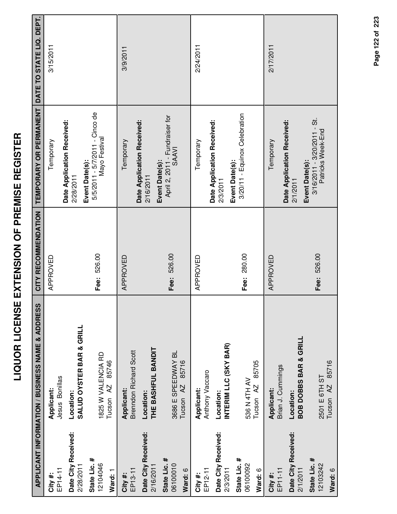|                                     | APPLICANT INFORMATION / BUSINESS NAME & ADDRESS     | CITY RECOMMENDATION | TEMPORARY OR PERMANENT                                                | DATE TO STATE LIQ. DEPT. |
|-------------------------------------|-----------------------------------------------------|---------------------|-----------------------------------------------------------------------|--------------------------|
| EP14-11<br>City #:                  | Jesus Bonillas<br>Applicant:                        | APPROVED            | Temporary                                                             | 3/15/2011                |
| Date City Received:<br>2/28/2011    | <b>SALUD OYSTER BAR &amp; GRILL</b><br>Location:    |                     | Date Application Received:<br>2/28/2011                               |                          |
| State Lic. #<br>12104046<br>Ward: 1 | 1825 W VALENCIA RD<br>85746<br>Tucson <sub>AZ</sub> | Fee: 526.00         | 5/5/2011 - 5/7/2011 - Cinco de<br>Mayo Festival<br>Event Date(s):     |                          |
| EP13-11<br>City #:                  | <b>Brenndon Richard Scott</b><br>Applicant:         | APPROVED            | Temporary                                                             | 3/9/2011                 |
| Date City Received:<br>2/16/2011    | THE BASHFUL BANDIT<br>Location:                     |                     | Date Application Received:<br>2/16/2011                               |                          |
| State Lic. #<br>06100010<br>Ward: 6 | 3686 E SPEEDWAY BL<br>85716<br>Tucson <sub>AZ</sub> | Fee: 526.00         | April 2, 2011 - Fundraiser for<br><b>SAAVI</b><br>Event Date(s):      |                          |
| EP12-11<br>City #:                  | Anthony Vaccaro<br>Applicant:                       | APPROVED            | Temporary                                                             | 2/24/2011                |
| Date City Received:<br>2/3/2011     | INTERIM LLC (SKY BAR)<br>Location:                  |                     | Date Application Received:<br><b>Event Date(s):</b><br>2/3/2011       |                          |
| State Lic. #<br>06100092<br>Ward: 6 | 85705<br>536 N 4TH AV<br>Tucson <sub>AZ</sub>       | Fee: 280.00         | 3/20/11 - Equinox Celebration                                         |                          |
| EP11-11<br>City #:                  | Brian J. Cummings<br>Applicant:                     | APPROVED            | Temporary                                                             | 2/17/2011                |
| Date City Received:<br>2/1/2011     | <b>BOB DOBBS BAR &amp; GRILL</b><br>Location:       |                     | Date Application Received:<br>2/1/2011                                |                          |
| State Lic. #<br>12103242<br>Ward: 6 | Tucson AZ 85716<br>2501 E 6TH ST                    | Fee: 526.00         | $3/16/2011 - 3/20/2011 - 5t$ .<br>Patricks Week-End<br>Event Date(s): |                          |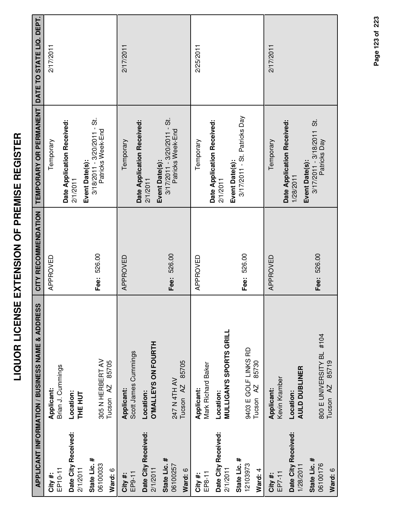| ı                                                         |
|-----------------------------------------------------------|
| l                                                         |
| İ                                                         |
| İ                                                         |
| (<br>I                                                    |
| ֚֚֚֬                                                      |
| ٦                                                         |
| I<br>Í                                                    |
|                                                           |
| í                                                         |
| ć<br>ĺ                                                    |
| Í<br>l                                                    |
| ī                                                         |
| Ī                                                         |
| .<br>ا                                                    |
|                                                           |
| ֧֓֜֜<br>Í                                                 |
| :                                                         |
| l                                                         |
| İ                                                         |
|                                                           |
| I                                                         |
|                                                           |
| ֝֝֝֝֝֝֝֝֝֝֝֝֝֝֝֝֝֝֝֝֝֝֝֝֝֝֝֝֝֝֝֝֝֝ <b>֟</b><br>֧֪֧֚֝֝֝֝֬֝ |
| I<br>Ì                                                    |
|                                                           |
|                                                           |
| I                                                         |
|                                                           |
|                                                           |
|                                                           |
|                                                           |

|                                     | APPLICANT INFORMATION / BUSINESS NAME & ADDRESS           | CITY RECOMMENDATION | TEMPORARY OR PERMANENT                                                | DATE TO STATE LIQ. DEPT. |
|-------------------------------------|-----------------------------------------------------------|---------------------|-----------------------------------------------------------------------|--------------------------|
| EP10-11<br>City#:                   | Brian J. Cummings<br>Applicant:                           | APPROVED            | Temporary                                                             | 2/17/2011                |
| Date City Received:<br>2/1/2011     | Location:<br>THE HUT                                      |                     | Date Application Received:<br>2/1/2011                                |                          |
| State Lic. #<br>06100033            | 305 N HERBERT AV                                          | Fee: 526.00         | $3/18/2011 - 3/20/2011 - 5t$ .<br>Patricks Week-End<br>Event Date(s): |                          |
| Ward: 6                             | 85705<br>Tucson <sub>AZ</sub>                             |                     |                                                                       |                          |
| EP9-11<br>City#:                    | Scott James Cummings<br>Applicant:                        | APPROVED            | Temporary                                                             | 2/17/2011                |
| Date City Received:<br>2/1/2011     | O'MALLEYS ON FOURTH<br>Location:                          |                     | Date Application Received:<br>2/1/2011                                |                          |
| State Lic. #<br>06100257<br>Ward: 6 | 85705<br>247 N 4TH AV<br>Tucson <sub>AZ</sub>             | Fee: 526.00         | $3/17/2011 - 3/20/2011 - St$<br>Patricks Week-End<br>Event Date(s):   |                          |
|                                     |                                                           |                     |                                                                       |                          |
| EP8-11<br>City #:                   | Mark Richard Baker<br>Applicant:                          | APPROVED            | Temporary                                                             | 2/25/2011                |
| Date City Received:<br>2/1/2011     | <b>MULLIGAN'S SPORTS GRILL</b><br>Location:               |                     | Date Application Received:<br>2/1/2011                                |                          |
| State Lic. #<br>12103973<br>Ward: 4 | 9403 E GOLF LINKS RD<br>85730<br>Tucson <sub>AZ</sub>     | Fee: 526.00         | 3/17/2011 - St. Patricks Day<br>Event Date(s):                        |                          |
| EP7-11<br>City #:                   | Kevin Kramber<br>Applicant:                               | APPROVED            | Temporary                                                             | 2/17/2011                |
| Date City Received:<br>1/28/2011    | <b>AULD DUBLINER</b><br>Location:                         |                     | Date Application Received:<br>1/28/2011                               |                          |
| State Lic. #<br>06100176<br>Ward: 6 | 800 E UNIVERSITY BL #104<br>85719<br>Tucson <sub>AZ</sub> | Fee: 526.00         | $3/17/2011 - 3/18/2011$ St.<br>Patricks Day<br>Event Date(s):         |                          |
|                                     |                                                           |                     |                                                                       |                          |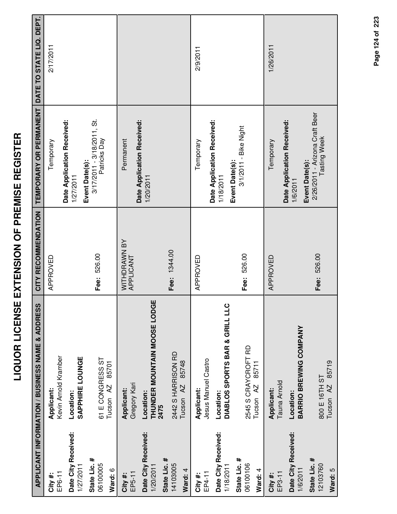| I                       |
|-------------------------|
|                         |
|                         |
|                         |
|                         |
| <br> <br>               |
|                         |
|                         |
| י<br>ו                  |
| 人間 あげ                   |
| I                       |
| ī                       |
| ī                       |
| ī                       |
| ີ້                      |
|                         |
| Í                       |
|                         |
| l                       |
|                         |
| ļ                       |
|                         |
| ٦                       |
|                         |
| $\overline{\mathbf{S}}$ |
|                         |
| Ì                       |
|                         |
|                         |
|                         |
| Í                       |
|                         |
| Í                       |
|                         |

 $\sim$ 

|                                     | <b>APPLICANT INFORMATION / BUSINESS NAME &amp; ADDRESS</b> | CITY RECOMMENDATION       | TEMPORARY OR PERMANENT                                          | DATE TO STATE LIQ. DEPT. |
|-------------------------------------|------------------------------------------------------------|---------------------------|-----------------------------------------------------------------|--------------------------|
| EP6-11<br>City#:                    | Kevin Arnold Kramber<br>Applicant:                         | APPROVED                  | Temporary                                                       | 2/17/2011                |
| Date City Received:<br>1/27/2011    | SAPPHIRE LOUNGE<br>Location:                               |                           | Date Application Received:<br>1/27/2011                         |                          |
| State Lic. #<br>06100005<br>Ward: 6 | 61 E CONGRESS ST<br>85701<br>Tucson AZ                     | Fee: 526.00               | $3/17/2011 - 3/18/2011$ , St.<br>Patricks Day<br>Event Date(s): |                          |
| EP5-11<br>City #:                   | Gregory Kari<br>Applicant:                                 | WITHDRAWN BY<br>APPLICANT | Permanent                                                       |                          |
| Date City Received:<br>1/20/2011    | THUNDER MOUNTAIN MOOSE LODGE<br>Location:<br>2475          |                           | Date Application Received:<br>1/20/2011                         |                          |
| State Lic. #<br>14103005<br>Ward: 4 | 2442 S HARRISON RD<br>85748<br>Tucson <sub>AZ</sub>        | Fee: 1344.00              |                                                                 |                          |
| EP4-11<br>City#:                    | Jesus Manuel Castro<br>Applicant:                          | APPROVED                  | Temporary                                                       | 2/9/2011                 |
| Date City Received:<br>1/18/2011    | DIABLOS SPORTS BAR & GRILL LLC<br>Location:                |                           | Date Application Received:<br>1/18/2011                         |                          |
| State Lic. #<br>06100106<br>Ward: 4 | 2545 S CRAYCROFT RD<br>85711<br>Tucson AZ                  | Fee: 526.00               | 3/1/2011 - Bike Night<br>Event Date(s):                         |                          |
| EP3-11<br>City #:                   | Tauna Arnold<br>Applicant:                                 | APPROVED                  | Temporary                                                       | 1/26/2011                |
| Date City Received:<br>1/6/2011     | BARRIO BREWING COMPANY<br>Location:                        |                           | Date Application Received:<br>Event Date(s):<br>1/6/2011        |                          |
| State Lic. #<br>12103760<br>Ward: 5 | 85719<br>800 E 16TH ST<br>Tucson <sub>AZ</sub>             | Fee: 526.00               | 2/26/2011 - Arizona Craft Beer<br><b>Tasting Week</b>           |                          |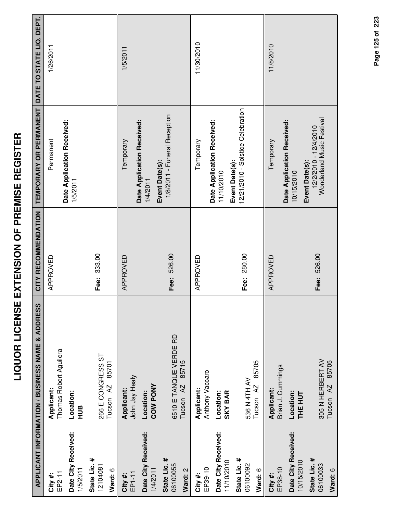|                                     | <b>APPLICANT INFORMATION / BUSINESS NAME &amp; ADDRESS</b> | CITY RECOMMENDATION | <b>TEMPORARY OR PERMANENT</b>                                        | DATE TO STATE LIQ. DEPT. |
|-------------------------------------|------------------------------------------------------------|---------------------|----------------------------------------------------------------------|--------------------------|
| EP2-11<br>City #:                   | Thomas Robert Aguilera<br>Applicant:                       | APPROVED            | Permanent                                                            | 1/26/2011                |
| Date City Received:<br>1/5/2011     | Location:<br>HUB                                           |                     | Date Application Received:<br>1/5/2011                               |                          |
| State Lic. #<br>12104081            | 266 E CONGRESS ST                                          | 333.00<br>Fee:      |                                                                      |                          |
| Ward: 6                             | 85701<br>Tucson AZ                                         |                     |                                                                      |                          |
| EP1-11<br>City #:                   | John Jay Healy<br>Applicant:                               | APPROVED            | Temporary                                                            | 1/5/2011                 |
| Date City Received:<br>1/4/2011     | COW PONY<br>Location:                                      |                     | Date Application Received:<br>1/4/2011                               |                          |
| State Lic. #<br>06100055<br>Ward: 2 | 6510 E TANQUE VERDE RD<br>85715<br>Tucson <sub>AZ</sub>    | Fee: 526.00         | 1/8/2011 - Funeral Reception<br>Event Date(s):                       |                          |
| EP39-10<br>City #:                  | Anthony Vaccaro<br>Applicant:                              | APPROVED            | Temporary                                                            | 11/30/2010               |
| Date City Received:<br>11/10/2010   | <b>SKY BAR</b><br>Location:                                |                     | Date Application Received:<br>11/10/2010                             |                          |
| State Lic. #<br>06100092<br>Ward: 6 | 85705<br>536 N 4TH AV<br>Tucson <sub>AZ</sub>              | 280.00<br>Fee:      | 12/21/2010 - Solstice Celebration<br>Event Date(s):                  |                          |
| EP38-10<br>City#:                   | Brian J. Cummings<br><b>Applicant:</b>                     | APPROVED            | Temporary                                                            | 11/8/2010                |
| Date City Received:<br>10/15/2010   | Location:<br>THE HUT                                       |                     | Date Application Received:<br>10/15/2010                             |                          |
| State Lic. #<br>06100033            | 305 N HERBERT AV<br>85705<br>Tucson <sub>AZ</sub>          | 526.00<br>Fee:      | Wonderland Music Festival<br>12/2/2010 - 12/4/2010<br>Event Date(s): |                          |
| <b>A</b> · Mard · A                 |                                                            |                     |                                                                      |                          |

Page 125 of 223 **Page of 125 223**

**Ward:** 6

Tucson AZ 85705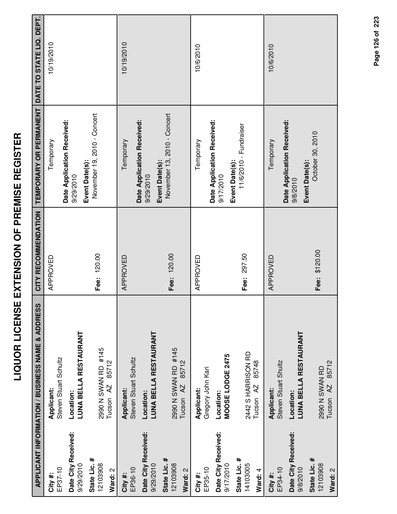| i<br>i<br>i<br>.<br>.       |  |
|-----------------------------|--|
| しくこうしんし しくー                 |  |
| í<br>i<br>ļ                 |  |
| -<br>-<br>-<br>l<br>-<br>נו |  |
| j<br>:                      |  |

|                                     | <b>APPLICANT INFORMATION / BUSINESS NAME &amp; ADDRESS</b> | CITY RECOMMENDATION | TEMPORARY OR PERMANENT                                    | DATE TO STATE LIQ. DEPT. |
|-------------------------------------|------------------------------------------------------------|---------------------|-----------------------------------------------------------|--------------------------|
| EP37-10<br>City #:                  | Steven Stuart Schultz<br>Applicant:                        | APPROVED            | Temporary                                                 | 10/19/2010               |
| Date City Received:<br>9/29/2010    | LUNA BELLA RESTAURANT<br>Location:                         |                     | Date Application Received:<br>9/29/2010                   |                          |
| State Lic. #<br>12103908<br>Ward: 2 | 2990 N SWAN RD #145<br>85712<br>$\overline{A}$<br>Tucson   | Fee: 120.00         | November 19, 2010 - Concert<br>Event Date(s):             |                          |
| EP36-10<br>City#:                   | Steven Stuart Schultz<br>Applicant:                        | APPROVED            | Date Application Received:<br>Temporary                   | 10/19/2010               |
| Date City Received:<br>9/29/2010    | LUNA BELLA RESTAURANT<br>Location:                         |                     | Event Date(s):<br>9/29/2010                               |                          |
| State Lic. #<br>12103908<br>Ward: 2 | 2990 N SWAN RD #145<br>85712<br>AZ<br>Tucson               | Fee: 120.00         | November 13, 2010 - Concert                               |                          |
| EP35-10<br>City #:                  | Gregory John Kari<br>Applicant:                            | APPROVED            | Temporary                                                 | 10/6/2010                |
| Date City Received:<br>9/17/2010    | MOOSE LODGE 2475<br>Location:                              |                     | Date Application Received:<br>Event Date(s):<br>9/17/2010 |                          |
| State Lic. #<br>14103005<br>Ward: 4 | 2442 S HARRISON RD<br>85748<br>Tucson <sub>AZ</sub>        | 297.50<br>Fee:      | 11/6/2010 - Fundraiser                                    |                          |
| EP34-10<br>City #:                  | Steven Stuart Shultz<br>Applicant:                         | APPROVED            | Temporary                                                 | 10/6/2010                |
| Date City Received:<br>9/8/2010     | <b>LUNA BELLA RESTAURANT</b><br>Location:                  |                     | Date Application Received:<br>Event Date(s):<br>9/8/2010  |                          |
| State Lic. #<br>12103908<br>Ward: 2 | 85712<br>2990 N SWAN RD<br>AZ.<br>Tucson                   | Fee: \$120.00       | October 30, 2010                                          |                          |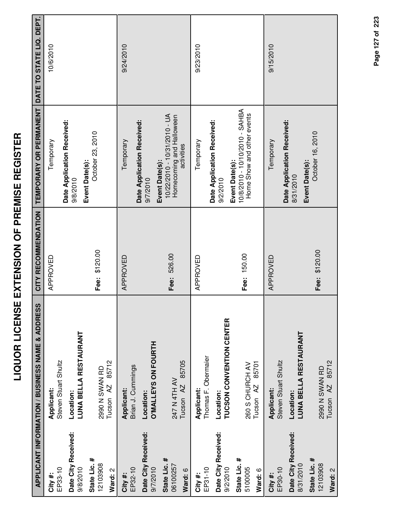|                                     | APPLICANT INFORMATION / BUSINESS NAME & ADDRESS  | CITY RECOMMENDATION | TEMPORARY OR PERMANENT                                                                   | DATE TO STATE LIQ. DEPT. |
|-------------------------------------|--------------------------------------------------|---------------------|------------------------------------------------------------------------------------------|--------------------------|
| EP33-10<br>City #:                  | Steven Stuart Shultz<br>Applicant:               | APPROVED            | Temporary                                                                                | 10/6/2010                |
| Date City Received:<br>9/8/2010     | <b>LUNA BELLA RESTAURANT</b><br>Location:        |                     | Date Application Received:<br>9/8/2010                                                   |                          |
| State Lic. #<br>12103908<br>Ward: 2 | 85712<br>2990 N SWAN RD<br>Tucson <sub>AZ</sub>  | Fee: \$120.00       | October 23, 2010<br>Event Date(s):                                                       |                          |
| EP32-10<br>City #:                  | Brian J. Cummings<br>Applicant:                  | APPROVED            | Date Application Received:<br>Temporary                                                  | 9/24/2010                |
| Date City Received:<br>9/7/2010     | O'MALLEYS ON FOURTH<br>Location:                 |                     | 9/7/2010                                                                                 |                          |
| State Lic. #<br>06100257<br>Ward: 6 | 85705<br>247 N 4TH AV<br>Tucson <sub>AZ</sub>    | Fee: 526.00         | 10/22/2010 - 10/31/2010 - UA<br>Homecoming and Halloween<br>activities<br>Event Date(s): |                          |
| EP31-10<br>City #:                  | Thomas F. Obermaier<br>Applicant:                | APPROVED            | Temporary                                                                                | 9/23/2010                |
| Date City Received:<br>9/2/2010     | TUCSON CONVENTION CENTER<br>Location:            |                     | Date Application Received:<br>Event Date(s):<br>9/2/2010                                 |                          |
| State Lic. #<br>5100005<br>Ward: 6  | 85701<br>260 S CHURCH AV<br>Tucson <sub>AZ</sub> | Fee: 150.00         | 10/8/2010 - 10/10/2010 - SAHBA<br>Home Show and other events                             |                          |
| EP30-10<br>City#:                   | Steven Stuart Shultz<br>Applicant:               | APPROVED            | Temporary                                                                                | 9/15/2010                |
| Date City Received:<br>8/31/2010    | LUNA BELLA RESTAURANT<br>Location:               |                     | Date Application Received:<br>Event Date(s):<br>8/31/2010                                |                          |
| State Lic. #<br>12103908<br>Ward: 2 | 85712<br>2990 N SWAN RD<br>Tucson <sub>AZ</sub>  | Fee: \$120.00       | October 16, 2010                                                                         |                          |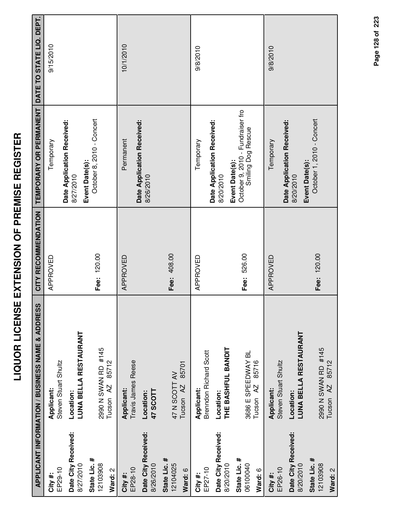| I                    |
|----------------------|
| l                    |
|                      |
| l                    |
| i                    |
|                      |
| Ī<br>Ξ               |
|                      |
| d                    |
| <br> <br>            |
|                      |
| ֚֡<br>ĺ<br>i<br>I    |
| I                    |
| ī                    |
| $\tilde{\mathbf{C}}$ |
|                      |
|                      |
| $\frac{1}{1}$        |
|                      |
|                      |
| ļ                    |
|                      |
| -<br>-               |
| i                    |
|                      |
| i<br>1               |
|                      |
|                      |
| Г<br>I<br>֡֡֡֡֡֡֡֡   |
| Ī                    |
|                      |
|                      |
| Ι                    |

|                                     | APPLICANT INFORMATION / BUSINESS NAME & ADDRESS      | CITY RECOMMENDATION | TEMPORARY OR PERMANENT                                                   | DATE TO STATE LIQ. DEPT. |
|-------------------------------------|------------------------------------------------------|---------------------|--------------------------------------------------------------------------|--------------------------|
| EP29-10<br>City#:                   | Steven Stuart Shultz<br>Applicant:                   | APPROVED            | Temporary                                                                | 9/15/2010                |
| Date City Received:<br>8/27/2010    | <b>LUNA BELLA RESTAURANT</b><br>Location:            |                     | Date Application Received:<br>8/27/2010                                  |                          |
| State Lic. #<br>12103908<br>Ward: 2 | 2990 N SWAN RD #145<br>85712<br>Tucson <sub>AZ</sub> | Fee: 120.00         | October 8, 2010 - Concert<br>Event Date(s):                              |                          |
| EP28-10<br>City#:                   | Travis James Reese<br>Applicant:                     | APPROVED            | Date Application Received:<br>Permanent                                  | 10/1/2010                |
| Date City Received:<br>8/26/2010    | <b>47 SCOTT</b><br>Location:                         |                     | 8/26/2010                                                                |                          |
| State Lic. #<br>12104025<br>Ward: 6 | 85701<br>47 N SCOTT AV<br>Tucson <sub>AZ</sub>       | Fee: 408.00         |                                                                          |                          |
| EP27-10<br>City #:                  | Brenndon Richard Scott<br>Applicant:                 | APPROVED            | Temporary                                                                | 9/8/2010                 |
| Date City Received:<br>8/20/2010    | THE BASHFUL BANDIT<br>Location:                      |                     | Date Application Received:<br>8/20/2010                                  |                          |
| State Lic. #<br>06100040<br>Ward: 6 | 3686 E SPEEDWAY BL<br>85716<br>Tucson <sub>AZ</sub>  | Fee: 526.00         | October 9, 2010 - Fundraiser fro<br>Smiling Dog Rescue<br>Event Date(s): |                          |
| EP26-10<br>City#:                   | Steven Stuart Shultz<br>Applicant:                   | APPROVED            | Temporary                                                                | 9/8/2010                 |
| Date City Received:<br>8/20/2010    | LUNA BELLA RESTAURANT<br>Location:                   |                     | Date Application Received:<br>Event Date(s):<br>8/20/2010                |                          |
| State Lic. #<br>12103908<br>Ward: 2 | 2990 N SWAN RD #145<br>85712<br>Tucson <sub>AZ</sub> | Fee: 120.00         | October 1, 2010 - Concert                                                |                          |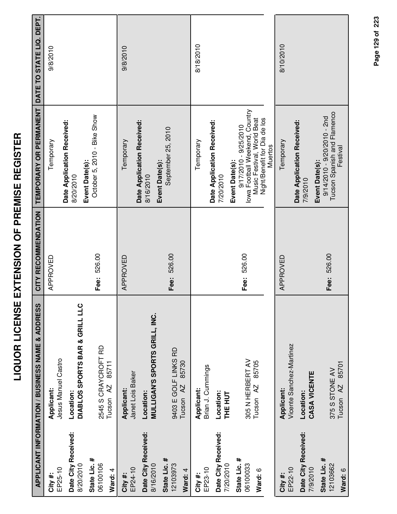|                                                  | APPLICANT INFORMATION / BUSINESS NAME & ADDRESS              | CITY RECOMMENDATION | TEMPORARY OR PERMANENT                                                                                                                                      | DATE TO STATE LIQ. DEPT. |
|--------------------------------------------------|--------------------------------------------------------------|---------------------|-------------------------------------------------------------------------------------------------------------------------------------------------------------|--------------------------|
| EP25-10<br>City #:                               | Jesus Manuel Castro<br>Applicant:                            | APPROVED            | Temporary                                                                                                                                                   | 9/8/2010                 |
| Date City Received:<br>8/20/2010                 | DIABLOS SPORTS BAR & GRILL LLC<br>Location:                  |                     | Date Application Received:<br>8/20/2010                                                                                                                     |                          |
| State Lic. #<br>06100106<br>Ward: 4              | 2545 S CRAYCROFT RD<br>85711<br>$\overline{A}$<br>Tucson     | Fee: 526.00         | October 5, 2010 - Bike Show<br>Event Date(s):                                                                                                               |                          |
| EP24-10<br>City#:                                | Janet Lois Baker<br><b>Applicant:</b>                        | APPROVED            | Temporary                                                                                                                                                   | 9/8/2010                 |
| Date City Received:<br>8/16/2010                 | MULLIGAN'S SPORTS GRILL, INC.<br>Location:                   |                     | Date Application Received:<br>Event Date(s):<br>8/16/2010                                                                                                   |                          |
| State Lic. #<br>12103973<br>Ward: 4              | 9403 E GOLF LINKS RD<br>85730<br>Tucson <sub>AZ</sub>        | 526.00<br>Fee:      | September 25, 2010                                                                                                                                          |                          |
| City#:                                           | Applicant:                                                   |                     | Temporary                                                                                                                                                   | 8/18/2010                |
| Date City Received:<br>EP23-10                   | Brian J. Cummings<br>Location:                               |                     | Date Application Received:<br>7/20/2010                                                                                                                     |                          |
| State Lic. #<br>06100033<br>7/20/2010<br>Ward: 6 | 305 N HERBERT AV<br>85705<br>Tucson <sub>AZ</sub><br>THE HUT | Fee: 526.00         | lowa Football Weekend, Country<br>Night/Benefit for Dia de los<br>Music Festival, World Beat<br>$9/17/2010 - 9/25/2010$<br><b>Muertos</b><br>Event Date(s): |                          |
| EP22-10<br>City #:                               | Vicente Sanchez-Martinez<br><b>Applicant:</b>                | APPROVED            | Temporary                                                                                                                                                   | 8/10/2010                |
| Date City Received:<br>7/9/2010                  | CASA VICENTE<br>Location:                                    |                     | Date Application Received:<br>7/9/2010                                                                                                                      |                          |
| State Lic. #<br>12103662<br>Ward: 6              | 85701<br>375 S STONE AV<br>Tucson <sub>AZ</sub>              | Fee: 526.00         | Tucson Spanish and Flamenco<br>$9/14/2010 - 9/20/2010 - 2nd$<br>Festival<br>Event Date(s):                                                                  |                          |

Page 129 of 223 **Page of 129 223**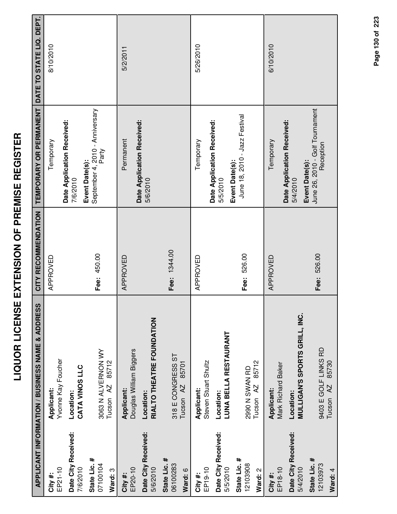|                                     | APPLICANT INFORMATION / BUSINESS NAME & ADDRESS    | CITY RECOMMENDATION | TEMPORARY OR PERMANENT                                   | DATE TO STATE LIQ. DEPT. |
|-------------------------------------|----------------------------------------------------|---------------------|----------------------------------------------------------|--------------------------|
| EP21-10<br>City #:                  | Yvonne Kay Foucher<br>Applicant:                   | APPROVED            | Temporary                                                | 8/10/2010                |
| Date City Received:<br>7/6/2010     | CATA VINOS LLC<br>Location:                        |                     | Date Application Received:<br>Event Date(s):<br>7/6/2010 |                          |
| State Lic. #<br>07100104<br>Ward: 3 | 3063 N ALVERNON WY<br>85712<br>Tucson AZ           | Fee: 450.00         | September 4, 2010 - Anniversary<br>Party                 |                          |
| EP20-10<br>City #:                  | Douglas William Biggers<br>Applicant:              | APPROVED            | Date Application Received:<br>Permanent                  | 5/2/2011                 |
| Date City Received:<br>5/6/2010     | RIALTO THEATRE FOUNDATION<br>Location:             |                     | 5/6/2010                                                 |                          |
| State Lic. #<br>06100283<br>Ward: 6 | 318 E CONGRESS ST<br>85701<br>Tucson <sub>AZ</sub> | Fee: 1344.00        |                                                          |                          |
| EP19-10<br>City#:                   | Steven Stuart Shultz<br>Applicant:                 | APPROVED            | Temporary                                                | 5/26/2010                |
| Date City Received:<br>5/5/2010     | <b>LUNA BELLA RESTAURANT</b><br>Location:          |                     | Date Application Received:<br>Event Date(s):<br>5/5/2010 |                          |
| State Lic. #<br>12103908<br>Ward: 2 | 85712<br>2990 N SWAN RD<br>Tucson AZ               | Fee: 526.00         | June 18, 2010 - Jazz Festival                            |                          |
| EP18-10<br>City #:                  | Mark Richard Baker<br>Applicant:                   | APPROVED            | Date Application Received:<br>Temporary                  | 6/10/2010                |
| Date City Received:<br>5/4/2010     | MULLIGAN'S SPORTS GRILL, INC.<br>Location:         |                     | Event Date(s):<br>5/4/2010                               |                          |
| State Lic. #<br>12103973<br>Ward: 4 | 9403 E GOLF LINKS RD<br>85730<br>AZ<br>Tucson      | Fee: 526.00         | June 26, 2010 - Golf Tournament<br>Reception             |                          |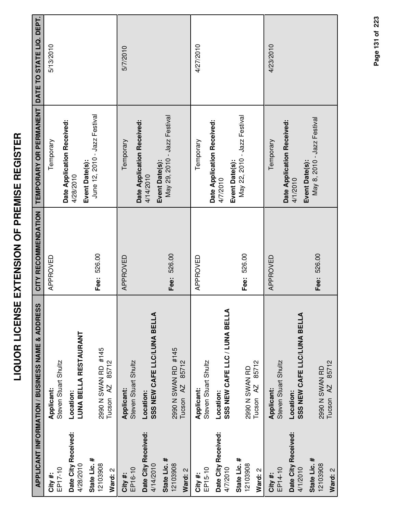|                                     | APPLICANT INFORMATION / BUSINESS NAME & ADDRESS      | CITY RECOMMENDATION | TEMPORARY OR PERMANENT                          | DATE TO STATE LIQ. DEPT. |
|-------------------------------------|------------------------------------------------------|---------------------|-------------------------------------------------|--------------------------|
| EP17-10<br>City #:                  | Steven Stuart Shultz<br>Applicant:                   | APPROVED            | Temporary                                       | 5/13/2010                |
| Date City Received:<br>4/28/2010    | <b>LUNA BELLA RESTAURANT</b><br>Location:            |                     | Date Application Received:<br>4/28/2010         |                          |
| State Lic. #<br>12103908<br>Ward: 2 | 2990 N SWAN RD #145<br>85712<br>Tucson <sub>AZ</sub> | Fee: 526.00         | June 12, 2010 - Jazz Festival<br>Event Date(s): |                          |
| EP16-10<br>City #:                  | Steven Stuart Shultz<br>Applicant:                   | APPROVED            | Date Application Received:<br>Temporary         | 5/7/2010                 |
| Date City Received:<br>4/14/2010    | SSS NEW CAFE LLC/LUNA BELLA<br>Location:             |                     | 4/14/2010                                       |                          |
| State Lic. #<br>12103908<br>Ward: 2 | 2990 N SWAN RD #145<br>85712<br>Tucson <sub>AZ</sub> | Fee: 526.00         | May 29, 2010 - Jazz Festival<br>Event Date(s):  |                          |
| EP15-10<br>City #:                  | Steven Stuart Shultz<br>Applicant:                   | APPROVED            | Temporary                                       | 4/27/2010                |
| Date City Received:<br>4/7/2010     | SSS NEW CAFE LLC / LUNA BELLA<br>Location:           |                     | Date Application Received:<br>4/7/2010          |                          |
| State Lic. #<br>12103908<br>Ward: 2 | 85712<br>2990 N SWAN RD<br>Tucson AZ                 | Fee: 526.00         | May 22, 2010 - Jazz Festival<br>Event Date(s):  |                          |
| EP14-10<br>City #:                  | Steven Stuart Shultz<br>Applicant:                   | APPROVED            | Temporary                                       | 4/23/2010                |
| Date City Received:<br>4/1/2010     | SSS NEW CAFE LLC/LUNA BELLA<br>Location:             |                     | Date Application Received:<br>4/1/2010          |                          |
| State Lic. #<br>12103908<br>Ward: 2 | Tucson AZ 85712<br>2990 N SWAN RD                    | Fee: 526.00         | May 8, 2010 - Jazz Festival<br>Event Date(s):   |                          |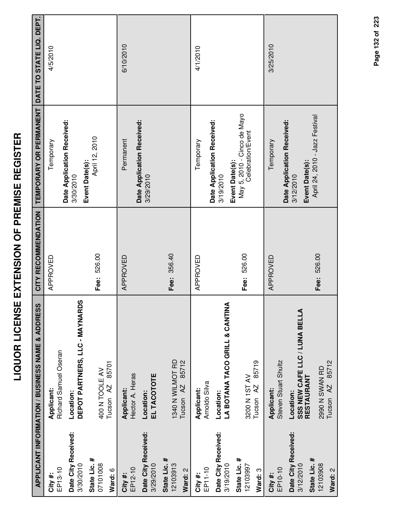|                                                  | APPLICANT INFORMATION / BUSINESS NAME & ADDRESS                  | CITY RECOMMENDATION | TEMPORARY OR PERMANENT DATE TO STATE LIQ. DEPT.                    |           |
|--------------------------------------------------|------------------------------------------------------------------|---------------------|--------------------------------------------------------------------|-----------|
| EP13-10<br>City#:                                | Richard Samuel Oseran<br>Applicant:                              | APPROVED            | Temporary                                                          | 4/5/2010  |
| Date City Received:<br>3/30/2010                 | DEPOT PARTNERS, LLC - MAYNARDS<br>Location:                      |                     | Date Application Received:<br>Event Date(s):<br>3/30/2010          |           |
| State Lic. #<br>07101008<br>Ward: 6              | 85701<br>400 N TOOLE AV<br>Tucson AZ                             | Fee: 526.00         | April 12, 2010                                                     |           |
| EP12-10<br>City#:                                | Hector A. Heras<br>Applicant:                                    | APPROVED            | Permanent                                                          | 6/10/2010 |
| Date City Received:<br>3/29/2010                 | EL TACOTOTE<br>Location:                                         |                     | Date Application Received:<br>3/29/2010                            |           |
| State Lic. #<br>12103913<br>Ward: 2              | 1340 N WILMOT RD<br>85712<br>Tucson <sub>AZ</sub>                | Fee: 356.40         |                                                                    |           |
| EP11-10<br>City #:                               | Arnoldo Silva<br>Applicant:                                      | APPROVED            | Temporary                                                          | 4/1/2010  |
| Date City Received:<br>3/19/2010                 | LA BOTANA TACO GRILL & CANTINA<br>Location:                      |                     | Date Application Received:<br>3/19/2010                            |           |
| State Lic. #<br>12103997<br>Ward: 3              | 85719<br>3200 N 1ST AV<br>Tucson <sub>AZ</sub>                   | Fee: 526.00         | May 5, 2010 - Cinco de Mayo<br>Celebration/Event<br>Event Date(s): |           |
| EP10-10<br>City#:                                | Steven Stuart Shultz<br><b>Applicant:</b>                        | APPROVED            | Temporary                                                          | 3/25/2010 |
| Date City Received:<br>State Lic. #<br>3/12/2010 | <b>SSS NEW CAFE LLC / LUNA BELLA<br/>RESTAURANT</b><br>Location: |                     | Date Application Received:<br>Event Date(s):<br>3/12/2010          |           |
| 12103908<br>Ward: 2                              | Tucson AZ 85712<br>2990 N SWAN RD                                | Fee: 526.00         | April 24, 2010 - Jazz Festival                                     |           |

Page 132 of 223 **Page of 132 223**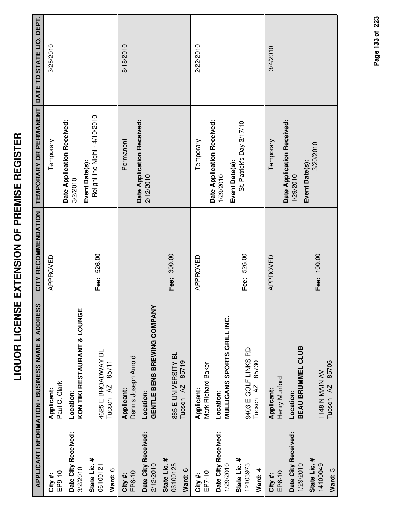| ĭ<br>I<br>i<br>$\frac{1}{\sqrt{2}}$<br>.<br>(<br>l<br>İ<br>l |  |
|--------------------------------------------------------------|--|
| -<br>-<br><b>ACTELLE</b><br>I                                |  |
| <br> <br> <br> <br>j<br>١<br>l                               |  |
| i<br>i<br>i<br>$\frac{1}{1}$                                 |  |
| í<br>ここ                                                      |  |

|                                  | APPLICANT INFORMATION / BUSINESS NAME & ADDRESS | CITY RECOMMENDATION | <b>TEMPORARY OR PERMANENT</b>                             | DATE TO STATE LIQ. DEPT. |
|----------------------------------|-------------------------------------------------|---------------------|-----------------------------------------------------------|--------------------------|
| EP9-10<br>City#:                 | Paul C. Clark<br>Applicant:                     | APPROVED            | Temporary                                                 | 3/25/2010                |
| Date City Received:<br>3/2/2010  | KON TIKI RESTAURANT & LOUNGE<br>Location:       |                     | Date Application Received:<br>3/2/2010                    |                          |
| State Lic. #<br>06100121         | 4625 E BROADWAY BL                              | Fee: 526.00         | Relight the Night - 4/10/2010<br>Event Date(s):           |                          |
| Ward: 6                          | 85711<br>Tucson <sub>AZ</sub>                   |                     |                                                           |                          |
| EP8-10<br>City #:                | Dennis Joseph Arnold<br>Applicant:              |                     | Permanent                                                 | 8/18/2010                |
| Date City Received:<br>2/12/2010 | GENTLE BENS BREWING COMPANY<br>Location:        |                     | Date Application Received:<br>2/12/2010                   |                          |
| State Lic. #<br>06100125         | 865 E UNIVERSITY BL                             | Fee: 300.00         |                                                           |                          |
| Ward: 6                          | 85719<br>AZ<br>Tucson                           |                     |                                                           |                          |
| EP7-10<br>City #:                | Mark Richard Baker<br>Applicant:                | APPROVED            | Temporary                                                 | 2/22/2010                |
| Date City Received:<br>1/29/2010 | MULLIGANS SPORTS GRILL INC.<br>Location:        |                     | Date Application Received:<br>1/29/2010                   |                          |
| State Lic. #<br>12103973         | 9403 E GOLF LINKS RD                            | Fee: 526.00         | St. Patrick's Day 3/17/10<br>Event Date(s):               |                          |
| Ward: 4                          | 85730<br>Tucson <sub>AZ</sub>                   |                     |                                                           |                          |
| EP6-10<br>City#:                 | Henry Munford<br>Applicant:                     | APPROVED            | Temporary                                                 | 3/4/2010                 |
| Date City Received:<br>1/29/2010 | BEAU BRUMMEL CLUB<br>Location:                  |                     | Date Application Received:<br>Event Date(s):<br>1/29/2010 |                          |
| State Lic. #<br>14100049         | 1148 N MAIN AV                                  | Fee: 100.00         | 3/20/2010                                                 |                          |
| Ward: 3                          | 85705<br>Tucson <sub>AZ</sub>                   |                     |                                                           |                          |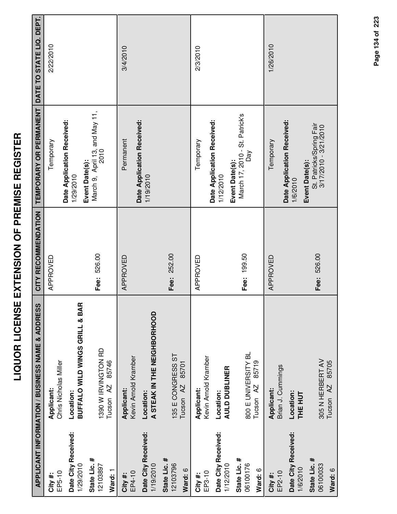|                                                                         | APPLICANT INFORMATION / BUSINESS NAME & ADDRESS                                           | CITY RECOMMENDATION | <b>TEMPORARY OR PERMANENT</b>                                                                      | DATE TO STATE LIQ. DEPT. |
|-------------------------------------------------------------------------|-------------------------------------------------------------------------------------------|---------------------|----------------------------------------------------------------------------------------------------|--------------------------|
| EP5-10<br>City #:                                                       | Chris Nicholas Miller<br>Applicant:                                                       | APPROVED            | Temporary                                                                                          | 2/22/2010                |
| Date City Received:<br>1/29/2010                                        | <b>BUFFALO WILD WINGS GRILL &amp; BAR</b><br>Location:                                    |                     | Date Application Received:<br>Event Date(s):<br>1/29/2010                                          |                          |
| State Lic. #<br>12103897<br>Ward: 1                                     | 1390 W IRVINGTON RD<br>85746<br>Tucson <sub>AZ</sub>                                      | Fee: 526.00         | March 9, April 13, and May 11,<br>2010                                                             |                          |
| Date City Received:<br>1/19/2010<br>EP4-10<br>City #:                   | A STEAK IN THE NEIGHBORHOOD<br>Kevin Arnold Kramber<br><b>Applicant:</b><br>Location:     | APPROVED            | Date Application Received:<br>Permanent<br>1/19/2010                                               | 3/4/2010                 |
| State Lic. #<br>12103796<br>Ward: 6                                     | 135 E CONGRESS ST<br>85701<br>Tucson <sub>AZ</sub>                                        | Fee: 252.00         |                                                                                                    |                          |
| EP3-10<br>City #:                                                       | Kevin Arnold Kramber<br>Applicant:                                                        | APPROVED            | Temporary                                                                                          | 2/3/2010                 |
| Date City Received:<br>State Lic. #<br>06100176<br>1/12/2010<br>Ward: 6 | 800 E UNIVERSITY BL<br>85719<br><b>AULD DUBLINER</b><br>Tucson <sub>AZ</sub><br>Location: | Fee: 199.50         | March 17, 2010 - St. Patrick's<br>Date Application Received:<br>Day<br>Event Date(s):<br>1/12/2010 |                          |
| Date City Received:<br>1/6/2010<br>EP2-10<br>City #:                    | Brian J. Cummings<br><b>Applicant:</b><br>Location:<br>THE HUT                            | APPROVED            | Date Application Received:<br>Temporary<br>1/6/2010                                                | 1/26/2010                |
| State Lic. #<br>06100033<br>Ward: 6                                     | 305 N HERBERT AV<br>Tucson AZ 85705                                                       | Fee: 526.00         | St. Patricks/Spring Fair<br>3/17/2010 - 3/21/2010<br>Event Date(s):                                |                          |

Page 134 of 223 **Page of 134 223**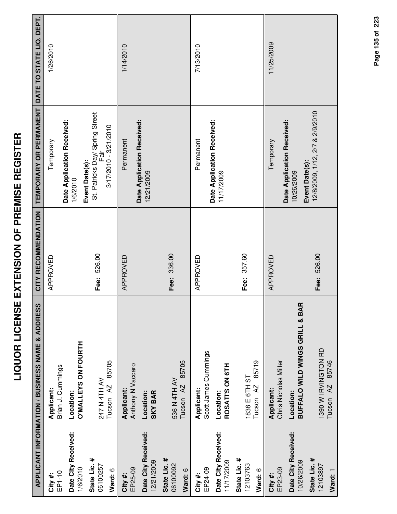|                                   | <b>APPLICANT INFORMATION / BUSINESS NAME &amp; ADDRESS</b>        | CITY RECOMMENDATION | TEMPORARY OR PERMANENT                                    | DATE TO STATE LIQ. DEPT |
|-----------------------------------|-------------------------------------------------------------------|---------------------|-----------------------------------------------------------|-------------------------|
| EP1-10<br>City#:                  | Applicant:                                                        | APPROVED            | Temporary                                                 | 1/26/2010               |
| Date City Received:               | Brian J. Cummings<br>Location:                                    |                     | Date Application Received:<br>1/6/2010                    |                         |
| 1/6/2010                          | <b>O'MALLEYS ON FOURTH</b>                                        |                     |                                                           |                         |
| State Lic. #<br>06100257          | 247 N 4TH AV                                                      | Fee: 526.00         | St. Patricks Day/ Spring Street<br>Fair<br>Event Date(s): |                         |
| Ward: 6                           | Tucson AZ 85705                                                   |                     | $3/17/2010 - 3/21/2010$                                   |                         |
| EP25-09<br>City#:                 | Anthony N Vaccaro<br>Applicant:                                   | APPROVED            | Permanent                                                 | 1/14/2010               |
| Date City Received:<br>12/21/2009 | <b>SKY BAR</b><br>Location:                                       |                     | Date Application Received:<br>12/21/2009                  |                         |
| State Lic. #<br>06100092          | 536 N 4TH AV                                                      | Fee: 336.00         |                                                           |                         |
| Ward: 6                           | Tucson AZ 85705                                                   |                     |                                                           |                         |
| EP24-09<br>City#:                 | Scott James Cummings<br>Applicant:                                | APPROVED            | Permanent                                                 | 7/13/2010               |
| Date City Received:<br>11/17/2009 | ROSATI'S ON 6TH<br>Location:                                      |                     | Date Application Received:<br>11/17/2009                  |                         |
| State Lic. #<br>12103763          | 1838 E 6TH ST                                                     | Fee: 357.60         |                                                           |                         |
| Ward: 6                           | 85719<br>Tucson <sub>AZ</sub>                                     |                     |                                                           |                         |
| EP23-09<br>City#:                 | Chris Nicholas Miller<br>Applicant:                               | APPROVED            | Temporary                                                 | 11/25/2009              |
| Date City Received:<br>10/26/2009 | $\alpha$<br><b>BUFFALO WILD WINGS GRILL &amp; BA</b><br>Location: |                     | Date Application Received:<br>10/26/2009                  |                         |
| State Lic. #<br>12103897          | 1390 W IRVINGTON RD                                               | Fee: 526.00         | 12/8/2009, 1/12, 2/7 & 2/9/2010<br>Event Date(s):         |                         |
| Ward: 1                           | AZ 85746<br>Tucson                                                |                     |                                                           |                         |

Page 135 of 223 **Page of 135 223**

**Ward:** 1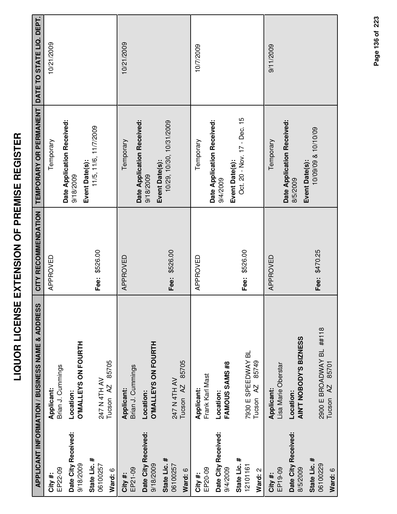| İ                                       |
|-----------------------------------------|
| Í                                       |
| İ                                       |
|                                         |
| ۱                                       |
| l                                       |
| ֖֪֖֚֚֚֚֚֚֚֚֚֚֚֚֚֚֚֚֚֚֚֚֚֚֚֚֚֚֚֚֚֬֡֡֡֬֝֓ |
| l                                       |
| ֘                                       |
| ٦<br>I                                  |
| ີ້                                      |
|                                         |
| I                                       |
| l                                       |
| i                                       |
| I                                       |
| ļ                                       |
| Ī                                       |
| Ī                                       |
|                                         |
| I                                       |
|                                         |
| I                                       |
|                                         |
|                                         |
|                                         |
|                                         |

|                                     | APPLICANT INFORMATION / BUSINESS NAME & ADDRESS           | CITY RECOMMENDATION | TEMPORARY OR PERMANENT                                   | DATE TO STATE LIQ. DEPT. |
|-------------------------------------|-----------------------------------------------------------|---------------------|----------------------------------------------------------|--------------------------|
| EP22-09<br>City#:                   | Brian J. Cummings<br>Applicant:                           | APPROVED            | Date Application Received:<br>Temporary                  | 10/21/2009               |
| Date City Received:<br>9/18/2009    | <b>O'MALLEYS ON FOURTH</b><br>Location:                   |                     | 9/18/2009                                                |                          |
| State Lic. #<br>06100257<br>Ward: 6 | 85705<br>247 N 4TH AV<br>Tucson AZ                        | Fee: \$526.00       | 11/5, 11/6, 11/7/2009<br>Event Date(s):                  |                          |
| EP21-09<br>City#:                   | Brian J. Cummings<br>Applicant:                           | APPROVED            | Date Application Received:<br>Temporary                  | 10/21/2009               |
| Date City Received:<br>9/18/2009    | <b>O'MALLEYS ON FOURTH</b><br>Location:                   |                     | Event Date(s):<br>9/18/2009                              |                          |
| State Lic. #<br>06100257<br>Ward: 6 | 85705<br>247 N 4TH AV<br>Tucson <sub>AZ</sub>             | Fee: \$526.00       | 10/29, 10/30, 10/31/2009                                 |                          |
| EP20-09<br>City #:                  | Frank Karl Mast<br>Applicant:                             | APPROVED            | Temporary                                                | 10/7/2009                |
| Date City Received:<br>9/4/2009     | FAMOUS SAMS #8<br>Location:                               |                     | Date Application Received:<br>9/4/2009                   |                          |
| State Lic. #<br>12101161<br>Ward: 2 | 7930 E SPEEDWAY BL<br>85749<br>Tucson <sub>AZ</sub>       | Fee: \$526.00       | Oct. 20 - Nov. 17 - Dec. 15<br>Event Date(s):            |                          |
| EP19-09<br>City#:                   | Lisa Marie Oberstar<br>Applicant:                         | APPROVED            | Temporary                                                | 9/11/2009                |
| Date City Received:<br>8/5/2009     | AIN'T NOBODY'S BIZNESS<br>Location:                       |                     | Date Application Received:<br>Event Date(s):<br>8/5/2009 |                          |
| State Lic. #<br>06100229<br>Ward: 6 | 2900 E BROADWAY BL ##118<br>85701<br>Tucson <sub>AZ</sub> | Fee: \$470.25       | 10/09/09 & 10/10/09                                      |                          |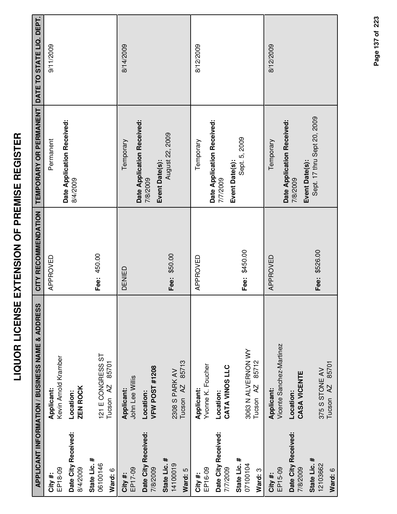|                                     | APPLICANT INFORMATION / BUSINESS NAME & ADDRESS     | CITY RECOMMENDATION | TEMPORARY OR PERMANENT DATE TO STATE LIQ. DEPT.          |           |
|-------------------------------------|-----------------------------------------------------|---------------------|----------------------------------------------------------|-----------|
| EP18-09<br>City#:                   | Kevin Arnold Kramber<br>Applicant:                  | APPROVED            | Permanent                                                | 9/11/2009 |
| Date City Received:<br>8/4/2009     | <b>ZEN ROCK</b><br>Location:                        |                     | Date Application Received:<br>8/4/2009                   |           |
| State Lic. #<br>06100146<br>Ward: 6 | 121 E CONGRESS ST<br>85701<br>Tucson <sub>AZ</sub>  | Fee: 450.00         |                                                          |           |
| EP17-09<br>City #:                  | John Lee Willis<br>Applicant:                       | DENIED              | Temporary                                                | 8/14/2009 |
| Date City Received:<br>7/8/2009     | VFW POST #1208<br>Location:                         |                     | Date Application Received:<br>7/8/2009                   |           |
| State Lic. #<br>14100019<br>Ward: 5 | 85713<br>2308 S PARK AV<br>Tucson <sub>AZ</sub>     | Fee: \$50.00        | August 22, 2009<br>Event Date(s):                        |           |
| EP16-09<br>City #:                  | Yvonne K. Foucher<br>Applicant:                     | APPROVED            | Temporary                                                | 8/12/2009 |
| Date City Received:<br>7/7/2009     | CATA VINOS LLC<br>Location:                         |                     | Date Application Received:<br>Event Date(s):<br>7/7/2009 |           |
| State Lic. #<br>07100104<br>Ward: 3 | 3063 N ALVERNON WY<br>85712<br>Tucson <sub>AZ</sub> | Fee: \$450.00       | Sept. 5, 2009                                            |           |
| EP15-09<br>City #:                  | Vicente Sanchez-Martinez<br>Applicant:              | APPROVED            | Temporary                                                | 8/12/2009 |
| Date City Received:<br>7/8/2009     | CASA VICENTE<br>Location:                           |                     | Date Application Received:<br>7/8/2009                   |           |
| State Lic. #<br>12103662<br>Ward: 6 | Tucson AZ 85701<br>375 S STONE AV                   | Fee: \$526.00       | Sept. 17 thru Sept 20, 2009<br>Event Date(s):            |           |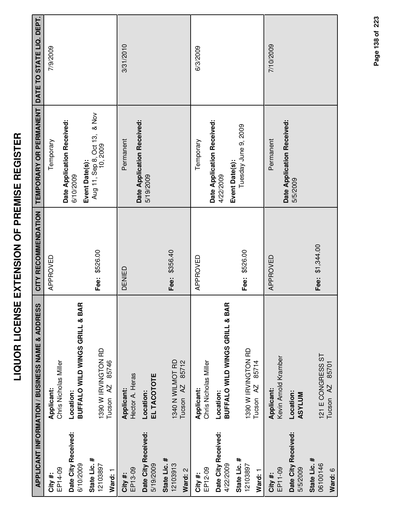|                                  | <b>APPLICANT INFORMATION / BUSINESS NAME &amp; ADDRESS</b> | CITY RECOMMENDATION | TEMPORARY OR PERMANENT                                     | DATE TO STATE LIQ. DEPT. |
|----------------------------------|------------------------------------------------------------|---------------------|------------------------------------------------------------|--------------------------|
| EP14-09<br>City #:               | Chris Nicholas Miller<br>Applicant:                        | APPROVED            | Temporary                                                  | 7/9/2009                 |
| Date City Received:              | Location:                                                  |                     | Date Application Received:<br>6/10/2009                    |                          |
| State Lic. #<br>6/10/2009        | Œ<br><b>BUFFALO WILD WINGS GRILL &amp; BA</b>              |                     |                                                            |                          |
| 12103897                         | 1390 W IRVINGTON RD                                        | Fee: \$526.00       | Event Date(s):<br>Aug 11, Sep 8, Oct 13, & Nov<br>10, 2009 |                          |
| Ward: 1                          | 85746<br>Tucson <sub>AZ</sub>                              |                     |                                                            |                          |
| EP13-09<br>City #:               | Hector A. Heras<br>Applicant:                              | DENIED              | Permanent                                                  | 3/31/2010                |
| Date City Received:<br>5/19/2009 | EL TACOTOTE<br>Location:                                   |                     | Date Application Received:<br>5/19/2009                    |                          |
| State Lic. #<br>12103913         | 1340 N WILMOT RD                                           | Fee: \$356.40       |                                                            |                          |
| Ward: 2                          | 85712<br>Tucson <sub>AZ</sub>                              |                     |                                                            |                          |
| EP12-09<br>City #:               | Chris Nicholas Miller<br>Applicant:                        | APPROVED            | Temporary                                                  | 6/3/2009                 |
| Date City Received:<br>4/22/2009 | Œ<br><b>BUFFALO WILD WINGS GRILL &amp; BA</b><br>Location: |                     | Date Application Received:<br>4/22/2009                    |                          |
| State Lic. #<br>12103897         | 1390 W IRVINGTON RD                                        | Fee: \$526.00       | Tuesday June 9, 2009<br>Event Date(s):                     |                          |
| Ward: 1                          | 85714<br>Tucson <sub>AZ</sub>                              |                     |                                                            |                          |
| EP11-09<br>City#:                | Kevin Arnold Kramber<br>Applicant:                         | APPROVED            | Permanent                                                  | 7/10/2009                |
| Date City Received:<br>5/5/2009  | Location:<br><b>ASYLUM</b>                                 |                     | Date Application Received:<br>5/5/2009                     |                          |
| State Lic. #<br>06100146         | 121 E CONGRESS ST                                          | \$1,344.00<br>Fee:  |                                                            |                          |
| Mard - R                         | 85701<br>Tucson AZ                                         |                     |                                                            |                          |

Page 138 of 223 **Page of 138 223**

**Ward:** 6

Tucson AZ 85701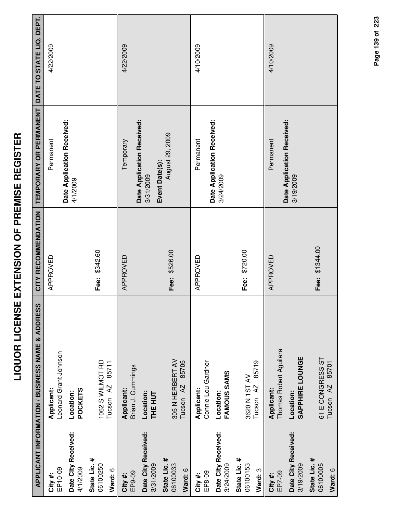|                                     | <b>APPLICANT INFORMATION / BUSINESS NAME &amp; ADDRESS</b> | CITY RECOMMENDATION | TEMPORARY OR PERMANENT                  | DATE TO STATE LIQ. DEPT. |
|-------------------------------------|------------------------------------------------------------|---------------------|-----------------------------------------|--------------------------|
| EP10-09<br>City #:                  | -eonard Grant Johnson<br>Applicant:                        | APPROVED            | Permanent                               | 4/22/2009                |
| Date City Received:<br>4/1/2009     | <b>POCKETS</b><br>Location:                                |                     | Date Application Received:<br>4/1/2009  |                          |
| State Lic. #<br>06100250<br>Ward: 6 | 1062 S WILMOT RD<br>85711<br>Tucson <sub>AZ</sub>          | Fee: \$342.60       |                                         |                          |
| EP9-09<br>City#:                    | Brian J. Cummings<br>Applicant:                            | APPROVED            | Date Application Received:<br>Temporary | 4/22/2009                |
| Date City Received:<br>3/31/2009    | Location:<br><b>THE HUT</b>                                |                     | Event Date(s):<br>3/31/2009             |                          |
| State Lic. #<br>06100033<br>Ward: 6 | 305 N HERBERT AV<br>85705<br>Tucson <sub>AZ</sub>          | Fee: \$526.00       | August 29, 2009                         |                          |
| EP8-09<br>City #:                   | Connie Lou Gardner<br>Applicant:                           | APPROVED            | Permanent                               | 4/10/2009                |
| Date City Received:<br>3/24/2009    | FAMOUS SAMS<br>Location:                                   |                     | Date Application Received:<br>3/24/2009 |                          |
| State Lic. #<br>06100153<br>Ward: 3 | 85719<br>3620 N 1ST AV<br>Tucson <sub>AZ</sub>             | Fee: \$720.00       |                                         |                          |
| EP7-09<br>City #:                   | Thomas Robert Aguilera<br>Applicant:                       | APPROVED            | Permanent                               | 4/10/2009                |
| Date City Received:<br>3/19/2009    | SAPPHIRE LOUNGE<br>Location:                               |                     | Date Application Received:<br>3/19/2009 |                          |
| State Lic. #<br>06100005<br>Ward: 6 | 61 E CONGRESS ST<br>85701<br>Tucson <sub>AZ</sub>          | Fee: \$1344.00      |                                         |                          |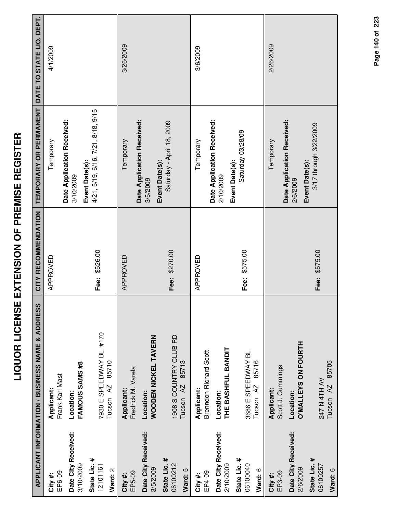|                                     | <b>APPLICANT INFORMATION / BUSINESS NAME &amp; ADDRESS</b> | CITY RECOMMENDATION | TEMPORARY OR PERMANENT                                   | DATE TO STATE LIQ. DEPT. |
|-------------------------------------|------------------------------------------------------------|---------------------|----------------------------------------------------------|--------------------------|
| EP6-09<br>City #:                   | Frank Karl Mast<br>Applicant:                              | APPROVED            | Temporary                                                | 4/1/2009                 |
| Date City Received:<br>3/10/2009    | FAMOUS SAMS #8<br>Location:                                |                     | Date Application Received:<br>3/10/2009                  |                          |
| State Lic. #<br>12101161<br>Ward: 2 | 7930 E SPEEDWAY BL #170<br>85710<br>Tucson <sub>AZ</sub>   | Fee: \$526.00       | 4/21, 5/19, 6/16, 7/21, 8/18, 9/15<br>Event Date(s):     |                          |
| EP5-09<br>City #:                   | Fredrick M. Varela<br>Applicant:                           | APPROVED            | Temporary                                                | 3/26/2009                |
| Date City Received:<br>3/5/2009     | WOODEN NICKEL TAVERN<br>Location:                          |                     | Date Application Received:<br>3/5/2009                   |                          |
| State Lic. #<br>06100212<br>Ward: 5 | 1908 S COUNTRY CLUB RD<br>85713<br>Tucson <sub>AZ</sub>    | Fee: \$270.00       | Saturday - April 18, 2009<br>Event Date(s):              |                          |
| EP4-09<br>City #:                   | Brenndon Richard Scott<br>Applicant:                       | APPROVED            | Temporary                                                | 3/6/2009                 |
| Date City Received:<br>2/10/2009    | THE BASHFUL BANDIT<br>Location:                            |                     | Date Application Received:<br>2/10/2009                  |                          |
| State Lic. #<br>06100040<br>Ward: 6 | 3686 E SPEEDWAY BL<br>85716<br>Tucson AZ                   | Fee: \$575.00       | Saturday 03/28/09<br>Event Date(s):                      |                          |
| EP3-09<br>City #:                   | Scott J. Cummings<br>Applicant:                            |                     | Temporary                                                | 2/26/2009                |
| Date City Received:<br>2/6/2009     | <b>O'MALLEYS ON FOURTH</b><br>Location:                    |                     | Date Application Received:<br>Event Date(s):<br>2/6/2009 |                          |
| State Lic. #<br>06100257<br>Ward: 6 | 85705<br>247 N 4TH AV<br>Tucson <sub>AZ</sub>              | Fee: \$575.00       | 3/17 through 3/22/2009                                   |                          |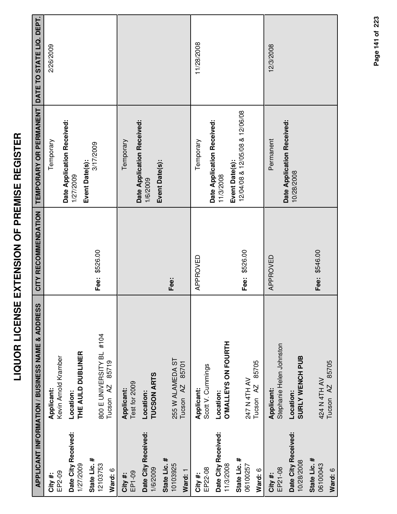|                                     | <b>APPLICANT INFORMATION / BUSINESS NAME &amp; ADDRESS</b> | CITY RECOMMENDATION | TEMPORARY OR PERMANENT DATE TO STATE LIQ. DEPT.  |            |
|-------------------------------------|------------------------------------------------------------|---------------------|--------------------------------------------------|------------|
| EP2-09<br>City#:                    | Kevin Arnold Kramber<br>Applicant:                         |                     | Temporary                                        | 2/26/2009  |
| Date City Received:<br>1/27/2009    | THE AULD DUBLINER<br>Location:                             |                     | Date Application Received:<br>1/27/2009          |            |
| State Lic. #<br>12103753<br>Ward: 6 | 800 E UNIVERSITY BL #104<br>85719<br>Tucson <sub>AZ</sub>  | Fee: \$526.00       | 3/17/2009<br>Event Date(s):                      |            |
| EP1-09<br>City #:                   | Test for 2009<br>Applicant:                                |                     | Temporary                                        |            |
| Date City Received:<br>1/6/2009     | TUCSON ARTS<br>Location:                                   |                     | Date Application Received:<br>1/6/2009           |            |
| State Lic. #<br>10103925<br>Ward: 1 | 255 W ALAMEDA ST<br>85701<br>Tucson AZ                     | Fee:                | Event Date(s):                                   |            |
| EP22-08<br>City #:                  | Scott V. Cummings<br>Applicant:                            | APPROVED            | Temporary                                        | 11/28/2008 |
| Date City Received:<br>11/3/2008    | <b>O'MALLEYS ON FOURTH</b><br>Location:                    |                     | Date Application Received:<br>11/3/2008          |            |
| State Lic. #<br>06100257<br>Ward: 6 | 85705<br>247 N 4TH AV<br>Tucson <sub>AZ</sub>              | Fee: \$526.00       | 12/04/08 & 12/05/08 & 12/06/08<br>Event Date(s): |            |
| EP21-08<br>City #:                  | Stephanie Helen Johnston<br>Applicant:                     | APPROVED            | Permanent                                        | 12/3/2008  |
| Date City Received:<br>10/28/2008   | SURLY WENCH PUB<br>Location:                               |                     | Date Application Received:<br>10/28/2008         |            |
| State Lic. #<br>06100043<br>Ward: 6 | Tucson AZ 85705<br>424 N 4TH AV                            | Fee: \$546.00       |                                                  |            |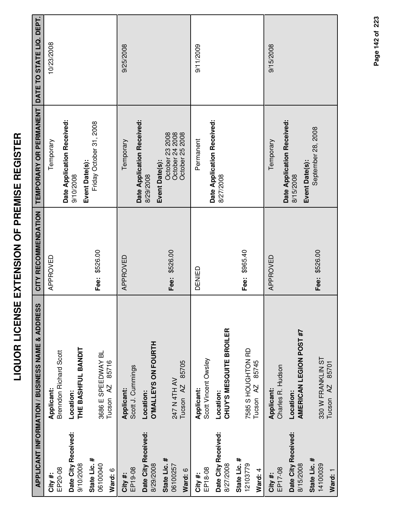| ľ<br>I<br>l                 |
|-----------------------------|
| Í<br>l<br>ו<br>ו<br>l       |
| ī<br>ׇ֠<br>-<br>-<br>-<br>i |
| $\frac{1}{2}$<br>í          |
| .<br>-<br>-<br>I            |
| $\frac{1}{2}$<br>l          |

|                                     | APPLICANT INFORMATION / BUSINESS NAME & ADDRESS     | CITY RECOMMENDATION | TEMPORARY OR PERMANENT                                    | DATE TO STATE LIQ. DEPT. |
|-------------------------------------|-----------------------------------------------------|---------------------|-----------------------------------------------------------|--------------------------|
| EP20-08<br>City #:                  | <b>Brenndon Richard Scott</b><br>Applicant:         | APPROVED            | Temporary                                                 | 10/23/2008               |
| Date City Received:<br>9/10/2008    | THE BASHFUL BANDIT<br>Location:                     |                     | Date Application Received:<br>9/10/2008                   |                          |
| State Lic. #<br>06100040<br>Ward: 6 | 3686 E SPEEDWAY BL<br>85716<br>Tucson <sub>AZ</sub> | Fee: \$526.00       | Friday October 31, 2008<br>Event Date(s):                 |                          |
| EP19-08<br>City#:                   | Scott J. Cummings<br>Applicant:                     | APPROVED            | Date Application Received:<br>Temporary                   | 9/25/2008                |
| Date City Received:<br>8/29/2008    | <b>O'MALLEYS ON FOURTH</b><br>Location:             |                     | Event Date(s):<br>8/29/2008                               |                          |
| State Lic. #<br>06100257<br>Ward: 6 | 85705<br>247 N 4TH AV<br>Tucson <sub>AZ</sub>       | Fee: \$526.00       | October 24 2008<br>October 25 2008<br>October 23 2008     |                          |
| EP18-08<br>City#:                   | Scott Vincent Owsley<br>Applicant:                  | DENIED              | Permanent                                                 | 9/11/2009                |
| Date City Received:<br>8/27/2008    | CHUY'S MESQUITE BROILER<br>Location:                |                     | Date Application Received:<br>8/27/2008                   |                          |
| State Lic. #<br>12103779<br>Ward: 4 | 7585 S HOUGHTON RD<br>85745<br>Tucson <sub>AZ</sub> | Fee: \$965.40       |                                                           |                          |
| EP17-08<br>City #:                  | Charles R. Hudson<br>Applicant:                     | APPROVED            | Temporary                                                 | 9/15/2008                |
| Date City Received:<br>8/15/2008    | AMERICAN LEGION POST #7<br>Location:                |                     | Date Application Received:<br>Event Date(s):<br>8/15/2008 |                          |
| State Lic. #<br>14100039<br>Ward: 1 | 330 W FRANKLIN ST<br>85701<br>Tucson <sub>AZ</sub>  | Fee: \$526.00       | September 28, 2008                                        |                          |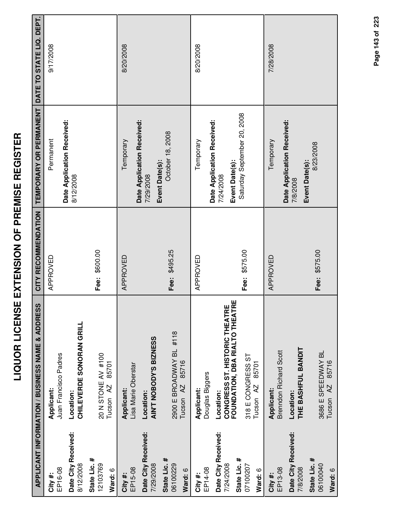|                                                                         | <b>APPLICANT INFORMATION / BUSINESS NAME &amp; ADDRESS</b>                                                                                 | CITY RECOMMENDATION | TEMPORARY OR PERMANENT                                                                   | DATE TO STATE LIQ. DEPT. |
|-------------------------------------------------------------------------|--------------------------------------------------------------------------------------------------------------------------------------------|---------------------|------------------------------------------------------------------------------------------|--------------------------|
| EP16-08<br>City #:                                                      | Juan Francisco Padres<br>Applicant:                                                                                                        | APPROVED            | Date Application Received:<br>Permanent                                                  | 9/17/2008                |
| Date City Received:<br>8/12/2008                                        | <b>CHILEVERDE SONORAN GRILL</b><br>Location:                                                                                               |                     | 8/12/2008                                                                                |                          |
| State Lic. #<br>12103769<br>Ward: 6                                     | 20 N STONE AV #100<br>85701<br>Tucson <sub>AZ</sub>                                                                                        | Fee: \$600.00       |                                                                                          |                          |
| EP15-08<br>City #:                                                      | Lisa Marie Oberstar<br>Applicant:                                                                                                          | APPROVED            | Temporary                                                                                | 8/20/2008                |
| Date City Received:<br>7/29/2008                                        | AIN'T NOBODY'S BIZNESS<br>Location:                                                                                                        |                     | Date Application Received:<br>Event Date(s):<br>7/29/2008                                |                          |
| State Lic. #<br>06100229<br>Ward: 6                                     | 2900 E BROADWAY BL #118<br>85716<br>Tucson AZ                                                                                              | Fee: \$495.25       | October 18, 2008                                                                         |                          |
| EP14-08<br>City #:                                                      | Douglas Biggers<br>Applicant:                                                                                                              | APPROVED            | Temporary                                                                                | 8/20/2008                |
| Date City Received:<br>State Lic. #<br>7/24/2008<br>07100207<br>Ward: 6 | <b>CONGRESS ST. HISTORIC THEATRE<br/>FOUNDATION, DBA RIALTO THEATRE</b><br>318 E CONGRESS ST<br>85701<br>Tucson <sub>AZ</sub><br>Location: | Fee: \$575.00       | Saturday September 20, 2008<br>Date Application Received:<br>Event Date(s):<br>7/24/2008 |                          |
| Date City Received:<br>EP13-08<br>City #:                               | <b>Brenndon Richard Scott</b><br><b>Applicant:</b><br>Location:                                                                            | APPROVED            | Date Application Received:<br>Temporary                                                  | 7/28/2008                |
| State Lic. #<br>06100040<br>7/8/2008                                    | THE BASHFUL BANDIT<br>3686 E SPEEDWAY BL                                                                                                   | Fee: \$575.00       | 8/23/2008<br>Event Date(s):<br>7/8/2008                                                  |                          |
| Ward: 6                                                                 | Tucson AZ 85716                                                                                                                            |                     |                                                                                          |                          |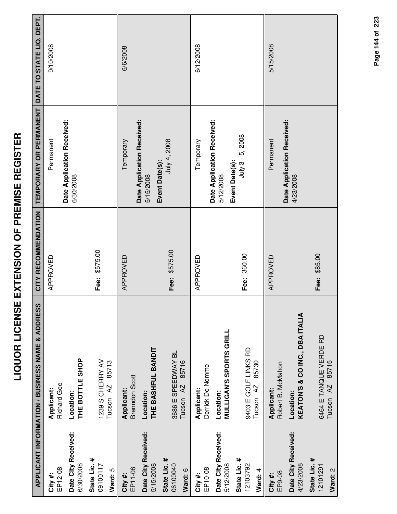|                                     | APPLICANT INFORMATION / BUSINESS NAME & ADDRESS     | CITY RECOMMENDATION | TEMPORARY OR PERMANENT DATE TO STATE LIQ. DEPT. |           |
|-------------------------------------|-----------------------------------------------------|---------------------|-------------------------------------------------|-----------|
| EP12-08<br>City#:                   | <b>Richard Gee</b><br>Applicant:                    | APPROVED            | Permanent                                       | 9/10/2008 |
| Date City Received:<br>6/30/2008    | THE BOTTLE SHOP<br>Location:                        |                     | Date Application Received:<br>6/30/2008         |           |
| State Lic. #<br>09100117<br>Ward: 5 | 1239 S CHERRY AV<br>85713<br>Tucson <sub>AZ</sub>   | Fee: \$575.00       |                                                 |           |
| EP11-08<br>City #:                  | <b>Brenndon Scott</b><br>Applicant:                 | APPROVED            | Date Application Received:<br>Temporary         | 6/6/2008  |
| Date City Received:<br>5/15/2008    | THE BASHFUL BANDIT<br>Location:                     |                     | Event Date(s):<br>5/15/2008                     |           |
| State Lic. #<br>06100040<br>Ward: 6 | 3686 E SPEEDWAY BL<br>85716<br>Tucson <sub>AZ</sub> | Fee: \$575.00       | July 4, 2008                                    |           |
| EP10-08<br>City #:                  | Derrick De Nomme<br>Applicant:                      | APPROVED            | Temporary                                       | 6/12/2008 |
| Date City Received:<br>5/12/2008    | <b>MULLIGAN'S SPORTS GRILL</b><br>Location:         |                     | Date Application Received:<br>5/12/2008         |           |
| State Lic. #<br>12103792<br>Ward: 4 | 9403 E GOLF LINKS RD<br>85730<br>Tucson AZ          | Fee: 360.00         | July 3 - 5, 2008<br>Event Date(s):              |           |
| EP9-08<br>City #:                   | Robert B. McMahon<br>Applicant:                     | APPROVED            | Permanent                                       | 5/15/2008 |
| Date City Received:<br>4/23/2008    | KEATON'S & CO INC., DBA ITALIA<br>Location:         |                     | Date Application Received:<br>4/23/2008         |           |
| State Lic. #<br>12101291<br>Ward: 2 | 6464 E TANQUE VERDE RD<br>Tucson AZ 85715           | Fee: \$85.00        |                                                 |           |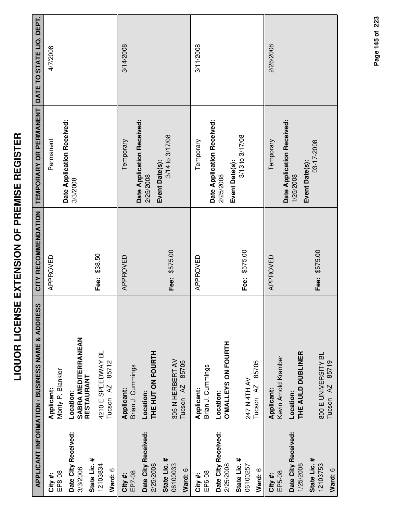|                                  | APPLICANT INFORMATION / BUSINESS NAME & ADDRESS | CITY RECOMMENDATION |                                         | DATE TO STATE LIQ. DEPT. |
|----------------------------------|-------------------------------------------------|---------------------|-----------------------------------------|--------------------------|
|                                  |                                                 |                     | TEMPORARY OR PERMANENT                  |                          |
| EP8-08<br>City#:                 | Monty P. Blankier<br>Applicant:                 | APPROVED            | Permanent                               | 4/7/2008                 |
| Date City Received:<br>3/3/2008  | Location:                                       |                     | Date Application Received:<br>3/3/2008  |                          |
| State Lic. #                     | SABRA MEDITERRANEAN<br>RESTAURANT               |                     |                                         |                          |
| 12103834                         | 4210 E SPEEDWAY BL                              | Fee: \$38.50        |                                         |                          |
| Ward: 6                          | 85712<br>Tucson <sub>AZ</sub>                   |                     |                                         |                          |
| EP7-08<br>City #:                | Brian J. Cummings<br>Applicant:                 | APPROVED            | Temporary                               | 3/14/2008                |
| Date City Received:<br>2/25/2008 | THE HUT ON FOURTH<br>Location:                  |                     | Date Application Received:<br>2/25/2008 |                          |
| State Lic. #<br>06100033         | 305 N HERBERT AV                                | Fee: \$575.00       | 3/14 to 3/17/08<br>Event Date(s):       |                          |
| Ward: 6                          | 85705<br>Tucson <sub>AZ</sub>                   |                     |                                         |                          |
| EP6-08<br>City #:                | Brian J. Cummings<br>Applicant:                 | APPROVED            | Temporary                               | 3/11/2008                |
| Date City Received:<br>2/25/2008 | O'MALLEYS ON FOURTH<br>Location:                |                     | Date Application Received:<br>2/25/2008 |                          |
| State Lic. #<br>06100257         | 247 N 4TH AV                                    | Fee: \$575.00       | 3/13 to 3/17/08<br>Event Date(s):       |                          |
| Ward: 6                          | 85705<br>Tucson <sub>AZ</sub>                   |                     |                                         |                          |
| EP5-08<br>City #:                | Kevin Arnold Kramber<br>Applicant:              | APPROVED            | Temporary                               | 2/26/2008                |
| Date City Received:<br>1/25/2008 | THE AULD DUBLINER<br>Location:                  |                     | Date Application Received:<br>1/25/2008 |                          |
| State Lic. #<br>12103753         | 800 E UNIVERSITY BL                             | Fee: \$575.00       | 03-17-2008<br>Event Date(s):            |                          |
| Ward: 6                          | Tucson AZ 85719                                 |                     |                                         |                          |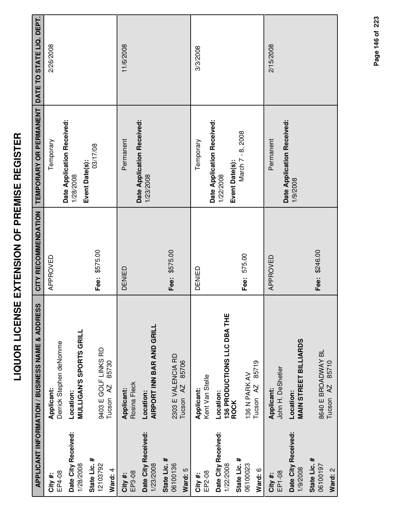|                                                  | APPLICANT INFORMATION / BUSINESS NAME & ADDRESS         | CITY RECOMMENDATION | TEMPORARY OR PERMANENT DATE TO STATE LIQ. DEPT.           |           |
|--------------------------------------------------|---------------------------------------------------------|---------------------|-----------------------------------------------------------|-----------|
| EP4-08<br>City #:                                | Derrick Stephen deNomme<br>Applicant:                   | APPROVED            | Temporary                                                 | 2/26/2008 |
| Date City Received:<br>1/28/2008                 | <b>MULLIGAN'S SPORTS GRILL</b><br>Location:             |                     | Date Application Received:<br>1/28/2008                   |           |
| State Lic. #<br>12103792<br>Ward: 4              | 9403 E GOLF LINKS RD<br>85730<br>Tucson <sub>AZ</sub>   | Fee: \$575.00       | 03/17/08<br>Event Date(s):                                |           |
| EP3-08<br>City #:                                | Rosina Fleck<br><b>Applicant:</b>                       | DENIED              | Date Application Received:<br>Permanent                   | 11/6/2008 |
| Date City Received:<br>1/23/2008                 | AIRPORT INN BAR AND GRILL<br>Location:                  |                     | 1/23/2008                                                 |           |
| State Lic. #<br>06100136<br>Ward: 5              | 2303 E VALENCIA RD<br>85706<br>Tucson <sub>AZ</sub>     | Fee: \$575.00       |                                                           |           |
| EP2-08<br>City #:                                | Kent Van Stelle<br>Applicant:                           | DENIED              | Temporary                                                 | 3/3/2008  |
| Date City Received:<br>State Lic. #<br>1/22/2008 | 136 PRODUCTIONS LLC DBA THE<br>Location:<br><b>ROCK</b> |                     | Date Application Received:<br>Event Date(s):<br>1/22/2008 |           |
| 06100023<br>Ward: 6                              | 85719<br>136 N PARK AV<br>Tucson <sub>AZ</sub>          | Fee: 575.00         | March 7 - 8, 2008                                         |           |
| EP1-08<br>City #:                                | John H. DeShetler<br>Applicant:                         | APPROVED            | Permanent                                                 | 2/15/2008 |
| Date City Received:<br>1/9/2008                  | <b>MAIN STREET BILLIARDS</b><br>Location:               |                     | Date Application Received:<br>1/9/2008                    |           |
| State Lic. #<br>06100197<br>Ward: 2              | 8640 E BROADWAY BL<br>85710<br>Tucson <sub>AZ</sub>     | Fee: \$246.00       |                                                           |           |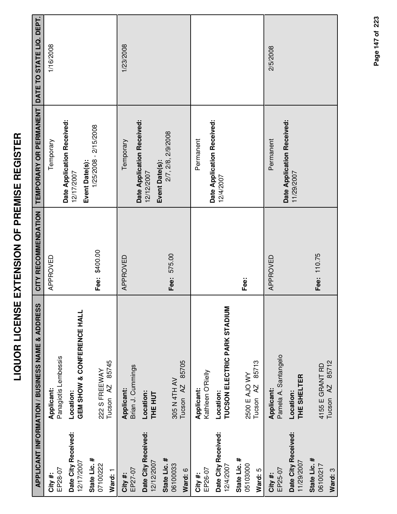| l<br>Í<br>i                                                    |  |
|----------------------------------------------------------------|--|
| Ī<br>$\overline{a}$<br>$\overline{\phantom{a}}$<br>i<br>l<br>ī |  |
| -<br>-<br>-<br>į<br>$\frac{1}{1}$                              |  |
| l<br> <br> <br> <br>ī                                          |  |
| i<br>ī<br>í<br>Ī                                               |  |
|                                                                |  |

|                                     | APPLICANT INFORMATION / BUSINESS NAME & ADDRESS  | CITY RECOMMENDATION | TEMPORARY OR PERMANENT                                     | DATE TO STATE LIQ. DEPT. |
|-------------------------------------|--------------------------------------------------|---------------------|------------------------------------------------------------|--------------------------|
| EP28-07<br>City#:                   | Panagiotis Lembessis<br>Applicant:               | APPROVED            | Temporary                                                  | 1/16/2008                |
| Date City Received:<br>12/17/2007   | GEM SHOW & CONFERENCE HALL<br>Location:          |                     | Date Application Received:<br>12/17/2007                   |                          |
| State Lic. #<br>07100222<br>Ward: 1 | 85745<br>222 S FREEWAY<br>Tucson <sub>AZ</sub>   | Fee: \$400.00       | 1/25/2008 - 2/15/2008<br>Event Date(s):                    |                          |
| EP27-07<br>City#:                   | Brian J. Cummings<br>Applicant:                  | APPROVED            | Temporary                                                  | 1/23/2008                |
| Date City Received:<br>12/12/2007   | Location:<br>THE HUT                             |                     | Date Application Received:<br>Event Date(s):<br>12/12/2007 |                          |
| State Lic. #<br>06100033<br>Ward: 6 | 85705<br>305 N 4TH AV<br>Tucson <sub>AZ</sub>    | Fee: 575.00         | 2/7, 2/8, 2/9/2008                                         |                          |
| EP26-07<br>City #:                  | Kathleen O'Rielly<br>Applicant:                  |                     | Date Application Received:<br>Permanent                    |                          |
| Date City Received:<br>12/4/2007    | TUCSON ELECTRIC PARK STADIUM<br>Location:        |                     | 12/4/2007                                                  |                          |
| State Lic. #<br>05103000<br>Ward: 5 | 85713<br>2500 E AJO WY<br>Tucson <sub>AZ</sub>   | Fee:                |                                                            |                          |
| EP25-07<br>City #:                  | Pamela A. Santangelo<br>Applicant:               | APPROVED            | Permanent                                                  | 2/5/2008                 |
| Date City Received:<br>11/29/2007   | THE SHELTER<br>Location:                         |                     | Date Application Received:<br>11/29/2007                   |                          |
| State Lic. #<br>06100217<br>Ward: 3 | 85712<br>4155 E GRANT RD<br>Tucson <sub>AZ</sub> | Fee: 110.75         |                                                            |                          |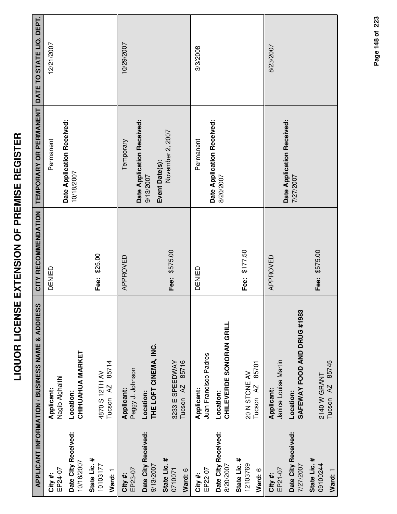|                                     | <b>APPLICANT INFORMATION / BUSINESS NAME &amp; ADDRESS</b> | CITY RECOMMENDATION | TEMPORARY OR PERMANENT                  | DATE TO STATE LIQ. DEPT. |
|-------------------------------------|------------------------------------------------------------|---------------------|-----------------------------------------|--------------------------|
| EP24-07<br>City #:                  | Nagib Alghaithi<br>Applicant:                              | DENIED              | Date Application Received:<br>Permanent | 12/21/2007               |
| Date City Received:<br>10/18/2007   | <b>CHIHUAHUA MARKET</b><br>Location:                       |                     | 10/18/2007                              |                          |
| State Lic. #<br>10103177<br>Ward: 1 | 85714<br>4870 S 12TH AV<br>Tucson <sub>AZ</sub>            | Fee: \$25.00        |                                         |                          |
| EP23-07<br>City #:                  | Peggy J. Johnson<br>Applicant:                             | APPROVED            | Date Application Received:<br>Temporary | 10/29/2007               |
| Date City Received:<br>9/13/2007    | THE LOFT CINEMA, INC.<br>Location:                         |                     | Event Date(s):<br>9/13/2007             |                          |
| State Lic. #<br>0710071<br>Ward: 6  | 85716<br>3233 E SPEEDWAY<br>Tucson <sub>AZ</sub>           | Fee: \$575.00       | November 2, 2007                        |                          |
| EP22-07<br>City #:                  | Juan Francisco Padres<br>Applicant:                        | DENIED              | Permanent                               | 3/3/2008                 |
| Date City Received:<br>8/20/2007    | <b>CHILEVERDE SONORAN GRILL</b><br>Location:               |                     | Date Application Received:<br>8/20/2007 |                          |
| State Lic. #<br>12103769<br>Ward: 6 | 85701<br>20 N STONE AV<br>Tucson <sub>AZ</sub>             | Fee: \$177.50       |                                         |                          |
| EP21-07<br>City #:                  | Janice Louise Martin<br>Applicant:                         | APPROVED            |                                         | 8/23/2007                |
| Date City Received:<br>7/27/2007    | SAFEWAY FOOD AND DRUG #1983<br>Location:                   |                     | Date Application Received:<br>7/27/2007 |                          |
| State Lic. #<br>09100244<br>Ward: 1 | Tucson AZ 85745<br>2140 W GRANT                            | Fee: \$575.00       |                                         |                          |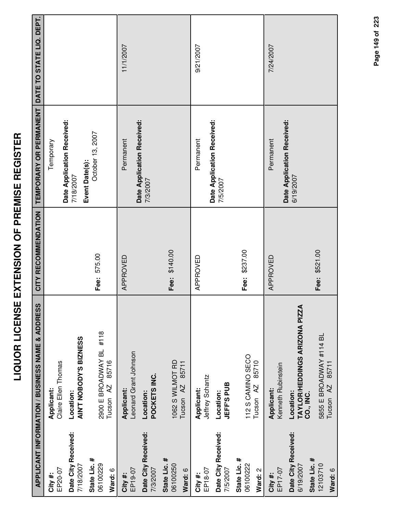|                                     | APPLICANT INFORMATION / BUSINESS NAME & ADDRESS          | CITY RECOMMENDATION | TEMPORARY OR PERMANENT DATE TO STATE LIQ. DEPT. |           |
|-------------------------------------|----------------------------------------------------------|---------------------|-------------------------------------------------|-----------|
| EP20-07<br>City#:                   | Claire Ellen Thomas<br>Applicant:                        |                     | Temporary                                       |           |
| Date City Received:<br>7/18/2007    | AIN'T NOBODY'S BIZNESS<br>Location:                      |                     | Date Application Received:<br>7/18/2007         |           |
| State Lic. #<br>06100229<br>Ward: 6 | 2900 E BROADWAY BL #118<br>85716<br>Tucson <sub>AZ</sub> | Fee: 575.00         | October 13, 2007<br>Event Date(s):              |           |
| EP19-07<br>City #:                  | Leonard Grant Johnson<br>Applicant:                      | APPROVED            | Date Application Received:<br>Permanent         | 11/1/2007 |
| Date City Received:<br>7/3/2007     | POCKETS INC.<br>Location:                                |                     | 7/3/2007                                        |           |
| State Lic. #<br>06100250<br>Ward: 6 | 1062 S WILMOT RD<br>85711<br>Tucson <sub>AZ</sub>        | Fee: \$140.00       |                                                 |           |
| EP18-07<br>City #:                  | Jeffrey Schantz<br>Applicant:                            | APPROVED            | Permanent                                       | 9/21/2007 |
| Date City Received:<br>7/5/2007     | <b>JEFF'S PUB</b><br>Location:                           |                     | Date Application Received:<br>7/5/2007          |           |
| State Lic. #<br>06100222<br>Ward: 2 | 112 S CAMINO SECO<br>85710<br>Tucson <sub>AZ</sub>       | Fee: \$237.00       |                                                 |           |
| EP17-07<br>City #:                  | Kenneth Rubinstein<br>Applicant:                         | APPROVED            | Permanent                                       | 7/24/2007 |
| Date City Received:<br>6/19/2007    | TAYLOR/HEDDINGS ARIZONA PIZZA<br>Location:<br>CO., INC.  |                     | Date Application Received:<br>6/19/2007         |           |
| State Lic. #<br>12103710<br>Ward: 6 | 5855 E BROADWAY #114 BL<br>Tucson AZ 85711               | Fee: \$521.00       |                                                 |           |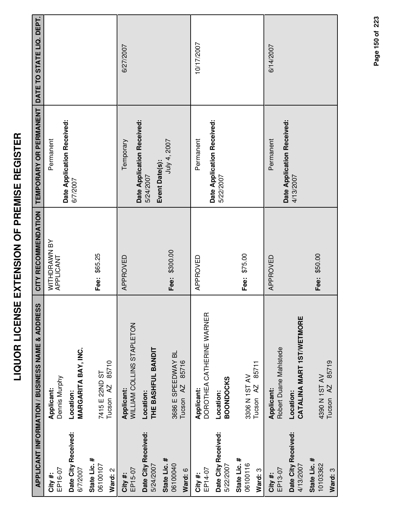|                                     | <b>APPLICANT INFORMATION / BUSINESS NAME &amp; ADDRESS</b> | CITY RECOMMENDATION       | TEMPORARY OR PERMANENT                  | DATE TO STATE LIQ. DEPT. |
|-------------------------------------|------------------------------------------------------------|---------------------------|-----------------------------------------|--------------------------|
| EP16-07<br>City #:                  | Dennis Murphy<br>Applicant:                                | WITHDRAWN BY<br>APPLICANT | Date Application Received:<br>Permanent |                          |
| Date City Received:<br>6/7/2007     | <b>MARGARITA BAY, INC.</b><br>Location:                    |                           | 6/7/2007                                |                          |
| State Lic. #<br>06100107<br>Ward: 2 | 85710<br>7415 E 22ND ST<br>Tucson <sub>AZ</sub>            | Fee: \$65.25              |                                         |                          |
| EP15-07<br>City #:                  | WILLIAM COLLINS STAPLETON<br>Applicant:                    | APPROVED                  | Date Application Received:<br>Temporary | 6/27/2007                |
| Date City Received:<br>5/24/2007    | THE BASHFUL BANDIT<br>Location:                            |                           | 5/24/2007                               |                          |
| State Lic. #<br>06100040<br>Ward: 6 | 3686 E SPEEDWAY BL<br>85716<br>Tucson <sub>AZ</sub>        | Fee: \$300.00             | July 4, 2007<br>Event Date(s):          |                          |
| EP14-07<br>City #:                  | DOROTHEA CATHERINE WARNER<br>Applicant:                    | APPROVED                  | Permanent                               | 10/17/2007               |
| Date City Received:<br>5/22/2007    | <b>BOONDOCKS</b><br>Location:                              |                           | Date Application Received:<br>5/22/2007 |                          |
| State Lic. #<br>06100116<br>Ward: 3 | 85711<br>3306 N 1ST AV<br>Tucson <sub>AZ</sub>             | Fee: \$75.00              |                                         |                          |
| EP13-07<br>City #:                  | Robert Duane Mahistede<br>Applicant:                       | APPROVED                  | Permanent                               | 6/14/2007                |
| Date City Received:<br>4/13/2007    | CATALINA MART 1ST/WETMORE<br>Location:                     |                           | Date Application Received:<br>4/13/2007 |                          |
| State Lic. #<br>10103362<br>Ward: 3 | 85719<br>4390 N 1ST AV<br>AZ<br>Tucson                     | Fee: \$50.00              |                                         |                          |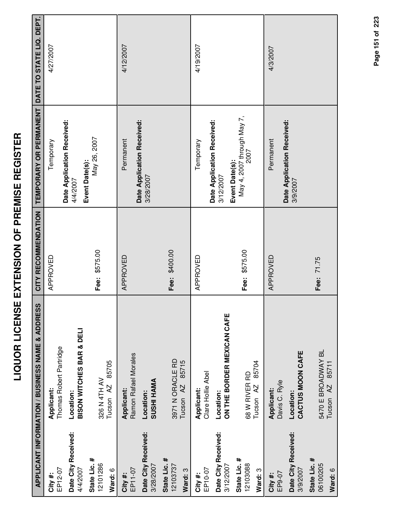|                                                        | APPLICANT INFORMATION / BUSINESS NAME & ADDRESS                      | CITY RECOMMENDATION | TEMPORARY OR PERMANENT DATE TO STATE LIQ. DEPT.           |           |
|--------------------------------------------------------|----------------------------------------------------------------------|---------------------|-----------------------------------------------------------|-----------|
| EP12-07<br>City #:                                     | Thomas Robert Partridge<br>Applicant:                                | APPROVED            | Temporary                                                 | 4/27/2007 |
| Date City Received:<br>4/4/2007                        | <b>BISON WITCHES BAR &amp; DELI</b><br>Location:                     |                     | Date Application Received:<br>4/4/2007                    |           |
| State Lic. #<br>12101286<br>Ward: 6                    | 85705<br>326 N 4TH AV<br>Tucson <sub>AZ</sub>                        | Fee: \$575.00       | May 26, 2007<br>Event Date(s):                            |           |
| Date City Received:<br>3/28/2007<br>EP11-07<br>City #: | Ramon Rafael Morales<br><b>SUSHI HAMA</b><br>Applicant:<br>Location: | APPROVED            | Date Application Received:<br>Permanent<br>3/28/2007      | 4/12/2007 |
| State Lic. #<br>12103737<br>Ward: 3                    | 3971 N ORACLE RD<br>85715<br>Tucson <sub>AZ</sub>                    | Fee: \$400.00       |                                                           |           |
| EP10-07<br>City #:                                     | Clare Hollie Abel<br>Applicant:                                      | APPROVED            | Temporary                                                 | 4/19/2007 |
| Date City Received:<br>3/12/2007                       | ON THE BORDER MEXICAN CAFE<br>Location:                              |                     | Date Application Received:<br>Event Date(s):<br>3/12/2007 |           |
| State Lic. #<br>12103088<br>Ward: 3                    | 85704<br>68 W RIVER RD<br>Tucson <sub>AZ</sub>                       | Fee: \$575.00       | May 4, 2007 through May 7,<br>2007                        |           |
| EP9-07<br>City#:                                       | Davis C. Ryle<br>Applicant:                                          | APPROVED            | Permanent                                                 | 4/3/2007  |
| Date City Received:<br>3/9/2007                        | CACTUS MOON CAFE<br>Location:                                        |                     | Date Application Received:<br>3/9/2007                    |           |
| State Lic. #<br>06100205<br>Ward: 6                    | 5470 E BROADWAY BL<br>85711<br>Tucson <sub>AZ</sub>                  | Fee: 71.75          |                                                           |           |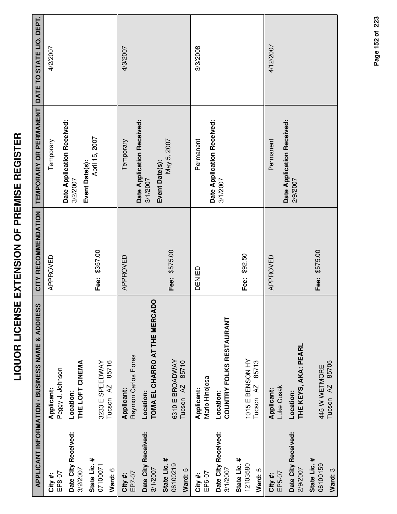|                                     | APPLICANT INFORMATION / BUSINESS NAME & ADDRESS   | CITY RECOMMENDATION | TEMPORARY OR PERMANENT DATE TO STATE LIQ. DEPT. |           |
|-------------------------------------|---------------------------------------------------|---------------------|-------------------------------------------------|-----------|
| EP8-07<br>City#:                    | Peggy J. Johnson<br>Applicant:                    | APPROVED            | Temporary                                       | 4/2/2007  |
| Date City Received:<br>3/2/2007     | THE LOFT CINEMA<br>Location:                      |                     | Date Application Received:<br>3/2/2007          |           |
| State Lic. #<br>07100071<br>Ward: 6 | 85716<br>3233 E SPEEDWAY<br>Tucson <sub>AZ</sub>  | Fee: \$357.00       | April 15, 2007<br>Event Date(s):                |           |
| EP7-07<br>City#:                    | Raymon Carlos Flores<br><b>Applicant:</b>         | APPROVED            | Temporary                                       | 4/3/2007  |
| Date City Received:<br>3/1/2007     | TOMA EL CHARRO AT THE MERCADO<br>Location:        |                     | Date Application Received:<br>3/1/2007          |           |
| State Lic. #<br>06100219<br>Ward: 5 | 6310 E BROADWAY<br>85710<br>Tucson <sub>AZ</sub>  | Fee: \$575.00       | May 5, 2007<br>Event Date(s):                   |           |
| EP6-07<br>City #:                   | Mario Hinojosa<br>Applicant:                      | DENIED              | Permanent                                       | 3/3/2008  |
| Date City Received:<br>3/1/2007     | <b>COUNTRY FOLKS RESTAURANT</b><br>Location:      |                     | Date Application Received:<br>3/1/2007          |           |
| State Lic. #<br>12103580<br>Ward: 5 | 1015 E BENSON HY<br>85713<br>Tucson <sub>AZ</sub> | Fee: \$92.50        |                                                 |           |
| EP5-07<br>City #:                   | Luke Cusak<br>Applicant:                          | APPROVED            | Permanent                                       | 4/12/2007 |
| Date City Received:<br>2/9/2007     | THE KEYS, AKA: PEARL<br>Location:                 |                     | Date Application Received:<br>2/9/2007          |           |
| State Lic. #<br>06100159<br>Ward: 3 | 85705<br>445 W WETMORE<br>Tucson AZ               | Fee: \$575.00       |                                                 |           |

Page 152 of 223 **Page of 152 223**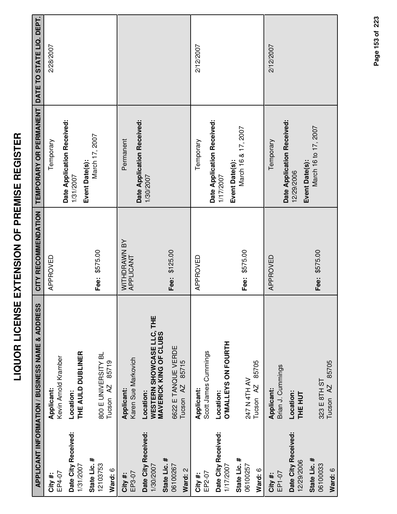|                                     | <b>APPLICANT INFORMATION / BUSINESS NAME &amp; ADDRESS</b>               | CITY RECOMMENDATION       | TEMPORARY OR PERMANENT DATE TO STATE LIQ. DEPT. |           |
|-------------------------------------|--------------------------------------------------------------------------|---------------------------|-------------------------------------------------|-----------|
| City #:                             | Applicant:                                                               | APPROVED                  | Temporary                                       | 2/28/2007 |
| EP4-07                              | Kevin Arnold Kramber                                                     |                           |                                                 |           |
| Date City Received:<br>1/31/2007    | THE AULD DUBLINER<br>Location:                                           |                           | Date Application Received:<br>1/31/2007         |           |
| State Lic. #<br>12103753<br>Ward: 6 | 800 E UNIVERSITY BL<br>85719<br>Tucson <sub>AZ</sub>                     | Fee: \$575.00             | March 17, 2007<br>Event Date(s):                |           |
| EP3-07<br>City #:                   | Karen Sue Markovich<br>Applicant:                                        | WITHDRAWN BY<br>APPLICANT | Permanent                                       |           |
| Date City Received:<br>1/30/2007    | <b>WESTERN SHOWCASE LLC, THE<br/>MAVERICK KING OF CLUBS</b><br>Location: |                           | Date Application Received:<br>1/30/2007         |           |
| State Lic. #<br>06100267<br>Ward: 2 | 6622 E TANQUE VERDE<br>85715<br>Tucson <sub>AZ</sub>                     | Fee: \$125.00             |                                                 |           |
| EP2-07<br>City #:                   | Scott James Cummings<br>Applicant:                                       | APPROVED                  | Temporary                                       | 2/12/2007 |
| Date City Received:<br>1/17/2007    | O'MALLEYS ON FOURTH<br>Location:                                         |                           | Date Application Received:<br>1/17/2007         |           |
| State Lic. #<br>06100257<br>Ward: 6 | 85705<br>247 N 4TH AV<br>Tucson <sub>AZ</sub>                            | Fee: \$575.00             | March 16 & 17, 2007<br>Event Date(s):           |           |
| EP1-07<br>City #:                   | Brian J. Cummings<br>Applicant:                                          | APPROVED                  | Temporary                                       | 2/12/2007 |
| Date City Received:<br>12/29/2006   | Location:<br><b>THE HUT</b>                                              |                           | Date Application Received:<br>12/29/2006        |           |
| State Lic. #<br>06100033<br>Ward: 6 | 85705<br>323 E 8TH ST<br>Tucson <sub>AZ</sub>                            | Fee: \$575.00             | March 16 to 17, 2007<br>Event Date(s):          |           |

Page 153 of 223 **Page of 153 223**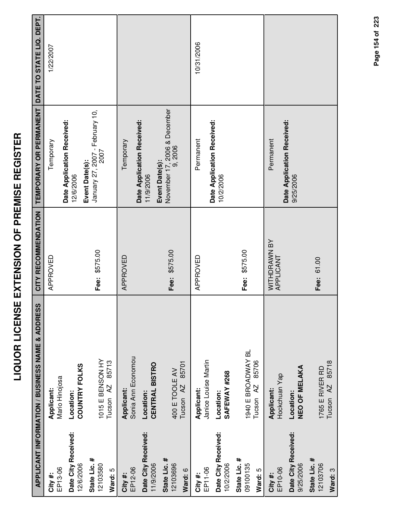| l           |
|-------------|
| Ī           |
| i           |
| i           |
| 1<br>I<br>I |
| l           |
|             |
| l           |
|             |
| -<br>-      |
| ļ<br>Ī      |
|             |
| ۱           |
| Í           |
|             |
| l           |
|             |
|             |
| I<br>i      |
| i           |
| d           |
|             |
|             |
| 7<br>l      |
|             |
| I           |
|             |

|                                  | APPLICANT INFORMATION / BUSINESS NAME & ADDRESS | CITY RECOMMENDATION       | TEMPORARY OR PERMANENT                                    | DATE TO STATE LIQ. DEPT. |
|----------------------------------|-------------------------------------------------|---------------------------|-----------------------------------------------------------|--------------------------|
| EP13-06<br>City#:                | Mario Hinojosa<br>Applicant:                    | APPROVED                  | Temporary                                                 | 1/22/2007                |
| Date City Received:<br>12/6/2006 | <b>COUNTRY FOLKS</b><br>Location:               |                           | Date Application Received:<br>12/6/2006                   |                          |
| State Lic. #<br>12103580         | 1015 E BENSON HY                                | Fee: \$575.00             | January 27, 2007 - February 10,<br>Event Date(s):         |                          |
| Ward: 5                          | 85713<br>Tucson <sub>AZ</sub>                   |                           |                                                           |                          |
| EP12-06<br>City#:                | Sonia Ann Economou<br>Applicant:                | APPROVED                  | Temporary                                                 |                          |
| Date City Received:<br>11/9/2006 | CENTRAL BISTRO<br>Location:                     |                           | Date Application Received:<br>Event Date(s):<br>11/9/2006 |                          |
| State Lic. #<br>12103696         | 85701<br>400 E TOOLE AV<br>Tucson <sub>AZ</sub> | Fee: \$575.00             | November 17, 2006 & December<br>9, 2006                   |                          |
| Ward: 6                          |                                                 |                           |                                                           |                          |
| EP11-06<br>City #:               | Janice Louise Martin<br>Applicant:              | APPROVED                  | Permanent                                                 | 10/31/2006               |
| Date City Received:<br>10/2/2006 | SAFEWAY #268<br>Location:                       |                           | Date Application Received:<br>10/2/2006                   |                          |
| State Lic. #<br>09100135         | 1940 E BROADWAY BL                              | Fee: \$575.00             |                                                           |                          |
| Ward: 5                          | 85706<br>Tucson <sub>AZ</sub>                   |                           |                                                           |                          |
| EP10-06<br>City #:               | Hockchuan Yap<br>Applicant:                     | WITHDRAWN BY<br>APPLICANT | Permanent                                                 |                          |
| Date City Received:<br>9/25/2006 | NEO OF MELAKA<br>Location:                      |                           | Date Application Received:<br>9/25/2006                   |                          |
| State Lic. #<br>12103706         | 1765 E RIVER RD                                 | Fee: 61.00                |                                                           |                          |
| Ward: 3                          | 85718<br>Tucson <sub>AZ</sub>                   |                           |                                                           |                          |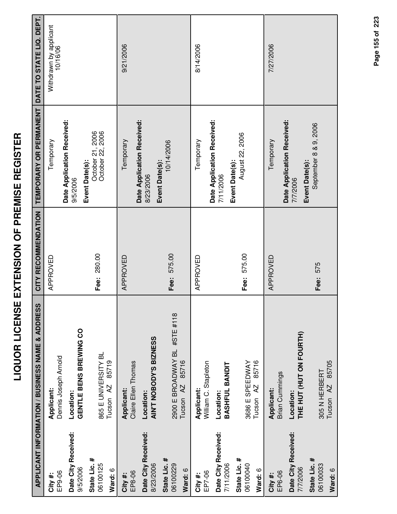|                                     | APPLICANT INFORMATION / BUSINESS NAME & ADDRESS               | CITY RECOMMENDATION | TEMPORARY OR PERMANENT                                 | DATE TO STATE LIQ. DEPT.           |
|-------------------------------------|---------------------------------------------------------------|---------------------|--------------------------------------------------------|------------------------------------|
| EP9-06<br>City #:                   | Dennis Joseph Arnold<br>Applicant:                            | APPROVED            | Temporary                                              | Withdrawn by applicant<br>10/16/06 |
| Date City Received:<br>9/5/2006     | GENTLE BENS BREWING CO<br>Location:                           |                     | Date Application Received:<br>9/5/2006                 |                                    |
| State Lic. #<br>06100125<br>Ward: 6 | 865 E UNIVERSITY BL<br>85719<br>Tucson <sub>AZ</sub>          | Fee: 280.00         | October 21, 2006<br>October 22, 2006<br>Event Date(s): |                                    |
| EP8-06<br>City #:                   | Claire Ellen Thomas<br>Applicant:                             | APPROVED            | Temporary                                              | 9/21/2006                          |
| Date City Received:<br>8/23/2006    | AIN'T NOBODY'S BIZNESS<br>Location:                           |                     | Date Application Received:<br>8/23/2006                |                                    |
| State Lic. #<br>06100229<br>Ward: 6 | 2900 E BROADWAY BL #STE #118<br>85716<br>Tucson <sub>AZ</sub> | Fee: 575.00         | 10/14/2006<br>Event Date(s):                           |                                    |
| EP7-06<br>City #:                   | William C. Stapleton<br>Applicant:                            | APPROVED            | Temporary                                              | 8/14/2006                          |
| Date City Received:<br>7/11/2006    | BASHFUL BANDIT<br>Location:                                   |                     | Date Application Received:<br>7/11/2006                |                                    |
| State Lic. #<br>06100040<br>Ward: 6 | 85716<br>3686 E SPEEDWAY<br>Tucson <sub>AZ</sub>              | Fee: 575.00         | August 22, 2006<br>Event Date(s):                      |                                    |
| EP6-06<br>City #:                   | <b>Brian Cummings</b><br>Applicant:                           | APPROVED            | Temporary                                              | 7/27/2006                          |
| Date City Received:<br>7/7/2006     | THE HUT (HUT ON FOURTH)<br>Location:                          |                     | Date Application Received:<br>7/7/2006                 |                                    |
| State Lic. #<br>06100033<br>Ward: 6 | Tucson AZ 85705<br>305 N HERBERT                              | Fee: 575            | September 8 & 9, 2006<br>Event Date(s):                |                                    |

Page 155 of 223 **Page of 155 223**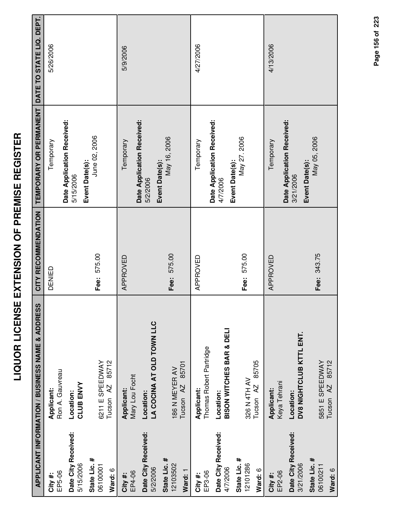|                                     | APPLICANT INFORMATION / BUSINESS NAME & ADDRESS  | CITY RECOMMENDATION | TEMPORARY OR PERMANENT DATE TO STATE LIQ. DEPT.          |           |
|-------------------------------------|--------------------------------------------------|---------------------|----------------------------------------------------------|-----------|
| EP5-06<br>City #:                   | Ron A. Gauvreau<br>Applicant:                    | DENIED              | Temporary                                                | 5/26/2006 |
| Date City Received:<br>5/15/2006    | <b>CLUB ENVY</b><br>Location:                    |                     | Date Application Received:<br>5/15/2006                  |           |
| State Lic. #<br>06100001<br>Ward: 6 | 85712<br>6211 E SPEEDWAY<br>Tucson <sub>AZ</sub> | Fee: 575.00         | June 02, 2006<br>Event Date(s):                          |           |
| EP4-06<br>City#:                    | Mary Lou Focht<br>Applicant:                     | APPROVED            | Temporary                                                | 5/9/2006  |
| Date City Received:<br>5/2/2006     | LA COCINA AT OLD TOWN LLC<br>Location:           |                     | Date Application Received:<br>5/2/2006                   |           |
| State Lic. #<br>12103502<br>Ward: 1 | 85701<br>186 N MEYER AV<br>Tucson <sub>AZ</sub>  | Fee: 575.00         | May 16, 2006<br>Event Date(s):                           |           |
| EP3-06<br>City #:                   | Thomas Robert Partridge<br>Applicant:            | APPROVED            | Temporary                                                | 4/27/2006 |
| Date City Received:<br>4/7/2006     | <b>BISON WITCHES BAR &amp; DELI</b><br>Location: |                     | Date Application Received:<br>Event Date(s):<br>4/7/2006 |           |
| State Lic. #<br>12101286<br>Ward: 6 | 85705<br>326 N 4TH AV<br>Tucson AZ               | Fee: 575.00         | May 27.2006                                              |           |
| EP2-06<br>City #:                   | Keya Tehrani<br>Applicant:                       | APPROVED            | Temporary                                                | 4/13/2006 |
| Date City Received:<br>3/21/2006    | DV8 NIGHTCLUB KTTL ENT.<br>Location:             |                     | Date Application Received:<br>3/21/2006                  |           |
| State Lic. #<br>06100211<br>Ward: 6 | Tucson AZ 85712<br>5851 E SPEEDWAY               | Fee: 343.75         | May 05, 2006<br>Event Date(s):                           |           |

Page 156 of 223 **Page of 156 223**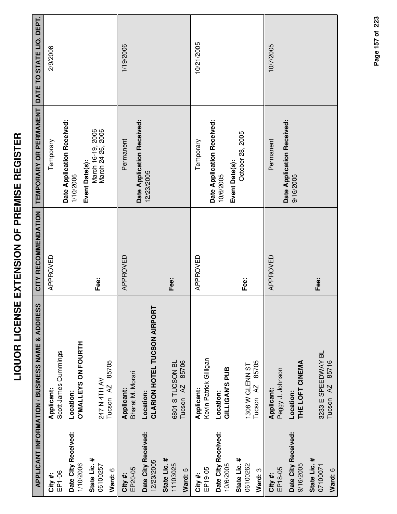|                                     | APPLICANT INFORMATION / BUSINESS NAME & ADDRESS   | CITY RECOMMENDATION | TEMPORARY OR PERMANENT DATE TO STATE LIQ. DEPT.          |            |
|-------------------------------------|---------------------------------------------------|---------------------|----------------------------------------------------------|------------|
| EP1-06<br>City #:                   | Scott James Cummings<br>Applicant:                | APPROVED            | Temporary                                                | 2/9/2006   |
| Date City Received:<br>1/10/2006    | <b>O'MALLEYS ON FOURTH</b><br>Location:           |                     | Date Application Received:<br>1/10/2006                  |            |
| State Lic. #<br>06100257<br>Ward: 6 | 85705<br>247 N 4TH AV<br>Tucson <sub>AZ</sub>     | Fee:                | March 16-19, 2006<br>March 24-26, 2006<br>Event Date(s): |            |
| EP20-05<br>City #:                  | Bharat M. Morari<br>Applicant:                    | APPROVED            | Permanent                                                | 1/19/2006  |
| Date City Received:<br>12/23/2005   | CLARION HOTEL TUCSON AIRPORT<br>Location:         |                     | Date Application Received:<br>12/23/2005                 |            |
| State Lic. #<br>11103025<br>Ward: 5 | 6801 S TUCSON BL<br>85706<br>Tucson <sub>AZ</sub> | Fee:                |                                                          |            |
| EP19-05<br>City #:                  | Kevin Patrick Gilligan<br>Applicant:              | APPROVED            | Temporary                                                | 10/21/2005 |
| Date City Received:<br>10/6/2005    | GILLIGAN'S PUB<br>Location:                       |                     | Date Application Received:<br>10/6/2005                  |            |
| State Lic. #<br>06100262<br>Ward: 3 | 85705<br>1308 W GLENN ST<br>Tucson <sub>AZ</sub>  | Fee:                | October 28, 2005<br>Event Date(s):                       |            |
| EP18-05<br>City #:                  | Peggy J. Johnson<br>Applicant:                    | APPROVED            | Permanent                                                | 10/7/2005  |
| Date City Received:<br>9/16/2005    | THE LOFT CINEMA<br>Location:                      |                     | Date Application Received:<br>9/16/2005                  |            |
| State Lic. #<br>07100071<br>Ward: 6 | 3233 E SPEEDWAY BL<br>Tucson AZ 85716             | Fee:                |                                                          |            |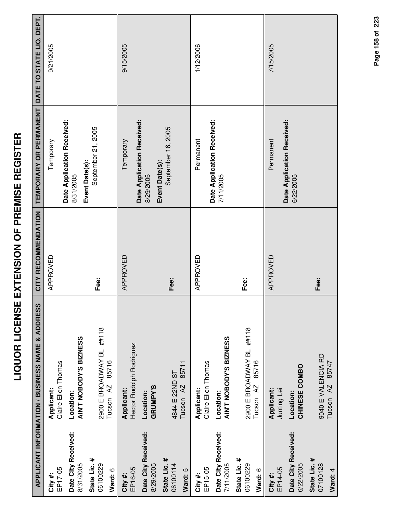|                                     | APPLICANT INFORMATION / BUSINESS NAME & ADDRESS           | CITY RECOMMENDATION | TEMPORARY OR PERMANENT DATE TO STATE LIQ. DEPT.           |           |
|-------------------------------------|-----------------------------------------------------------|---------------------|-----------------------------------------------------------|-----------|
| EP17-05<br>City #:                  | Claire Ellen Thomas<br>Applicant:                         | APPROVED            | Temporary                                                 | 9/21/2005 |
| Date City Received:<br>8/31/2005    | AIN'T NOBODY'S BIZNESS<br>Location:                       |                     | Date Application Received:<br>Event Date(s):<br>8/31/2005 |           |
| State Lic. #<br>06100229<br>Ward: 6 | 2900 E BROADWAY BL ##118<br>85716<br>Tucson <sub>AZ</sub> | Fee:                | September 21, 2005                                        |           |
| EP16-05<br>City #:                  | Hector Rudolph Rodriguez<br>Applicant:                    | APPROVED            | Temporary                                                 | 9/15/2005 |
| Date City Received:<br>8/29/2005    | GRUMPY'S<br>Location:                                     |                     | Date Application Received:<br>8/29/2005                   |           |
| State Lic. #<br>06100114<br>Ward: 5 | 85711<br>4844 E 22ND ST<br>Tucson <sub>AZ</sub>           | Fee:                | September 16, 2005<br>Event Date(s):                      |           |
| EP15-05<br>City #:                  | Claire Ellen Thomas<br>Applicant:                         | APPROVED            | Permanent                                                 | 1/12/2006 |
| Date City Received:<br>7/11/2005    | AIN'T NOBODY'S BIZNESS<br>Location:                       |                     | Date Application Received:<br>7/11/2005                   |           |
| State Lic. #<br>06100229<br>Ward: 6 | 2900 E BROADWAY BL ##118<br>85716<br>Tucson <sub>AZ</sub> | Fee:                |                                                           |           |
| EP14-05<br>City #:                  | Applicant:<br>Junting Lei                                 | APPROVED            | Permanent                                                 | 7/15/2005 |
| Date City Received:<br>6/22/2005    | CHINESE COMBO<br>Location:                                |                     | Date Application Received:<br>6/22/2005                   |           |
| State Lic. #<br>07100128<br>Ward: 4 | 9040 E VALENCIA RD<br>85747<br>Tucson AZ                  | Fee:                |                                                           |           |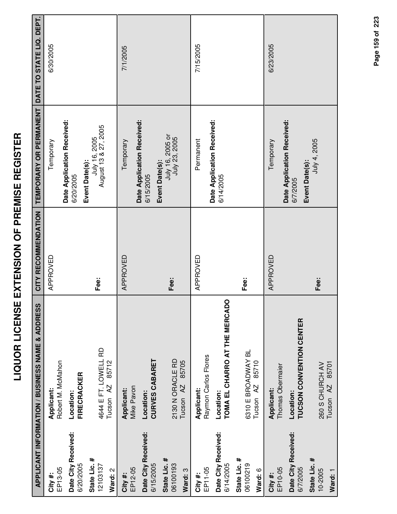|                                     | APPLICANT INFORMATION / BUSINESS NAME & ADDRESS       | CITY RECOMMENDATION | TEMPORARY OR PERMANENT DATE TO STATE LIQ. DEPT.            |           |
|-------------------------------------|-------------------------------------------------------|---------------------|------------------------------------------------------------|-----------|
| EP13-05<br>City#:                   | Robert M. McMahon<br>Applicant:                       | APPROVED            | Temporary                                                  | 6/30/2005 |
| Date City Received:<br>6/20/2005    | <b>FIRECRACKER</b><br>Location:                       |                     | Date Application Received:<br>6/20/2005                    |           |
| State Lic. #<br>12103137<br>Ward: 2 | 4644 E FT. LOWELL RD<br>85712<br>Tucson <sub>AZ</sub> | Fee:                | July 16, 2005<br>August 13 & 27, 2005<br>Event Date(s):    |           |
| EP12-05<br>City #:                  | Mike Pavon<br><b>Applicant:</b>                       | APPROVED            | Temporary                                                  | 7/1/2005  |
| Date City Received:<br>6/15/2005    | <b>CURVES CABARET</b><br>Location:                    |                     | Date Application Received:<br>6/15/2005                    |           |
| State Lic. #<br>06100193<br>Ward: 3 | 2130 N ORACLE RD<br>85705<br>Tucson <sub>AZ</sub>     | Fee:                | <b>Event Date(s):</b><br>July 16, 2005 or<br>July 23, 2005 |           |
| EP11-05<br>City #:                  | Raymon Carlos Flores<br>Applicant:                    | APPROVED            | Permanent                                                  | 7/15/2005 |
| Date City Received:<br>6/14/2005    | TOMA EL CHARRO AT THE MERCADO<br>Location:            |                     | Date Application Received:<br>6/14/2005                    |           |
| State Lic. #<br>06100219<br>Ward: 6 | 6310 E BROADWAY BL<br>85710<br>Tucson <sub>AZ</sub>   | Fee:                |                                                            |           |
| EP10-05<br>City #:                  | Thomas Obermaier<br>Applicant:                        | APPROVED            | Temporary                                                  | 6/23/2005 |
| Date City Received:<br>6/7/2005     | <b>TUCSON CONVENTION CENTER</b><br>Location:          |                     | Date Application Received:<br>6/7/2005                     |           |
| State Lic. #<br>10-2005<br>Ward: 1  | Tucson AZ 85701<br>260 S CHURCH AV                    | Fee:                | July 4, 2005<br>Event Date(s):                             |           |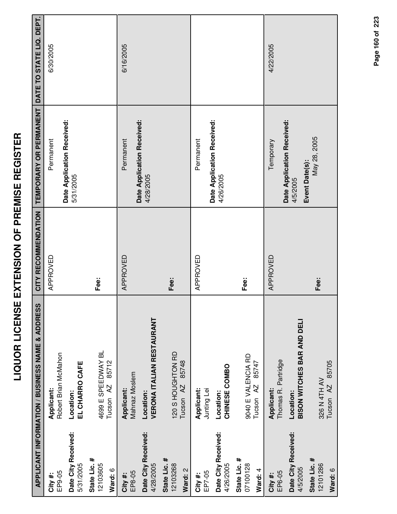| I<br>i<br>i             |  |
|-------------------------|--|
| ֧֓֜<br>i<br>İ<br>Ī<br>l |  |
| i<br>l<br>l             |  |
| ׇ֚֕֡<br>Ī               |  |
|                         |  |
| í                       |  |

|                                     | APPLICANT INFORMATION / BUSINESS NAME & ADDRESS     | CITY RECOMMENDATION | TEMPORARY OR PERMANENT                                   | DATE TO STATE LIQ. DEPT. |
|-------------------------------------|-----------------------------------------------------|---------------------|----------------------------------------------------------|--------------------------|
| EP9-05<br>City#:                    | Robert Brian McMahon<br>Applicant:                  | APPROVED            | Date Application Received:<br>Permanent                  | 6/30/2005                |
| Date City Received:<br>5/31/2005    | EL CHARRO CAFE<br>Location:                         |                     | 5/31/2005                                                |                          |
| State Lic. #<br>12103605<br>Ward: 6 | 4699 E SPEEDWAY BL<br>85712<br>Tucson <sub>AZ</sub> | Fee:                |                                                          |                          |
| EP8-05<br>City #:                   | Mahnaz Moslem<br>Applicant:                         | APPROVED            | Permanent                                                | 6/16/2005                |
| Date City Received:<br>4/28/2005    | <b>VERONA ITALIAN RESTAURANT</b><br>Location:       |                     | Date Application Received:<br>4/28/2005                  |                          |
| State Lic. #<br>12103268<br>Ward: 2 | 120 S HOUGHTON RD<br>85748<br>Tucson <sub>AZ</sub>  | Fee:                |                                                          |                          |
| EP7-05<br>City #:                   | Applicant:<br>Junting Lei                           | APPROVED            | Permanent                                                |                          |
| Date City Received:<br>4/26/2005    | CHINESE COMBO<br>Location:                          |                     | Date Application Received:<br>4/26/2005                  |                          |
| State Lic. #<br>07100128<br>Ward: 4 | 9040 E VALENCIA RD<br>85747<br>Tucson <sub>AZ</sub> | Fee:                |                                                          |                          |
| EP6-05<br>City#:                    | Thomas R. Partridge<br>Applicant:                   | APPROVED            | Temporary                                                | 4/22/2005                |
| Date City Received:<br>4/5/2005     | BISON WITCHES BAR AND DELI<br>Location:             |                     | Date Application Received:<br>Event Date(s):<br>4/5/2005 |                          |
| State Lic. #<br>12101286<br>Ward: 6 | 85705<br>326 N 4TH AV<br>Tucson <sub>AZ</sub>       | Fee:                | May 28, 2005                                             |                          |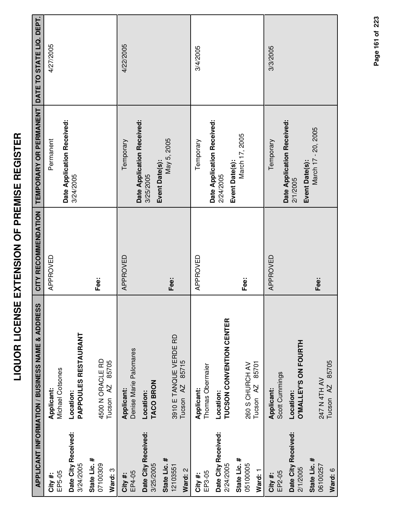|                                                  | APPLICANT INFORMATION / BUSINESS NAME & ADDRESS                             | CITY RECOMMENDATION | TEMPORARY OR PERMANENT DATE TO STATE LIQ. DEPT. |           |
|--------------------------------------------------|-----------------------------------------------------------------------------|---------------------|-------------------------------------------------|-----------|
| EP5-05<br>City #:                                | Michael Cotsones<br>Applicant:                                              | APPROVED            | Permanent                                       | 4/27/2005 |
| Date City Received:<br>3/24/2005                 | <b>PAPPOULES RESTAURANT</b><br>Location:                                    |                     | Date Application Received:<br>3/24/2005         |           |
| State Lic. #<br>07100309<br>Ward: 3              | 4500 N ORACLE RD<br>85705<br>Tucson AZ                                      | Fee:                |                                                 |           |
| Date City Received:<br>EP4-05<br>City#:          | Denise Marie Palomares<br>Applicant:<br>Location:                           | APPROVED            | Date Application Received:<br>Temporary         | 4/22/2005 |
| State Lic. #<br>3/25/2005<br>12103551<br>Ward: 2 | 3910 E TANQUE VERDE RD<br>85715<br><b>TACO BRON</b><br>Tucson <sub>AZ</sub> | Fee:                | May 5, 2005<br>Event Date(s):<br>3/25/2005      |           |
| EP3-05<br>City #:                                | Thomas Obermaier<br>Applicant:                                              | APPROVED            | Date Application Received:<br>Temporary         | 3/4/2005  |
| Date City Received:<br>2/24/2005                 | <b>TUCSON CONVENTION CENTER</b><br>Location:                                |                     | Event Date(s):<br>2/24/2005                     |           |
| State Lic. #<br>05100005<br>Ward: 1              | 85701<br>260 S CHURCH AV<br>Tucson <sub>AZ</sub>                            | Fee:                | March 17, 2005                                  |           |
| EP2-05<br>City #:                                | Scott Cummings<br>Applicant:                                                | APPROVED            | Temporary                                       | 3/3/2005  |
| Date City Received:<br>2/1/2005                  | O'MALLEY'S ON FOURTH<br>Location:                                           |                     | Date Application Received:<br>2/1/2005          |           |
| State Lic. #<br>06100257<br>Ward: 6              | Tucson AZ 85705<br>247 N 4TH AV                                             | Fee:                | March 17 - 20, 2005<br>Event Date(s):           |           |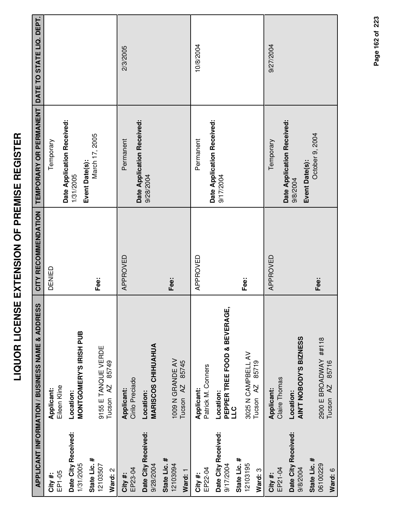|                                                  | APPLICANT INFORMATION / BUSINESS NAME & ADDRESS              | CITY RECOMMENDATION | <b>TEMPORARY OR PERMANENT</b>           | DATE TO STATE LIQ. DEPT. |
|--------------------------------------------------|--------------------------------------------------------------|---------------------|-----------------------------------------|--------------------------|
| EP1-05<br>City #:                                | Eileen Kline<br>Applicant:                                   | DENIED              | Temporary                               |                          |
| Date City Received:<br>1/31/2005                 | MONTGOMERY'S IRISH PUB<br>Location:                          |                     | Date Application Received:<br>1/31/2005 |                          |
| State Lic. #<br>12103507<br>Ward: 2              | 9155 E TANQUE VERDE<br>85749<br>Tucson <sub>AZ</sub>         | Fee:                | March 17, 2005<br>Event Date(s):        |                          |
| EP23-04<br>City #:                               | Cirilo Preciado<br>Applicant:                                | APPROVED            | Permanent                               | 2/3/2005                 |
| Date City Received:<br>9/28/2004                 | <b>MARISCOS CHIHUAHUA</b><br>Location:                       |                     | Date Application Received:<br>9/28/2004 |                          |
| State Lic. #<br>12103094<br>Ward: 1              | 1009 N GRANDE AV<br>85745<br>Tucson <sub>AZ</sub>            | Fee:                |                                         |                          |
| EP22-04<br>City #:                               | Patrick M. Conners<br>Applicant:                             | APPROVED            | Permanent                               | 10/8/2004                |
| Date City Received:<br>State Lic. #<br>9/17/2004 | <b>PEPPER TREE FOOD &amp; BEVERAGE,<br/>LLC</b><br>Location: |                     | Date Application Received:<br>9/17/2004 |                          |
| 12103195<br>Ward: 3                              | 3025 N CAMPBELL AV<br>85719<br>Tucson <sub>AZ</sub>          | Fee:                |                                         |                          |
| EP21-04<br>City #:                               | Claire Thomas<br>Applicant:                                  | APPROVED            | Temporary                               | 9/27/2004                |
| Date City Received:<br>9/8/2004                  | AIN'T NOBODY'S BIZNESS<br>Location:                          |                     | Date Application Received:<br>9/8/2004  |                          |
| State Lic. #<br>06100229<br>Ward: 6              | 2900 E BROADWAY ##118<br>Tucson AZ 85716                     | Fee:                | October 9, 2004<br>Event Date(s):       |                          |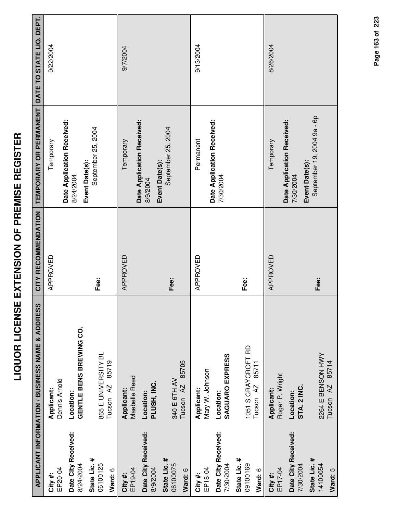|                                     | APPLICANT INFORMATION / BUSINESS NAME & ADDRESS      | CITY RECOMMENDATION | TEMPORARY OR PERMANENT DATE TO STATE LIQ. DEPT. |           |
|-------------------------------------|------------------------------------------------------|---------------------|-------------------------------------------------|-----------|
| EP20-04<br>City #:                  | Dennis Arnold<br>Applicant:                          | APPROVED            | Temporary                                       | 9/22/2004 |
| Date City Received:<br>8/24/2004    | GENTLE BENS BREWING CO.<br>Location:                 |                     | Date Application Received:<br>8/24/2004         |           |
| State Lic. #<br>06100125<br>Ward: 6 | 865 E UNIVERSITY BL<br>85719<br>Tucson AZ            | Fee:                | September 25, 2004<br>Event Date(s):            |           |
| EP19-04<br>City #:                  | Maebelle Reed<br>Applicant:                          | APPROVED            | Temporary                                       | 9/7/2004  |
| Date City Received:<br>8/9/2004     | PLUSH, INC.<br>Location:                             |                     | Date Application Received:<br>8/9/2004          |           |
| State Lic. #<br>06100075<br>Ward: 6 | 85705<br>340 E 6TH AV<br>Tucson <sub>AZ</sub>        | Fee:                | September 25, 2004<br>Event Date(s):            |           |
| EP18-04<br>City #:                  | Mary W. Johnson<br>Applicant:                        | APPROVED            | Permanent                                       | 9/13/2004 |
| Date City Received:<br>7/30/2004    | SAGUARO EXPRESS<br>Location:                         |                     | Date Application Received:<br>7/30/2004         |           |
| State Lic. #<br>09100169<br>Ward: 6 | 1051 S CRAYCROFT RD<br>85711<br>Tucson <sub>AZ</sub> | Fee:                |                                                 |           |
| EP17-04<br>City #:                  | Roger P. Wright<br>Applicant:                        | APPROVED            | Temporary                                       | 8/26/2004 |
| Date City Received:<br>7/30/2004    | STA. 2 INC.<br>Location:                             |                     | Date Application Received:<br>7/30/2004         |           |
| State Lic. #<br>14100054<br>Ward: 5 | 2264 E BENSON HWY<br>85714<br>Tucson <sub>AZ</sub>   | Fee:                | September 19, 2004 9a - 6p<br>Event Date(s):    |           |

Page 163 of 223 **Page of 163 223**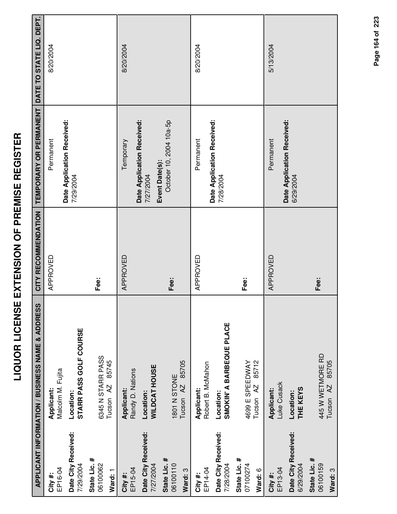|                                     | <b>APPLICANT INFORMATION / BUSINESS NAME &amp; ADDRESS</b> | CITY RECOMMENDATION | <b>TEMPORARY OR PERMANENT</b>                             | DATE TO STATE LIQ. DEPT. |
|-------------------------------------|------------------------------------------------------------|---------------------|-----------------------------------------------------------|--------------------------|
| EP16-04<br>City #:                  | Malcolm M. Fujita<br>Applicant:                            | APPROVED            | Permanent                                                 | 8/20/2004                |
| Date City Received:<br>7/29/2004    | STARR PASS GOLF COURSE<br>Location:                        |                     | Date Application Received:<br>7/29/2004                   |                          |
| State Lic. #<br>06100062<br>Ward: 1 | 6345 N STARR PASS<br>85745<br>Tucson <sub>AZ</sub>         | Fee:                |                                                           |                          |
| EP15-04<br>City #:                  | Randy D. Nations<br>Applicant:                             | APPROVED            | Temporary                                                 | 8/20/2004                |
| Date City Received:<br>7/27/2004    | <b>WILDCAT HOUSE</b><br>Location:                          |                     | Date Application Received:<br>Event Date(s):<br>7/27/2004 |                          |
| State Lic. #<br>06100110<br>Ward: 3 | 85705<br>1801 N STONE<br>Tucson <sub>AZ</sub>              | Fee:                | October 10, 2004 10a-5p                                   |                          |
| EP14-04<br>City #:                  | Robert B. McMahon<br>Applicant:                            | APPROVED            | Permanent                                                 | 8/20/2004                |
| Date City Received:<br>7/28/2004    | SMOKIN' A BARBEQUE PLACE<br>Location:                      |                     | Date Application Received:<br>7/28/2004                   |                          |
| State Lic. #<br>07100274<br>Ward: 6 | 85712<br>4699 E SPEEDWAY<br>Tucson <sub>AZ</sub>           | Fee:                |                                                           |                          |
| EP13-04<br>City #:                  | Luke Cusack<br>Applicant:                                  | APPROVED            | Permanent                                                 | 5/13/2004                |
| Date City Received:<br>6/29/2004    | THE KEYS<br>Location:                                      |                     | Date Application Received:<br>6/29/2004                   |                          |
| State Lic. #<br>06100159<br>Ward: 3 | 445 W WETMORE RD<br>85705<br>Tucson <sub>AZ</sub>          | Fee:                |                                                           |                          |

Page 164 of 223 **Page of 164 223**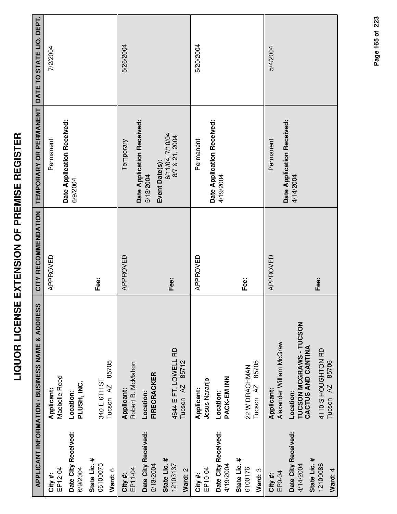|                                                  | <b>APPLICANT INFORMATION / BUSINESS NAME &amp; ADDRESS</b> | CITY RECOMMENDATION | TEMPORARY OR PERMANENT DATE TO STATE LIQ. DEPT. |           |
|--------------------------------------------------|------------------------------------------------------------|---------------------|-------------------------------------------------|-----------|
| EP12-04<br>City #:                               | Maebelle Reed<br>Applicant:                                | APPROVED            | Permanent                                       | 7/2/2004  |
| Date City Received:<br>6/9/2004                  | PLUSH, INC.<br>Location:                                   |                     | Date Application Received:<br>6/9/2004          |           |
| State Lic. #<br>06100075<br>Ward: 6              | 85705<br>340 E 6TH ST<br>Tucson <sub>AZ</sub>              | Fee:                |                                                 |           |
| EP11-04<br>City #:                               | Robert B. McMahon<br>Applicant:                            | APPROVED            | Date Application Received:<br>Temporary         | 5/26/2004 |
| Date City Received:<br>5/13/2004                 | <b>FIRECRACKER</b><br>Location:                            |                     | Event Date(s):<br>5/13/2004                     |           |
| State Lic. #<br>12103137<br>Ward: 2              | 4644 E FT. LOWELL RD<br>85712<br>Tucson <sub>AZ</sub>      | Fee:                | 6/11/04, 7/10/04<br>8/7 & 21, 2004              |           |
| EP10-04<br>City #:                               | Jesus Naranjo<br>Applicant:                                | APPROVED            | Permanent                                       | 5/20/2004 |
| Date City Received:<br>4/19/2004                 | PACK-EM INN<br>Location:                                   |                     | Date Application Received:<br>4/19/2004         |           |
| State Lic. #<br>6100176<br>Ward: 3               | 85705<br>22 W DRACHMAN<br>Tucson <sub>AZ</sub>             | Fee:                |                                                 |           |
| EP9-04<br>City#:                                 | Alexander William McGraw<br><b>Applicant:</b>              | APPROVED            | Permanent                                       | 5/4/2004  |
| Date City Received:<br>State Lic. #<br>4/14/2004 | TUCSON MCGRAWS - TUCSON<br>CACTUS AND CANTINA<br>Location: |                     | Date Application Received:<br>4/14/2004         |           |
| 12100086<br>Ward: 4                              | 4110 S HOUGHTON RD<br>85706<br>AZ<br>Tucson                | Fee:                |                                                 |           |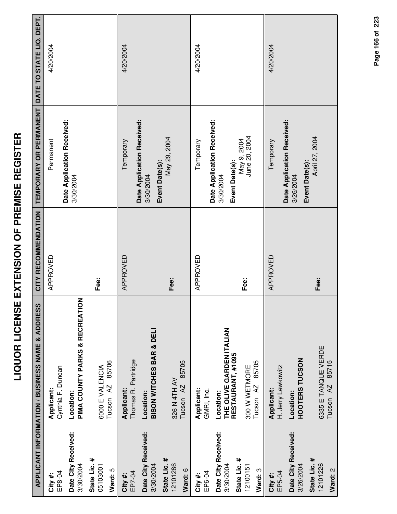|                                                       | APPLICANT INFORMATION / BUSINESS NAME & ADDRESS                                                 | CITY RECOMMENDATION | TEMPORARY OR PERMANENT DATE TO STATE LIQ. DEPT.             |           |
|-------------------------------------------------------|-------------------------------------------------------------------------------------------------|---------------------|-------------------------------------------------------------|-----------|
| EP8-04<br>City #:                                     | Cynthia F. Duncan<br>Applicant:                                                                 | APPROVED            | Permanent                                                   | 4/20/2004 |
| Date City Received:<br>3/30/2004                      | PIMA COUNTY PARKS & RECREATION<br>Location:                                                     |                     | Date Application Received:<br>3/30/2004                     |           |
| State Lic. #<br>05103001<br>Ward: 5                   | 85706<br>6000 E VALENCIA<br>Tucson <sub>AZ</sub>                                                | Fee:                |                                                             |           |
| Date City Received:<br>3/30/2004<br>EP7-04<br>City #: | <b>BISON WITCHES BAR &amp; DELI</b><br>Thomas R. Partridge<br>Applicant:<br>Location:           | APPROVED            | Date Application Received:<br>Temporary<br>3/30/2004        | 4/20/2004 |
| State Lic. #<br>12101286<br>Ward: 6                   | 85705<br>326 N 4TH AV<br>Tucson <sub>AZ</sub>                                                   | Fee:                | May 29, 2004<br>Event Date(s):                              |           |
| Date City Received:<br>EP6-04<br>City#:               | Applicant:<br>GMRI, Inc.<br>Location:                                                           | APPROVED            | Date Application Received:<br>Temporary                     | 4/20/2004 |
| State Lic. #<br>3/30/2004<br>12100151<br>Ward: 3      | THE OLIVE GARDEN ITALIAN<br>RESTAURANT, #1095<br>85705<br>300 W WETMORE<br>Tucson <sub>AZ</sub> | Fee:                | June 20, 2004<br>May 9, 2004<br>Event Date(s):<br>3/30/2004 |           |
| Date City Received:<br>3/26/2004<br>EP5-04<br>City #: | HOOTERS TUCSON<br>H. Jerry Lewkowitz<br><b>Applicant:</b><br>Location:                          | APPROVED            | Date Application Received:<br>Temporary<br>3/26/2004        | 4/20/2004 |
| State Lic. #<br>12101226<br>Ward: 2                   | 6335 E TANQUE VERDE<br>85715<br>Tucson <sub>AZ</sub>                                            | Fee:                | April 27, 2004<br>Event Date(s):                            |           |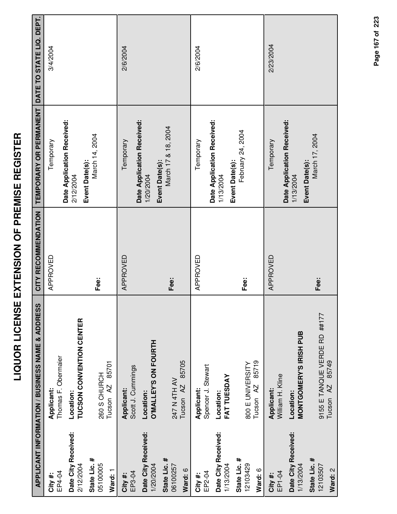|                                     | APPLICANT INFORMATION / BUSINESS NAME & ADDRESS    | CITY RECOMMENDATION | TEMPORARY OR PERMANENT DATE TO STATE LIQ. DEPT.           |           |
|-------------------------------------|----------------------------------------------------|---------------------|-----------------------------------------------------------|-----------|
| EP4-04<br>City #:                   | Thomas F. Obermaier<br>Applicant:                  | APPROVED            | Temporary                                                 | 3/4/2004  |
| Date City Received:<br>2/12/2004    | TUCSON CONVENTION CENTER<br>Location:              |                     | Date Application Received:<br>Event Date(s):<br>2/12/2004 |           |
| State Lic. #<br>05100005<br>Ward: 1 | 85701<br>260 S CHURCH<br>Tucson <sub>AZ</sub>      | Fee:                | March 14, 2004                                            |           |
| EP3-04<br>City #:                   | Scott J. Cummings<br><b>Applicant:</b>             | APPROVED            | Temporary                                                 | 2/6/2004  |
| Date City Received:<br>1/20/2004    | <b>O'MALLEY'S ON FOURTH</b><br>Location:           |                     | Date Application Received:<br>1/20/2004                   |           |
| State Lic. #<br>06100257<br>Ward: 6 | 85705<br>247 N 4TH AV<br>Tucson <sub>AZ</sub>      | Fee:                | March 17 & 18, 2004<br>Event Date(s):                     |           |
| EP2-04<br>City #:                   | Spencer J. Stewart<br>Applicant:                   | APPROVED            | Temporary                                                 | 2/6/2004  |
| Date City Received:<br>1/13/2004    | FAT TUESDAY<br>Location:                           |                     | Date Application Received:<br>1/13/2004                   |           |
| State Lic. #<br>12103429<br>Ward: 6 | 85719<br>800 E UNIVERSITY<br>Tucson <sub>AZ</sub>  | Fee:                | February 24, 2004<br>Event Date(s):                       |           |
| EP1-04<br>City#:                    | William H. Kline<br>Applicant:                     | APPROVED            | Temporary                                                 | 2/23/2004 |
| Date City Received:<br>1/13/2004    | MONTGOMERY'S IRISH PUB<br>Location:                |                     | Date Application Received:<br>1/13/2004                   |           |
| State Lic. #<br>12103507<br>Ward: 2 | 9155 E TANQUE VERDE RD ##177<br>85749<br>Tucson AZ | Fee:                | March 17, 2004<br>Event Date(s):                          |           |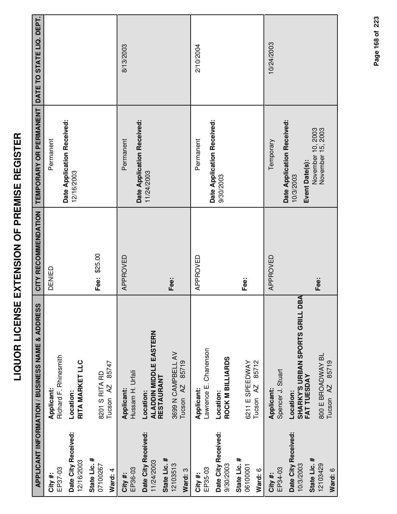|                                                   | <b>APPLICANT INFORMATION / BUSINESS NAME &amp; ADDRESS</b>      | CITY RECOMMENDATION | TEMPORARY OR PERMANENT                                    | DATE TO STATE LIQ. DEPT. |
|---------------------------------------------------|-----------------------------------------------------------------|---------------------|-----------------------------------------------------------|--------------------------|
| EP37-03<br>City #:                                | Richard F. Rhinesmith<br>Applicant:                             | DENIED              | Permanent                                                 |                          |
| Date City Received:<br>12/16/2003                 | RITA MARKET LLC<br>Location:                                    |                     | Date Application Received:<br>12/16/2003                  |                          |
| State Lic. #<br>07100267<br>Ward: 4               | 85747<br>8201 S RITA RD<br>Tucson <sub>AZ</sub>                 | Fee: \$25.00        |                                                           |                          |
| EP36-03<br>City #:                                | Hussam H. Urfali<br>Applicant:                                  | APPROVED            | Permanent                                                 | 8/13/2003                |
| Date City Received:<br>State Lic. #<br>11/24/2003 | <b>ALADDIN MIDDLE EASTERN</b><br>RESTAURANT<br>Location:        |                     | Date Application Received:<br>11/24/2003                  |                          |
| 12103513<br>Ward: 3                               | 3699 N CAMPBELL AV<br>85719<br>Tucson <sub>AZ</sub>             | Fee:                |                                                           |                          |
| EP35-03<br>City#:                                 | Lawrence E. Chanenson<br>Applicant:                             | APPROVED            | Permanent                                                 | 2/10/2004                |
| Date City Received:<br>9/30/2003                  | ROCK M BILLIARDS<br>Location:                                   |                     | Date Application Received:<br>9/30/2003                   |                          |
| State Lic. #<br>06100001<br>Ward: 6               | 85712<br>6211 E SPEEDWAY<br>Tucson <sub>AZ</sub>                | Fee:                |                                                           |                          |
| EP34-03<br>City #:                                | Spencer J. Stuart<br>Applicant:                                 | APPROVED            | Temporary                                                 | 10/24/2003               |
| Date City Received:<br>10/3/2003                  | BA<br>SHARKY'S URBAN SPORTS GRILL D<br>FAT TUESDAY<br>Location: |                     | Date Application Received:<br>Event Date(s):<br>10/3/2003 |                          |
| State Lic. #<br>12103429<br>Ward: 6               | 800 E BROADWAY BL<br>85719<br>AZ<br>Tucson                      | Fee:                | November 10, 2003<br>November 15, 2003                    |                          |

Page 168 of 223 **Page of 168 223**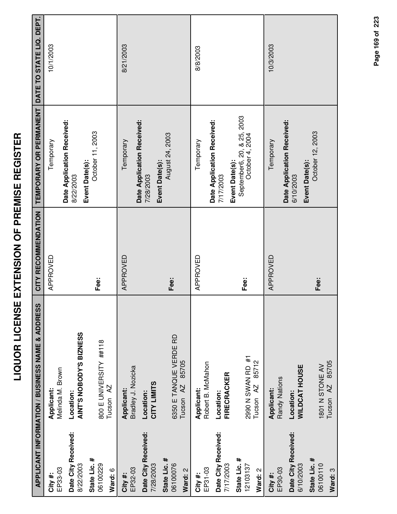|                                     | APPLICANT INFORMATION / BUSINESS NAME & ADDRESS         | CITY RECOMMENDATION | TEMPORARY OR PERMANENT DATE TO STATE LIQ. DEPT.                 |           |
|-------------------------------------|---------------------------------------------------------|---------------------|-----------------------------------------------------------------|-----------|
| EP33-03<br>City#:                   | Melinda M. Brown<br>Applicant:                          | APPROVED            | Temporary                                                       | 10/1/2003 |
| Date City Received:<br>8/22/2003    | AINT'S NOBODY'S BIZNESS<br>Location:                    |                     | Date Application Received:<br>8/22/2003                         |           |
| State Lic. #<br>06100229<br>Ward: 6 | 800 E UNIVERSITY ##118<br>Tucson <sub>AZ</sub>          | Fee:                | October 11, 2003<br>Event Date(s):                              |           |
| EP32-03<br>City#:                   | Bradley J. Nozicka<br>Applicant:                        | APPROVED            | Temporary                                                       | 8/21/2003 |
| Date City Received:<br>7/28/2003    | CITY LIMITS<br>Location:                                |                     | Date Application Received:<br>7/28/2003                         |           |
| State Lic. #<br>06100076<br>Ward: 2 | 6350 E TANQUE VERDE RD<br>85705<br>Tucson <sub>AZ</sub> | Fee:                | August 24, 2003<br>Event Date(s):                               |           |
| EP31-03<br>City #:                  | Robert B. McMahon<br>Applicant:                         | APPROVED            | Temporary                                                       | 8/8/2003  |
| Date City Received:<br>7/17/2003    | FIRECRACKER<br>Location:                                |                     | Date Application Received:<br>7/17/2003                         |           |
| State Lic. #<br>12103137<br>Ward: 2 | 2990 N SWAN RD #1<br>85712<br>Tucson <sub>AZ</sub>      | Fee:                | September6, 20, & 25, 2003<br>October 4, 2004<br>Event Date(s): |           |
| EP30-03<br>City #:                  | Randy Nations<br>Applicant:                             | APPROVED            | Temporary                                                       | 10/3/2003 |
| Date City Received:<br>6/10/2003    | <b>WILDCAT HOUSE</b><br>Location:                       |                     | Date Application Received:<br>6/10/2003                         |           |
| State Lic. #<br>06100110<br>Ward: 3 | Tucson AZ 85705<br>1801 N STONE AV                      | Fee:                | October 12, 2003<br>Event Date(s):                              |           |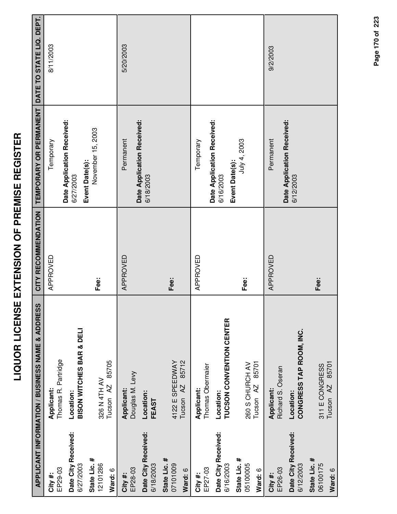|                                  | <b>APPLICANT INFORMATION / BUSINESS NAME &amp; ADDRESS</b> | CITY RECOMMENDATION | TEMPORARY OR PERMANENT                  | DATE TO STATE LIQ. DEPT. |
|----------------------------------|------------------------------------------------------------|---------------------|-----------------------------------------|--------------------------|
| EP29-03<br>City#:                | Thomas R. Partridge<br>Applicant:                          | APPROVED            | Temporary                               | 8/11/2003                |
| Date City Received:<br>6/27/2003 | <b>BISON WITCHES BAR &amp; DELI</b><br>Location:           |                     | Date Application Received:<br>6/27/2003 |                          |
| State Lic. #<br>12101286         | 326 N 4TH AV                                               | Fee:                | November 15, 2003<br>Event Date(s):     |                          |
| Ward: 6                          | 85705<br>Tucson <sub>AZ</sub>                              |                     |                                         |                          |
| EP28-03<br>City #:               | Douglas M. Levy<br>Applicant:                              | APPROVED            | Permanent                               | 5/20/2003                |
| Date City Received:<br>6/18/2003 | Location:<br>FEAST                                         |                     | Date Application Received:<br>6/18/2003 |                          |
| State Lic. #<br>07101009         | 4122 E SPEEDWAY                                            | Fee:                |                                         |                          |
| Ward: 6                          | 85712<br>Tucson <sub>AZ</sub>                              |                     |                                         |                          |
| EP27-03<br>City #:               | Thomas Obermaier<br>Applicant:                             | APPROVED            | Temporary                               |                          |
| Date City Received:<br>6/16/2003 | TUCSON CONVENTION CENTER<br>Location:                      |                     | Date Application Received:<br>6/16/2003 |                          |
| State Lic. #<br>05100005         | 260 S CHURCH AV                                            | Fee:                | July 4, 2003<br>Event Date(s):          |                          |
| Ward: 6                          | 85701<br>Tucson AZ                                         |                     |                                         |                          |
| EP26-03<br>City#:                | Richard S. Oseran<br>Applicant:                            | APPROVED            | Permanent                               | 9/2/2003                 |
| Date City Received:<br>6/12/2003 | CONGRESS TAP ROOM, INC.<br>Location:                       |                     | Date Application Received:<br>6/12/2003 |                          |

Page 170 of 223 **Page of 170 223**

**State Lic. #** 06100175

311 E CONGRESS Tucson AZ 85701

311 E CONGRESS<br>Tucson AZ 85701

**Fee:**

**Ward:** 6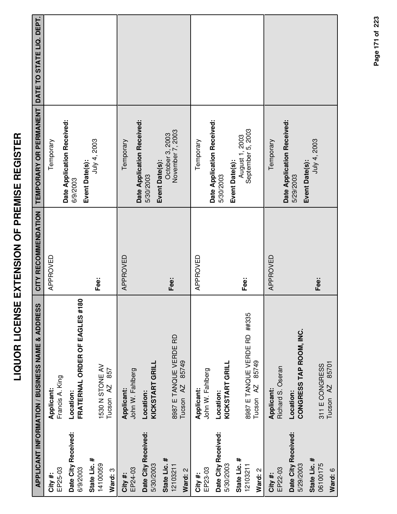|                                     | <b>APPLICANT INFORMATION / BUSINESS NAME &amp; ADDRESS</b>    | CITY RECOMMENDATION | TEMPORARY OR PERMANENT DATE TO STATE LIQ. DEPT.           |  |
|-------------------------------------|---------------------------------------------------------------|---------------------|-----------------------------------------------------------|--|
| EP25-03<br>City #:                  | Francis A. King<br>Applicant:                                 | APPROVED            | Temporary                                                 |  |
| Date City Received:<br>6/9/2003     | FRATERNAL ORDER OF EAGLES #180<br>Location:                   |                     | Date Application Received:<br>6/9/2003                    |  |
| State Lic. #<br>14100059<br>Ward: 3 | 1530 N STONE AV<br>857<br>Tucson <sub>AZ</sub>                | Fee:                | July 4, 2003<br>Event Date(s):                            |  |
| EP24-03<br>City #:                  | John W. Fahlberg<br>Applicant:                                | APPROVED            | Temporary                                                 |  |
| Date City Received:<br>5/30/2003    | KICKSTART GRILL<br>Location:                                  |                     | Date Application Received:<br>5/30/2003                   |  |
| State Lic. #<br>12103211<br>Ward: 2 | 8987 E TANQUE VERDE RD<br>85749<br>Tucson <sub>AZ</sub>       | Fee:                | October 3, 2003<br>November 7, 2003<br>Event Date(s):     |  |
| EP23-03<br>City #:                  | John W. Fahlberg<br>Applicant:                                | APPROVED            | Temporary                                                 |  |
| Date City Received:<br>5/30/2003    | KICKSTART GRILL<br>Location:                                  |                     | Date Application Received:<br>Event Date(s):<br>5/30/2003 |  |
| State Lic. #<br>12103211<br>Ward: 2 | 8987 E TANQUE VERDE RD ##335<br>85749<br>Tucson <sub>AZ</sub> | Fee:                | September 5, 2003<br>August 1, 2003                       |  |
| EP22-03<br>City #:                  | Richard S. Oseran<br>Applicant:                               | APPROVED            | Temporary                                                 |  |
| Date City Received:<br>5/29/2003    | CONGRESS TAP ROOM, INC.<br>Location:                          |                     | Date Application Received:<br>Event Date(s):<br>5/29/2003 |  |
| State Lic. #<br>06100175<br>Ward: 6 | 85701<br>311 E CONGRESS<br>Tucson <sub>AZ</sub>               | Fee:                | July 4, 2003                                              |  |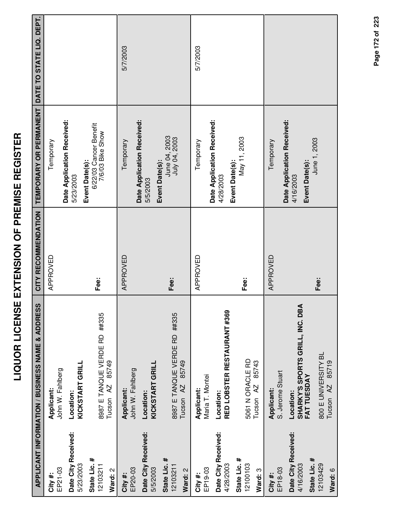|                                  | APPLICANT INFORMATION / BUSINESS NAME & ADDRESS   | CITY RECOMMENDATION | TEMPORARY OR PERMANENT DATE TO STATE LIQ. DEPT.              |          |
|----------------------------------|---------------------------------------------------|---------------------|--------------------------------------------------------------|----------|
| EP21-03<br>City #:               | John W. Fahlberg<br>Applicant:                    | APPROVED            | Temporary                                                    |          |
| Date City Received:              | Location:                                         |                     | Date Application Received:<br>5/23/2003                      |          |
| 5/23/2003                        | KICKSTART GRILL                                   |                     |                                                              |          |
| State Lic. #<br>12103211         | 8987 E TANQUE VERDE RD ##335                      | Fee:                | 6/22/03 Cancer Benefit<br>7/6/03 Bike Show<br>Event Date(s): |          |
| Ward: 2                          | 85749<br>Tucson <sub>AZ</sub>                     |                     |                                                              |          |
| EP20-03<br>City #:               | John W. Fahlberg<br>Applicant:                    | APPROVED            | Temporary                                                    | 5/7/2003 |
| Date City Received:<br>5/5/2003  | <b>KICKSTART GRILL</b><br>Location:               |                     | Date Application Received:<br>5/5/2003                       |          |
| State Lic. #<br>12103211         | 8987 E TANQUE VERDE RD ##335                      | Fee:                | June 04, 2003<br>July 04, 2003<br>Event Date(s):             |          |
| Ward: 2                          | 85749<br>Tucson AZ                                |                     |                                                              |          |
| EP19-03<br>City #:               | Maria T. Montei<br>Applicant:                     | APPROVED            | Temporary                                                    | 5/7/2003 |
| Date City Received:<br>4/28/2003 | RED LOBSTER RESTAURANT #369<br>Location:          |                     | Date Application Received:<br>4/28/2003                      |          |
| State Lic. #<br>12100103         | 5061 N ORACLE RD                                  | Fee:                | May 11, 2003<br>Event Date(s):                               |          |
| Ward: 3                          | 85743<br>Tucson <sub>AZ</sub>                     |                     |                                                              |          |
| City #:                          | Applicant:                                        | APPROVED            | Temporary                                                    |          |
| EP18-03                          | S. Jerome Stuart                                  |                     | Date Application Received:                                   |          |
| Date City Received:<br>4/16/2003 | ⋖<br>SHARKY'S SPORTS GRILL, INC. DB.<br>Location: |                     | 4/16/2003                                                    |          |
| State Lic. #                     | FAT TUESDAY                                       |                     | June 1, 2003<br>Event Date(s):                               |          |
| 12103429                         | 800 E UNIVERSITY BL                               | Fee:                |                                                              |          |
| Ward: 6                          | Tucson AZ 85719                                   |                     |                                                              |          |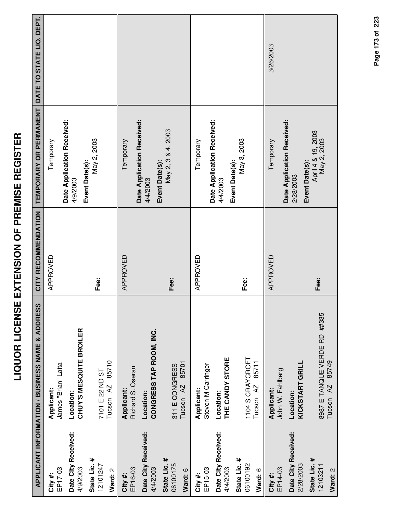|                                     | <b>APPLICANT INFORMATION / BUSINESS NAME &amp; ADDRESS</b>    | CITY RECOMMENDATION | TEMPORARY OR PERMANENT DATE TO STATE LIQ. DEPT.          |           |
|-------------------------------------|---------------------------------------------------------------|---------------------|----------------------------------------------------------|-----------|
| EP17-03<br>City#:                   | James "Brian" Latta<br>Applicant:                             | APPROVED            | Temporary                                                |           |
| Date City Received:<br>4/9/2003     | CHUY'S MESQUITE BROILER<br>Location:                          |                     | Date Application Received:<br>4/9/2003                   |           |
| State Lic. #<br>12101247<br>Ward: 2 | 85710<br>7101 E 22 ND ST<br>Tucson <sub>AZ</sub>              | Fee:                | May 2, 2003<br>Event Date(s):                            |           |
| EP16-03<br>City #:                  | Richard S. Oseran<br>Applicant:                               | APPROVED            | Temporary                                                |           |
| Date City Received:<br>4/4/2003     | CONGRESS TAP ROOM, INC.<br>Location:                          |                     | Date Application Received:<br>Event Date(s):<br>4/4/2003 |           |
| State Lic. #<br>06100175<br>Ward: 6 | 85701<br>311 E CONGRESS<br>Tucson <sub>AZ</sub>               | Fee:                | May 2, 3 & 4, 2003                                       |           |
| EP15-03<br>City #:                  | Steven M Carringer<br>Applicant:                              | APPROVED            | Temporary                                                |           |
| Date City Received:<br>4/4/2003     | THE CANDY STORE<br>Location:                                  |                     | Date Application Received:<br>4/4/2003                   |           |
| State Lic. #<br>06100192<br>Ward: 6 | 1104 S CRAYCROFT<br>85711<br>Tucson <sub>AZ</sub>             | Fee:                | May 3, 2003<br>Event Date(s):                            |           |
| EP14-03<br>City #:                  | John W. Fahlberg<br>Applicant:                                | APPROVED            | Temporary                                                | 3/26/2003 |
| Date City Received:<br>2/28/2003    | KICKSTART GRILL<br>Location:                                  |                     | Date Application Received:<br>2/28/2003                  |           |
| State Lic. #<br>12103211<br>Ward: 2 | 8987 E TANQUE VERDE RD ##335<br>85749<br>Tucson <sub>AZ</sub> | Fee:                | April 4 & 19, 2003<br>May 2, 2003<br>Event Date(s):      |           |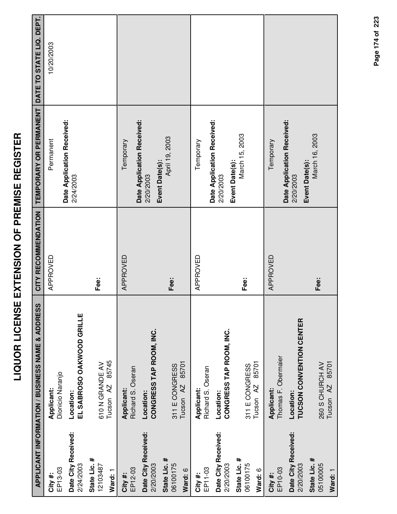|                                     | APPLICANT INFORMATION / BUSINESS NAME & ADDRESS  | CITY RECOMMENDATION | TEMPORARY OR PERMANENT                                    | DATE TO STATE LIQ. DEPT. |
|-------------------------------------|--------------------------------------------------|---------------------|-----------------------------------------------------------|--------------------------|
| EP13-03<br>City #:                  | Dionicio Naranjo<br>Applicant:                   | APPROVED            | Date Application Received:<br>Permanent                   | 10/20/2003               |
| Date City Received:<br>2/24/2003    | EL SABROSO OAKWOOD GRILLE<br>Location:           |                     | 2/24/2003                                                 |                          |
| State Lic. #<br>12103487<br>Ward: 1 | 85745<br>610 N GRANDE AV<br>Tucson <sub>AZ</sub> | Fee:                |                                                           |                          |
| EP12-03<br>City #:                  | Richard S. Oseran<br>Applicant:                  | APPROVED            | Temporary                                                 |                          |
| Date City Received:<br>2/20/2003    | CONGRESS TAP ROOM, INC.<br>Location:             |                     | Date Application Received:<br>2/20/2003                   |                          |
| State Lic. #<br>06100175<br>Ward: 6 | 85701<br>311 E CONGRESS<br>Tucson <sub>AZ</sub>  | Fee:                | April 19, 2003<br>Event Date(s):                          |                          |
| EP11-03<br>City #:                  | Richard S. Oseran<br>Applicant:                  | APPROVED            | Temporary                                                 |                          |
| Date City Received:<br>2/20/2003    | CONGRESS TAP ROOM, INC.<br>Location:             |                     | Date Application Received:<br>Event Date(s):<br>2/20/2003 |                          |
| State Lic. #<br>06100175<br>Ward: 6 | 85701<br>311 E CONGRESS<br>Tucson <sub>AZ</sub>  | Fee:                | March 15, 2003                                            |                          |
| EP10-03<br>City#:                   | Thomas F. Obermaier<br>Applicant:                | APPROVED            | Temporary                                                 |                          |
| Date City Received:<br>2/20/2003    | <b>TUCSON CONVENTION CENTER</b><br>Location:     |                     | Date Application Received:<br>Event Date(s):<br>2/20/2003 |                          |
| State Lic. #<br>05100005<br>Ward: 1 | 85701<br>260 S CHURCH AV<br>Tucson <sub>AZ</sub> | Fee:                | March 16, 2003                                            |                          |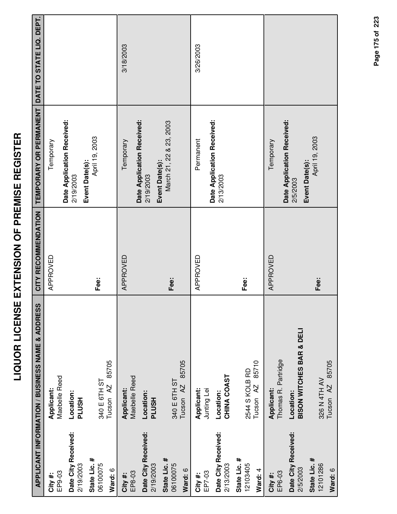|                                     | <b>APPLICANT INFORMATION / BUSINESS NAME &amp; ADDRESS</b> | CITY RECOMMENDATION | TEMPORARY OR PERMANENT                                    | DATE TO STATE LIQ. DEPT. |
|-------------------------------------|------------------------------------------------------------|---------------------|-----------------------------------------------------------|--------------------------|
| EP9-03<br>City #:                   | Maebelle Reed<br>Applicant:                                | APPROVED            | Temporary                                                 |                          |
| Date City Received:<br>2/19/2003    | Location:<br><b>HSUTd</b>                                  |                     | Date Application Received:<br>Event Date(s):<br>2/19/2003 |                          |
| State Lic. #<br>06100075<br>Ward: 6 | 85705<br>340 E 6TH ST<br>Tucson <sub>AZ</sub>              | Fee:                | April 19, 2003                                            |                          |
| EP8-03<br>City #:                   | Maebelle Reed<br>Applicant:                                | APPROVED            | Date Application Received:<br>Temporary                   | 3/18/2003                |
| Date City Received:<br>2/19/2003    | Location:<br><b>PLUSH</b>                                  |                     | Event Date(s):<br>2/19/2003                               |                          |
| State Lic. #<br>06100075<br>Ward: 6 | 85705<br>340 E 6TH ST<br>Tucson <sub>AZ</sub>              | Fee:                | March 21, 22 & 23, 2003                                   |                          |
| EP7-03<br>City #:                   | Applicant:<br>Junting Lei                                  | APPROVED            | Permanent                                                 | 3/26/2003                |
| Date City Received:<br>2/13/2003    | CHINA COAST<br>Location:                                   |                     | Date Application Received:<br>2/13/2003                   |                          |
| State Lic. #<br>12103405<br>Ward: 4 | 85710<br>2544 S KOLB RD<br>Tucson <sub>AZ</sub>            | Fee:                |                                                           |                          |
| EP6-03<br>City#:                    | Thomas R. Partridge<br>Applicant:                          | APPROVED            | Temporary                                                 |                          |
| Date City Received:<br>2/5/2003     | <b>BISON WITCHES BAR &amp; DELI</b><br>Location:           |                     | Date Application Received:<br>Event Date(s):<br>2/5/2003  |                          |
| State Lic. #<br>12101286<br>Ward: 6 | 85705<br>326 N 4TH AV<br>$\overline{A}$<br>Tucson          | Fee:                | April 19, 2003                                            |                          |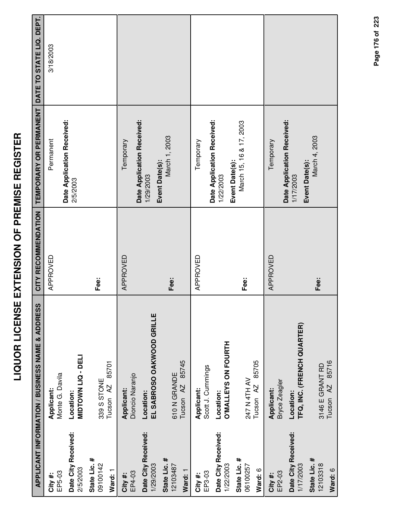|                                                                         | APPLICANT INFORMATION / BUSINESS NAME & ADDRESS                               | CITY RECOMMENDATION | <b>TEMPORARY OR PERMANENT</b>                          | DATE TO STATE LIQ. DEPT. |
|-------------------------------------------------------------------------|-------------------------------------------------------------------------------|---------------------|--------------------------------------------------------|--------------------------|
| EP5-03<br>City #:                                                       | Monte G. Davila<br>Applicant:                                                 | APPROVED            | Permanent                                              | 3/18/2003                |
| Date City Received:<br>2/5/2003                                         | MIDTOWN LIQ - DELI<br>Location:                                               |                     | Date Application Received:<br>2/5/2003                 |                          |
| State Lic. #<br>09100142<br>Ward: 1                                     | 85701<br>339 S STONE<br>Tucson <sub>AZ</sub>                                  | Fee:                |                                                        |                          |
| Date City Received:<br>EP4-03<br>City #:                                | Dioncio Naranjo<br>Applicant:<br>Location:                                    | APPROVED            | Date Application Received:<br>Temporary<br>1/29/2003   |                          |
| State Lic. #<br>1/29/2003<br>12103487<br>Ward: 1                        | EL SABROSO OAKWOOD GRILLE<br>85745<br>610N GRANDE<br>Tucson <sub>AZ</sub>     | Fee:                | March 1, 2003<br>Event Date(s):                        |                          |
| EP3-03<br>City #:                                                       | Scott J. Cummings<br>Applicant:                                               | APPROVED            | Date Application Received:<br>Temporary                |                          |
| Date City Received:<br>State Lic. #<br>1/22/2003<br>06100257<br>Ward: 6 | <b>O'MALLEYS ON FOURTH</b><br>85705<br>247 N 4TH AV<br>Tucson AZ<br>Location: | Fee:                | March 15, 16 & 17, 2003<br>Event Date(s):<br>1/22/2003 |                          |
| Date City Received:<br>EP2-03<br>City #:                                | Bryce Zeagler<br>Applicant:<br>Location:                                      | APPROVED            | Date Application Received:<br>Temporary<br>1/17/2003   |                          |
| State Lic. #<br>12103318<br>1/17/2003<br>Ward: 6                        | TFQ, INC. (FRENCH QUARTER)<br>Tucson AZ 85716<br>3146 E GRANT RD              | Fee:                | March 4, 2003<br>Event Date(s):                        |                          |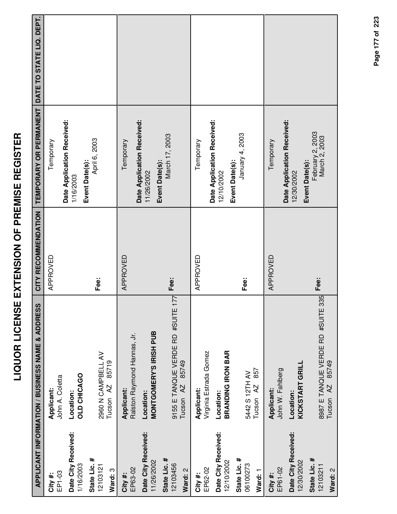|                                     | APPLICANT INFORMATION / BUSINESS NAME & ADDRESS                        | CITY RECOMMENDATION | <b>TEMPORARY OR PERMANENT</b>                       | DATE TO STATE LIQ. DEPT. |
|-------------------------------------|------------------------------------------------------------------------|---------------------|-----------------------------------------------------|--------------------------|
| EP1-03<br>City#:                    | John A. Coletta<br>Applicant:                                          | APPROVED            | Temporary                                           |                          |
| Date City Received:<br>1/16/2003    | OLD CHICAGO<br>Location:                                               |                     | Date Application Received:<br>1/16/2003             |                          |
| State Lic. #<br>12103121<br>Ward: 3 | 2960 N CAMPBELL AV<br>85719<br>Tucson <sub>AZ</sub>                    | Fee:                | April 6, 2003<br>Event Date(s):                     |                          |
| EP63-02<br>City #:                  | Ralston Raymond Hannas, Jr.<br>Applicant:                              | APPROVED            | Temporary                                           |                          |
| Date City Received:<br>11/26/2002   | MONTGOMERY'S IRISH PUB<br>Location:                                    |                     | Date Application Received:<br>11/26/2002            |                          |
| State Lic. #<br>12103456<br>Ward: 2 | 77<br>9155 E TANQUE VERDE RD #SUITE 1<br>85749<br>Tucson <sub>AZ</sub> | Fee:                | March 17, 2003<br>Event Date(s):                    |                          |
| EP62-02<br>City #:                  | Virginia Estrada Gomez<br>Applicant:                                   | APPROVED            | Temporary                                           |                          |
| Date City Received:<br>12/10/2002   | <b>BRANDING IRON BAR</b><br>Location:                                  |                     | Date Application Received:<br>12/10/2002            |                          |
| State Lic. #<br>06100273<br>Ward: 1 | 857<br>5442 S 12TH AV<br>Tucson <sub>AZ</sub>                          | Fee:                | January 4, 2003<br>Event Date(s):                   |                          |
| EP61-02<br>City #:                  | John W. Fahlberg<br>Applicant:                                         | APPROVED            | Temporary                                           |                          |
| Date City Received:<br>12/30/2002   | KICKSTART GRILL<br>Location:                                           |                     | Date Application Received:<br>12/30/2002            |                          |
| State Lic. #<br>12103211<br>Ward: 2 | 8987 E TANQUE VERDE RD #SUITE 335<br>85749<br>Tucson <sub>AZ</sub>     | Fee:                | February 2, 2003<br>March 2, 2003<br>Event Date(s): |                          |

**LIQUOR LICENSE EXTENSION OF PREMISE REGISTER**

LIQUOR LICENSE EXTENSION OF PREMISE REGISTER

Page 177 of 223 **Page of 177 223**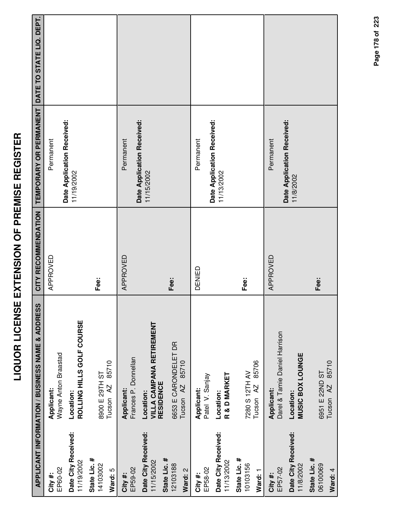|                                                   | <b>APPLICANT INFORMATION / BUSINESS NAME &amp; ADDRESS</b>       | CITY RECOMMENDATION | TEMPORARY OR PERMANENT DATE TO STATE LIQ. DEPT. |  |
|---------------------------------------------------|------------------------------------------------------------------|---------------------|-------------------------------------------------|--|
| EP60-02<br>City #:                                | Wayne Anton Braastad<br>Applicant:                               | APPROVED            | Date Application Received:<br>Permanent         |  |
| Date City Received:<br>11/19/2002                 | ROLLING HILLS GOLF COURSE<br>Location:                           |                     | 11/19/2002                                      |  |
| State Lic. #<br>14103002<br>Ward: 5               | 85710<br>1S H16Z 5 0068<br>Tucson <sub>AZ</sub>                  | Fee:                |                                                 |  |
| EP59-02<br>City #:                                | Frances P. Donnellan<br>Applicant:                               | APPROVED            | Permanent                                       |  |
| Date City Received:<br>State Lic. #<br>11/15/2002 | <b>VILLA CAMPANA RETIREMENT</b><br><b>RESIDENCE</b><br>Location: |                     | Date Application Received:<br>11/15/2002        |  |
| 12103188<br>Ward: 2                               | 6653 E CARONDELET DR<br>85710<br>Tucson <sub>AZ</sub>            | Fee:                |                                                 |  |
| EP58-02<br>City #:                                | Patel V. Sanjay<br>Applicant:                                    | DENIED              | Date Application Received:<br>Permanent         |  |
| Date City Received:<br>11/13/2002                 | R & D MARKET<br>Location:                                        |                     | 11/13/2002                                      |  |
| State Lic. #<br>10103156<br>Ward: 1               | 85706<br>7280 S 12TH AV<br>Tucson AZ                             | Fee:                |                                                 |  |
| EP57-02<br>City #:                                | Darel & Tamie Daniel Harrison<br>Applicant:                      | APPROVED            | Permanent                                       |  |
| Date City Received:<br>11/8/2002                  | MUSIC BOX LOUNGE<br>Location:                                    |                     | Date Application Received:<br>11/8/2002         |  |
| State Lic. #<br>06100069<br>Ward: 4               | 85710<br>6951 E 22ND ST<br>Tucson <sub>AZ</sub>                  | Fee:                |                                                 |  |

**LIQUOR LICENSE EXTENSION OF PREMISE REGISTER**

LIQUOR LICENSE EXTENSION OF PREMISE REGISTER

Page 178 of 223 **Page of 178 223**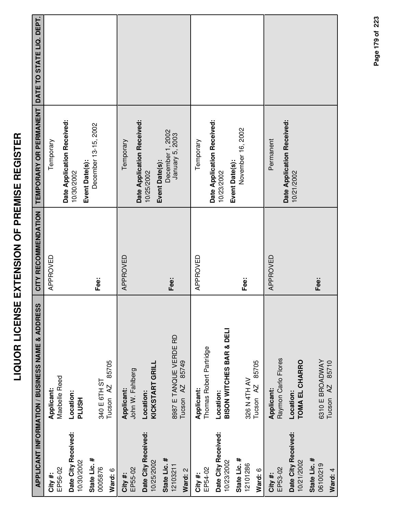| ĺ<br>i<br> <br> <br>              |  |
|-----------------------------------|--|
| Í<br>I<br>$\frac{1}{1}$<br>İ<br>ï |  |
| -<br>-<br>Ī<br>i<br>$\frac{1}{2}$ |  |
| <br> <br> <br> <br> <br>          |  |
| ì<br>l                            |  |
| J                                 |  |

|                                     | APPLICANT INFORMATION / BUSINESS NAME & ADDRESS         | CITY RECOMMENDATION | <b>TEMPORARY OR PERMANENT</b>                              | DATE TO STATE LIQ. DEPT. |
|-------------------------------------|---------------------------------------------------------|---------------------|------------------------------------------------------------|--------------------------|
| EP56-02<br>City#:                   | Maebelle Reed<br>Applicant:                             | APPROVED            | Temporary                                                  |                          |
| Date City Received:<br>10/30/2002   | Location:<br><b>PLUSH</b>                               |                     | Date Application Received:<br>10/30/2002                   |                          |
| State Lic. #<br>0005876<br>Ward: 6  | 85705<br>340 E 6TH ST<br>Tucson <sub>AZ</sub>           | Fee:                | December 13-15, 2002<br>Event Date(s):                     |                          |
| EP55-02<br>City #:                  | John W. Fahlberg<br>Applicant:                          | APPROVED            | Temporary                                                  |                          |
| Date City Received:<br>10/25/2002   | KICKSTART GRILL<br>Location:                            |                     | Date Application Received:<br>Event Date(s):<br>10/25/2002 |                          |
| State Lic. #<br>12103211<br>Ward: 2 | 8987 E TANQUE VERDE RD<br>85749<br>Tucson <sub>AZ</sub> | Fee:                | December 1, 2002<br>January 5, 2003                        |                          |
| EP54-02<br>City #:                  | Thomas Robert Partridge<br>Applicant:                   | APPROVED            | Temporary                                                  |                          |
| Date City Received:<br>10/23/2002   | <b>BISON WITCHES BAR &amp; DELI</b><br>Location:        |                     | Date Application Received:<br>10/23/2002                   |                          |
| State Lic. #<br>12101286<br>Ward: 6 | 85705<br>326 N 4TH AV<br>Tucson AZ                      | Fee:                | November 16, 2002<br>Event Date(s):                        |                          |
| EP53-02<br>City #:                  | Raymon Carlo Flores<br>Applicant:                       | APPROVED            | Permanent                                                  |                          |
| Date City Received:<br>10/21/2002   | TOMA EL CHARRO<br>Location:                             |                     | Date Application Received:<br>10/21/2002                   |                          |
| State Lic. #<br>06100219<br>Ward: 4 | 6310 E BROADWAY<br>85710<br>Tucson <sub>AZ</sub>        | Fee:                |                                                            |                          |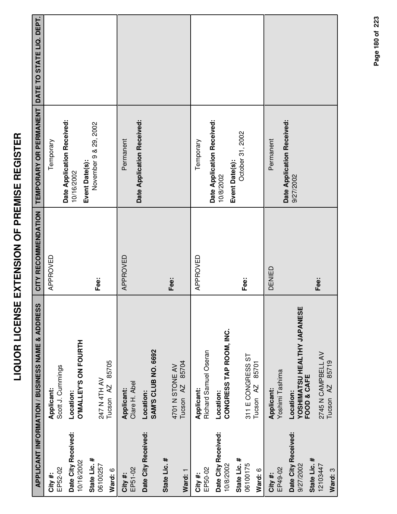|                                                  | <b>APPLICANT INFORMATION / BUSINESS NAME &amp; ADDRESS</b>     | CITY RECOMMENDATION | TEMPORARY OR PERMANENT                                     | DATE TO STATE LIQ. DEPT. |
|--------------------------------------------------|----------------------------------------------------------------|---------------------|------------------------------------------------------------|--------------------------|
| EP52-02<br>City #:                               | Scott J. Cummings<br>Applicant:                                | APPROVED            | Temporary                                                  |                          |
| Date City Received:<br>10/16/2002                | <b>O'MALLEY'S ON FOURTH</b><br>Location:                       |                     | Date Application Received:<br>Event Date(s):<br>10/16/2002 |                          |
| State Lic. #<br>06100257<br>Ward: 6              | 85705<br>247 N 4TH AV<br>Tucson AZ                             | Fee:                | November 9 & 29, 2002                                      |                          |
| EP51-02<br>City #:                               | Clare H. Abel<br>Applicant:                                    | APPROVED            | Permanent                                                  |                          |
| Date City Received:                              | SAM'S CLUB NO. 6692<br>Location:                               |                     | Date Application Received:                                 |                          |
| State Lic. #<br>Ward: 1                          | 85704<br>4701 N STONE AV<br>Tucson <sub>AZ</sub>               | Fee:                |                                                            |                          |
| EP50-02<br>City #:                               | Richard Samuel Oseran<br>Applicant:                            | APPROVED            | Temporary                                                  |                          |
| Date City Received:<br>10/8/2002                 | CONGRESS TAP ROOM, INC.<br>Location:                           |                     | Date Application Received:<br>10/8/2002                    |                          |
| State Lic. #<br>06100175<br>Ward: 6              | 311 E CONGRESS ST<br>85701<br>Tucson <sub>AZ</sub>             | Fee:                | October 31, 2002<br>Event Date(s):                         |                          |
| EP49-02<br>City #:                               | Yoshimi Tashima<br>Applicant:                                  | DENIED              | Permanent                                                  |                          |
| Date City Received:<br>State Lic. #<br>9/27/2002 | <b>YOSHIMATSU HEALTHY JAPANESE</b><br>FOOD & CAFE<br>Location: |                     | Date Application Received:<br>9/27/2002                    |                          |
| 12103447<br>Ward: 3                              | 2745 N CAMPBELL AV<br>85719<br>Tucson AZ                       | Fee:                |                                                            |                          |

Page 180 of 223 **Page of 180 223**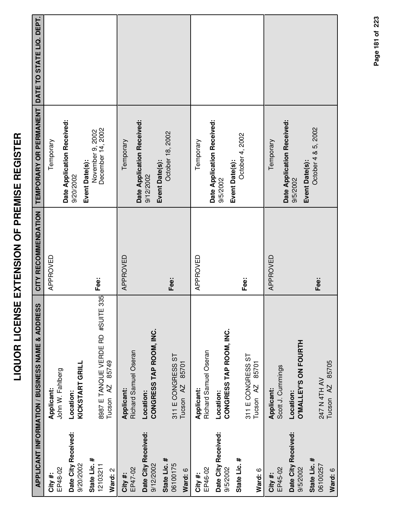| l<br>Ì           |
|------------------|
|                  |
| I                |
| I<br>۱<br>ĺ<br>I |
|                  |
| l                |
| $\overline{a}$   |
| i                |
| I                |
| l                |
| -<br>-<br>۱      |
| Ī                |
|                  |
| Í                |
|                  |
| Í<br>ì           |
| I                |
| į                |
|                  |
|                  |
| j                |
| į                |
| I                |
| Ì                |
|                  |
|                  |
|                  |
|                  |
| i                |
|                  |

|                                     | APPLICANT INFORMATION / BUSINESS NAME & ADDRESS                    | CITY RECOMMENDATION | <b>TEMPORARY OR PERMANENT</b>                             | DATE TO STATE LIQ. DEPT. |
|-------------------------------------|--------------------------------------------------------------------|---------------------|-----------------------------------------------------------|--------------------------|
| EP48-02<br>City#:                   | John W. Fahlberg<br>Applicant:                                     | APPROVED            | Temporary                                                 |                          |
| Date City Received:<br>9/20/2002    | KICKSTART GRILL<br>Location:                                       |                     | Date Application Received:<br>9/20/2002                   |                          |
| State Lic. #<br>12103211<br>Ward: 2 | 8987 E TANQUE VERDE RD #SUITE 335<br>85749<br>Tucson <sub>AZ</sub> | Fee:                | November 9, 2002<br>December 14, 2002<br>Event Date(s):   |                          |
| EP47-02<br>City#:                   | Richard Samuel Oseran<br>Applicant:                                | APPROVED            | Temporary                                                 |                          |
| Date City Received:<br>9/12/2002    | CONGRESS TAP ROOM, INC.<br>Location:                               |                     | Date Application Received:<br>Event Date(s):<br>9/12/2002 |                          |
| State Lic. #<br>06100175<br>Ward: 6 | 311 E CONGRESS ST<br>85701<br>Tucson <sub>AZ</sub>                 | Fee:                | October 18, 2002                                          |                          |
| EP46-02<br>City #:                  | Richard Samuel Oseran<br>Applicant:                                | APPROVED            | Temporary                                                 |                          |
| Date City Received:<br>9/5/2002     | CONGRESS TAP ROOM, INC.<br>Location:                               |                     | Date Application Received:<br>9/5/2002                    |                          |
| State Lic. #<br>Ward: 6             | 311 E CONGRESS ST<br>85701<br>Tucson <sub>AZ</sub>                 | Fee:                | October 4, 2002<br>Event Date(s):                         |                          |
| EP45-02<br>City #:                  | Scott J. Cummings<br>Applicant:                                    | APPROVED            | Temporary                                                 |                          |
| Date City Received:<br>9/5/2002     | <b>O'MALLEY'S ON FOURTH</b><br>Location:                           |                     | Date Application Received:<br>Event Date(s):<br>9/5/2002  |                          |
| State Lic. #<br>06100257<br>Ward: 6 | 85705<br>247 N 4TH AV<br>Tucson <sub>AZ</sub>                      | Fee:                | October 4 & 5, 2002                                       |                          |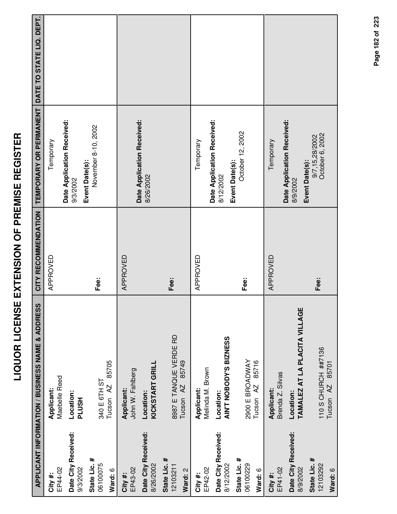|                                                 |                                                            | LIQUOR LICENSE EXTENSION OF PREMISE REGISTER |                                                     |                          |
|-------------------------------------------------|------------------------------------------------------------|----------------------------------------------|-----------------------------------------------------|--------------------------|
|                                                 | <b>APPLICANT INFORMATION / BUSINESS NAME &amp; ADDRESS</b> | CITY RECOMMENDATION                          | TEMPORARY OR PERMANENT                              | DATE TO STATE LIQ. DEPT. |
| EP44-02<br>City#:                               | Maebelle Reed<br>Applicant:                                | APPROVED                                     | Temporary                                           |                          |
| Date City Received:<br>9/3/2002                 | Location:<br><b>HSUTL</b>                                  |                                              | Date Application Received:<br>9/3/2002              |                          |
| State Lic. #<br>06100075<br>Ward: 6             | 85705<br>340 E 6TH ST<br>Tucson <sub>AZ</sub>              | Fee:                                         | November 8-10, 2002<br>Event Date(s):               |                          |
| EP43-02<br>City #:                              | John W. Fahlberg<br>Applicant:                             | APPROVED                                     | Date Application Received:                          |                          |
| Date City Received:<br>8/26/2002                | KICKSTART GRILL<br>Location:                               |                                              | 8/26/2002                                           |                          |
| State Lic. #<br>12103211<br>Ward: 2             | 8987 E TANQUE VERDE RD<br>85749<br>Tucson <sub>AZ</sub>    | Fee:                                         |                                                     |                          |
| EP42-02<br>City #:                              | Melinda M. Brown<br>Applicant:                             | APPROVED                                     | Temporary                                           |                          |
| Date City Received:<br>8/12/2002                | AIN'T NOBODY'S BIZNESS<br>Location:                        |                                              | Date Application Received:<br>8/12/2002             |                          |
| State Lic. #<br>06100229<br>Ward: 6             | 2900 E BROADWAY<br>85716<br>Tucson <sub>AZ</sub>           | Fee:                                         | October 12, 2002<br>Event Date(s):                  |                          |
| EP41-02<br>City #:                              | Brenda Z. Silvas<br>Applicant:                             | APPROVED                                     | Temporary                                           |                          |
| Date City Received:<br>8/9/2002                 | TAMALEZ AT LA PLACITA VILLAGE<br>Location:                 |                                              | Date Application Received:<br>8/9/2002              |                          |
| State Lic. #<br>12103292<br><b>A</b> - Mard - A | 110 S CHURCH ##7136<br>85701<br>Tucson <sub>AZ</sub>       | Fee:                                         | 9/7,15,28/2002<br>October 6, 2002<br>Event Date(s): |                          |

LIQUOR LICENSE EXTENSION OF PREMISE REGISTER

Page 182 of 223 **Page of 182 223**

**Ward:** 6

Tucson AZ 85701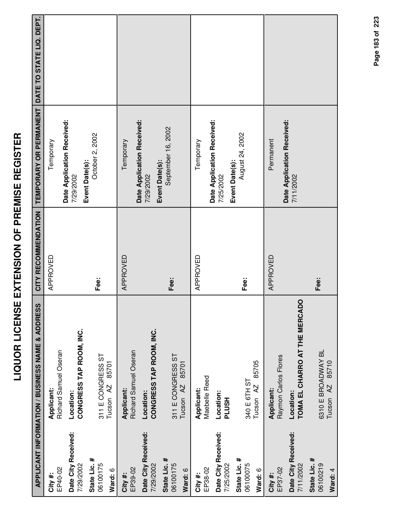|                                     | <b>APPLICANT INFORMATION / BUSINESS NAME &amp; ADDRESS</b> | CITY RECOMMENDATION | TEMPORARY OR PERMANENT DATE TO STATE LIQ. DEPT.           |  |
|-------------------------------------|------------------------------------------------------------|---------------------|-----------------------------------------------------------|--|
| EP40-02<br>City #:                  | Richard Samuel Oseran<br>Applicant:                        | APPROVED            | Temporary                                                 |  |
| Date City Received:<br>7/29/2002    | CONGRESS TAP ROOM, INC.<br>Location:                       |                     | Date Application Received:<br>7/29/2002                   |  |
| State Lic. #<br>06100175<br>Ward: 6 | 311 E CONGRESS ST<br>85701<br>Tucson <sub>AZ</sub>         | Fee:                | October 2, 2002<br>Event Date(s):                         |  |
| EP39-02<br>City #:                  | Richard Samuel Oseran<br>Applicant:                        | APPROVED            | Temporary                                                 |  |
| Date City Received:<br>7/29/2002    | CONGRESS TAP ROOM, INC.<br>Location:                       |                     | Date Application Received:<br>Event Date(s):<br>7/29/2002 |  |
| State Lic. #<br>06100175<br>Ward: 6 | 311 E CONGRESS ST<br>85701<br>Tucson <sub>AZ</sub>         | Fee:                | September 16, 2002                                        |  |
| EP38-02<br>City #:                  | Maebelle Reed<br>Applicant:                                | APPROVED            | Temporary                                                 |  |
| Date City Received:<br>7/25/2002    | Location:<br>HSUT                                          |                     | Date Application Received:<br>7/25/2002                   |  |
| State Lic. #<br>06100075<br>Ward: 6 | 85705<br>340 E 6TH ST<br>Tucson <sub>AZ</sub>              | Fee:                | August 24, 2002<br>Event Date(s):                         |  |
| EP37-02<br>City #:                  | Raymon Carlos Flores<br>Applicant:                         | APPROVED            | Permanent                                                 |  |
| Date City Received:<br>7/11/2002    | TOMA EL CHARRO AT THE MERCADO<br>Location:                 |                     | Date Application Received:<br>7/11/2002                   |  |
| State Lic. #<br>06100219<br>Ward: 4 | 6310 E BROADWAY BL<br>85710<br>Tucson <sub>AZ</sub>        | Fee:                |                                                           |  |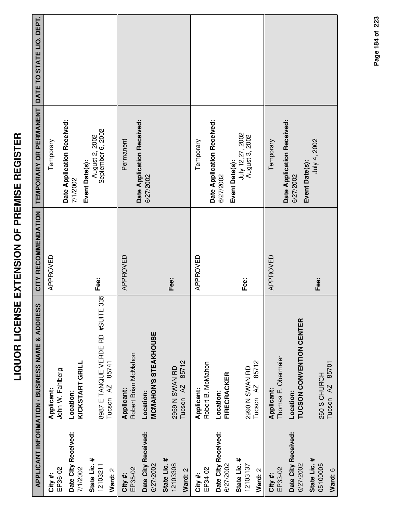| İ                                                                                     |
|---------------------------------------------------------------------------------------|
|                                                                                       |
| ו<br>ו                                                                                |
| $\frac{1}{1}$                                                                         |
|                                                                                       |
| i<br>I                                                                                |
| Ī                                                                                     |
| l                                                                                     |
| i<br>I                                                                                |
| ֖֖֖֖֪֪ׅ֖֪֪ׅ֖֪֪֧֪֪֪ׅ֖֧֪֪֪ׅ֪֪֪֪֪֪֪֪֪֪֪֪֪֪֪֚֚֚֚֚֚֚֚֚֚֚֚֚֚֚֚֚֚֚֚֚֚֚֚֚֡֝֝֝֝֝֝֝֝֝֝֝֝֝֝֝֝֬֝֝ |
| I                                                                                     |
| ı                                                                                     |
| ו<br>ו                                                                                |
|                                                                                       |
| -<br>こ<br>く<br>く                                                                      |
|                                                                                       |
|                                                                                       |
| İ                                                                                     |
|                                                                                       |
| İ                                                                                     |
|                                                                                       |
|                                                                                       |
|                                                                                       |
| i                                                                                     |
| i<br>F                                                                                |
| Į                                                                                     |
|                                                                                       |
|                                                                                       |
|                                                                                       |
| ļ                                                                                     |
| í                                                                                     |
|                                                                                       |
|                                                                                       |

|                                     | APPLICANT INFORMATION / BUSINESS NAME & ADDRESS                    |          | CITY RECOMMENDATION   TEMPORARY OR PERMANENT   DATE TO STATE LIQ. DEPT. |  |
|-------------------------------------|--------------------------------------------------------------------|----------|-------------------------------------------------------------------------|--|
| EP36-02<br>City #:                  | John W. Fahlberg<br>Applicant:                                     | APPROVED | Temporary                                                               |  |
| Date City Received:<br>7/1/2002     | KICKSTART GRILL<br>Location:                                       |          | Date Application Received:<br>7/1/2002                                  |  |
| State Lic. #<br>12103211<br>Ward: 2 | 8987 E TANQUE VERDE RD #SUITE 335<br>85741<br>Tucson <sub>AZ</sub> | Fee:     | September 6, 2002<br>August 2, 2002<br>Event Date(s):                   |  |
| EP35-02<br>City#:                   | Robert Brian McMahon<br>Applicant:                                 | APPROVED | Date Application Received:<br>Permanent                                 |  |
| Date City Received:<br>6/27/2002    | <b>MCMAHON'S STEAKHOUSE</b><br>Location:                           |          | 6/27/2002                                                               |  |
| State Lic. #<br>12103308<br>Ward: 2 | 85712<br>2959 N SWAN RD<br>Tucson <sub>AZ</sub>                    | Fee:     |                                                                         |  |
| EP34-02<br>City#:                   | Robert B. McMahon<br>Applicant:                                    | APPROVED | Temporary                                                               |  |
| Date City Received:<br>6/27/2002    | FIRECRACKER<br>Location:                                           |          | Date Application Received:<br>6/27/2002                                 |  |
| State Lic. #<br>12103137<br>Ward: 2 | 85712<br>2990 N SWAN RD<br>Tucson <sub>AZ</sub>                    | Fee:     | July 12,27, 2002<br>August 3, 2002<br>Event Date(s):                    |  |
| EP33-02<br>City#:                   | Thomas F. Obermaier<br>Applicant:                                  | APPROVED | Temporary                                                               |  |
| Date City Received:<br>6/27/2002    | <b>TUCSON CONVENTION CENTER</b><br>Location:                       |          | Date Application Received:<br>Event Date(s):<br>6/27/2002               |  |
| State Lic. #<br>05100005<br>Ward: 6 | 85701<br>260 S CHURCH<br>Tucson <sub>AZ</sub>                      | Fee:     | July 4, 2002                                                            |  |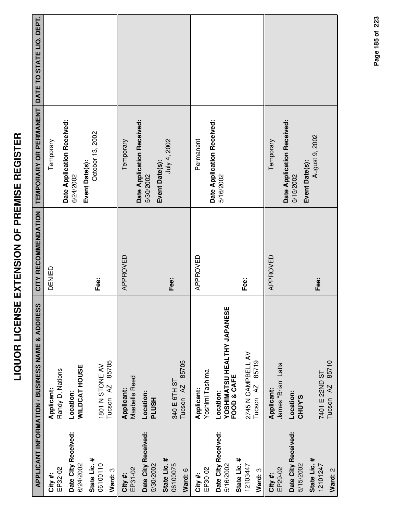|                                                  | APPLICANT INFORMATION / BUSINESS NAME & ADDRESS         | CITY RECOMMENDATION | TEMPORARY OR PERMANENT DATE TO STATE LIQ. DEPT.           |  |
|--------------------------------------------------|---------------------------------------------------------|---------------------|-----------------------------------------------------------|--|
| EP32-02<br>City#:                                | Randy D. Nations<br>Applicant:                          | DENIED              | Date Application Received:<br>Temporary                   |  |
| Date City Received:<br>6/24/2002                 | <b>WILDCAT HOUSE</b><br>Location:                       |                     | Event Date(s):<br>6/24/2002                               |  |
| State Lic. #<br>06100110<br>Ward: 3              | 85705<br>1801 N STONE AV<br>Tucson <sub>AZ</sub>        | Fee:                | October 13, 2002                                          |  |
| EP31-02<br>City #:                               | Maebelle Reed<br>Applicant:                             | APPROVED            | Temporary                                                 |  |
| Date City Received:<br>5/30/2002                 | Location:<br><b>HSUTL</b>                               |                     | Date Application Received:<br>5/30/2002                   |  |
| State Lic. #<br>06100075<br>Ward: 6              | 85705<br>340 E 6TH ST<br>Tucson <sub>AZ</sub>           | Fee:                | July 4, 2002<br>Event Date(s):                            |  |
| EP30-02<br>City #:                               | Yoshimi Tashima<br>Applicant:                           | APPROVED            | Permanent                                                 |  |
| Date City Received:<br>State Lic. #<br>5/16/2002 | YOSHIMATSU HEALTHY JAPANESE<br>FOOD & CAFE<br>Location: |                     | Date Application Received:<br>5/16/2002                   |  |
| 12103447<br>Ward: 3                              | 2745 N CAMPBELL AV<br>85719<br>Tucson <sub>AZ</sub>     | Fee:                |                                                           |  |
| EP29-02<br>City #:                               | James "Brian" Latta<br>Applicant:                       | APPROVED            | Temporary                                                 |  |
| Date City Received:<br>5/15/2002                 | Location:<br><b>CHUY'S</b>                              |                     | Date Application Received:<br>Event Date(s):<br>5/15/2002 |  |
| State Lic. #<br>12101247<br>Ward: 2              | 85710<br>7401 E 22ND ST<br>Tucson <sub>AZ</sub>         | Fee:                | August 9, 2002                                            |  |

Page 185 of 223 **Page of 185 223**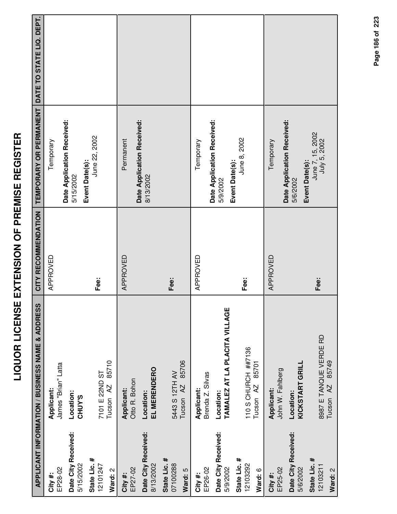|                                           | <b>APPLICANT INFORMATION / BUSINESS NAME &amp; ADDRESS</b> | CITY RECOMMENDATION | TEMPORARY OR PERMANENT                             | DATE TO STATE LIQ. DEPT. |
|-------------------------------------------|------------------------------------------------------------|---------------------|----------------------------------------------------|--------------------------|
| EP28-02<br>City #:                        | James "Brian" Latta<br>Applicant:                          | APPROVED            | Temporary                                          |                          |
| Date City Received:                       | Location:                                                  |                     | Date Application Received:                         |                          |
| 5/15/2002                                 | CHUY'S                                                     |                     | 5/15/2002                                          |                          |
| State Lic. #<br>12101247                  | 7101 E 22ND ST                                             | Fee:                | June 22, 2002<br>Event Date(s):                    |                          |
| Ward: 2                                   | 85710<br>Tucson <sub>AZ</sub>                              |                     |                                                    |                          |
| EP27-02<br>City #:                        | Otto R. Bohon<br>Applicant:                                | APPROVED            | Permanent                                          |                          |
| Date City Received:<br>8/13/2002          | EL MERENDERO<br>Location:                                  |                     | Date Application Received:<br>8/13/2002            |                          |
| State Lic. #<br>07100288<br>Ward: 5       | 85706<br>5443 S 12TH AV<br>Tucson <sub>AZ</sub>            | Fee:                |                                                    |                          |
| EP26-02<br>City #:                        | Brenda Z. Silvas<br>Applicant:                             | APPROVED            | Temporary                                          |                          |
| Date City Received:<br>5/9/2002           | TAMALEZ AT LA PLACITA VILLAGE<br>Location:                 |                     | Date Application Received:<br>5/9/2002             |                          |
| State Lic. #<br>12103292<br>Ward: 6       | 110 S CHURCH ##7136<br>85701<br>Tucson <sub>AZ</sub>       | Fee:                | June 8, 2002<br>Event Date(s):                     |                          |
| EP25-02<br>City#:                         | John W. Fahlberg<br><b>Applicant:</b>                      | APPROVED            | Temporary                                          |                          |
| Date City Received:<br>5/6/2002           | KICKSTART GRILL<br>Location:                               |                     | Date Application Received:<br>5/6/2002             |                          |
| State Lic. #<br>12103211<br><b>C.HucM</b> | 8987 E TANQUE VERDE RD<br>Tucson AZ 85749                  | Fee:                | June 7, 15, 2002<br>July 5, 2002<br>Event Date(s): |                          |

Page 186 of 223 **Page of 186 223**

**Ward:** 2

Tucson AZ 85749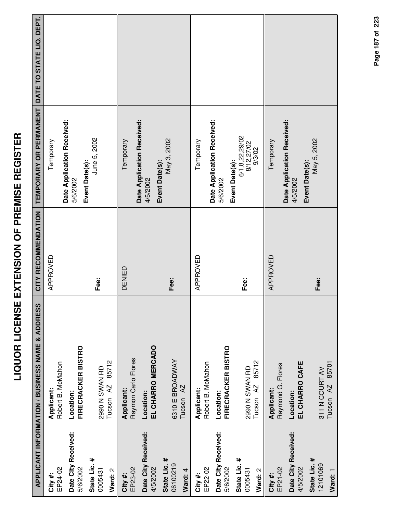|                                     | <b>APPLICANT INFORMATION / BUSINESS NAME &amp; ADDRESS</b> | CITY RECOMMENDATION | TEMPORARY OR PERMANENT DATE TO STATE LIQ. DEPT.          |  |
|-------------------------------------|------------------------------------------------------------|---------------------|----------------------------------------------------------|--|
| EP24-02<br>City#:                   | Robert B. McMahon<br>Applicant:                            | APPROVED            | Temporary                                                |  |
| Date City Received:<br>5/6/2002     | <b>FIRECRACKER BISTRO</b><br>Location:                     |                     | Date Application Received:<br>5/6/2002                   |  |
| State Lic. #<br>0005431<br>Ward: 2  | 85712<br>2990 N SWAN RD<br>Tucson <sub>AZ</sub>            | Fee:                | June 5, 2002<br>Event Date(s):                           |  |
| EP23-02<br>City#:                   | Raymon Carlo Flores<br>Applicant:                          | DENIED              | Temporary                                                |  |
| Date City Received:<br>4/5/2002     | EL CHARRO MERCADO<br>Location:                             |                     | Date Application Received:<br>4/5/2002                   |  |
| State Lic. #<br>06100219<br>Ward: 4 | 6310 E BROADWAY<br>Tucson AZ                               | Fee:                | May 3, 2002<br>Event Date(s):                            |  |
| EP22-02<br>City #:                  | Robert B. McMahon<br>Applicant:                            | APPROVED            | Temporary                                                |  |
| Date City Received:<br>5/6/2002     | <b>FIRECRACKER BISTRO</b><br>Location:                     |                     | Date Application Received:<br>5/6/2002                   |  |
| State Lic. #<br>0005431<br>Ward: 2  | 85712<br>2990 N SWAN RD<br>Tucson <sub>AZ</sub>            | Fee:                | 6/1,8,22,29/02<br>8/12,27/02<br>9/3/02<br>Event Date(s): |  |
| EP21-02<br>City #:                  | Raymond G. Flores<br>Applicant:                            | APPROVED            | Temporary                                                |  |
| Date City Received:<br>4/5/2002     | EL CHARRO CAFE<br>Location:                                |                     | Date Application Received:<br>Event Date(s):<br>4/5/2002 |  |
| State Lic. #<br>12101069<br>Ward: 1 | 85701<br>311 N COURT AV<br>Tucson <sub>AZ</sub>            | Fee:                | May 5, 2002                                              |  |

Page 187 of 223 **Page of 187 223**

**LIQUOR LICENSE EXTENSION OF PREMISE REGISTER**

LIQUOR LICENSE EXTENSION OF PREMISE REGISTER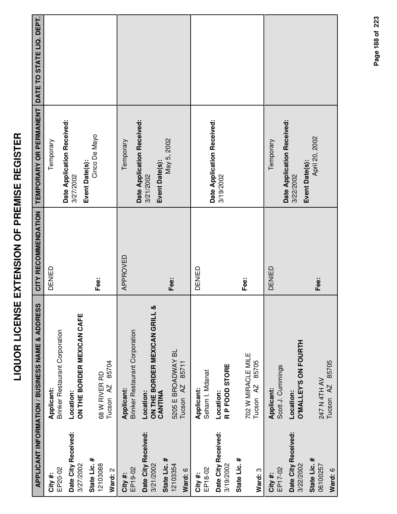|                                                  | <b>APPLICANT INFORMATION / BUSINESS NAME &amp; ADDRESS</b> | CITY RECOMMENDATION | TEMPORARY OR PERMANENT                                    | DATE TO STATE LIQ. DEPT. |
|--------------------------------------------------|------------------------------------------------------------|---------------------|-----------------------------------------------------------|--------------------------|
| EP20-02<br>City #:                               | Brinker Restaurant Corporation<br>Applicant:               | DENIED              | Date Application Received:<br>Temporary                   |                          |
| Date City Received:<br>3/27/2002                 | ON THE BORDER MEXICAN CAFE<br>Location:                    |                     | Event Date(s):<br>3/27/2002                               |                          |
| State Lic. #<br>12103088<br>Ward: 2              | 85704<br>68 W RIVER RD<br>Tucson <sub>AZ</sub>             | Fee:                | Cinco De Mayo                                             |                          |
| EP19-02<br>City #:                               | <b>Brinker Restaurant Corporation</b><br>Applicant:        | APPROVED            | Temporary                                                 |                          |
| Date City Received:<br>State Lic. #<br>3/21/2002 | ON THE BORDER MEXICAN GRILL &<br>Location:<br>CANTINA      |                     | Date Application Received:<br>Event Date(s):<br>3/21/2002 |                          |
| 12103354<br>Ward: 6                              | 5205 E BROADWAY BL<br>85711<br>Tucson <sub>AZ</sub>        | Fee:                | May 5, 2002                                               |                          |
| EP18-02<br>City #:                               | Seham I. Mdanat<br>Applicant:                              | DENIED              |                                                           |                          |
| Date City Received:<br>3/19/2002                 | R P FOOD STORE<br>Location:                                |                     | Date Application Received:<br>3/19/2002                   |                          |
| State Lic. #<br>Ward: 3                          | 702 W MIRACLE MILE<br>85705<br>Tucson AZ                   | Fee:                |                                                           |                          |
| EP17-02<br>City#:                                | Scott J. Cummings<br>Applicant:                            | DENIED              | Temporary                                                 |                          |
| Date City Received:<br>3/22/2002                 | <b>O'MALLEY'S ON FOURTH</b><br>Location:                   |                     | Date Application Received:<br>Event Date(s):<br>3/22/2002 |                          |
| State Lic. #<br>06100257<br>Ward: 6              | 85705<br>247 N 4TH AV<br>Tucson <sub>AZ</sub>              | Fee:                | April 20, 2002                                            |                          |

**LIQUOR LICENSE EXTENSION OF PREMISE REGISTER**

LIQUOR LICENSE EXTENSION OF PREMISE REGISTER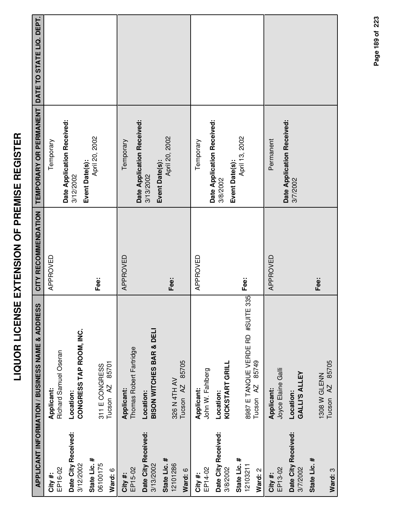|                                     | APPLICANT INFORMATION / BUSINESS NAME & ADDRESS         | CITY RECOMMENDATION | TEMPORARY OR PERMANENT                                    | DATE TO STATE LIQ. DEPT. |
|-------------------------------------|---------------------------------------------------------|---------------------|-----------------------------------------------------------|--------------------------|
| EP16-02<br>City #:                  | Richard Samuel Oseran<br>Applicant:                     | APPROVED            | Temporary                                                 |                          |
| Date City Received:<br>3/12/2002    | CONGRESS TAP ROOM, INC.<br>Location:                    |                     | Date Application Received:<br>Event Date(s):<br>3/12/2002 |                          |
| State Lic. #<br>06100175<br>Ward: 6 | 85701<br>311 E CONGRESS<br>Tucson AZ                    | Fee:                | April 20, 2002                                            |                          |
| EP15-02<br>City #:                  | Thomas Robert Fartridge<br>Applicant:                   | APPROVED            | Temporary                                                 |                          |
| Date City Received:<br>3/13/2002    | BISON WITCHES BAR & DELI<br>Location:                   |                     | Date Application Received:<br>3/13/2002                   |                          |
| State Lic. #<br>12101286<br>Ward: 6 | 85705<br>326 N 4TH AV<br>Tucson <sub>AZ</sub>           | Fee:                | April 20, 2002<br>Event Date(s):                          |                          |
| EP14-02<br>City #:                  | John W. Fahlberg<br>Applicant:                          | APPROVED            | Temporary                                                 |                          |
| Date City Received:<br>3/8/2002     | KICKSTART GRILL<br>Location:                            |                     | Date Application Received:<br>3/8/2002                    |                          |
| State Lic. #<br>12103211<br>Ward: 2 | 8987 E TANQUE VERDE RD #SUITE 335<br>85749<br>Tucson AZ | Fee:                | April 13, 2002<br>Event Date(s):                          |                          |
| EP13-02<br>City #:                  | Joyce Elaine Galli<br>Applicant:                        | APPROVED            | Permanent                                                 |                          |
| Date City Received:<br>3/7/2002     | <b>GALLI'S ALLEY</b><br>Location:                       |                     | Date Application Received:<br>3/7/2002                    |                          |
| State Lic. #<br>Ward: 3             | 85705<br>1308 W GLENN<br>Tucson <sub>AZ</sub>           | Fee:                |                                                           |                          |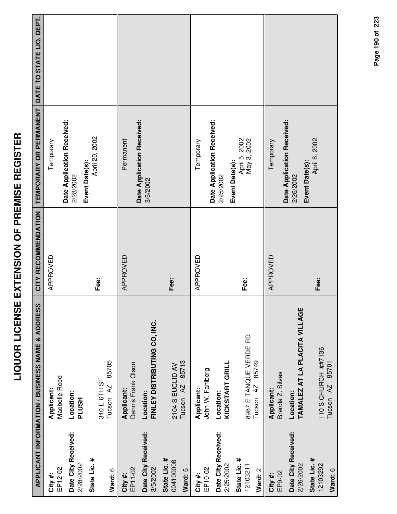|                                      | APPLICANT INFORMATION / BUSINESS NAME & ADDRESS         | CITY RECOMMENDATION | TEMPORARY OR PERMANENT DATE TO STATE LIQ. DEPT.           |  |
|--------------------------------------|---------------------------------------------------------|---------------------|-----------------------------------------------------------|--|
| EP12-02<br>City #:                   | Maebelle Reed<br>Applicant:                             | APPROVED            | Temporary                                                 |  |
| Date City Received:<br>2/28/2002     | Location:<br><b>HSUTd</b>                               |                     | Date Application Received:<br>2/28/2002                   |  |
| State Lic. #<br>Ward: 6              | 85705<br>340 E 6TH ST<br>Tucson <sub>AZ</sub>           | Fee:                | April 20, 2002<br>Event Date(s):                          |  |
| EP11-02<br>City #:                   | Dennis Frank Olson<br>Applicant:                        | APPROVED            | Permanent                                                 |  |
| Date City Received:<br>3/5/2002      | FINLEY DISTRIBUTING CO, INC.<br>Location:               |                     | Date Application Received:<br>3/5/2002                    |  |
| State Lic. #<br>004100008<br>Ward: 5 | 85713<br>2104 S EUCLID AV<br>Tucson <sub>AZ</sub>       | Fee:                |                                                           |  |
| EP10-02<br>City #:                   | John W. Fahlberg<br>Applicant:                          | APPROVED            | Temporary                                                 |  |
| Date City Received:<br>2/25/2002     | KICKSTART GRILL<br>Location:                            |                     | Date Application Received:<br>Event Date(s):<br>2/25/2002 |  |
| State Lic. #<br>12103211<br>Ward: 2  | 8987 E TANQUE VERDE RD<br>85749<br>Tucson <sub>AZ</sub> | Fee:                | April 5, 2002<br>May 3, 2002                              |  |
| EP9-02<br>City #:                    | Brenda Z. Silvas<br>Applicant:                          | APPROVED            | Temporary                                                 |  |
| Date City Received:<br>2/26/2002     | TAMALEZ AT LA PLACITA VILLAGE<br>Location:              |                     | Date Application Received:<br>2/26/2002                   |  |
| State Lic. #<br>12103292<br>Ward: 6  | 110 S CHURCH ##7136<br>85701<br>Tucson <sub>AZ</sub>    | Fee:                | April 6, 2002<br>Event Date(s):                           |  |

Page 190 of 223

**Page of 190 223**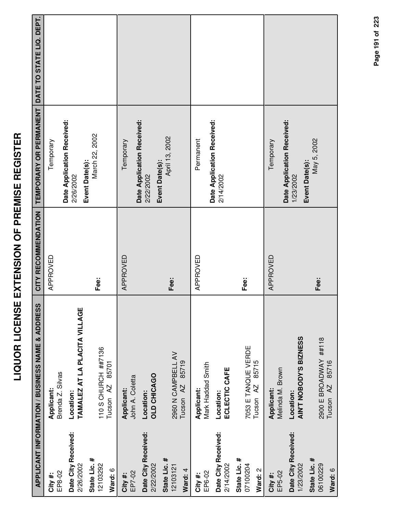|                                     | APPLICANT INFORMATION / BUSINESS NAME & ADDRESS            | CITY RECOMMENDATION | TEMPORARY OR PERMANENT DATE TO STATE LIQ. DEPT.           |  |
|-------------------------------------|------------------------------------------------------------|---------------------|-----------------------------------------------------------|--|
| EP8-02<br>City#:                    | Brenda Z. Silvas<br>Applicant:                             | APPROVED            | Temporary                                                 |  |
| Date City Received:<br>2/26/2002    | TAMALEZ AT LA PLACITA VILLAGE<br>Location:                 |                     | Date Application Received:<br>2/26/2002                   |  |
| State Lic. #<br>12103292<br>Ward: 6 | 110 S CHURCH ##7136<br>85701<br>Tucson AZ                  | Fee:                | March 22, 2002<br>Event Date(s):                          |  |
| EP7-02<br>City #:                   | John A. Coletta<br>Applicant:                              | APPROVED            | Temporary                                                 |  |
| Date City Received:<br>2/22/2002    | <b>OLD CHICAGO</b><br>Location:                            |                     | Date Application Received:<br>2/22/2002                   |  |
| State Lic. #<br>12103121<br>Ward: 4 | 2960 N CAMPBELL AV<br>85719<br>Tucson <sub>AZ</sub>        | Fee:                | April 13, 2002<br>Event Date(s):                          |  |
| EP6-02<br>City #:                   | Mark Haddad Smith<br>Applicant:                            | APPROVED            | Permanent                                                 |  |
| Date City Received:<br>2/14/2002    | ECLECTIC CAFE<br>Location:                                 |                     | Date Application Received:<br>2/14/2002                   |  |
| State Lic. #<br>07100204<br>Ward: 2 | 7053 E TANQUE VERDE<br>85715<br>Tucson <sub>AZ</sub>       | Fee:                |                                                           |  |
| EP5-02<br>City#:                    | Melinda M. Brown<br>Applicant:                             | APPROVED            | Temporary                                                 |  |
| Date City Received:<br>1/23/2002    | AIN'T NOBODY'S BIZNESS<br>Location:                        |                     | Date Application Received:<br>Event Date(s):<br>1/23/2002 |  |
| State Lic. #<br>06100229<br>Ward: 6 | 2900 E BROADWAY ##118<br>85716<br>$\overline{A}$<br>Tucson | Fee:                | May 5, 2002                                               |  |

Page 191 of 223 **Page of 191 223**

**LIQUOR LICENSE EXTENSION OF PREMISE REGISTER**

LIQUOR LICENSE EXTENSION OF PREMISE REGISTER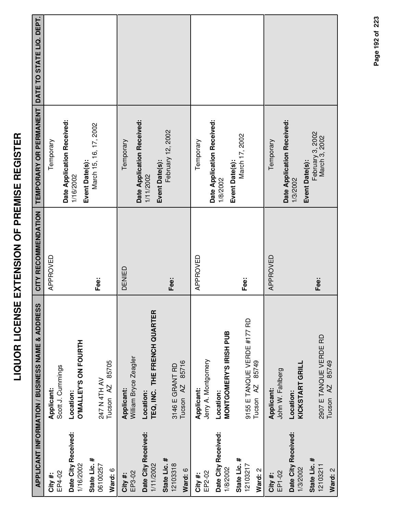|                                     | <b>APPLICANT INFORMATION / BUSINESS NAME &amp; ADDRESS</b>   | CITY RECOMMENDATION | <b>TEMPORARY OR PERMANENT</b>                            | DATE TO STATE LIQ. DEPT. |
|-------------------------------------|--------------------------------------------------------------|---------------------|----------------------------------------------------------|--------------------------|
| EP4-02<br>City #:                   | Scott J. Cummings<br>Applicant:                              | APPROVED            | Date Application Received:<br>Temporary                  |                          |
| Date City Received:<br>1/16/2002    | O'MALLEY'S ON FOURTH<br>Location:                            |                     | Event Date(s):<br>1/16/2002                              |                          |
| State Lic. #<br>06100257<br>Ward: 6 | 85705<br><b>NAHTH N752</b><br>Tucson <sub>AZ</sub>           | Fee:                | March 15, 16, 17, 2002                                   |                          |
| EP3-02<br>City #:                   | William Bryce Zeagler<br>Applicant:                          | DENIED              | Date Application Received:<br>Temporary                  |                          |
| Date City Received:<br>1/11/2002    | TEQ, INC. THE FRENCH QUARTER<br>Location:                    |                     | Event Date(s):<br>1/11/2002                              |                          |
| State Lic. #<br>12103318<br>Ward: 6 | 85716<br>3146 E GRANT RD<br>Tucson <sub>AZ</sub>             | Fee:                | February 12, 2002                                        |                          |
| EP2-02<br>City #:                   | Jerry A. Montgomery<br>Applicant:                            | APPROVED            | Date Application Received:<br>Temporary                  |                          |
| Date City Received:<br>1/8/2002     | <b>MONTGOMERY'S IRISH PUB</b><br>Location:                   |                     | Event Date(s):<br>1/8/2002                               |                          |
| State Lic. #<br>12103217<br>Ward: 2 | 9155 E TANQUE VERDE #177 RD<br>85749<br>Tucson <sub>AZ</sub> | Fee:                | March 17, 2002                                           |                          |
| EP1-02<br>City #:                   | John W. Fahlberg<br>Applicant:                               | APPROVED            | Temporary                                                |                          |
| Date City Received:<br>1/3/2002     | KICKSTART GRILL<br>Location:                                 |                     | Date Application Received:<br>Event Date(s):<br>1/3/2002 |                          |
| State Lic. #<br>12103211<br>Ward: 2 | 2907 E TANQUE VERDE RD<br>85749<br>Tucson <sub>AZ</sub>      | Fee:                | February 3, 2002<br>March 3, 2002                        |                          |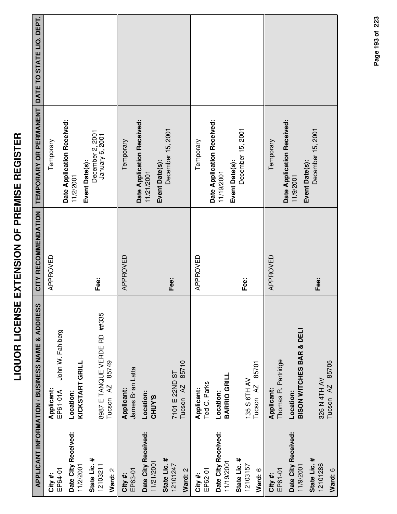|                                      | <b>APPLICANT INFORMATION / BUSINESS NAME &amp; ADDRESS</b> | CITY RECOMMENDATION | <b>TEMPORARY OR PERMANENT</b>                              | DATE TO STATE LIQ. DEPT. |
|--------------------------------------|------------------------------------------------------------|---------------------|------------------------------------------------------------|--------------------------|
| EP64-01<br>City #:                   | John W. Fahlberg<br>Applicant:<br>EP61-01A                 | APPROVED            | Temporary                                                  |                          |
| Date City Received:<br>11/2/2001     | KICKSTART GRILL<br>Location:                               |                     | Date Application Received:<br>11/2/2001                    |                          |
| State Lic. #<br>12103211             | 8987 E TANQUE VERDE RD ##335                               | Fee:                | December 2, 2001<br>January 6, 2001<br>Event Date(s):      |                          |
| Ward: 2                              | 85749<br>$\overline{A}$<br>Tucson                          |                     |                                                            |                          |
| EP63-01<br>City #:                   | James Brian Latta<br>Applicant:                            | APPROVED            | Temporary                                                  |                          |
| Date City Received:<br>11/21/2001    | Location:<br><b>CHUY'S</b>                                 |                     | Date Application Received:<br>Event Date(s):<br>11/21/2001 |                          |
| State Lic. #<br>12101247<br>Ward: 2  | 85710<br>7101 E 22ND ST<br>Tucson <sub>AZ</sub>            | Fee:                | December 15, 2001                                          |                          |
| EP62-01<br>City #:                   | Ted C. Parks<br>Applicant:                                 | APPROVED            | Temporary                                                  |                          |
| Date City Received:<br>11/19/2001    | BARRIO GRILL<br>Location:                                  |                     | Date Application Received:<br>11/19/2001                   |                          |
| State Lic. #<br>12103157<br>Ward: 6  | 85701<br>135 S 6TH AV<br>Tucson <sub>AZ</sub>              | Fee:                | December 15, 2001<br>Event Date(s):                        |                          |
| EP61-01<br>City#:                    | Thomas R. Partridge<br>Applicant:                          | APPROVED            | Temporary                                                  |                          |
| Date City Received:<br>11/9/2001     | <b>BISON WITCHES BAR &amp; DELI</b><br>Location:           |                     | Date Application Received:<br>11/9/2001                    |                          |
| State Lic. #<br>12101286<br>Mard - R | AZ 85705<br>326 N 4TH AV<br>Tucson                         | _<br>Eee∷           | December 15, 2001<br>Event Date(s):                        |                          |

**Ward:** 6

326 N 4TH AV Tucson AZ 85705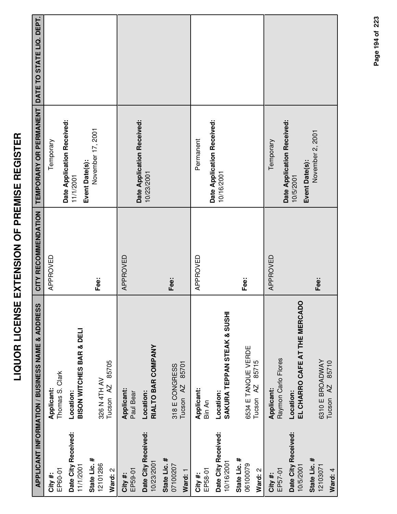|                                     | APPLICANT INFORMATION / BUSINESS NAME & ADDRESS      | CITY RECOMMENDATION | TEMPORARY OR PERMANENT DATE TO STATE LIQ. DEPT. |  |
|-------------------------------------|------------------------------------------------------|---------------------|-------------------------------------------------|--|
| EP60-01<br>City#:                   | Thomas S. Clark<br>Applicant:                        | APPROVED            | Temporary                                       |  |
| Date City Received:<br>11/1/2001    | BISON WITCHES BAR & DELI<br>Location:                |                     | Date Application Received:<br>11/1/2001         |  |
| State Lic. #<br>12101286<br>Ward: 2 | 85705<br>326 N 4TH AV<br>Tucson AZ                   | Fee:                | November 17, 2001<br>Event Date(s):             |  |
| EP59-01<br>City #:                  | Applicant:<br>Paul Bear                              | APPROVED            |                                                 |  |
| Date City Received:<br>10/23/2001   | RIALTO BAR COMPANY<br>Location:                      |                     | Date Application Received:<br>10/23/2001        |  |
| State Lic. #<br>07100207<br>Ward: 1 | 85701<br>318 E CONGRESS<br>Tucson <sub>AZ</sub>      | Fee:                |                                                 |  |
| EP58-01<br>City #:                  | Applicant:<br>Bin An                                 | APPROVED            | Permanent                                       |  |
| Date City Received:<br>10/16/2001   | SAKURA TEPPAN STEAK & SUSHI<br>Location:             |                     | Date Application Received:<br>10/16/2001        |  |
| State Lic. #<br>06100079<br>Ward: 2 | 6534 E TANQUE VERDE<br>85715<br>Tucson <sub>AZ</sub> | Fee:                |                                                 |  |
| EP57-01<br>City #:                  | Raymon Carlo Flores<br>Applicant:                    | APPROVED            | Temporary                                       |  |
| Date City Received:<br>10/5/2001    | EL CHARRO CAFE AT THE MERCADO<br>Location:           |                     | Date Application Received:<br>10/5/2001         |  |
| State Lic. #<br>12103071<br>Ward: 4 | 6310 E BROADWAY<br>85710<br>Tucson <sub>AZ</sub>     | Fee:                | November 2, 2001<br>Event Date(s):              |  |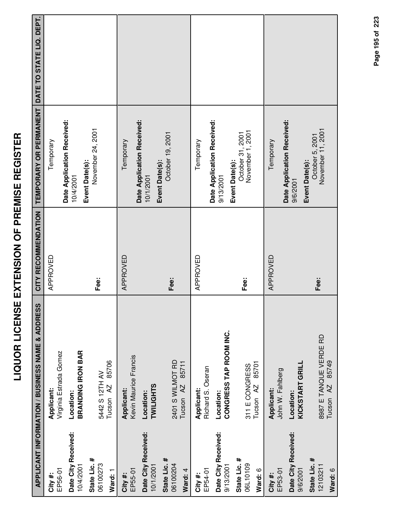|                                                                                               | <b>APPLICANT INFORMATION / BUSINESS NAME &amp; ADDRESS</b>                                                                       | CITY RECOMMENDATION | TEMPORARY OR PERMANENT DATE TO STATE LIQ. DEPT.                                                                |  |
|-----------------------------------------------------------------------------------------------|----------------------------------------------------------------------------------------------------------------------------------|---------------------|----------------------------------------------------------------------------------------------------------------|--|
| Date City Received:<br>State Lic. #<br>06100273<br>10/4/2001<br>EP56-01<br>Ward: 1<br>City#:  | Virginia Estrada Gomez<br><b>BRANDING IRON BAR</b><br>85706<br>5442 S 12TH AV<br>Tucson <sub>AZ</sub><br>Applicant:<br>Location: | APPROVED<br>Fee:    | Date Application Received:<br>November 24, 2001<br>Temporary<br>Event Date(s):<br>10/4/2001                    |  |
| Date City Received:<br>State Lic. #<br>06100204<br>10/1/2001<br>EP55-01<br>Ward: 4<br>City #: | Kevin Maurice Francis<br>2401 S WILMOT RD<br>85711<br>Tucson <sub>AZ</sub><br><b>TWILIGHTS</b><br>Applicant:<br>Location:        | APPROVED<br>Fee:    | Date Application Received:<br>October 19, 2001<br>Temporary<br>Event Date(s):<br>10/1/2001                     |  |
| Date City Received:<br>State Lic. #<br>06L10109<br>9/13/2001<br>EP54-01<br>Ward: 6<br>City #: | CONGRESS TAP ROOM INC.<br>85701<br>311 E CONGRESS<br>Richard S. Oseran<br>Tucson <sub>AZ</sub><br>Applicant:<br>Location:        | APPROVED<br>Fee:    | Date Application Received:<br>October 31, 2001<br>November 1, 2001<br>Temporary<br>Event Date(s):<br>9/13/2001 |  |
| Date City Received:<br>State Lic. #<br>12103211<br>EP53-01<br>Ward: 6<br>9/6/2001<br>City #:  | 8987 E TANQUE VERDE RD<br>85749<br>KICKSTART GRILL<br>John W. Fahlberg<br>Tucson <sub>AZ</sub><br>Applicant:<br>Location:        | APPROVED<br>Fee:    | Date Application Received:<br>November 11, 2001<br>October 5, 2001<br>Temporary<br>Event Date(s):<br>9/6/2001  |  |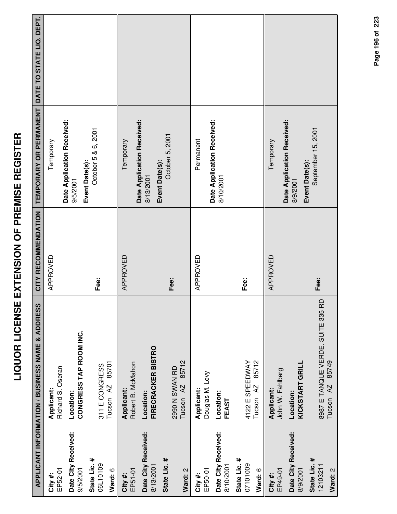|                                     | APPLICANT INFORMATION / BUSINESS NAME & ADDRESS            | CITY RECOMMENDATION | TEMPORARY OR PERMANENT DATE TO STATE LIQ. DEPT.          |  |
|-------------------------------------|------------------------------------------------------------|---------------------|----------------------------------------------------------|--|
|                                     |                                                            |                     |                                                          |  |
| EP52-01<br>City #:                  | Richard S. Oseran<br>Applicant:                            | APPROVED            | Temporary                                                |  |
| Date City Received:<br>9/5/2001     | CONGRESS TAP ROOM INC.<br>Location:                        |                     | Date Application Received:<br>9/5/2001                   |  |
| State Lic. #<br>06L10109<br>Ward: 6 | 85701<br>311 E CONGRESS<br>Tucson <sub>AZ</sub>            | Fee:                | October 5 & 6, 2001<br>Event Date(s):                    |  |
| EP51-01<br>City #:                  | Robert B. McMahon<br>Applicant:                            | APPROVED            | Temporary                                                |  |
| Date City Received:<br>8/13/2001    | <b>FIRECRACKER BISTRO</b><br>Location:                     |                     | Date Application Received:<br>8/13/2001                  |  |
| State Lic. #<br>Ward: 2             | 85712<br>2990 N SWAN RD<br>Tucson <sub>AZ</sub>            | Fee:                | October 5, 2001<br>Event Date(s):                        |  |
| EP50-01<br>City #:                  | Douglas M. Levy<br>Applicant:                              | APPROVED            | Permanent                                                |  |
| Date City Received:<br>8/10/2001    | Location:<br>FEAST                                         |                     | Date Application Received:<br>8/10/2001                  |  |
| State Lic. #<br>07101009<br>Ward: 6 | 85712<br>4122 E SPEEDWAY<br>Tucson AZ                      | Fee:                |                                                          |  |
| EP49-01<br>City#:                   | John W. Fahlberg<br>Applicant:                             | APPROVED            | Temporary                                                |  |
| Date City Received:<br>8/9/2001     | KICKSTART GRILL<br>Location:                               |                     | Date Application Received:<br>Event Date(s):<br>8/9/2001 |  |
| State Lic. #<br>12103211<br>Ward: 2 | 8987 E TANQUE VERDE. SUITE 335 RD<br>85749<br>AZ<br>Tucson | Fee:                | September 15, 2001                                       |  |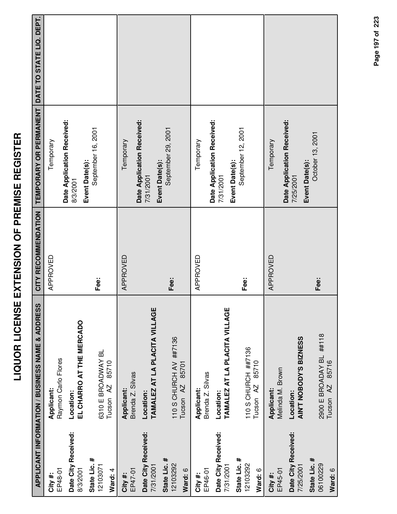|                                     | APPLICANT INFORMATION / BUSINESS NAME & ADDRESS          | CITY RECOMMENDATION | TEMPORARY OR PERMANENT DATE TO STATE LIQ. DEPT.           |  |
|-------------------------------------|----------------------------------------------------------|---------------------|-----------------------------------------------------------|--|
| EP48-01<br>City #:                  | Raymon Carlo Flores<br>Applicant:                        | APPROVED            | Temporary                                                 |  |
| Date City Received:<br>8/3/2001     | EL CHARRO AT THE MERCADO<br>Location:                    |                     | Date Application Received:<br>Event Date(s):<br>8/3/2001  |  |
| State Lic. #<br>12103071<br>Ward: 4 | 6310 E BROADWAY BL<br>85710<br>Tucson <sub>AZ</sub>      | Fee:                | September 16, 2001                                        |  |
| EP47-01<br>City#:                   | Brenda Z. Silvas<br>Applicant:                           | APPROVED            | Temporary                                                 |  |
| Date City Received:<br>7/31/2001    | TAMALEZ AT LA PLACITA VILLAGE<br>Location:               |                     | Date Application Received:<br>Event Date(s):<br>7/31/2001 |  |
| State Lic. #<br>12103292<br>Ward: 6 | 110 S CHURCH AV ##7136<br>85701<br>Tucson <sub>AZ</sub>  | Fee:                | September 29, 2001                                        |  |
| EP46-01<br>City #:                  | Brenda Z. Silvas<br>Applicant:                           | APPROVED            | Temporary                                                 |  |
| Date City Received:<br>7/31/2001    | TAMALEZ AT LA PLACITA VILLAGE<br>Location:               |                     | Date Application Received:<br>7/31/2001                   |  |
| State Lic. #<br>12103292<br>Ward: 6 | 110 S CHURCH ##7136<br>85710<br>Tucson <sub>AZ</sub>     | Fee:                | September 12, 2001<br>Event Date(s):                      |  |
| EP45-01<br>City #:                  | Melinda M. Brown<br>Applicant:                           | APPROVED            | Temporary                                                 |  |
| Date City Received:<br>7/25/2001    | AIN'T NOBODY'S BIZNESS<br>Location:                      |                     | Date Application Received:<br>7/25/2001                   |  |
| State Lic. #<br>06100229<br>Ward: 6 | 2900 E BROADAY BL ##118<br>85716<br>Tucson <sub>AZ</sub> | Fee:                | October 13, 2001<br>Event Date(s):                        |  |

Page 197 of 223 **Page of 197 223**

**LIQUOR LICENSE EXTENSION OF PREMISE REGISTER**

LIQUOR LICENSE EXTENSION OF PREMISE REGISTER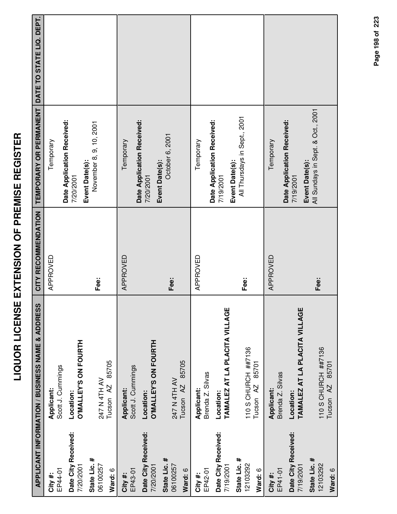| İ             |
|---------------|
|               |
|               |
|               |
| (<br>         |
|               |
| Í             |
| -<br>(        |
|               |
|               |
|               |
| i             |
|               |
| Ē<br>l        |
| I             |
|               |
| ו<br>ג<br>ג   |
| I             |
|               |
| l             |
|               |
| .<br>.<br>.   |
|               |
|               |
| į             |
|               |
|               |
| i             |
|               |
| ï             |
| $\frac{1}{2}$ |
|               |
|               |
|               |
|               |
|               |
|               |
| ļ             |
| i             |
|               |
|               |
|               |

|                                     | <b>APPLICANT INFORMATION / BUSINESS NAME &amp; ADDRESS</b> | CITY RECOMMENDATION | TEMPORARY OR PERMANENT                                    | DATE TO STATE LIQ. DEPT. |
|-------------------------------------|------------------------------------------------------------|---------------------|-----------------------------------------------------------|--------------------------|
| EP44-01<br>City#:                   | Scott J. Cummings<br>Applicant:                            | APPROVED            | Temporary                                                 |                          |
| Date City Received:<br>7/20/2001    | <b>O'MALLEY'S ON FOURTH</b><br>Location:                   |                     | Date Application Received:<br>7/20/2001                   |                          |
| State Lic. #<br>06100257<br>Ward: 6 | 85705<br>247 N 4TH AV<br>Tucson AZ                         | Fee:                | November 8, 9, 10, 2001<br>Event Date(s):                 |                          |
| EP43-01<br>City#:                   | Scott J. Cummings<br>Applicant:                            | APPROVED            | Date Application Received:<br>Temporary                   |                          |
| Date City Received:<br>7/20/2001    | <b>O'MALLEY'S ON FOURTH</b><br>Location:                   |                     | Event Date(s):<br>7/20/2001                               |                          |
| State Lic. #<br>06100257<br>Ward: 6 | 85705<br>247 N 4TH AV<br>Tucson <sub>AZ</sub>              | Fee:                | October 6, 2001                                           |                          |
| EP42-01<br>City #:                  | Brenda Z. Silvas<br>Applicant:                             | APPROVED            | Temporary                                                 |                          |
| Date City Received:<br>7/19/2001    | TAMALEZ AT LA PLACITA VILLAGE<br>Location:                 |                     | Date Application Received:<br>7/19/2001                   |                          |
| State Lic. #<br>12103292<br>Ward: 6 | 110 S CHURCH ##7136<br>85701<br>Tucson AZ                  | Fee:                | All Thursdays in Sept., 2001<br>Event Date(s):            |                          |
| EP41-01<br>City #:                  | Brenda Z. Silvas<br>Applicant:                             | APPROVED            | Temporary                                                 |                          |
| Date City Received:<br>7/19/2001    | TAMALEZ AT LA PLACITA VILLAGE<br>Location:                 |                     | Date Application Received:<br>Event Date(s):<br>7/19/2001 |                          |
| State Lic. #<br>12103292<br>Ward: 6 | 110 S CHURCH ##7136<br>85701<br>Tucson <sub>AZ</sub>       | Fee:                | All Sundays in Sept. & Oct., 2001                         |                          |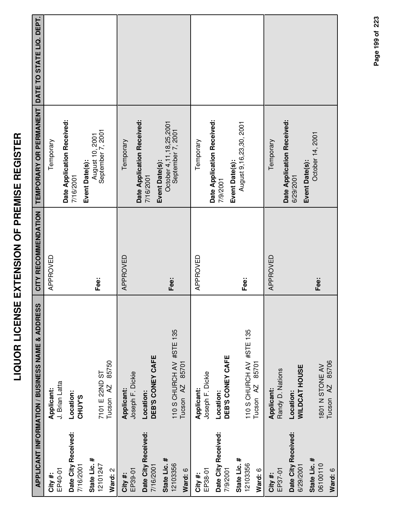| l<br>Ì                                                                   |
|--------------------------------------------------------------------------|
|                                                                          |
| I                                                                        |
| I<br>١<br>ĺ<br>I                                                         |
|                                                                          |
| l                                                                        |
| $\overline{a}$                                                           |
| i                                                                        |
| ֧֦֧֦֧֦֧֦֧֦֦֦֧֦֧֦֧֦֧֦֧֦֧֦֧֦֧֦֧֧֧֧֧֧֧֦֧֧֦֧֧֦֧֚֚֚֚֚֕֘֓֓֓֓֓֓֓֓֓֓֓֓֓֓֓֓֓<br>I |
| l                                                                        |
| -<br>-<br>۱                                                              |
| Ī                                                                        |
|                                                                          |
| Í                                                                        |
|                                                                          |
| Í<br>ì                                                                   |
| I                                                                        |
| į                                                                        |
|                                                                          |
|                                                                          |
| j                                                                        |
| į                                                                        |
| I                                                                        |
| Ì                                                                        |
|                                                                          |
|                                                                          |
|                                                                          |
|                                                                          |
| i                                                                        |
|                                                                          |

|                                     | <b>APPLICANT INFORMATION / BUSINESS NAME &amp; ADDRESS</b> | CITY RECOMMENDATION | TEMPORARY OR PERMANENT                                    | DATE TO STATE LIQ. DEPT. |
|-------------------------------------|------------------------------------------------------------|---------------------|-----------------------------------------------------------|--------------------------|
| EP40-01<br>City #:                  | J. Brian Latta<br>Applicant:                               | APPROVED            | Temporary                                                 |                          |
| Date City Received:<br>7/16/2001    | Location:<br><b>CHUY'S</b>                                 |                     | Date Application Received:<br>7/16/2001                   |                          |
| State Lic. #<br>12101247<br>Ward: 2 | 85750<br>7101 E 22ND ST<br>Tucson <sub>AZ</sub>            | Fee:                | September 7, 2001<br>August 10, 2001<br>Event Date(s):    |                          |
| EP39-01<br>City#:                   | Joseph F. Dickie<br>Applicant:                             | APPROVED            | Date Application Received:<br>Temporary                   |                          |
| Date City Received:<br>7/16/2001    | DEB'S CONEY CAFE<br>Location:                              |                     | Event Date(s):<br>7/16/2001                               |                          |
| State Lic. #<br>12103356<br>Ward: 6 | 110 S CHURCH AV #STE 135<br>85701<br>Tucson <sub>AZ</sub>  | Fee:                | October 4, 11, 18, 25, 2001<br>September 7, 2001          |                          |
| EP38-01<br>City #:                  | Joseph F. Dickie<br>Applicant:                             | APPROVED            | Temporary                                                 |                          |
| Date City Received:<br>7/9/2001     | DEB'S CONEY CAFE<br>Location:                              |                     | Date Application Received:<br>7/9/2001                    |                          |
| State Lic. #<br>12103356<br>Ward: 6 | 110 S CHURCH AV #STE 135<br>85701<br>Tucson AZ             | Fee:                | August 9,16,23,30, 2001<br>Event Date(s):                 |                          |
| EP37-01<br>City #:                  | Randy D. Nations<br>Applicant:                             | APPROVED            | Temporary                                                 |                          |
| Date City Received:<br>6/29/2001    | <b>WILDCAT HOUSE</b><br>Location:                          |                     | Date Application Received:<br>Event Date(s):<br>6/29/2001 |                          |
| State Lic. #<br>06100110<br>Ward: 6 | 85706<br>1801 N STONE AV<br>Tucson <sub>AZ</sub>           | Fee:                | October 14, 2001                                          |                          |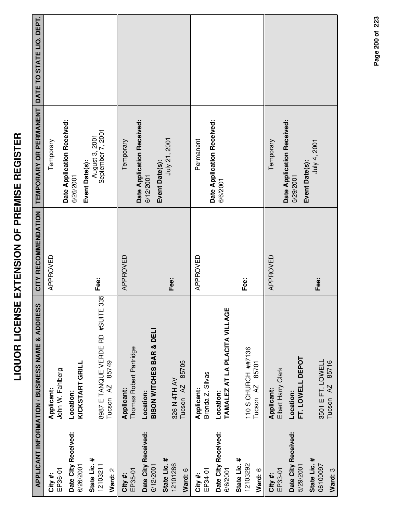|                                     | APPLICANT INFORMATION / BUSINESS NAME & ADDRESS                    | CITY RECOMMENDATION | TEMPORARY OR PERMANENT                                | DATE TO STATE LIQ. DEPT. |
|-------------------------------------|--------------------------------------------------------------------|---------------------|-------------------------------------------------------|--------------------------|
| EP36-01<br>City#:                   | John W. Fahlberg<br>Applicant:                                     | APPROVED            | Temporary                                             |                          |
| Date City Received:<br>6/26/2001    | KICKSTART GRILL<br>Location:                                       |                     | Date Application Received:<br>6/26/2001               |                          |
| State Lic. #<br>12103211<br>Ward: 2 | 8987 E TANQUE VERDE RD #SUITE 335<br>85749<br>Tucson <sub>AZ</sub> | Fee:                | September 7, 2001<br>August 3, 2001<br>Event Date(s): |                          |
| EP35-01<br>City#:                   | Thomas Robert Partridge<br>Applicant:                              | APPROVED            | Temporary                                             |                          |
| Date City Received:<br>6/12/2001    | BISON WITCHES BAR & DELI<br>Location:                              |                     | Date Application Received:<br>6/12/2001               |                          |
| State Lic. #<br>12101286<br>Ward: 6 | 85705<br>326 N 4TH AV<br>Tucson <sub>AZ</sub>                      | Fee:                | July 21, 2001<br>Event Date(s):                       |                          |
| EP34-01<br>City #:                  | Brenda Z. Silvas<br>Applicant:                                     | APPROVED            | Permanent                                             |                          |
| Date City Received:<br>6/6/2001     | TAMALEZ AT LA PLACITA VILLAGE<br>Location:                         |                     | Date Application Received:<br>6/6/2001                |                          |
| State Lic. #<br>12103292<br>Ward: 6 | 110 S CHURCH ##7136<br>85701<br>Tucson <sub>AZ</sub>               | Fee:                |                                                       |                          |
| EP33-01<br>City#:                   | Elbert Harry Clark<br>Applicant:                                   | APPROVED            | Temporary                                             |                          |
| Date City Received:<br>5/29/2001    | FT. LOWELL DEPOT<br>Location:                                      |                     | Date Application Received:<br>5/29/2001               |                          |
| State Lic. #<br>06100097<br>Ward: 3 | 3501 E FT. LOWELL<br>85716<br>Tucson AZ                            | Fee:                | July 4, 2001<br>Event Date(s):                        |                          |

Page 200 of 223

**Page of 200 223**

**Ward:** 3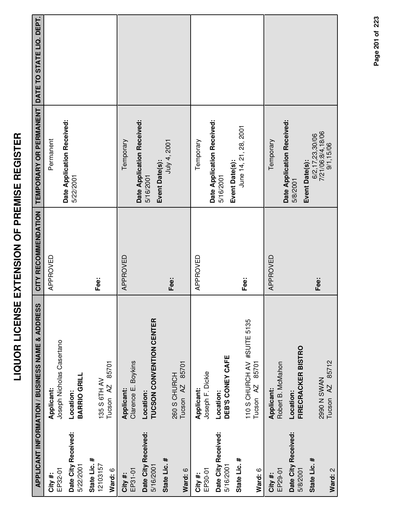|                                     | APPLICANT INFORMATION / BUSINESS NAME & ADDRESS              | CITY RECOMMENDATION | TEMPORARY OR PERMANENT DATE TO STATE LIQ. DEPT.                        |  |
|-------------------------------------|--------------------------------------------------------------|---------------------|------------------------------------------------------------------------|--|
| EP32-01<br>City #:                  | Joseph Nicholas Casertano<br>Applicant:                      | APPROVED            | Date Application Received:<br>Permanent                                |  |
| Date City Received:<br>5/22/2001    | BARRIO GRILL<br>Location:                                    |                     | 5/22/2001                                                              |  |
| State Lic. #<br>12103157<br>Ward: 6 | 85701<br>135 S 6TH AV<br>Tucson <sub>AZ</sub>                | Fee:                |                                                                        |  |
| EP31-01<br>City #:                  | Clarence E. Boykins<br>Applicant:                            | APPROVED            | Date Application Received:<br>Temporary                                |  |
| Date City Received:<br>5/16/2001    | <b>TUCSON CONVENTION CENTER</b><br>Location:                 |                     | Event Date(s):<br>5/16/2001                                            |  |
| State Lic. #<br>Ward: 6             | 85701<br>260 S CHURCH<br>Tucson <sub>AZ</sub>                | Fee:                | July 4, 2001                                                           |  |
| EP30-01<br>City #:                  | Joseph F. Dickie<br>Applicant:                               | APPROVED            | Temporary                                                              |  |
| Date City Received:<br>5/16/2001    | DEB'S CONEY CAFE<br>Location:                                |                     | Date Application Received:<br>5/16/2001                                |  |
| State Lic. #<br>Ward: 6             | 110 S CHURCH AV #SUITE 5135<br>85701<br>Tucson <sub>AZ</sub> | Fee:                | June 14, 21, 28, 2001<br>Event Date(s):                                |  |
| EP29-01<br>City #:                  | Robert B. McMahon<br>Applicant:                              | APPROVED            | Temporary                                                              |  |
| Date City Received:<br>5/8/2001     | <b>FIRECRACKER BISTRO</b><br>Location:                       |                     | Date Application Received:<br>5/8/2001                                 |  |
| State Lic. #<br>Ward: 2             | Tucson AZ 85712<br><b>Z990 N SWAN</b>                        | Fee:                | 7/21/06:8/4,18/06<br>6/2, 17, 23, 30/06<br>9/1,15/06<br>Event Date(s): |  |

Page 201 of 223 **Page of 201 223**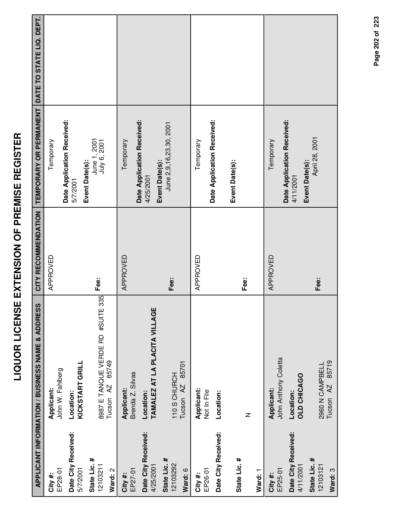|                                  | <b>APPLICANT INFORMATION / BUSINESS NAME &amp; ADDRESS</b> | CITY RECOMMENDATION | TEMPORARY OR PERMANENT DATE TO STATE LIQ. DEPT. |  |
|----------------------------------|------------------------------------------------------------|---------------------|-------------------------------------------------|--|
| City#:                           | Applicant:                                                 | APPROVED            | Temporary                                       |  |
| EP28-01                          | John W. Fahlberg                                           |                     |                                                 |  |
| Date City Received:<br>5/7/2001  | KICKSTART GRILL<br>Location:                               |                     | Date Application Received:<br>5/7/2001          |  |
| State Lic. #<br>12103211         | 8987 E TANQUE VERDE RD #SUITE 335                          | Fee:                | June 1, 2001<br>July 6, 2001<br>Event Date(s):  |  |
| Ward: 2                          | 85749<br>Tucson <sub>AZ</sub>                              |                     |                                                 |  |
| EP27-01<br>City #:               | Brenda Z. Silvas<br>Applicant:                             | APPROVED            | Temporary                                       |  |
| Date City Received:<br>4/25/2001 | TAMALEZ AT LA PLACITA VILLAGE<br>Location:                 |                     | Date Application Received:<br>4/25/2001         |  |
| State Lic. #<br>12103292         | 85701<br>110 S CHURCH<br>Tucson <sub>AZ</sub>              | Fee:                | June 2,9,16,23,30, 2001<br>Event Date(s):       |  |
| Ward: 6                          |                                                            |                     |                                                 |  |
| EP26-01<br>City #:               | Applicant:<br>Not In File                                  | APPROVED            | Temporary                                       |  |
| Date City Received:              | Location:                                                  |                     | Date Application Received:                      |  |
| State Lic. #                     | $\mathsf{z}$                                               | Fee:                | Event Date(s):                                  |  |
| Ward: 1                          |                                                            |                     |                                                 |  |
| EP25-01<br>City #:               | John Anthony Coletta<br>Applicant:                         | APPROVED            | Temporary                                       |  |
| Date City Received:<br>4/11/2001 | <b>OLD CHICAGO</b><br>Location:                            |                     | Date Application Received:<br>4/11/2001         |  |
| State Lic. #<br>12103121         | 2960 N CAMPBELL                                            | Fee:                | April 28, 2001<br>Event Date(s):                |  |
| Ward: 3                          | 85719<br>Tucson <sub>AZ</sub>                              |                     |                                                 |  |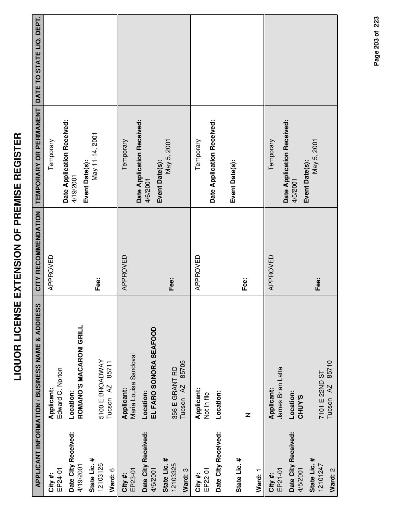|                                     | APPLICANT INFORMATION / BUSINESS NAME & ADDRESS  | CITY RECOMMENDATION | TEMPORARY OR PERMANENT                                    | DATE TO STATE LIQ. DEPT. |
|-------------------------------------|--------------------------------------------------|---------------------|-----------------------------------------------------------|--------------------------|
| EP24-01<br>City #:                  | Edward C. Norton<br>Applicant:                   | APPROVED            | Temporary                                                 |                          |
| Date City Received:<br>4/19/2001    | ROMANO'S MACARONI GRILL<br>Location:             |                     | Date Application Received:<br>Event Date(s):<br>4/19/2001 |                          |
| State Lic. #<br>12103126<br>Ward: 6 | 5100 E BROADWAY<br>85711<br>Tucson <sub>AZ</sub> | Fee:                | May 11-14, 2001                                           |                          |
| EP23-01<br>City #:                  | Maria Louisa Sandoval<br>Applicant:              | APPROVED            | Temporary                                                 |                          |
| Date City Received:<br>4/6/2001     | EL FARO SONORA SEAFOOD<br>Location:              |                     | Date Application Received:<br>4/6/2001                    |                          |
| State Lic. #<br>12103325<br>Ward: 3 | 85705<br>356 E GRANT RD<br>Tucson <sub>AZ</sub>  | Fee:                | May 5, 2001<br>Event Date(s):                             |                          |
| EP22-01<br>City #:                  | Applicant:<br>Not in file                        | APPROVED            | Temporary                                                 |                          |
| Date City Received:                 | Location:                                        |                     | Date Application Received:                                |                          |
| State Lic. #<br>Ward: 1             | $\mathsf{z}$                                     | Fee:                | Event Date(s):                                            |                          |
| EP21-01<br>City#:                   | James Brian Latta<br>Applicant:                  | APPROVED            | Temporary                                                 |                          |
| Date City Received:<br>4/5/2001     | Location:<br>CHUY'S                              |                     | Date Application Received:<br>4/5/2001                    |                          |
| State Lic. #<br>12101247<br>Ward: 2 | 85710<br>7101 E 22ND ST<br>Tucson <sub>AZ</sub>  | Fee:                | May 5, 2001<br>Event Date(s):                             |                          |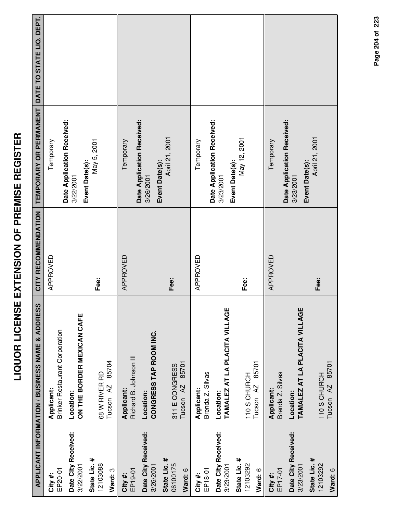|                                     | APPLICANT INFORMATION / BUSINESS NAME & ADDRESS     | CITY RECOMMENDATION | TEMPORARY OR PERMANENT DATE TO STATE LIQ. DEPT. |  |
|-------------------------------------|-----------------------------------------------------|---------------------|-------------------------------------------------|--|
| EP20-01<br>City#:                   | <b>Brinker Restaurant Corporation</b><br>Applicant: | APPROVED            | Temporary                                       |  |
| Date City Received:<br>3/22/2001    | ON THE BORDER MEXICAN CAFE<br>Location:             |                     | Date Application Received:<br>3/22/2001         |  |
| State Lic. #<br>12103088<br>Ward: 3 | 85704<br>68 W RIVER RD<br>Tucson <sub>AZ</sub>      | Fee:                | May 5, 2001<br>Event Date(s):                   |  |
| EP19-01<br>City #:                  | Richard B. Johnson III<br>Applicant:                | APPROVED            | Temporary                                       |  |
| Date City Received:<br>3/26/2001    | CONGRESS TAP ROOM INC.<br>Location:                 |                     | Date Application Received:<br>3/26/2001         |  |
| State Lic. #<br>06100175<br>Ward: 6 | 85701<br>311 E CONGRESS<br>Tucson <sub>AZ</sub>     | Fee:                | April 21, 2001<br>Event Date(s):                |  |
| EP18-01<br>City #:                  | Brenda Z. Silvas<br>Applicant:                      | APPROVED            | Temporary                                       |  |
| Date City Received:<br>3/23/2001    | TAMALEZ AT LA PLACITA VILLAGE<br>Location:          |                     | Date Application Received:<br>3/23/2001         |  |
| State Lic. #<br>12103292<br>Ward: 6 | 85701<br>110 S CHURCH<br>Tucson <sub>AZ</sub>       | Fee:                | May 12, 2001<br>Event Date(s):                  |  |
| EP17-01<br>City #:                  | Brenda Z. Silvas<br>Applicant:                      | APPROVED            | Temporary                                       |  |
| Date City Received:<br>3/23/2001    | TAMALEZ AT LA PLACITA VILLAGE<br>Location:          |                     | Date Application Received:<br>3/23/2001         |  |
| State Lic. #<br>12103292<br>Ward: 6 | Tucson AZ 85701<br>110 S CHURCH                     | Fee:                | April 21, 2001<br>Event Date(s):                |  |

Page 204 of 223 **Page of 204 223**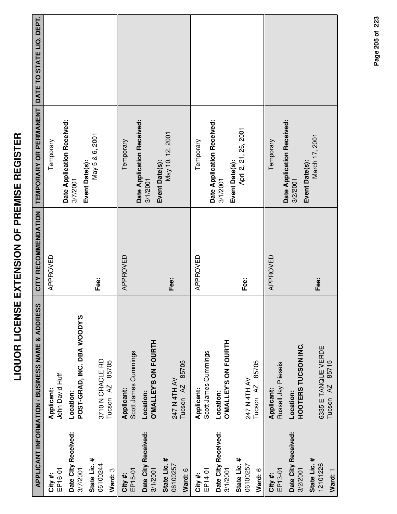|                                     | <b>APPLICANT INFORMATION / BUSINESS NAME &amp; ADDRESS</b> | CITY RECOMMENDATION | <b>TEMPORARY OR PERMANENT</b>                            | DATE TO STATE LIQ. DEPT. |
|-------------------------------------|------------------------------------------------------------|---------------------|----------------------------------------------------------|--------------------------|
| EP16-01<br>City #:                  | John David Huff<br>Applicant:                              | APPROVED            | Temporary                                                |                          |
| Date City Received:<br>3/7/2001     | POST-GRAD, INC. DBA WOODY'S<br>Location:                   |                     | Date Application Received:<br>Event Date(s):<br>3/7/2001 |                          |
| State Lic. #<br>06100244<br>Ward: 3 | 3710 N ORACLE RD<br>85705<br>Tucson <sub>AZ</sub>          | Fee:                | May 5 & 6, 2001                                          |                          |
| EP15-01<br>City#:                   | Scott James Cummings<br>Applicant:                         | APPROVED            | Temporary                                                |                          |
| Date City Received:<br>3/1/2001     | O'MALLEY'S ON FOURTH<br>Location:                          |                     | Date Application Received:<br>3/1/2001                   |                          |
| State Lic. #<br>06100257<br>Ward: 6 | 85705<br>247 N 4TH AV<br>Tucson <sub>AZ</sub>              | Fee:                | May 10, 12, 2001<br>Event Date(s):                       |                          |
| EP14-01<br>City #:                  | Scott James Cummings<br>Applicant:                         | APPROVED            | Temporary                                                |                          |
| Date City Received:<br>3/1/2001     | <b>O'MALLEY'S ON FOURTH</b><br>Location:                   |                     | Date Application Received:<br>3/1/2001                   |                          |
| State Lic. #<br>06100257<br>Ward: 6 | 85705<br>247 N 4TH AV<br>Tucson <sub>AZ</sub>              | Fee:                | April 2, 21, 26, 2001<br>Event Date(s):                  |                          |
| EP13-01<br>City#:                   | Russell Jay Plieseis<br>Applicant:                         | APPROVED            | Temporary                                                |                          |
| Date City Received:<br>3/2/2001     | HOOTERS TUCSON INC.<br>Location:                           |                     | Date Application Received:<br>Event Date(s):<br>3/2/2001 |                          |
| State Lic. #<br>12101226<br>Ward: 1 | 6335 E TANQUE VERDE<br>85715<br>Tucson <sub>AZ</sub>       | Fee:                | March 17, 2001                                           |                          |

Page 205 of 223 **Page of 205 223**

**LIQUOR LICENSE EXTENSION OF PREMISE REGISTER**

LIQUOR LICENSE EXTENSION OF PREMISE REGISTER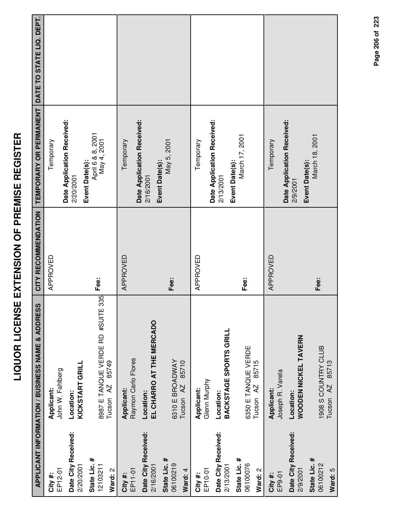|                                     | APPLICANT INFORMATION / BUSINESS NAME & ADDRESS                    | CITY RECOMMENDATION | TEMPORARY OR PERMANENT DATE TO STATE LIQ. DEPT.           |  |
|-------------------------------------|--------------------------------------------------------------------|---------------------|-----------------------------------------------------------|--|
| EP12-01<br>City#:                   | John W. Fahlberg<br>Applicant:                                     | APPROVED            | Temporary                                                 |  |
| Date City Received:<br>2/20/2001    | <b>KICKSTART GRILL</b><br>Location:                                |                     | Date Application Received:<br>Event Date(s):<br>2/20/2001 |  |
| State Lic. #<br>12103211<br>Ward: 2 | 8987 E TANQUE VERDE RD #SUITE 335<br>85749<br>Tucson <sub>AZ</sub> | Fee:                | April 6 & 8, 2001<br>May 4, 2001                          |  |
| EP11-01<br>City#:                   | Raymon Carlo Flores<br>Applicant:                                  | APPROVED            | Temporary                                                 |  |
| Date City Received:<br>2/16/2001    | EL CHARRO AT THE MERCADO<br>Location:                              |                     | Date Application Received:<br>2/16/2001                   |  |
| State Lic. #<br>06100219<br>Ward: 4 | 6310 E BROADWAY<br>85710<br>Tucson AZ                              | Fee:                | May 5, 2001<br>Event Date(s):                             |  |
| EP10-01<br>City #:                  | Glenn Murphy<br>Applicant:                                         | APPROVED            | Temporary                                                 |  |
| Date City Received:<br>2/13/2001    | BACKSTAGE SPORTS GRILL<br>Location:                                |                     | Date Application Received:<br>2/13/2001                   |  |
| State Lic. #<br>06100076<br>Ward: 2 | 6350 E TANQUE VERDE<br>85715<br>Tucson <sub>AZ</sub>               | Fee:                | March 17, 2001<br>Event Date(s):                          |  |
| EP9-01<br>City #:                   | Joseph R. Varela<br>Applicant:                                     | APPROVED            | Temporary                                                 |  |
| Date City Received:<br>2/9/2001     | WOODEN NICKEL TAVERN<br>Location:                                  |                     | Date Application Received:<br>2/9/2001                    |  |
| State Lic. #<br>06100212<br>Ward: 5 | 1908 S COUNTRY CLUB<br>85713<br>Tucson <sub>AZ</sub>               | Fee:                | March 18, 2001<br>Event Date(s):                          |  |

Page 206 of 223 **Page of 206 223**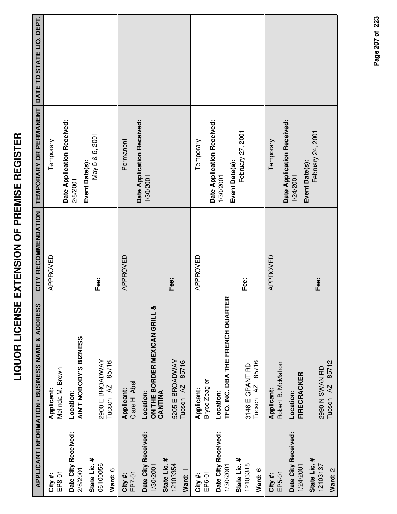|                                                  | APPLICANT INFORMATION / BUSINESS NAME & ADDRESS       | CITY RECOMMENDATION | TEMPORARY OR PERMANENT DATE TO STATE LIQ. DEPT.           |  |
|--------------------------------------------------|-------------------------------------------------------|---------------------|-----------------------------------------------------------|--|
| EP8-01<br>City#:                                 | Melinda M. Brown<br>Applicant:                        | APPROVED            | Temporary                                                 |  |
| Date City Received:<br>2/8/2001                  | AIN'T NOBODY'S BIZNESS<br>Location:                   |                     | Date Application Received:<br>Event Date(s):<br>2/8/2001  |  |
| State Lic. #<br>06100056<br>Ward: 6              | 2900 E BROADWAY<br>85716<br>Tucson <sub>AZ</sub>      | Fee:                | May 5 & 6, 2001                                           |  |
| EP7-01<br>City#:                                 | Clare H. Abel<br>Applicant:                           | APPROVED            | Permanent                                                 |  |
| Date City Received:<br>State Lic. #<br>1/30/2001 | ON THE BORDER MEXICAN GRILL &<br>CANTINA<br>Location: |                     | Date Application Received:<br>1/30/2001                   |  |
| 12103354<br>Ward: 1                              | 5205 E BROADWAY<br>85716<br>Tucson <sub>AZ</sub>      | Fee:                |                                                           |  |
| EP6-01<br>City #:                                | Bryce Zeagler<br>Applicant:                           | APPROVED            | Temporary                                                 |  |
| Date City Received:<br>1/30/2001                 | TFQ, INC. DBA THE FRENCH QUARTER<br>Location:         |                     | Date Application Received:<br>Event Date(s):<br>1/30/2001 |  |
| State Lic. #<br>12103318<br>Ward: 6              | 85716<br>3146 E GRANT RD<br>Tucson <sub>AZ</sub>      | Fee:                | February 27, 2001                                         |  |
| EP5-01<br>City #:                                | Robert B. McMahon<br>Applicant:                       | APPROVED            | Temporary                                                 |  |
| Date City Received:<br>1/24/2001                 | FIRECRACKER<br>Location:                              |                     | Date Application Received:<br>Event Date(s):<br>1/24/2001 |  |
| State Lic. #<br>12103137<br>Ward: 2              | 85712<br>2990 N SWAN RD<br>Tucson <sub>AZ</sub>       | Fee:                | February 24, 2001                                         |  |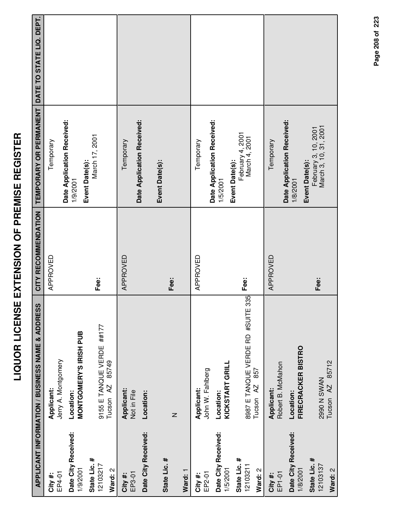|                                                                        | <b>APPLICANT INFORMATION / BUSINESS NAME &amp; ADDRESS</b>                                       | CITY RECOMMENDATION | <b>TEMPORARY OR PERMANENT</b>                                                                 | DATE TO STATE LIQ. DEPT. |
|------------------------------------------------------------------------|--------------------------------------------------------------------------------------------------|---------------------|-----------------------------------------------------------------------------------------------|--------------------------|
| EP4-01<br>City #:                                                      | Jerry A. Montgomery<br>Applicant:                                                                | APPROVED            | Date Application Received:<br>Temporary                                                       |                          |
| Date City Received:<br>1/9/2001                                        | <b>MONTGOMERY'S IRISH PUB</b><br>Location:                                                       |                     | Event Date(s):<br>1/9/2001                                                                    |                          |
| State Lic. #<br>12103217<br>Ward: 2                                    | 9155 E TANQUE VERDE ##177<br>85749<br>Tucson <sub>AZ</sub>                                       | Fee:                | March 17, 2001                                                                                |                          |
| Date City Received:<br>EP3-01<br>City #:                               | Applicant:<br>Not in File<br>Location:                                                           | APPROVED            | Date Application Received:<br>Temporary                                                       |                          |
| State Lic. #<br>Ward: 1                                                | $\mathsf{z}$                                                                                     | Fee:                | Event Date(s):                                                                                |                          |
| EP2-01<br>City #:                                                      | John W. Fahlberg<br>Applicant:                                                                   | APPROVED            | Temporary                                                                                     |                          |
| Date City Received:<br>State Lic. #<br>12103211<br>Ward: 2<br>1/5/2001 | 8987 E TANQUE VERDE RD #SUITE 335<br>KICKSTART GRILL<br>857<br>Tucson <sub>AZ</sub><br>Location: | Fee:                | Date Application Received:<br>February 4, 2001<br>March 4, 2001<br>Event Date(s):<br>1/5/2001 |                          |
| Date City Received:<br>EP1-01<br>City#:                                | Robert B. McMahon<br>Applicant:<br>Location:                                                     | APPROVED            | Date Application Received:<br>Temporary<br>1/8/2001                                           |                          |
| State Lic. #<br>12103137<br>Ward: 2<br>1/8/2001                        | <b>FIRECRACKER BISTRO</b><br>85712<br><b>Z990 N SWAN</b><br>Tucson <sub>AZ</sub>                 | Fee:                | February 3, 10, 2001<br>March 3, 10, 31, 2001<br>Event Date(s):                               |                          |

Page 208 of 223 **Page of 208 223**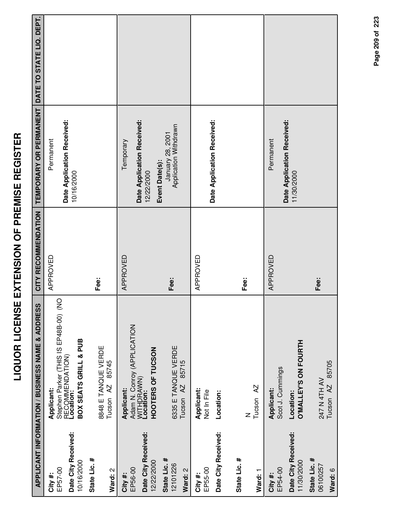|                                                         | <b>APPLICANT INFORMATION / BUSINESS NAME &amp; ADDRESS</b>                                                   | CITY RECOMMENDATION | TEMPORARY OR PERMANENT                                      | DATE TO STATE LIQ. DEPT. |
|---------------------------------------------------------|--------------------------------------------------------------------------------------------------------------|---------------------|-------------------------------------------------------------|--------------------------|
| Date City Received:<br>10/16/2000<br>EP57-00<br>City#:  | Stephen Parker (THIS IS EP48B-00) (NO<br>BOX SEATS GRILL & PUB<br>RECOMMENDATION)<br>Location:<br>Applicant: | APPROVED            | Date Application Received:<br>Permanent<br>10/16/2000       |                          |
| State Lic. #<br>Ward: 2                                 | 8848 E TANQUE VERDE<br>85745<br>Tucson <sub>AZ</sub>                                                         | Fee:                |                                                             |                          |
| Date City Received:<br>12/22/2000<br>EP56-00<br>City #: | Adam N. Conroy (APPLICATION<br>HOOTERS OF TUCSON<br>WITHDRAWN)<br>Location:<br>Applicant:                    | APPROVED            | Date Application Received:<br>Temporary<br>12/22/2000       |                          |
| State Lic. #<br>12101226<br>Ward: 2                     | 6335 E TANQUE VERDE<br>85715<br>Tucson AZ                                                                    | Fee:                | Application Withdrawn<br>January 28, 2001<br>Event Date(s): |                          |
| Date City Received:<br>EP55-00<br>City #:               | Applicant:<br>Not In File<br>Location:                                                                       | APPROVED            | Date Application Received:                                  |                          |
| State Lic. #<br>Ward: 1                                 | Tucson <sub>AZ</sub><br>Z                                                                                    | Fee:                |                                                             |                          |
| Date City Received:<br>11/30/2000<br>EP54-00<br>City#:  | <b>D'MALLEY'S ON FOURTH</b><br>Scot J. Cummings<br>Applicant:<br>Location:                                   | APPROVED            | Date Application Received:<br>Permanent<br>11/30/2000       |                          |
| State Lic. #<br>06100257<br>Ward: 6                     | 85705<br>247 N 4TH AV<br>Tucson <sub>AZ</sub>                                                                | Fee:                |                                                             |                          |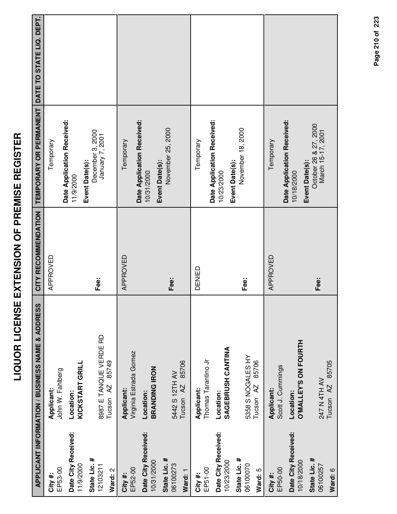|                                          |                                                                                                 | Tamana   |
|------------------------------------------|-------------------------------------------------------------------------------------------------|----------|
| OR LICENSE EXTENSION OF PREMISE REGISTER |                                                                                                 | ADDONIED |
|                                          | RMATION / BUSINESS NAME & ADDRESS  │ CITY RECOMMENDATION │ TEMPORARY OR PERMANENT │ DATE TO ST. |          |

|                                   | <b>APPLICANT INFORMATION / BUSINESS NAME &amp; ADDRESS</b> | CITY RECOMMENDATION | TEMPORARY OR PERMANENT DATE TO STATE LIQ. DEPT. |  |
|-----------------------------------|------------------------------------------------------------|---------------------|-------------------------------------------------|--|
| EP53-00<br>City #:                | Applicant:                                                 | APPROVED            | Temporary                                       |  |
|                                   | John W. Fahlberg                                           |                     | Date Application Received:                      |  |
| Date City Received:               | Location:                                                  |                     | 11/9/2000                                       |  |
| 11/9/2000                         | KICKSTART GRILL                                            |                     | Event Date(s):                                  |  |
| State Lic. #<br>12103211          | 8987 E TANQUE VERDE RD                                     | Fee:                | December 3, 2000<br>January 7, 2001             |  |
| Ward: 2                           | 85749<br>Tucson <sub>AZ</sub>                              |                     |                                                 |  |
|                                   |                                                            |                     |                                                 |  |
| EP52-00<br>City #:                | Virginia Estrada Gomez<br>Applicant:                       | APPROVED            | Temporary                                       |  |
|                                   |                                                            |                     | Date Application Received:                      |  |
| Date City Received:<br>10/31/2000 | <b>BRANDING IRON</b><br>Location:                          |                     | 10/31/2000                                      |  |
|                                   |                                                            |                     | Event Date(s):                                  |  |
| State Lic. #<br>06100273          | 5442 S 12TH AV                                             | Fee:                | November 25, 2000                               |  |
| Ward: 1                           | 85706<br>AZ<br>Tucson                                      |                     |                                                 |  |
| City #:                           | Applicant:                                                 | DENIED              | Temporary                                       |  |
| EP51-00                           | Thomas Tarantino Jr                                        |                     |                                                 |  |
| Date City Received:               | Location:                                                  |                     | Date Application Received:<br>10/23/2000        |  |
| 10/23/2000                        | SAGEBRUSH CANTINA                                          |                     | Event Date(s):                                  |  |
| State Lic. #                      |                                                            |                     | November 18, 2000                               |  |
| 06100070                          | 5358 S NOGALES HY                                          | Fee:                |                                                 |  |
| Ward: 5                           | 85706<br>Tucson <sub>AZ</sub>                              |                     |                                                 |  |
| City #:                           | Applicant:                                                 | APPROVED            | Temporary                                       |  |
| EP50-00                           | Scott J. Cummings                                          |                     | Date Application Received:                      |  |
| Date City Received:               | Location:                                                  |                     | 10/18/2000                                      |  |
| 10/18/2000                        | <b>O'MALLEY'S ON FOURTH</b>                                |                     | Event Date(s):                                  |  |
| State Lic. #                      |                                                            | Fee:                | October 26 & 27, 2000<br>March 15-17, 2001      |  |
| 06100257                          | 247 N 4TH AV                                               |                     |                                                 |  |
| Ward: 6                           | 85705<br>$\overline{A}$<br>Tucson                          |                     |                                                 |  |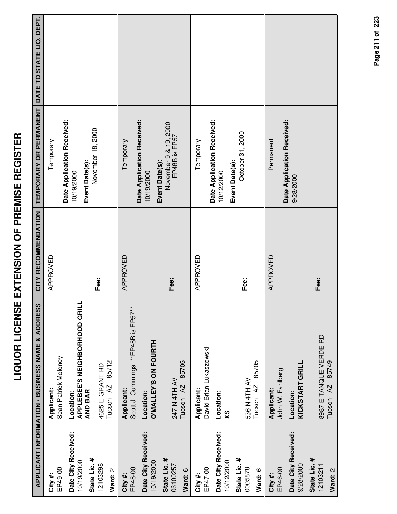|                                      | <b>LIQUOR L</b>                                                     | ICENSE EXTENSION OF PREMISE REGISTER |                                                                 |  |
|--------------------------------------|---------------------------------------------------------------------|--------------------------------------|-----------------------------------------------------------------|--|
|                                      | <b>ADDRESS</b><br>PLICANT INFORMATION / BUSINESS NAME &             |                                      | CITY RECOMMENDATION   TEMPORARY OR PERMANENT   DATE TO STATE LI |  |
| 8<br>თ<br>#                          | Sean Patrick Moloney<br>Applicant:                                  | APPROVED                             | Temporary                                                       |  |
| City Received:<br>e Lic. #<br>9/2000 | <b>APPLEBEE'S NEIGHBORHOOD GRILL</b><br><b>AND BAR</b><br>Location: |                                      | Date Application Received:<br>Event Date(s):<br>10/19/2000      |  |
| <b>13298</b><br>್ಷ<br>ಕ              | Tucson AZ 85712<br>4625 E GRANT RD                                  | Fee:                                 | November 18, 2000                                               |  |
| c<br>c<br>#                          | $\overline{\phantom{a}}$<br>Caatt I Cusaicas **ED10D<br>Applicant:  | <b>APPROVED</b>                      | Temporary                                                       |  |

|                                                   | <b>APPLICANT INFORMATION / BUSINESS NAME &amp; ADDRESS</b>     |          | CITY RECOMMENDATION   TEMPORARY OR PERMANENT   DATE TO STATE LIQ. DEPT. |  |
|---------------------------------------------------|----------------------------------------------------------------|----------|-------------------------------------------------------------------------|--|
| EP49-00<br>City#:                                 | Sean Patrick Moloney<br>Applicant:                             | APPROVED | Temporary                                                               |  |
| Date City Received:<br>State Lic. #<br>10/19/2000 | 글<br>APPLEBEE'S NEIGHBORHOOD GR<br><b>AND BAR</b><br>Location: |          | Date Application Received:<br>Event Date(s):<br>10/19/2000              |  |
| 12103298<br>Ward: 2                               | 85712<br>4625 E GRANT RD<br>Tucson AZ                          | Fee:     | November 18, 2000                                                       |  |
| EP48-00<br>City#:                                 | Scott J. Cummings **EP48B is EP57**<br>Applicant:              | APPROVED | Temporary                                                               |  |
| Date City Received:<br>10/19/2000                 | O'MALLEY'S ON FOURTH<br>Location:                              |          | Date Application Received:<br>10/19/2000                                |  |
| State Lic. #<br>06100257<br>Ward: 6               | 85705<br>247 N 4TH AV<br>Tucson <sub>AZ</sub>                  | Fee:     | November 9 & 19, 2000<br>EP48B is EP57<br>Event Date(s):                |  |
| EP47-00<br>City #:                                | David Brian Lukaszewski<br>Applicant:                          | APPROVED | Temporary                                                               |  |
| Date City Received:<br>10/12/2000                 | Location:<br>XS                                                |          | Date Application Received:<br>10/12/2000                                |  |
| State Lic. #<br>0005878<br>Ward: 6                | 85705<br>536 N 4TH AV<br>Tucson <sub>AZ</sub>                  | Fee:     | October 31, 2000<br>Event Date(s):                                      |  |
| EP46-00<br>City#:                                 | John W. Fahlberg<br>Applicant:                                 | APPROVED | Permanent                                                               |  |
| Date City Received:<br>9/28/2000                  | KICKSTART GRILL<br>Location:                                   |          | Date Application Received:<br>9/28/2000                                 |  |
| State Lic. #<br>12103211                          | 8987 E TANQUE VERDE RD                                         | Fee:     |                                                                         |  |
| Ward: 2                                           | 85749<br>$\overline{5}$<br>Tucson                              |          |                                                                         |  |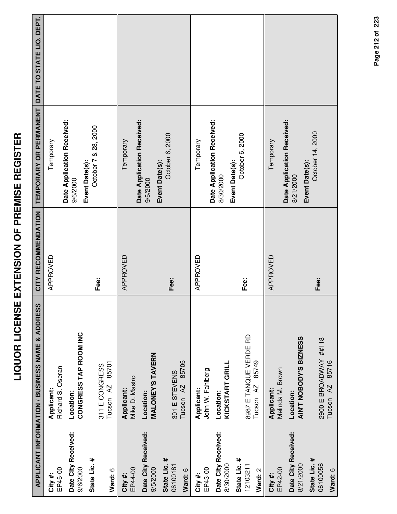|                                     | APPLICANT INFORMATION / BUSINESS NAME & ADDRESS        | CITY RECOMMENDATION | TEMPORARY OR PERMANENT                                    | DATE TO STATE LIQ. DEPT. |
|-------------------------------------|--------------------------------------------------------|---------------------|-----------------------------------------------------------|--------------------------|
| EP45-00<br>City #:                  | Richard S. Oseran<br>Applicant:                        | APPROVED            | Temporary                                                 |                          |
| Date City Received:<br>9/6/2000     | CONGRESS TAP ROOM INC<br>Location:                     |                     | Date Application Received:<br>9/6/2000                    |                          |
| State Lic. #<br>Ward: 6             | 85701<br>311 E CONGRESS<br>Tucson <sub>AZ</sub>        | Fee:                | October 7 & 28, 2000<br>Event Date(s):                    |                          |
| EP44-00<br>City #:                  | Mike D. Mastro<br>Applicant:                           | APPROVED            | Temporary                                                 |                          |
| Date City Received:<br>9/5/2000     | <b>MALONEY'S TAVERN</b><br>Location:                   |                     | Date Application Received:<br>9/5/2000                    |                          |
| State Lic. #<br>06100181<br>Ward: 6 | 85705<br>301 E STEVENS<br>Tucson <sub>AZ</sub>         | Fee:                | October 6, 2000<br>Event Date(s):                         |                          |
| EP43-00<br>City #:                  | John W. Fahlberg<br>Applicant:                         | APPROVED            | Temporary                                                 |                          |
| Date City Received:<br>8/30/2000    | KICKSTART GRILL<br>Location:                           |                     | Date Application Received:<br>Event Date(s):<br>8/30/2000 |                          |
| State Lic. #<br>12103211<br>Ward: 2 | 8987 E TANQUE VERDE RD<br>85749<br>Tucson AZ           | Fee:                | October 6, 2000                                           |                          |
| EP42-00<br>City #:                  | Melinda M. Brown<br>Applicant:                         | APPROVED            | Temporary                                                 |                          |
| Date City Received:<br>8/21/2000    | AIN'T NOBODY'S BIZNESS<br>Location:                    |                     | Date Application Received:<br>Event Date(s):<br>8/21/2000 |                          |
| State Lic. #<br>06100056<br>Ward: 6 | 2900 E BROADWAY ##118<br>85716<br>Tucson <sub>AZ</sub> | Fee:                | October 14, 2000                                          |                          |

Page 212 of 223 **Page of 212 223**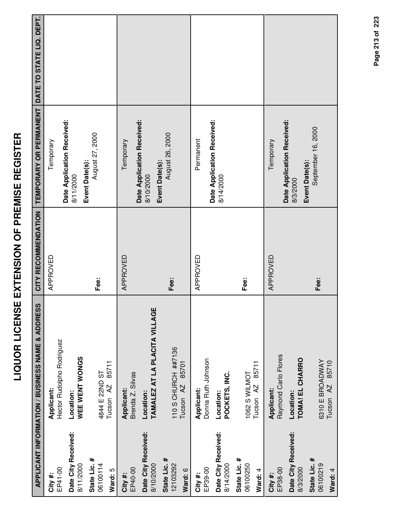|                                     | APPLICANT INFORMATION / BUSINESS NAME & ADDRESS      | CITY RECOMMENDATION | TEMPORARY OR PERMANENT                                   | DATE TO STATE LIQ. DEPT. |
|-------------------------------------|------------------------------------------------------|---------------------|----------------------------------------------------------|--------------------------|
| EP41-00<br>City #:                  | Hector Rudolpho Rodriguez<br>Applicant:              | APPROVED            | Date Application Received:<br>Temporary                  |                          |
| Date City Received:<br>8/11/2000    | WEE WENT WONGS<br>Location:                          |                     | 8/11/2000                                                |                          |
| State Lic. #<br>06100114<br>Ward: 5 | 85711<br>4844 E 22 ND ST<br>Tucson <sub>AZ</sub>     | Fee:                | August 27, 2000<br>Event Date(s):                        |                          |
| EP40-00<br>City #:                  | Brenda Z. Silvas<br>Applicant:                       | APPROVED            | Temporary                                                |                          |
| Date City Received:<br>8/10/2000    | TAMALEZ AT LA PLACITA VILLAGE<br>Location:           |                     | Date Application Received:<br>8/10/2000                  |                          |
| State Lic. #<br>12103292<br>Ward: 6 | 110 S CHURCH ##7136<br>85701<br>Tucson <sub>AZ</sub> | Fee:                | August 26, 2000<br>Event Date(s):                        |                          |
| EP39-00<br>City#:                   | Donna Ruth Johnson<br>Applicant:                     | APPROVED            | Permanent                                                |                          |
| Date City Received:<br>8/14/2000    | POCKETS, INC.<br>Location:                           |                     | Date Application Received:<br>8/14/2000                  |                          |
| State Lic. #<br>06100250<br>Ward: 4 | 85711<br>1062 S WILMOT<br>Tucson <sub>AZ</sub>       | Fee:                |                                                          |                          |
| EP38-00<br>City #:                  | Raymond Carlo Flores<br>Applicant:                   | APPROVED            | Temporary                                                |                          |
| Date City Received:<br>8/3/2000     | TOMA! EL CHARRO<br>Location:                         |                     | Date Application Received:<br>Event Date(s):<br>8/3/2000 |                          |
| State Lic. #<br>06100219<br>Ward: 4 | 6310 E BROADWAY<br>85710<br>Tucson <sub>AZ</sub>     | Fee:                | September 16, 2000                                       |                          |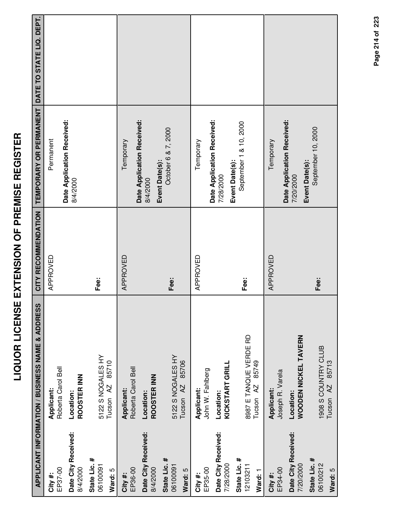|                                                        | APPLICANT INFORMATION / BUSINESS NAME & ADDRESS                              | CITY RECOMMENDATION | TEMPORARY OR PERMANENT DATE TO STATE LIQ. DEPT.      |  |
|--------------------------------------------------------|------------------------------------------------------------------------------|---------------------|------------------------------------------------------|--|
| Date City Received:<br>EP37-00<br>8/4/2000<br>City#:   | Roberta Carol Bell<br>ROOSTER INN<br>Applicant:<br>Location:                 | APPROVED            | Date Application Received:<br>Permanent<br>8/4/2000  |  |
| State Lic. #<br>06100091<br>Ward: 5                    | 5122 S NOGALES HY<br>85710<br>Tucson <sub>AZ</sub>                           | Fee:                |                                                      |  |
| Date City Received:<br>EP36-00<br>8/4/2000<br>City #:  | Roberta Carol Bell<br>ROOSTER INN<br>Applicant:<br>Location:                 | APPROVED            | Date Application Received:<br>Temporary<br>8/4/2000  |  |
| State Lic. #<br>06100091<br>Ward: 5                    | 5122 S NOGALES HY<br>85706<br>Tucson <sub>AZ</sub>                           | Fee:                | October 6 & 7, 2000<br>Event Date(s):                |  |
| Date City Received:<br>7/28/2000<br>EP35-00<br>City #: | KICKSTART GRILL<br>John W. Fahlberg<br>Applicant:<br>Location:               | APPROVED            | Date Application Received:<br>Temporary<br>7/28/2000 |  |
| State Lic. #<br>12103211<br>Ward: 1                    | 8987 E TANQUE VERDE RD<br>85749<br>Tucson <sub>AZ</sub>                      | Fee:                | September 1 & 10, 2000<br>Event Date(s):             |  |
| Date City Received:<br>EP34-00<br>City #:              | Joseph R. Varela<br>Applicant:<br>Location:                                  | APPROVED            | Date Application Received:<br>Temporary              |  |
| State Lic. #<br>06100212<br>7/20/2000<br>Ward: 5       | WOODEN NICKEL TAVERN<br>1908 S COUNTRY CLUB<br>85713<br>Tucson <sub>AZ</sub> | Fee:                | September 10, 2000<br>Event Date(s):<br>7/20/2000    |  |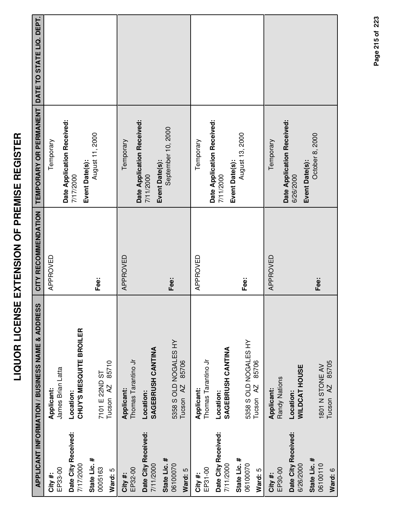|                                     | APPLICANT INFORMATION / BUSINESS NAME & ADDRESS        | CITY RECOMMENDATION | TEMPORARY OR PERMANENT DATE TO STATE LIQ. DEPT.           |  |
|-------------------------------------|--------------------------------------------------------|---------------------|-----------------------------------------------------------|--|
| EP33-00<br>City#:                   | James Brian Latta<br>Applicant:                        | APPROVED            | Date Application Received:<br>Temporary                   |  |
| Date City Received:<br>7/17/2000    | CHUY'S MESQUITE BROILER<br>Location:                   |                     | 7/17/2000                                                 |  |
| State Lic. #<br>0005163<br>Ward: 5  | 85710<br>7101 E 22ND ST<br>Tucson <sub>AZ</sub>        | Fee:                | August 11, 2000<br>Event Date(s):                         |  |
| EP32-00<br>City#:                   | Thomas Tarantino Jr<br>Applicant:                      | APPROVED            | Date Application Received:<br>Temporary                   |  |
| Date City Received:<br>7/11/2000    | SAGEBRUSH CANTINA<br>Location:                         |                     | Event Date(s):<br>7/11/2000                               |  |
| State Lic. #<br>06100070<br>Ward: 5 | 5358 S OLD NOGALES HY<br>85706<br>Tucson <sub>AZ</sub> | Fee:                | September 10, 2000                                        |  |
| EP31-00<br>City #:                  | Thomas Tarantino Jr<br>Applicant:                      | APPROVED            | Temporary                                                 |  |
| Date City Received:<br>7/11/2000    | SAGEBRUSH CANTINA<br>Location:                         |                     | Date Application Received:<br>7/11/2000                   |  |
| State Lic. #<br>06100070<br>Ward: 5 | 5358 S OLD NOGALES HY<br>85706<br>Tucson <sub>AZ</sub> | Fee:                | August 13, 2000<br>Event Date(s):                         |  |
| EP30-00<br>City #:                  | Randy Nations<br><b>Applicant:</b>                     | APPROVED            | Temporary                                                 |  |
| Date City Received:<br>6/26/2000    | <b>WILDCAT HOUSE</b><br>Location:                      |                     | Date Application Received:<br>Event Date(s):<br>6/26/2000 |  |
| State Lic. #<br>06100110<br>Ward: 6 | 85705<br>1801 N STONE AV<br>Tucson <sub>AZ</sub>       | Fee:                | October 8, 2000                                           |  |

### Page 215 of 223 **Page of 215 223**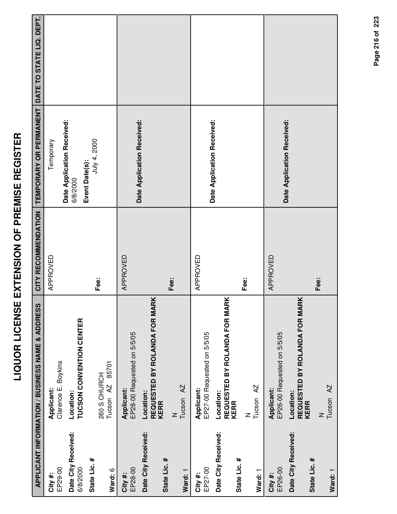|                                 | <b>APPLICANT INFORMATION / BUSINESS NAME &amp; ADDRESS</b> | CITY RECOMMENDATION | TEMPORARY OR PERMANENT                                   | DATE TO STATE LIQ. DEPT. |
|---------------------------------|------------------------------------------------------------|---------------------|----------------------------------------------------------|--------------------------|
| EP29-00<br>City #:              | Clarence E. Boykins<br>Applicant:                          | APPROVED            | Temporary                                                |                          |
| Date City Received:<br>6/8/2000 | TUCSON CONVENTION CENTER<br>Location:                      |                     | Date Application Received:<br>Event Date(s):<br>6/8/2000 |                          |
| State Lic. #<br>Ward: 6         | 85701<br>260 S CHURCH<br>Tucson AZ                         | Fee:                | July 4, 2000                                             |                          |
| EP28-00<br>City #:              | EP28-00 Requested on 5/5/05<br>Applicant:                  | APPROVED            |                                                          |                          |
| Date City Received:             | REQUESTED BY ROLANDA FOR MARK<br>Location:<br><b>KERR</b>  |                     | Date Application Received:                               |                          |
| State Lic. #<br>Ward: 1         | Tucson <sub>AZ</sub><br>$\mathsf{z}$                       | Fee:                |                                                          |                          |
| EP27-00<br>City #:              | EP27-00 Requested on 5/5/05<br>Applicant:                  | APPROVED            |                                                          |                          |
| Date City Received:             | REQUESTED BY ROLANDA FOR MARK<br>Location:<br><b>KERR</b>  |                     | Date Application Received:                               |                          |
| State Lic. #<br>Ward: 1         | Tucson <sub>AZ</sub><br>Z                                  | Fee:                |                                                          |                          |
| EP26-00<br>City #:              | EP26-00 Requested on 5/5/05<br>Applicant:                  | APPROVED            |                                                          |                          |
| Date City Received:             | REQUESTED BY ROLANDA FOR MARK<br>Location:<br><b>KERR</b>  |                     | Date Application Received:                               |                          |
| State Lic. #<br>Ward: 1         | Tucson <sub>AZ</sub><br>Z                                  | Fee:                |                                                          |                          |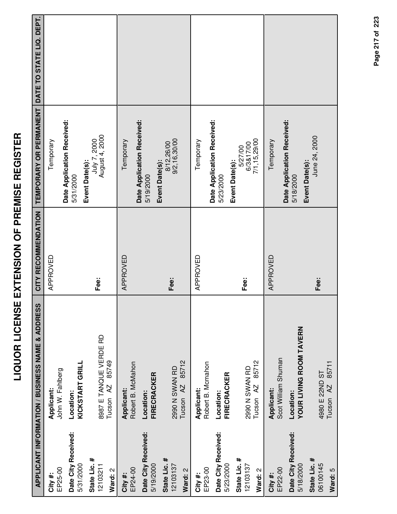|                                  | <b>LIQUOR LICENS</b>                            | E EXTENSION OF PREMISE REGISTER |                                                        |  |
|----------------------------------|-------------------------------------------------|---------------------------------|--------------------------------------------------------|--|
|                                  | APPLICANT INFORMATION / BUSINESS NAME & ADDRESS | CITY RECOMMENDATION             | <b>TEMPORARY OR PERMANENT DATE TO STATE LIQ. DEPT.</b> |  |
| EP25-00<br>City#:                | John W. Fahlberg<br>Applicant:                  | APPROVED                        | Temporary                                              |  |
| Date City Received:<br>5/31/2000 | KICKSTART GRILL<br>Location:                    |                                 | Date Application Received:<br>5/31/2000                |  |
| State Lic. #<br>12103211         | 8987 E TANQUE VERDE RD                          | Fee:                            | July 7, 2000<br>August 4, 2000<br>Event Date(s):       |  |
| Ward: 2                          | Tucson AZ 85749                                 |                                 |                                                        |  |
| EP24-00<br>City#:                | Robert B. McMahon<br><b>Applicant:</b>          | APPROVED                        | Temporary                                              |  |
| Date City Received:<br>5/19/2000 | <b>FIRECRACKER</b><br>Location:                 |                                 | Date Application Received:<br>5/19/2000                |  |
| State Lic. #<br>12103137         | 2990 N SWAN RD                                  | Fee:                            | 9/2,16,30/00<br>8/12,26/00<br>Event Date(s):           |  |
| Ward: 2                          | 85712<br>Tucson <sub>AZ</sub>                   |                                 |                                                        |  |
| EP23-00<br>City #:               | Robert B. Mcmahon<br>Applicant:                 | APPROVED                        | Temporary                                              |  |
| Date City Received:<br>5/23/2000 | <b>FIRECRACKER</b><br>Location:                 |                                 | Date Application Received:<br>5/23/2000                |  |
| State Lic. #<br>12103137         | 2990 N SWAN RD                                  | Fee:                            | 6/3&17/00<br>5/27/00<br>Event Date(s):                 |  |
| Ward: 2                          | 85712<br>Tucson <sub>AZ</sub>                   |                                 | 7/1,15,29/00                                           |  |
| EP22-00<br>City #:               | Scot William Shuman<br>Applicant:               | APPROVED                        | Temporary                                              |  |

LIQUOR LICENSE EXTENSION OF PREMISE REGISTER

Date City Received:<br>5/18/2000

**Date City Received:**

**State Lic. #** 06100145

4980 E 22ND ST Tucson AZ 85711

4980 E 22ND ST<br>Tucson AZ 85711

**Fee:**

**Ward:** 5

**City #:** EP22-00

Scot William Shuman

Location:<br>YOUR LIVING ROOM TAVERN **YOUR LIVING ROOM TAVERN**

Event Date(s):<br>June 24, 2000

**Event Date(s):**

**Date Application Received:** Date Application Received:<br>5/18/2000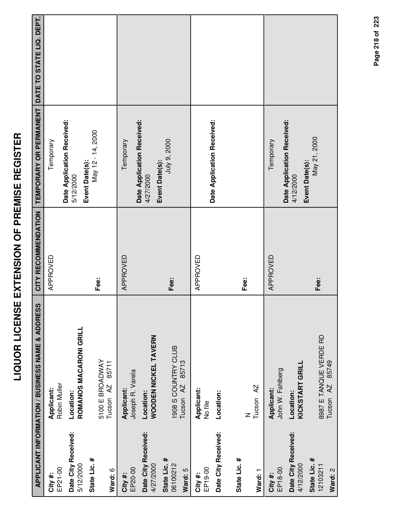|                                     | APPLICANT INFORMATION / BUSINESS NAME & ADDRESS      | CITY RECOMMENDATION | <b>TEMPORARY OR PERMANENT</b>                             | DATE TO STATE LIQ. DEPT. |
|-------------------------------------|------------------------------------------------------|---------------------|-----------------------------------------------------------|--------------------------|
| EP21-00<br>City #:                  | Robin Muller<br>Applicant:                           | APPROVED            | Temporary                                                 |                          |
| Date City Received:<br>5/12/2000    | ROMANOS MACARONI GRILL<br>Location:                  |                     | Date Application Received:<br>5/12/2000                   |                          |
| State Lic. #<br>Ward: 6             | 5100 E BROADWAY<br>85711<br>Tucson <sub>AZ</sub>     | Fee:                | May 12 - 14, 2000<br>Event Date(s):                       |                          |
| EP20-00<br>City #:                  | Joseph R. Varela<br>Applicant:                       | APPROVED            | Temporary                                                 |                          |
| Date City Received:<br>4/27/2000    | WOODEN NICKEL TAVERN<br>Location:                    |                     | Date Application Received:<br>4/27/2000                   |                          |
| State Lic. #<br>06100212<br>Ward: 5 | 1908 S COUNTRY CLUB<br>85713<br>Tucson <sub>AZ</sub> | Fee:                | July 9, 2000<br>Event Date(s):                            |                          |
| EP19-00<br>City #:                  | Applicant:<br>No file                                | APPROVED            | Date Application Received:                                |                          |
| Date City Received:                 | Location:                                            |                     |                                                           |                          |
| State Lic. #                        | Z                                                    | Fee:                |                                                           |                          |
| Ward: 1                             | Tucson <sub>AZ</sub>                                 |                     |                                                           |                          |
| EP18-00<br>City#:                   | John W. Fahlberg<br>Applicant:                       | APPROVED            | Temporary                                                 |                          |
| Date City Received:<br>4/12/2000    | KICKSTART GRILL<br>Location:                         |                     | Date Application Received:<br>Event Date(s):<br>4/12/2000 |                          |
| State Lic. #<br>12103211<br>Ward: 2 | 8987 E TANQUE VERDE RD<br>85749<br>AZ.<br>Tucson     | Fee:                | May 21, 2000                                              |                          |

**LIQUOR LICENSE EXTENSION OF PREMISE REGISTER**

LIQUOR LICENSE EXTENSION OF PREMISE REGISTER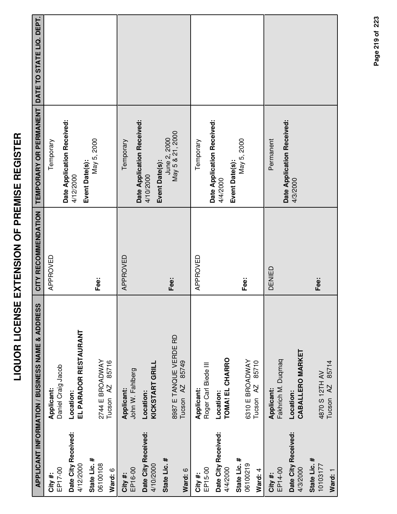|                                     | APPLICANT INFORMATION / BUSINESS NAME & ADDRESS         | CITY RECOMMENDATION | TEMPORARY OR PERMANENT DATE TO STATE LIQ. DEPT.           |  |
|-------------------------------------|---------------------------------------------------------|---------------------|-----------------------------------------------------------|--|
| EP17-00<br>City #:                  | Daniel Craig Jacob<br>Applicant:                        | APPROVED            | Temporary                                                 |  |
| Date City Received:<br>4/12/2000    | EL PARADOR RESTAURANT<br>Location:                      |                     | Date Application Received:<br>4/12/2000                   |  |
| State Lic. #<br>06100108<br>Ward: 6 | 2744 E BROADWAY<br>85716<br>Tucson AZ                   | Fee:                | May 5, 2000<br>Event Date(s):                             |  |
| EP16-00<br>City #:                  | John W. Fahlberg<br>Applicant:                          | APPROVED            | Temporary                                                 |  |
| Date City Received:<br>4/10/2000    | KICKSTART GRILL<br>Location:                            |                     | Date Application Received:<br>Event Date(s):<br>4/10/2000 |  |
| State Lic. #<br>Ward: 6             | 8987 E TANQUE VERDE RD<br>85749<br>Tucson <sub>AZ</sub> | Fee:                | May 5 & 21, 2000<br>June 2, 2000                          |  |
| EP15-00<br>City #:                  | Roger Carl Biede III<br>Applicant:                      | APPROVED            | Temporary                                                 |  |
| Date City Received:<br>4/4/2000     | TOMA! EL CHARRO<br>Location:                            |                     | Date Application Received:<br>4/4/2000                    |  |
| State Lic. #<br>06100219<br>Ward: 4 | 6310 E BROADWAY<br>85710<br>Tucson <sub>AZ</sub>        | Fee:                | May 5, 2000<br>Event Date(s):                             |  |
| EP14-00<br>City #:                  | Fakhrich M. Duqmaq<br>Applicant:                        | DENIED              | Permanent                                                 |  |
| Date City Received:<br>4/3/2000     | CABALLERO MARKET<br>Location:                           |                     | Date Application Received:<br>4/3/2000                    |  |
| State Lic. #<br>10103177<br>Ward: 1 | Tucson AZ 85714<br>4870 S 12TH AV                       | Fee:                |                                                           |  |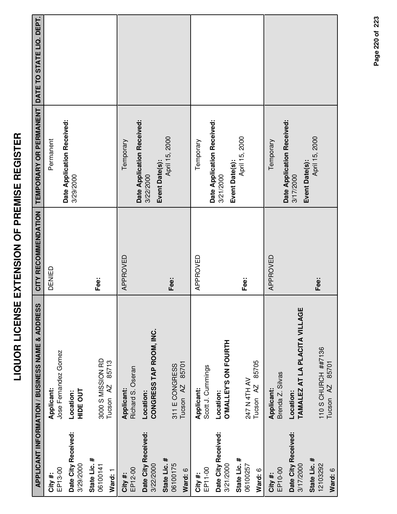|                                     | APPLICANT INFORMATION / BUSINESS NAME & ADDRESS      | CITY RECOMMENDATION | TEMPORARY OR PERMANENT                  | DATE TO STATE LIQ. DEPT. |
|-------------------------------------|------------------------------------------------------|---------------------|-----------------------------------------|--------------------------|
| EP13-00<br>City #:                  | Jose Fernandez Gomez<br>Applicant:                   | DENIED              | Date Application Received:<br>Permanent |                          |
| Date City Received:<br>3/29/2000    | <b>HIDE OUT</b><br>Location:                         |                     | 3/29/2000                               |                          |
| State Lic. #<br>06100141<br>Ward: 1 | 3000 S MISSION RD<br>85713<br>Tucson <sub>AZ</sub>   | Fee:                |                                         |                          |
| EP12-00<br>City #:                  | Richard S. Oseran<br>Applicant:                      | APPROVED            | Date Application Received:<br>Temporary |                          |
| Date City Received:<br>3/22/2000    | CONGRESS TAP ROOM, INC.<br>Location:                 |                     | Event Date(s):<br>3/22/2000             |                          |
| State Lic. #<br>06100175<br>Ward: 6 | 85701<br>311 E CONGRESS<br>Tucson <sub>AZ</sub>      | Fee:                | April 15, 2000                          |                          |
| EP11-00<br>City #:                  | Scott J. Cummings<br>Applicant:                      | APPROVED            | Temporary                               |                          |
| Date City Received:<br>3/21/2000    | <b>O'MALLEY'S ON FOURTH</b><br>Location:             |                     | Date Application Received:<br>3/21/2000 |                          |
| State Lic. #<br>06100257<br>Ward: 6 | 85705<br>247 N 4TH AV<br>Tucson AZ                   | Fee:                | April 15, 2000<br>Event Date(s):        |                          |
| EP10-00<br>City #:                  | Brenda Z. Silvas<br>Applicant:                       | APPROVED            | Temporary                               |                          |
| Date City Received:<br>3/17/2000    | TAMALEZ AT LA PLACITA VILLAGE<br>Location:           |                     | Date Application Received:<br>3/17/2000 |                          |
| State Lic. #<br>12103292<br>Ward: 6 | 110 S CHURCH ##7136<br>85701<br>Tucson <sub>AZ</sub> | Fee:                | April 15, 2000<br>Event Date(s):        |                          |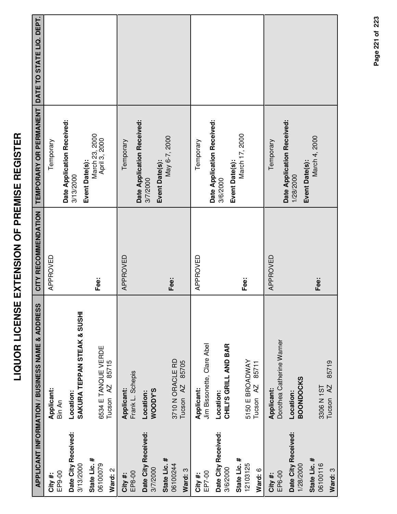|                                        | APPLICANT INFORMATION / BUSINESS NAME & ADDRESS   | CITY RECOMMENDATION | TEMPORARY OR PERMANENT                                   | DATE TO STATE LIQ. DEPT. |
|----------------------------------------|---------------------------------------------------|---------------------|----------------------------------------------------------|--------------------------|
| EP9-00<br>City#:                       | Applicant:<br>Bin An                              | APPROVED            | Temporary                                                |                          |
| Date City Received:<br>3/13/2000       | SAKURA TEPPAN STEAK & SUSHI<br>Location:          |                     | Date Application Received:<br>3/13/2000                  |                          |
| State Lic. #<br>06100079<br>Ward: 2    | 6534 E TANQUE VERDE<br>85715<br>Tucson AZ         | Fee:                | March 23, 2000<br>April 3, 2000<br>Event Date(s):        |                          |
| EP8-00<br>City #:                      | Frank L. Schepis<br><b>Applicant:</b>             | APPROVED            | Temporary                                                |                          |
| Date City Received:<br>3/7/2000        | WOODY'S<br>Location:                              |                     | Date Application Received:<br>Event Date(s):<br>3/7/2000 |                          |
| State Lic. #<br>06100244<br>Ward: 3    | 3710 N ORACLE RD<br>85705<br>Tucson <sub>AZ</sub> | Fee:                | May 6-7, 2000                                            |                          |
| EP7-00<br>City #:                      | Jim Bissonette, Clare Abel<br>Applicant:          | APPROVED            | Temporary                                                |                          |
| Date City Received:<br>3/6/2000        | CHILI'S GRILL AND BAR<br>Location:                |                     | Date Application Received:<br>3/6/2000                   |                          |
| State Lic. #<br>12103125<br>Ward: 6    | 5150 E BROADWAY<br>85711<br>Tucson <sub>AZ</sub>  | Fee:                | March 17, 2000<br>Event Date(s):                         |                          |
| EP6-00<br>City#:                       | Dorothea Catherine Warner<br>Applicant:           | APPROVED            | Temporary                                                |                          |
| Date City Received:<br>1/28/2000       | <b>BOONDOCKS</b><br>Location:                     |                     | Date Application Received:<br>1/28/2000                  |                          |
| State Lic. #<br>06100116<br>$M2rd$ . 3 | 85719<br>Tucson <sub>AZ</sub><br>3306 N 1ST       | Fee:                | March 4, 2000<br>Event Date(s):                          |                          |

**Ward:** 3

Tucson AZ 85719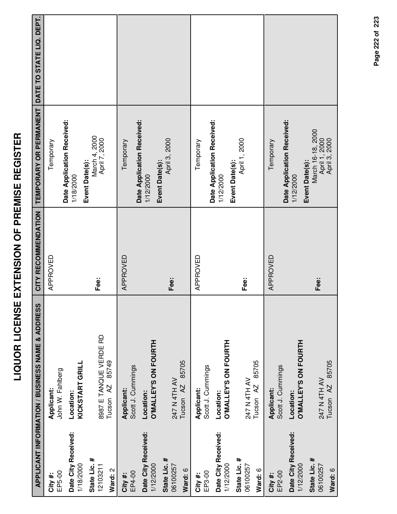|                                     | <b>APPLICANT INFORMATION / BUSINESS NAME &amp; ADDRESS</b> | CITY RECOMMENDATION | TEMPORARY OR PERMANENT DATE TO STATE LIQ. DEPT.           |  |
|-------------------------------------|------------------------------------------------------------|---------------------|-----------------------------------------------------------|--|
| EP5-00<br>City #:                   | John W. Fahlberg<br>Applicant:                             | APPROVED            | Temporary                                                 |  |
| Date City Received:<br>1/18/2000    | KICKSTART GRILL<br>Location:                               |                     | Date Application Received:<br>1/18/2000                   |  |
| State Lic. #<br>12103211<br>Ward: 2 | 8987 E TANQUE VERDE RD<br>85749<br>Tucson <sub>AZ</sub>    | Fee:                | March 4, 2000<br>April 7, 2000<br>Event Date(s):          |  |
| EP4-00<br>City #:                   | Scott J. Cummings<br>Applicant:                            | APPROVED            | Date Application Received:<br>Temporary                   |  |
| Date City Received:<br>1/12/2000    | O'MALLEY'S ON FOURTH<br>Location:                          |                     | Event Date(s):<br>1/12/2000                               |  |
| State Lic. #<br>06100257<br>Ward: 6 | 85705<br>247 N 4TH AV<br>Tucson <sub>AZ</sub>              | Fee:                | April 3, 2000                                             |  |
| EP3-00<br>City #:                   | Scott J. Cummings<br>Applicant:                            | APPROVED            | Temporary                                                 |  |
| Date City Received:<br>1/12/2000    | O'MALLEY'S ON FOURTH<br>Location:                          |                     | Date Application Received:<br>1/12/2000                   |  |
| State Lic. #<br>06100257<br>Ward: 6 | 85705<br>247 N 4TH AV<br>Tucson <sub>AZ</sub>              | Fee:                | April 1, 2000<br>Event Date(s):                           |  |
| EP2-00<br>City #:                   | Scott J. Cummings<br>Applicant:                            | APPROVED            | Temporary                                                 |  |
| Date City Received:<br>1/12/2000    | <b>O'MALLEY'S ON FOURTH</b><br>Location:                   |                     | Date Application Received:<br>Event Date(s):<br>1/12/2000 |  |
| State Lic. #<br>06100257<br>Ward: 6 | Tucson AZ 85705<br>247 N 4TH AV                            | Fee:                | March 16-18, 2000<br>April 1, 2000<br>April 3, 2000       |  |